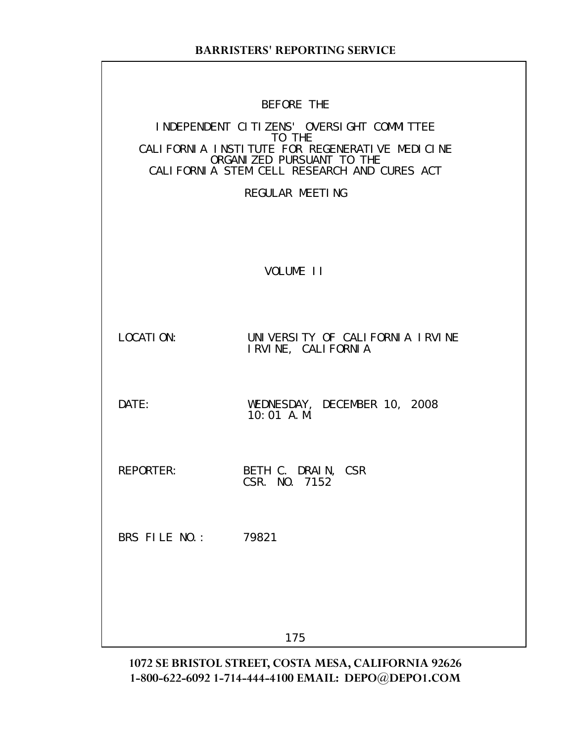| BEFORE | THF |
|--------|-----|
|        |     |

# INDEPENDENT CITIZENS' OVERSIGHT COMMITTEE TO THE CALIFORNIA INSTITUTE FOR REGENERATIVE MEDICINE ORGANIZED PURSUANT TO THE CALIFORNIA STEM CELL RESEARCH AND CURES ACT REGULAR MEETING VOLUME II LOCATION: UNIVERSITY OF CALIFORNIA IRVINE IRVINE, CALIFORNIA DATE: WEDNESDAY, DECEMBER 10, 2008 10:01 A.M. REPORTER: BETH C. DRAIN, CSR CSR. NO. 7152 BRS FILE NO.: 79821 175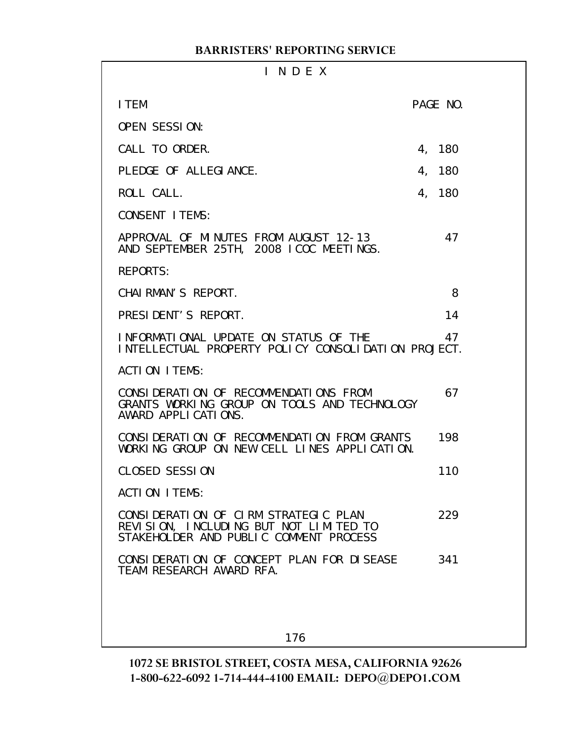| INDEX                                                                                                                    |          |
|--------------------------------------------------------------------------------------------------------------------------|----------|
| I TEM                                                                                                                    | PAGE NO. |
| <b>OPEN SESSION:</b>                                                                                                     |          |
| CALL TO ORDER.                                                                                                           | 4, 180   |
| PLEDGE OF ALLEGIANCE.                                                                                                    | 4, 180   |
| ROLL CALL.                                                                                                               | 4, 180   |
| <b>CONSENT I TEMS:</b>                                                                                                   |          |
| APPROVAL OF MINUTES FROM AUGUST 12-13<br>AND SEPTEMBER 25TH, 2008 ICOC MEETINGS.                                         | 47       |
| <b>REPORTS:</b>                                                                                                          |          |
| CHAI RMAN'S REPORT.                                                                                                      | 8        |
| PRESIDENT'S REPORT.                                                                                                      | 14       |
| INFORMATIONAL UPDATE ON STATUS OF THE<br>INTELLECTUAL PROPERTY POLICY CONSOLIDATION PROJECT.                             | 47       |
| ACTION ITEMS:                                                                                                            |          |
| CONSIDERATION OF RECOMMENDATIONS FROM<br>GRANTS WORKING GROUP ON TOOLS AND TECHNOLOGY<br>AWARD APPLICATIONS.             | 67       |
| CONSIDERATION OF RECOMMENDATION FROM GRANTS<br>WORKING GROUP ON NEW CELL LINES APPLICATION.                              | 198      |
| <b>CLOSED SESSION</b>                                                                                                    | 110      |
| ACTION ITEMS:                                                                                                            |          |
| CONSIDERATION OF CIRM STRATEGIC PLAN<br>REVISION, INCLUDING BUT NOT LIMITED TO<br>STAKEHOLDER AND PUBLIC COMMENT PROCESS | 229      |
| CONSIDERATION OF CONCEPT PLAN FOR DISEASE<br>TEAM RESEARCH AWARD RFA.                                                    | 341      |
|                                                                                                                          |          |
| 176                                                                                                                      |          |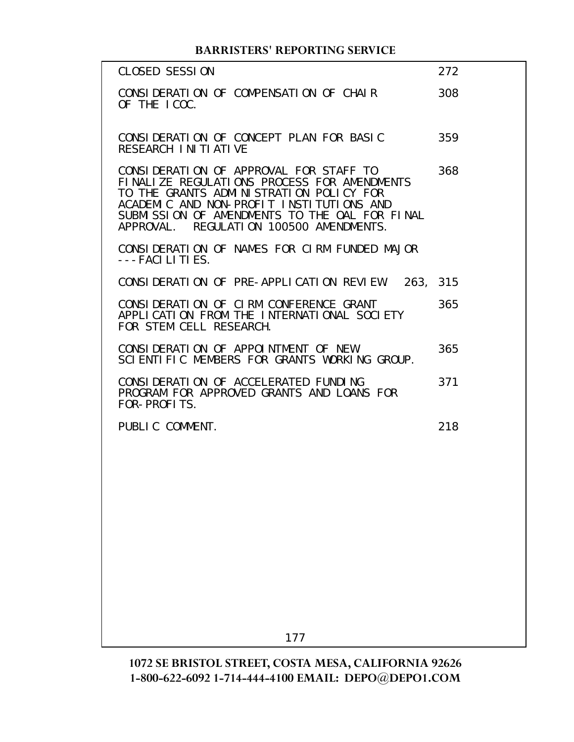| <b>CLOSED SESSION</b>                                                                                                                                                                                                                                                    | 272 |
|--------------------------------------------------------------------------------------------------------------------------------------------------------------------------------------------------------------------------------------------------------------------------|-----|
| CONSIDERATION OF COMPENSATION OF CHAIR<br>OF THE ICOC.                                                                                                                                                                                                                   | 308 |
| CONSIDERATION OF CONCEPT PLAN FOR BASIC<br>RESEARCH INITIATIVE                                                                                                                                                                                                           | 359 |
| CONSIDERATION OF APPROVAL FOR STAFF TO<br>FINALIZE REGULATIONS PROCESS FOR AMENDMENTS<br>TO THE GRANTS ADMINISTRATION POLICY FOR<br>ACADEMIC AND NON-PROFIT INSTITUTIONS AND<br>SUBMISSION OF AMENDMENTS TO THE OAL FOR FINAL<br>APPROVAL. REGULATION 100500 AMENDMENTS. | 368 |
| CONSIDERATION OF NAMES FOR CIRM FUNDED MAJOR<br>---FACI LI TI ES.                                                                                                                                                                                                        |     |
| CONSIDERATION OF PRE-APPLICATION REVIEW. 263, 315                                                                                                                                                                                                                        |     |
| CONSIDERATION OF CIRM CONFERENCE GRANT<br>APPLICATION FROM THE INTERNATIONAL SOCIETY<br>FOR STEM CELL RESEARCH.                                                                                                                                                          | 365 |
| CONSIDERATION OF APPOINTMENT OF NEW<br>SCIENTIFIC MEMBERS FOR GRANTS WORKING GROUP.                                                                                                                                                                                      | 365 |
| CONSIDERATION OF ACCELERATED FUNDING<br>PROGRAM FOR APPROVED GRANTS AND LOANS FOR<br>FOR-PROFITS.                                                                                                                                                                        | 371 |
| PUBLIC COMMENT.                                                                                                                                                                                                                                                          | 218 |
|                                                                                                                                                                                                                                                                          |     |
|                                                                                                                                                                                                                                                                          |     |
|                                                                                                                                                                                                                                                                          |     |
|                                                                                                                                                                                                                                                                          |     |
|                                                                                                                                                                                                                                                                          |     |
|                                                                                                                                                                                                                                                                          |     |
| 177                                                                                                                                                                                                                                                                      |     |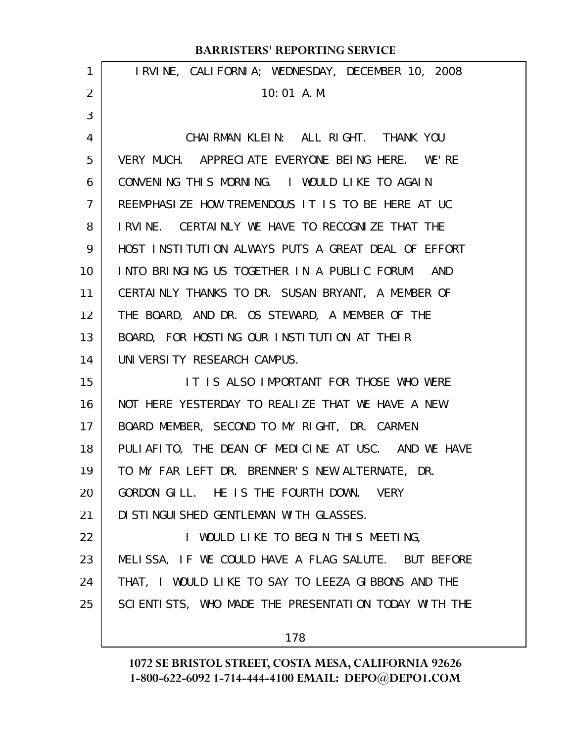|                | <b>BARRISTERS' REPORTING SERVICE</b>                 |
|----------------|------------------------------------------------------|
| 1              | IRVINE, CALIFORNIA; WEDNESDAY, DECEMBER 10, 2008     |
| $\overline{2}$ | $10:01$ A.M.                                         |
| 3              |                                                      |
| 4              | CHAIRMAN KLEIN: ALL RIGHT. THANK YOU                 |
| 5              | VERY MUCH. APPRECIATE EVERYONE BEING HERE. WE'RE     |
| 6              | CONVENING THIS MORNING. I WOULD LIKE TO AGAIN        |
| $\overline{7}$ | REEMPHASIZE HOW TREMENDOUS IT IS TO BE HERE AT UC    |
| 8              | IRVINE. CERTAINLY WE HAVE TO RECOGNIZE THAT THE      |
| 9              | HOST INSTITUTION ALWAYS PUTS A GREAT DEAL OF EFFORT  |
| 10             | INTO BRINGING US TOGETHER IN A PUBLIC FORUM. AND     |
| 11             | CERTAINLY THANKS TO DR. SUSAN BRYANT, A MEMBER OF    |
| 12             | THE BOARD, AND DR. OS STEWARD, A MEMBER OF THE       |
| 13             | BOARD, FOR HOSTING OUR INSTITUTION AT THEIR          |
| 14             | UNIVERSITY RESEARCH CAMPUS.                          |
| 15             | IT IS ALSO IMPORTANT FOR THOSE WHO WERE              |
| 16             | NOT HERE YESTERDAY TO REALIZE THAT WE HAVE A NEW     |
| 17             | BOARD MEMBER, SECOND TO MY RIGHT, DR. CARMEN         |
| 18             | PULIAFITO, THE DEAN OF MEDICINE AT USC. AND WE HAVE  |
| 19             | TO MY FAR LEFT DR. BRENNER'S NEW ALTERNATE, DR.      |
| 20             | GORDON GILL. HE IS THE FOURTH DOWN. VERY             |
| 21             | DI STI NGUI SHED GENTLEMAN WI TH GLASSES.            |
| 22             | I WOULD LIKE TO BEGIN THIS MEETING,                  |
| 23             | MELISSA, IF WE COULD HAVE A FLAG SALUTE. BUT BEFORE  |
| 24             | THAT, I WOULD LIKE TO SAY TO LEEZA GIBBONS AND THE   |
| 25             | SCIENTISTS, WHO MADE THE PRESENTATION TODAY WITH THE |
|                |                                                      |

178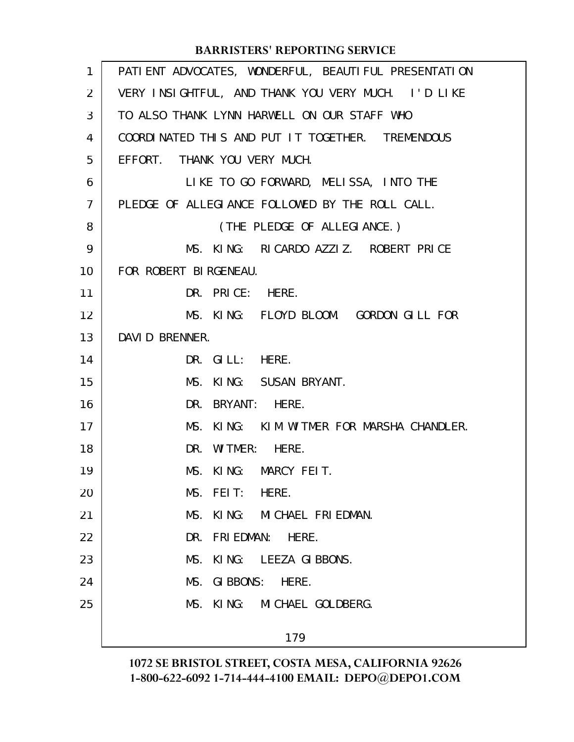| 1              | PATI ENT ADVOCATES, WONDERFUL, BEAUTI FUL PRESENTATI ON |
|----------------|---------------------------------------------------------|
| $\overline{2}$ | VERY INSIGHTFUL, AND THANK YOU VERY MUCH. I'D LIKE      |
| 3              | TO ALSO THANK LYNN HARWELL ON OUR STAFF WHO             |
| 4              | COORDINATED THIS AND PUT IT TOGETHER. TREMENDOUS        |
| 5              | EFFORT. THANK YOU VERY MUCH.                            |
| 6              | LIKE TO GO FORWARD, MELISSA, INTO THE                   |
| $\overline{7}$ | PLEDGE OF ALLEGIANCE FOLLOWED BY THE ROLL CALL.         |
| 8              | (THE PLEDGE OF ALLEGIANCE.)                             |
| 9              | MS. KING: RICARDO AZZIZ. ROBERT PRICE                   |
| 10             | FOR ROBERT BIRGENEAU.                                   |
| 11             | DR. PRICE: HERE.                                        |
| 12             | MS. KING: FLOYD BLOOM. GORDON GILL FOR                  |
| 13             | DAVID BRENNER.                                          |
| 14             | DR. GILL: HERE.                                         |
| 15             | MS. KING: SUSAN BRYANT.                                 |
| 16             | DR. BRYANT: HERE.                                       |
| 17             | MS. KING: KIM WITMER FOR MARSHA CHANDLER.               |
| 18             | DR. WITMER: HERE.                                       |
| 19             | MS. KING: MARCY FEIT.                                   |
| 20             | MS. FEIT:<br>HERE.                                      |
| 21             | KING: MICHAEL FRIEDMAN.<br>MS.                          |
| 22             | DR.<br>FRI EDMAN: HERE.                                 |
| 23             | MS.<br>KING: LEEZA GIBBONS.                             |
| 24             | GIBBONS: HERE.<br>MS.                                   |
| 25             | KING: MICHAEL GOLDBERG.<br>MS.                          |
|                | 179                                                     |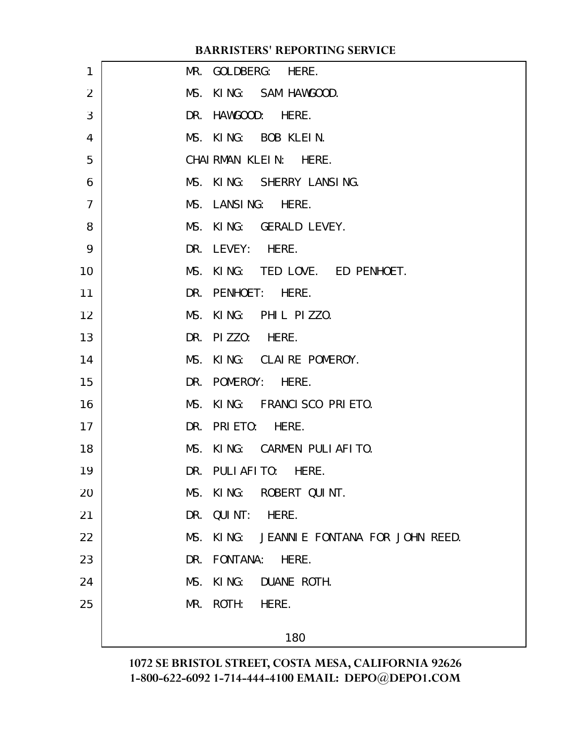| 1              | MR. GOLDBERG: HERE.                      |
|----------------|------------------------------------------|
| $\overline{2}$ | MS. KING: SAM HAWGOOD.                   |
| 3              | DR. HAWGOOD: HERE.                       |
| $\overline{4}$ | MS. KING: BOB KLEIN.                     |
| 5              | CHAIRMAN KLEIN: HERE.                    |
| 6              | MS. KING: SHERRY LANSING.                |
| $\overline{7}$ | MS. LANSING: HERE.                       |
| 8              | MS. KING: GERALD LEVEY.                  |
| 9              | DR. LEVEY: HERE.                         |
| 10             | MS. KING: TED LOVE. ED PENHOET.          |
| 11             | DR. PENHOET: HERE.                       |
| 12             | MS. KING: PHIL PIZZO.                    |
| 13             | DR. PIZZO: HERE.                         |
| 14             | MS. KING: CLAIRE POMEROY.                |
| 15             | DR. POMEROY: HERE.                       |
| 16             | MS. KING: FRANCISCO PRIETO.              |
| 17             | DR. PRIETO: HERE.                        |
| 18             | MS. KING: CARMEN PULIAFITO.              |
| 19             | DR. PULIAFITO: HERE.                     |
| 20             | MS. KING: ROBERT QUINT.                  |
| 21             | DR. QUINT: HERE.                         |
| 22             | MS. KING: JEANNIE FONTANA FOR JOHN REED. |
| 23             | DR. FONTANA:<br>HERE.                    |
| 24             | MS. KING: DUANE ROTH.                    |
| 25             | MR. ROTH: HERE.                          |
|                | 180                                      |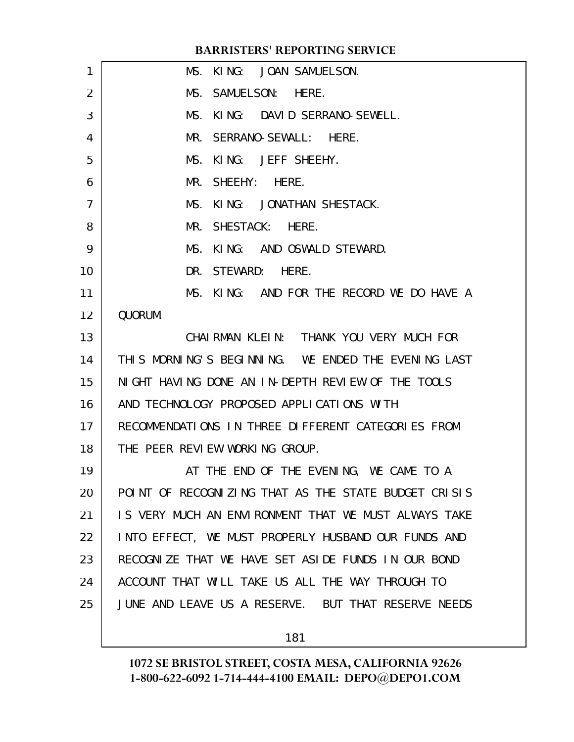| 1               | MS. KING: JOAN SAMUELSON.                            |
|-----------------|------------------------------------------------------|
| $\overline{2}$  | MS. SAMUELSON: HERE.                                 |
| 3               | MS. KING: DAVID SERRANO-SEWELL.                      |
| 4               | MR. SERRANO-SEWALL: HERE.                            |
| 5               | MS. KING: JEFF SHEEHY.                               |
| 6               | MR. SHEEHY: HERE.                                    |
| 7               | MS. KING: JONATHAN SHESTACK.                         |
| 8               | MR. SHESTACK: HERE.                                  |
| 9               | MS. KING: AND OSWALD STEWARD.                        |
| 10              | DR. STEWARD: HERE.                                   |
| 11              | MS. KING: AND FOR THE RECORD WE DO HAVE A            |
| 12              | QUORUM.                                              |
| 13              | CHAIRMAN KLEIN: THANK YOU VERY MUCH FOR              |
| 14              | THIS MORNING'S BEGINNING. WE ENDED THE EVENING LAST  |
| 15              | NIGHT HAVING DONE AN IN-DEPTH REVIEW OF THE TOOLS    |
| 16              | AND TECHNOLOGY PROPOSED APPLICATIONS WITH            |
| 17 <sub>1</sub> | RECOMMENDATIONS IN THREE DIFFERENT CATEGORIES FROM   |
| 18              | THE PEER REVIEW WORKING GROUP.                       |
| 19              | AT THE END OF THE EVENING, WE CAME TO A              |
| 20              | POINT OF RECOGNIZING THAT AS THE STATE BUDGET CRISIS |
| 21              | IS VERY MUCH AN ENVIRONMENT THAT WE MUST ALWAYS TAKE |
| 22              | INTO EFFECT, WE MUST PROPERLY HUSBAND OUR FUNDS AND  |
| 23              | RECOGNIZE THAT WE HAVE SET ASIDE FUNDS IN OUR BOND   |
| 24              | ACCOUNT THAT WILL TAKE US ALL THE WAY THROUGH TO     |
| 25              | JUNE AND LEAVE US A RESERVE. BUT THAT RESERVE NEEDS  |
|                 |                                                      |

181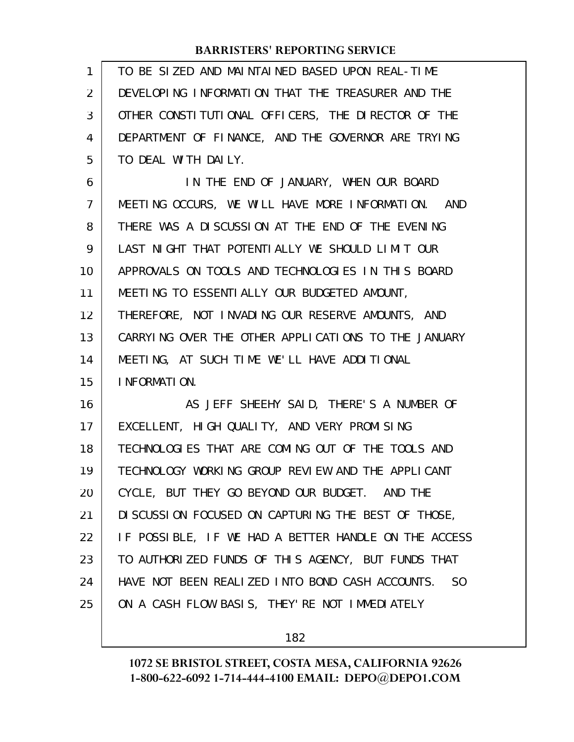| 1  | TO BE SIZED AND MAINTAINED BASED UPON REAL-TIME                   |
|----|-------------------------------------------------------------------|
| 2  | DEVELOPING INFORMATION THAT THE TREASURER AND THE                 |
| 3  | OTHER CONSTITUTIONAL OFFICERS, THE DIRECTOR OF THE                |
| 4  | DEPARTMENT OF FINANCE, AND THE GOVERNOR ARE TRYING                |
| 5  | TO DEAL WITH DAILY.                                               |
| 6  | IN THE END OF JANUARY, WHEN OUR BOARD                             |
| 7  | MEETING OCCURS, WE WILL HAVE MORE INFORMATION. AND                |
| 8  | THERE WAS A DISCUSSION AT THE END OF THE EVENING                  |
| 9  | LAST NIGHT THAT POTENTIALLY WE SHOULD LIMIT OUR                   |
| 10 | APPROVALS ON TOOLS AND TECHNOLOGIES IN THIS BOARD                 |
| 11 | MEETING TO ESSENTIALLY OUR BUDGETED AMOUNT,                       |
| 12 | THEREFORE, NOT INVADING OUR RESERVE AMOUNTS, AND                  |
| 13 | CARRYING OVER THE OTHER APPLICATIONS TO THE JANUARY               |
| 14 | MEETING, AT SUCH TIME WE'LL HAVE ADDITIONAL                       |
| 15 | I NFORMATION.                                                     |
| 16 | AS JEFF SHEEHY SAID, THERE'S A NUMBER OF                          |
| 17 | EXCELLENT, HIGH QUALITY, AND VERY PROMISING                       |
| 18 | TECHNOLOGIES THAT ARE COMING OUT OF THE TOOLS AND                 |
| 19 | TECHNOLOGY WORKING GROUP REVIEW AND THE APPLICANT                 |
| 20 | CYCLE, BUT THEY GO BEYOND OUR BUDGET. AND THE                     |
| 21 | DI SCUSSION FOCUSED ON CAPTURING THE BEST OF THOSE,               |
| 22 | IF POSSIBLE, IF WE HAD A BETTER HANDLE ON THE ACCESS              |
| 23 | TO AUTHORIZED FUNDS OF THIS AGENCY, BUT FUNDS THAT                |
| 24 | HAVE NOT BEEN REALIZED INTO BOND CASH ACCOUNTS.<br>S <sub>0</sub> |
| 25 | ON A CASH FLOW BASIS, THEY'RE NOT IMMEDIATELY                     |
|    |                                                                   |

182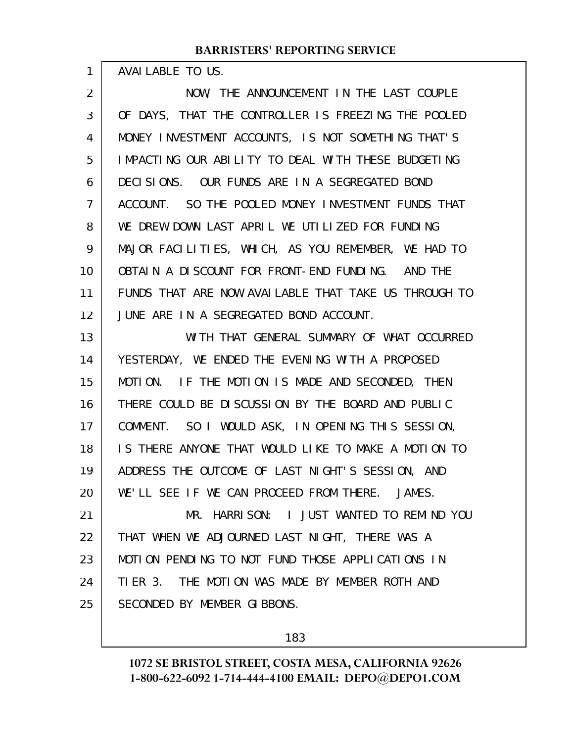AVAILABLE TO US.

1

NOW, THE ANNOUNCEMENT IN THE LAST COUPLE OF DAYS, THAT THE CONTROLLER IS FREEZING THE POOLED MONEY INVESTMENT ACCOUNTS, IS NOT SOMETHING THAT'S IMPACTING OUR ABILITY TO DEAL WITH THESE BUDGETING DECISIONS. OUR FUNDS ARE IN A SEGREGATED BOND ACCOUNT. SO THE POOLED MONEY INVESTMENT FUNDS THAT WE DREW DOWN LAST APRIL WE UTILIZED FOR FUNDING MAJOR FACILITIES, WHICH, AS YOU REMEMBER, WE HAD TO OBTAIN A DISCOUNT FOR FRONT-END FUNDING. AND THE FUNDS THAT ARE NOW AVAILABLE THAT TAKE US THROUGH TO JUNE ARE IN A SEGREGATED BOND ACCOUNT. 2 3 4 5 6 7 8 9 10 11 12

WITH THAT GENERAL SUMMARY OF WHAT OCCURRED YESTERDAY, WE ENDED THE EVENING WITH A PROPOSED MOTION. IF THE MOTION IS MADE AND SECONDED, THEN THERE COULD BE DISCUSSION BY THE BOARD AND PUBLIC COMMENT. SO I WOULD ASK, IN OPENING THIS SESSION, IS THERE ANYONE THAT WOULD LIKE TO MAKE A MOTION TO ADDRESS THE OUTCOME OF LAST NIGHT'S SESSION, AND WE'LL SEE IF WE CAN PROCEED FROM THERE. JAMES. MR. HARRISON: I JUST WANTED TO REMIND YOU THAT WHEN WE ADJOURNED LAST NIGHT, THERE WAS A MOTION PENDING TO NOT FUND THOSE APPLICATIONS IN TIER 3. THE MOTION WAS MADE BY MEMBER ROTH AND SECONDED BY MEMBER GIBBONS. 13 14 15 16 17 18 19 20 21 22 23 24 25

183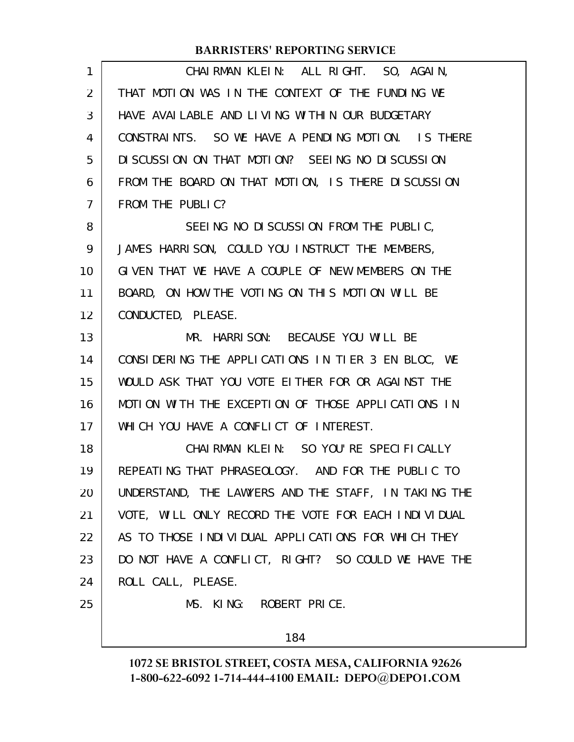| $\mathbf{1}$   | CHAIRMAN KLEIN: ALL RIGHT. SO, AGAIN,                |
|----------------|------------------------------------------------------|
| 2              | THAT MOTION WAS IN THE CONTEXT OF THE FUNDING WE     |
| 3              | HAVE AVAILABLE AND LIVING WITHIN OUR BUDGETARY       |
| 4              | CONSTRAINTS. SO WE HAVE A PENDING MOTION. IS THERE   |
| 5              | DISCUSSION ON THAT MOTION? SEEING NO DISCUSSION      |
| 6              | FROM THE BOARD ON THAT MOTION, IS THERE DISCUSSION   |
| $\overline{7}$ | FROM THE PUBLIC?                                     |
| 8              | SEEING NO DISCUSSION FROM THE PUBLIC,                |
| 9              | JAMES HARRISON, COULD YOU INSTRUCT THE MEMBERS,      |
| 10             | GIVEN THAT WE HAVE A COUPLE OF NEW MEMBERS ON THE    |
| 11             | BOARD, ON HOW THE VOTING ON THIS MOTION WILL BE      |
| 12             | CONDUCTED, PLEASE.                                   |
| 13             | MR. HARRISON: BECAUSE YOU WILL BE                    |
| 14             | CONSIDERING THE APPLICATIONS IN TIER 3 EN BLOC, WE   |
| 15             | WOULD ASK THAT YOU VOTE EITHER FOR OR AGAINST THE    |
| 16             | MOTION WITH THE EXCEPTION OF THOSE APPLICATIONS IN   |
| 17             | WHICH YOU HAVE A CONFLICT OF INTEREST.               |
| 18             | CHAIRMAN KLEIN: SO YOU'RE SPECIFICALLY               |
| 19             | REPEATING THAT PHRASEOLOGY. AND FOR THE PUBLIC TO    |
| 20             | UNDERSTAND, THE LAWYERS AND THE STAFF, IN TAKING THE |
| 21             | VOTE, WILL ONLY RECORD THE VOTE FOR EACH INDIVIDUAL  |
| 22             | AS TO THOSE INDIVIDUAL APPLICATIONS FOR WHICH THEY   |
| 23             | DO NOT HAVE A CONFLICT, RIGHT? SO COULD WE HAVE THE  |
| 24             | ROLL CALL, PLEASE.                                   |
| 25             | MS. KING: ROBERT PRICE.                              |
|                | 184                                                  |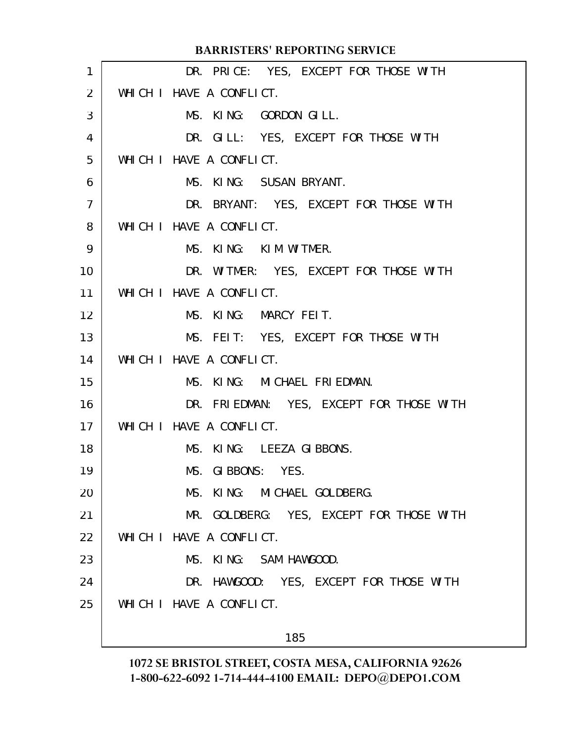|                | <b>BARRISTERS' REPORTING SERVICE</b>     |
|----------------|------------------------------------------|
| 1              | DR. PRICE: YES, EXCEPT FOR THOSE WITH    |
| 2              | WHICH I HAVE A CONFLICT.                 |
| 3              | MS. KING: GORDON GILL.                   |
| 4              | DR. GILL: YES, EXCEPT FOR THOSE WITH     |
| 5              | WHICH I HAVE A CONFLICT.                 |
| 6              | MS. KING: SUSAN BRYANT.                  |
| $\overline{7}$ | DR. BRYANT: YES, EXCEPT FOR THOSE WITH   |
| 8              | WHICH I HAVE A CONFLICT.                 |
| 9              | MS. KING: KIM WITMER.                    |
| 10             | DR. WITMER: YES, EXCEPT FOR THOSE WITH   |
| 11             | WHICH I HAVE A CONFLICT.                 |
| 12             | MS. KING: MARCY FEIT.                    |
| 13             | MS. FEIT: YES, EXCEPT FOR THOSE WITH     |
| 14             | WHICH I HAVE A CONFLICT.                 |
| 15             | MS. KING: MICHAEL FRIEDMAN.              |
| 16             | DR. FRIEDMAN: YES, EXCEPT FOR THOSE WITH |
| 17             | WHICH I HAVE A CONFLICT.                 |
| 18             | MS. KING: LEEZA GIBBONS.                 |
| 19             | MS. GIBBONS: YES.                        |
| 20             | MS. KING: MICHAEL GOLDBERG.              |
| 21             | MR. GOLDBERG: YES, EXCEPT FOR THOSE WITH |
| 22             | WHICH I HAVE A CONFLICT.                 |
| 23             | MS. KING: SAM HAWGOOD.                   |
| 24             | DR. HAWGOOD: YES, EXCEPT FOR THOSE WITH  |
| 25             | WHICH I HAVE A CONFLICT.                 |
|                |                                          |

185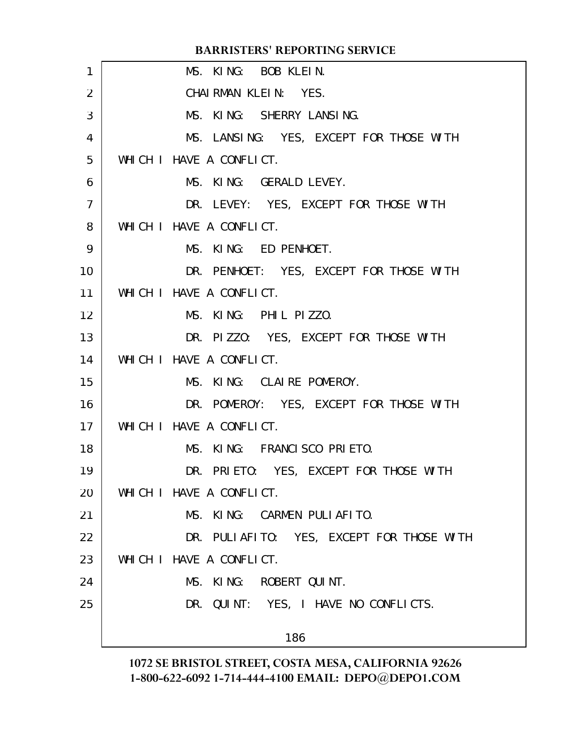|                | <b>BARRISTERS' REPORTING SERVICE</b>      |
|----------------|-------------------------------------------|
| 1              | MS. KING: BOB KLEIN.                      |
| 2              | CHAIRMAN KLEIN: YES.                      |
| 3              | MS. KING: SHERRY LANSING.                 |
| 4              | MS. LANSING: YES, EXCEPT FOR THOSE WITH   |
| 5              | WHICH I HAVE A CONFLICT.                  |
| 6              | MS. KING: GERALD LEVEY.                   |
| $\overline{7}$ | DR. LEVEY: YES, EXCEPT FOR THOSE WITH     |
| 8              | WHICH I HAVE A CONFLICT.                  |
| 9              | MS. KING: ED PENHOET.                     |
| 10             | DR. PENHOET: YES, EXCEPT FOR THOSE WITH   |
| 11             | WHICH I HAVE A CONFLICT.                  |
| 12             | MS. KING: PHIL PIZZO.                     |
| 13             | DR. PIZZO: YES, EXCEPT FOR THOSE WITH     |
| 14             | WHICH I HAVE A CONFLICT.                  |
| 15             | MS. KING: CLAIRE POMEROY.                 |
| 16             | DR. POMEROY: YES, EXCEPT FOR THOSE WITH   |
| 17             | WHICH I HAVE A CONFLICT.                  |
| 18             | MS. KING: FRANCISCO PRIETO.               |
| 19             | DR. PRIETO: YES, EXCEPT FOR THOSE WITH    |
| 20             | WHICH I HAVE A CONFLICT.                  |
| 21             | MS. KING: CARMEN PULIAFITO.               |
| 22             | DR. PULIAFITO: YES, EXCEPT FOR THOSE WITH |
| 23             | WHICH I HAVE A CONFLICT.                  |
| 24             | MS. KING: ROBERT QUINT.                   |
| 25             | DR. QUINT: YES, I HAVE NO CONFLICTS.      |
|                | 186                                       |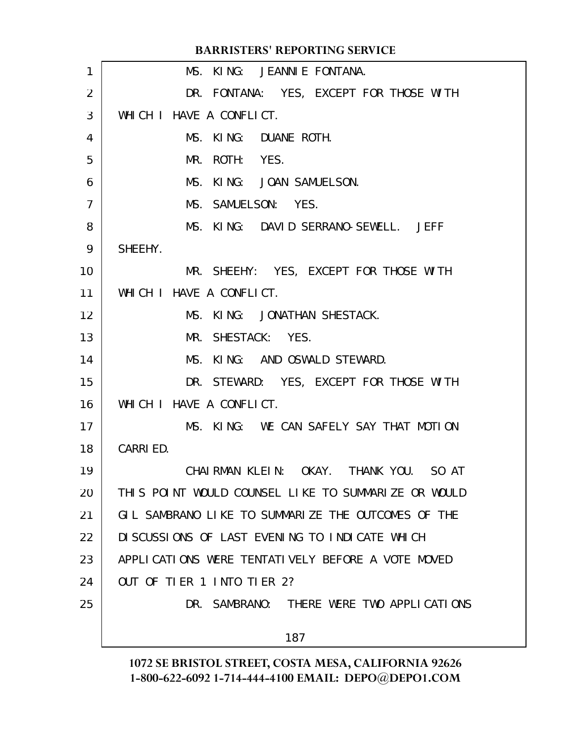|    | <b>BARRISTERS' REPORTING SERVICE</b>                |
|----|-----------------------------------------------------|
| 1  | MS. KING: JEANNIE FONTANA.                          |
| 2  | DR. FONTANA: YES, EXCEPT FOR THOSE WITH             |
| 3  | WHICH I HAVE A CONFLICT.                            |
| 4  | MS. KING: DUANE ROTH.                               |
| 5  | ROTH: YES.<br>MR.                                   |
| 6  | MS. KING: JOAN SAMUELSON.                           |
| 7  | MS. SAMUELSON: YES.                                 |
| 8  | MS. KING: DAVID SERRANO-SEWELL. JEFF                |
| 9  | SHEEHY.                                             |
| 10 | MR. SHEEHY: YES, EXCEPT FOR THOSE WITH              |
| 11 | WHICH I HAVE A CONFLICT.                            |
| 12 | MS. KING: JONATHAN SHESTACK.                        |
| 13 | MR. SHESTACK: YES.                                  |
| 14 | MS. KING: AND OSWALD STEWARD.                       |
| 15 | DR. STEWARD: YES, EXCEPT FOR THOSE WITH             |
| 16 | WHICH I HAVE A CONFLICT.                            |
| 17 | MS. KING: WE CAN SAFELY SAY THAT MOTION             |
| 18 | CARRIED.                                            |
| 19 | CHAI RMAN KLEIN:<br>OKAY. THANK YOU.<br>SO AT       |
| 20 | THIS POINT WOULD COUNSEL LIKE TO SUMMARIZE OR WOULD |
| 21 | GIL SAMBRANO LIKE TO SUMMARIZE THE OUTCOMES OF THE  |
| 22 | DI SCUSSIONS OF LAST EVENING TO INDICATE WHICH      |
| 23 | APPLICATIONS WERE TENTATIVELY BEFORE A VOTE MOVED   |
| 24 | OUT OF TIER 1 INTO TIER 2?                          |
| 25 | DR. SAMBRANO: THERE WERE TWO APPLICATIONS           |
|    | 187                                                 |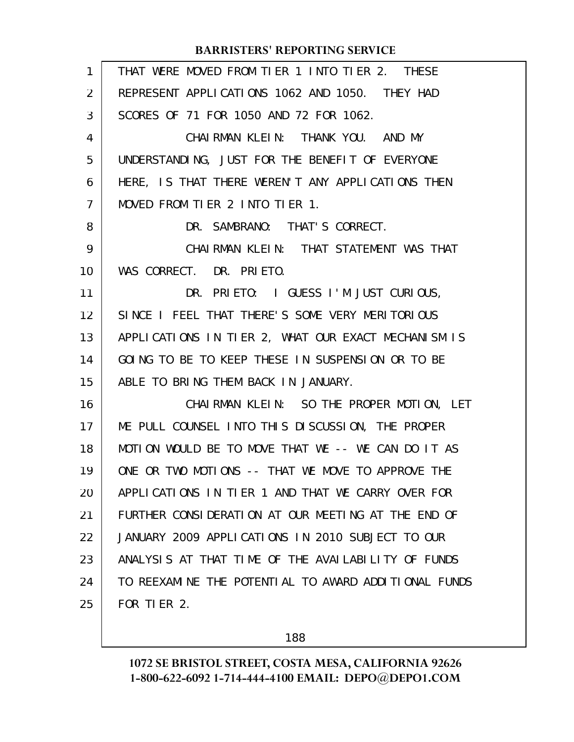| THAT WERE MOVED FROM TIER 1 INTO TIER 2. THESE       |
|------------------------------------------------------|
| REPRESENT APPLICATIONS 1062 AND 1050. THEY HAD       |
| SCORES OF 71 FOR 1050 AND 72 FOR 1062.               |
| CHAIRMAN KLEIN: THANK YOU. AND MY                    |
| UNDERSTANDING, JUST FOR THE BENEFIT OF EVERYONE      |
| HERE, IS THAT THERE WEREN'T ANY APPLICATIONS THEN    |
| MOVED FROM TIER 2 INTO TIER 1.                       |
| DR. SAMBRANO: THAT'S CORRECT.                        |
| CHAIRMAN KLEIN: THAT STATEMENT WAS THAT              |
| WAS CORRECT. DR. PRIETO.                             |
| DR. PRIETO: I GUESS I'M JUST CURIOUS,                |
| SINCE I FEEL THAT THERE'S SOME VERY MERITORIOUS      |
| APPLICATIONS IN TIER 2, WHAT OUR EXACT MECHANISM IS  |
| GOING TO BE TO KEEP THESE IN SUSPENSION OR TO BE     |
| ABLE TO BRING THEM BACK IN JANUARY.                  |
| CHAIRMAN KLEIN: SO THE PROPER MOTION, LET            |
| ME PULL COUNSEL INTO THIS DISCUSSION, THE PROPER     |
| MOTION WOULD BE TO MOVE THAT WE -- WE CAN DO IT AS   |
| ONE OR TWO MOTIONS -- THAT WE MOVE TO APPROVE THE    |
| APPLICATIONS IN TIER 1 AND THAT WE CARRY OVER FOR    |
| FURTHER CONSIDERATION AT OUR MEETING AT THE END OF   |
| JANUARY 2009 APPLICATIONS IN 2010 SUBJECT TO OUR     |
| ANALYSIS AT THAT TIME OF THE AVAILABILITY OF FUNDS   |
| TO REEXAMINE THE POTENTIAL TO AWARD ADDITIONAL FUNDS |
| FOR TIER 2.                                          |
|                                                      |

188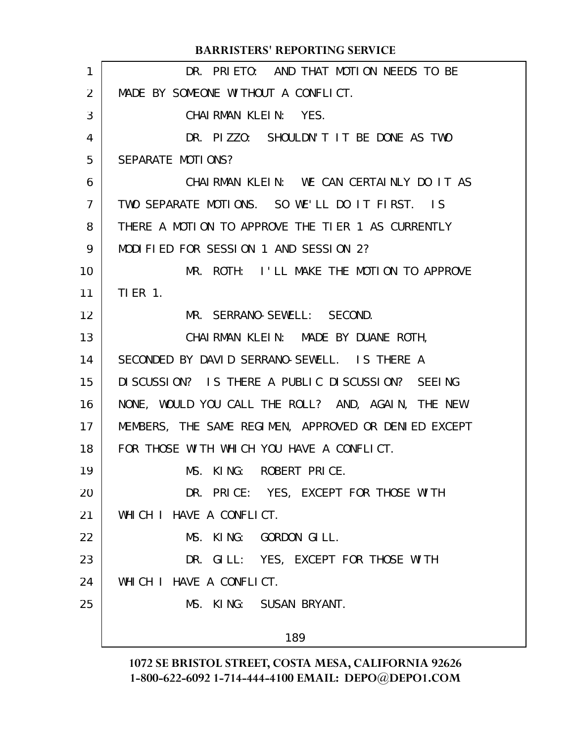|                | <b>BARRISTERS' REPORTING SERVICE</b>                 |
|----------------|------------------------------------------------------|
| 1              | DR. PRIETO: AND THAT MOTION NEEDS TO BE              |
| 2              | MADE BY SOMEONE WITHOUT A CONFLICT.                  |
| 3              | CHAIRMAN KLEIN: YES.                                 |
| 4              | DR. PIZZO: SHOULDN'T IT BE DONE AS TWO               |
| 5              | SEPARATE MOTIONS?                                    |
| 6              | CHAIRMAN KLEIN: WE CAN CERTAINLY DO IT AS            |
| $\overline{7}$ | TWO SEPARATE MOTIONS. SO WE'LL DO IT FIRST. IS       |
| 8              | THERE A MOTION TO APPROVE THE TIER 1 AS CURRENTLY    |
| 9              | MODIFIED FOR SESSION 1 AND SESSION 2?                |
| 10             | MR. ROTH: I'LL MAKE THE MOTION TO APPROVE            |
| 11             | $TIER$ 1.                                            |
| 12             | MR. SERRANO-SEWELL: SECOND.                          |
| 13             | CHAIRMAN KLEIN: MADE BY DUANE ROTH,                  |
| 14             | SECONDED BY DAVID SERRANO-SEWELL. IS THERE A         |
| 15             | DISCUSSION? IS THERE A PUBLIC DISCUSSION? SEEING     |
| 16             | NONE, WOULD YOU CALL THE ROLL? AND, AGAIN, THE NEW   |
| 17             | MEMBERS, THE SAME REGIMEN, APPROVED OR DENIED EXCEPT |
| 18             | FOR THOSE WITH WHICH YOU HAVE A CONFLICT.            |
| 19             | MS. KING: ROBERT PRICE.                              |
| 20             | DR. PRICE: YES, EXCEPT FOR THOSE WITH                |
| 21             | WHICH I HAVE A CONFLICT.                             |
| 22             | MS. KING: GORDON GILL.                               |
| 23             | DR. GILL: YES, EXCEPT FOR THOSE WITH                 |
| 24             | WHICH I HAVE A CONFLICT.                             |
| 25             | MS. KING: SUSAN BRYANT.                              |
|                |                                                      |
|                | 189                                                  |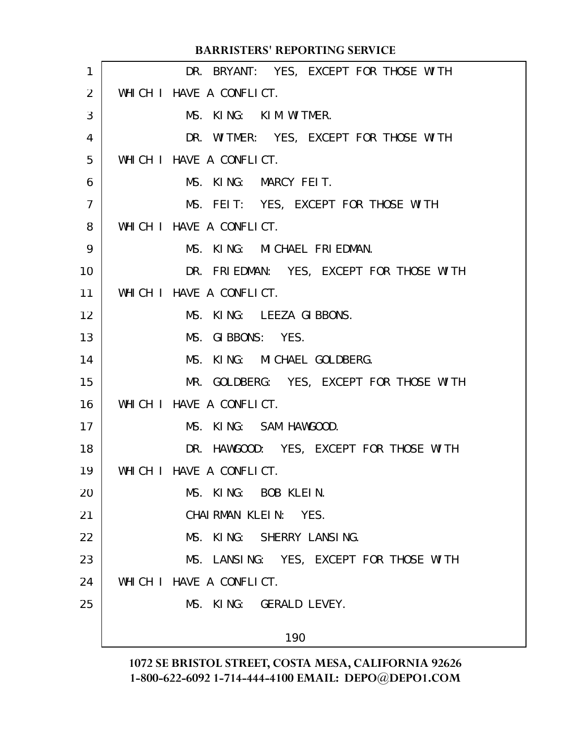|                 | <b>BARRISTERS' REPORTING SERVICE</b>     |
|-----------------|------------------------------------------|
| $\mathbf{1}$    | DR. BRYANT: YES, EXCEPT FOR THOSE WITH   |
| 2               | WHICH I HAVE A CONFLICT.                 |
| 3               | MS. KING: KIM WITMER.                    |
| 4               | DR. WITMER: YES, EXCEPT FOR THOSE WITH   |
| 5               | WHICH I HAVE A CONFLICT.                 |
| 6               | MS. KING: MARCY FEIT.                    |
| $\overline{7}$  | MS. FEIT: YES, EXCEPT FOR THOSE WITH     |
| 8               | WHICH I HAVE A CONFLICT.                 |
| 9               | MS. KING: MICHAEL FRIEDMAN.              |
| 10 <sup>°</sup> | DR. FRIEDMAN: YES, EXCEPT FOR THOSE WITH |
| 11              | WHICH I HAVE A CONFLICT.                 |
| 12 <sup>2</sup> | MS. KING: LEEZA GIBBONS.                 |
| 13              | MS. GIBBONS: YES.                        |
| 14              | MS. KING: MICHAEL GOLDBERG.              |
| 15              | MR. GOLDBERG: YES, EXCEPT FOR THOSE WITH |
| 16              | WHICH I HAVE A CONFLICT.                 |
| 17              | MS. KING: SAM HAWGOOD.                   |
| 18              | DR. HAWGOOD: YES, EXCEPT FOR THOSE WITH  |
| 19              | WHICH I HAVE A CONFLICT.                 |
| 20              | MS. KING: BOB KLEIN.                     |
| 21              | CHAIRMAN KLEIN: YES.                     |
| 22              | MS. KING: SHERRY LANSING.                |
| 23              | MS. LANSING: YES, EXCEPT FOR THOSE WITH  |
| 24              | WHICH I HAVE A CONFLICT.                 |
| 25              | MS. KING: GERALD LEVEY.                  |
|                 | 190                                      |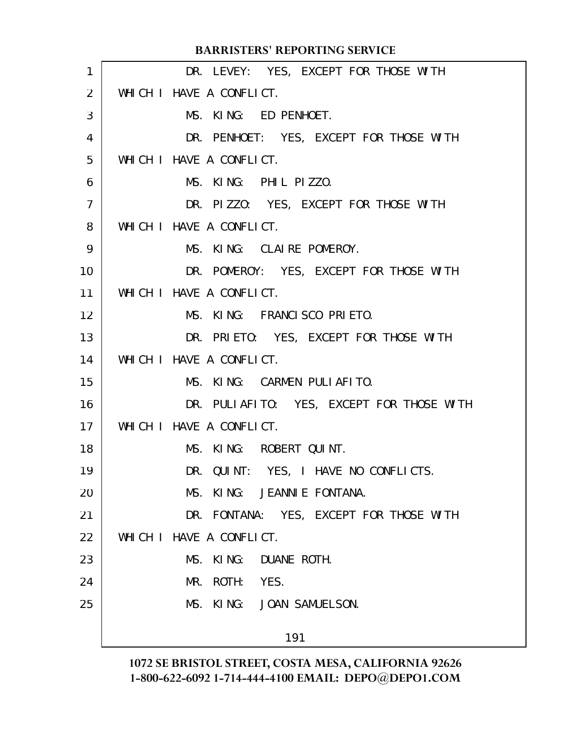|                | <b>BARRISTERS' REPORTING SERVICE</b>      |
|----------------|-------------------------------------------|
| 1              | DR. LEVEY: YES, EXCEPT FOR THOSE WITH     |
| 2              | WHICH I HAVE A CONFLICT.                  |
| 3              | MS. KING: ED PENHOET.                     |
| 4              | DR. PENHOET: YES, EXCEPT FOR THOSE WITH   |
| 5              | WHICH I HAVE A CONFLICT.                  |
| 6              | MS. KING: PHIL PIZZO.                     |
| $\overline{7}$ | DR. PIZZO: YES, EXCEPT FOR THOSE WITH     |
| 8              | WHICH I HAVE A CONFLICT.                  |
| 9              | MS. KING: CLAIRE POMEROY.                 |
| 10             | DR. POMEROY: YES, EXCEPT FOR THOSE WITH   |
| 11             | WHICH I HAVE A CONFLICT.                  |
| 12             | MS. KING: FRANCISCO PRIETO.               |
| 13             | DR. PRIETO: YES, EXCEPT FOR THOSE WITH    |
| 14             | WHICH I HAVE A CONFLICT.                  |
| 15             | MS. KING: CARMEN PULIAFITO.               |
| 16             | DR. PULIAFITO: YES, EXCEPT FOR THOSE WITH |
| 17             | WHICH I HAVE A CONFLICT.                  |
| 18             | MS. KING: ROBERT QUINT.                   |
| 19             | DR. QUINT: YES, I HAVE NO CONFLICTS.      |
| 20             | MS. KING: JEANNIE FONTANA.                |
| 21             | DR. FONTANA: YES, EXCEPT FOR THOSE WITH   |
| 22             | WHICH I HAVE A CONFLICT.                  |
| 23             | MS. KING: DUANE ROTH.                     |
| 24             | MR. ROTH: YES.                            |
| 25             | MS. KING: JOAN SAMUELSON.                 |
|                | 191                                       |
|                |                                           |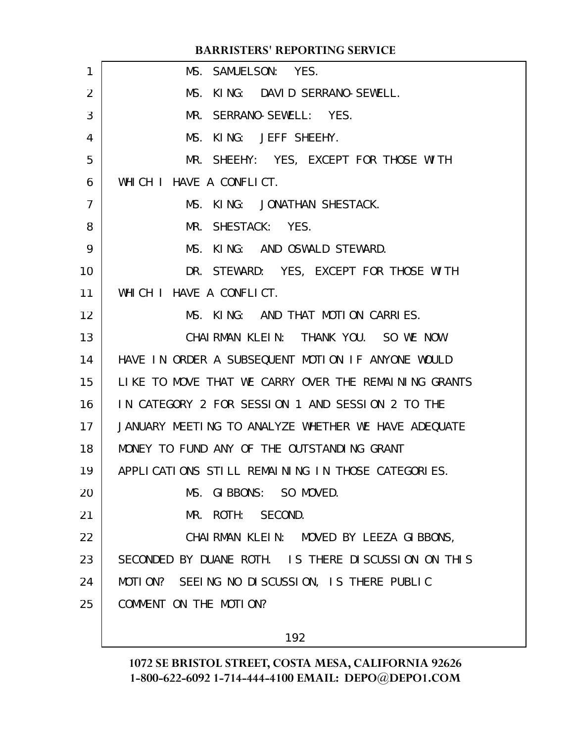|                | <b>BARRISTERS' REPORTING SERVICE</b>                 |
|----------------|------------------------------------------------------|
| 1              | MS. SAMUELSON: YES.                                  |
| $\overline{2}$ | MS. KING: DAVID SERRANO-SEWELL.                      |
| 3              | SERRANO-SEWELL: YES.<br>MR.                          |
| 4              | MS. KING: JEFF SHEEHY.                               |
| 5              | MR. SHEEHY: YES, EXCEPT FOR THOSE WITH               |
| 6              | WHICH I HAVE A CONFLICT.                             |
| $\overline{7}$ | MS. KING: JONATHAN SHESTACK.                         |
| 8              | MR. SHESTACK: YES.                                   |
| 9              | MS. KING: AND OSWALD STEWARD.                        |
| 10             | DR. STEWARD: YES, EXCEPT FOR THOSE WITH              |
| 11             | WHICH I HAVE A CONFLICT.                             |
| 12             | MS. KING: AND THAT MOTION CARRIES.                   |
| 13             | CHAIRMAN KLEIN: THANK YOU. SO WE NOW                 |
| 14             | HAVE IN ORDER A SUBSEQUENT MOTION IF ANYONE WOULD    |
| 15             | LIKE TO MOVE THAT WE CARRY OVER THE REMAINING GRANTS |
| 16             | IN CATEGORY 2 FOR SESSION 1 AND SESSION 2 TO THE     |
| 17             | JANUARY MEETING TO ANALYZE WHETHER WE HAVE ADEQUATE  |
| 18             | MONEY TO FUND ANY OF THE OUTSTANDING GRANT           |
| 19             | APPLICATIONS STILL REMAINING IN THOSE CATEGORIES.    |
| 20             | MS. GIBBONS: SO MOVED.                               |
| 21             | MR. ROTH: SECOND.                                    |
| 22             | CHAIRMAN KLEIN: MOVED BY LEEZA GIBBONS,              |
| 23             | SECONDED BY DUANE ROTH. IS THERE DISCUSSION ON THIS  |
| 24             | MOTION? SEEING NO DISCUSSION, IS THERE PUBLIC        |
| 25             | COMMENT ON THE MOTION?                               |
|                |                                                      |

192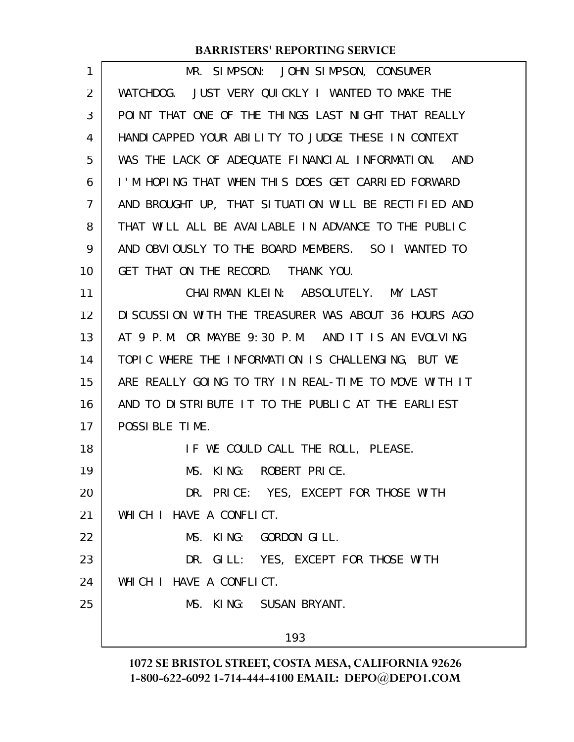| 1              | MR. SIMPSON: JOHN SIMPSON, CONSUMER                   |
|----------------|-------------------------------------------------------|
| $\overline{2}$ | WATCHDOG. JUST VERY QUICKLY I WANTED TO MAKE THE      |
| 3              | POINT THAT ONE OF THE THINGS LAST NIGHT THAT REALLY   |
| 4              | HANDI CAPPED YOUR ABILITY TO JUDGE THESE IN CONTEXT   |
| 5              | WAS THE LACK OF ADEQUATE FINANCIAL INFORMATION. AND   |
| 6              | I'M HOPING THAT WHEN THIS DOES GET CARRIED FORWARD    |
| 7              | AND BROUGHT UP, THAT SITUATION WILL BE RECTIFIED AND  |
| 8              | THAT WILL ALL BE AVAILABLE IN ADVANCE TO THE PUBLIC   |
| 9              | AND OBVIOUSLY TO THE BOARD MEMBERS. SO I WANTED TO    |
| 10             | GET THAT ON THE RECORD. THANK YOU.                    |
| 11             | CHAIRMAN KLEIN: ABSOLUTELY. MY LAST                   |
| 12             | DI SCUSSION WITH THE TREASURER WAS ABOUT 36 HOURS AGO |
| 13             | AT 9 P.M. OR MAYBE 9:30 P.M. AND IT IS AN EVOLVING    |
| 14             | TOPIC WHERE THE INFORMATION IS CHALLENGING, BUT WE    |
| 15             | ARE REALLY GOING TO TRY IN REAL-TIME TO MOVE WITH IT  |
| 16             | AND TO DISTRIBUTE IT TO THE PUBLIC AT THE EARLIEST    |
| 17             | POSSIBLE TIME.                                        |
| 18             | IF WE COULD CALL THE ROLL, PLEASE.                    |
| 19             | MS. KING: ROBERT PRICE.                               |
| 20             | DR. PRICE: YES, EXCEPT FOR THOSE WITH                 |
| 21             | WHICH I HAVE A CONFLICT.                              |
| 22             | MS. KING: GORDON GILL.                                |
| 23             | DR. GILL: YES, EXCEPT FOR THOSE WITH                  |
| 24             | WHICH I HAVE A CONFLICT.                              |
| 25             | MS. KING: SUSAN BRYANT.                               |
|                | 193                                                   |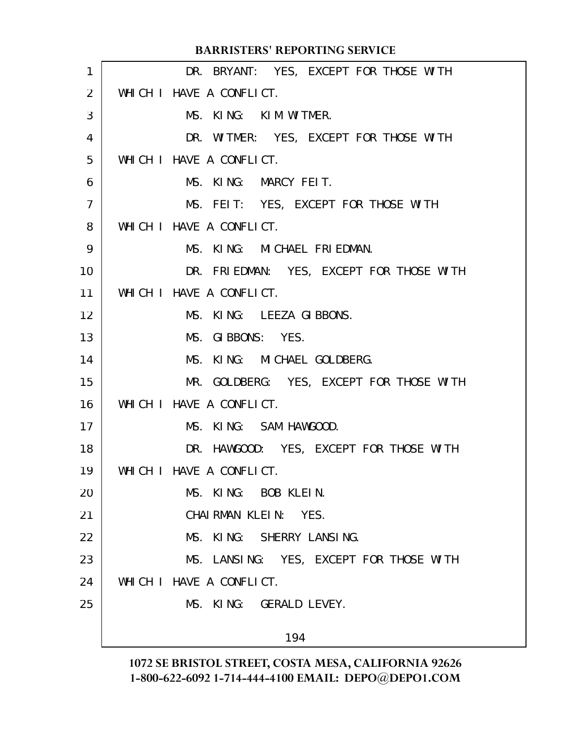|                 | <b>BARRISTERS' REPORTING SERVICE</b>     |
|-----------------|------------------------------------------|
| $\mathbf{1}$    | DR. BRYANT: YES, EXCEPT FOR THOSE WITH   |
| 2               | WHICH I HAVE A CONFLICT.                 |
| 3               | MS. KING: KIM WITMER.                    |
| 4               | DR. WITMER: YES, EXCEPT FOR THOSE WITH   |
| 5               | WHICH I HAVE A CONFLICT.                 |
| 6               | MS. KING: MARCY FEIT.                    |
| $\overline{7}$  | MS. FEIT: YES, EXCEPT FOR THOSE WITH     |
| 8               | WHICH I HAVE A CONFLICT.                 |
| 9               | MS. KING: MICHAEL FRIEDMAN.              |
| 10 <sup>°</sup> | DR. FRIEDMAN: YES, EXCEPT FOR THOSE WITH |
| 11              | WHICH I HAVE A CONFLICT.                 |
| 12 <sup>2</sup> | MS. KING: LEEZA GIBBONS.                 |
| 13              | MS. GIBBONS: YES.                        |
| 14              | MS. KING: MICHAEL GOLDBERG.              |
| 15              | MR. GOLDBERG: YES, EXCEPT FOR THOSE WITH |
| 16              | WHICH I HAVE A CONFLICT.                 |
| 17              | MS. KING: SAM HAWGOOD.                   |
| 18              | DR. HAWGOOD: YES, EXCEPT FOR THOSE WITH  |
| 19              | WHICH I HAVE A CONFLICT.                 |
| 20              | MS. KING: BOB KLEIN.                     |
| 21              | CHAIRMAN KLEIN: YES.                     |
| 22              | MS. KING: SHERRY LANSING.                |
| 23              | MS. LANSING: YES, EXCEPT FOR THOSE WITH  |
| 24              | WHICH I HAVE A CONFLICT.                 |
| 25              | MS. KING: GERALD LEVEY.                  |
|                 | 194                                      |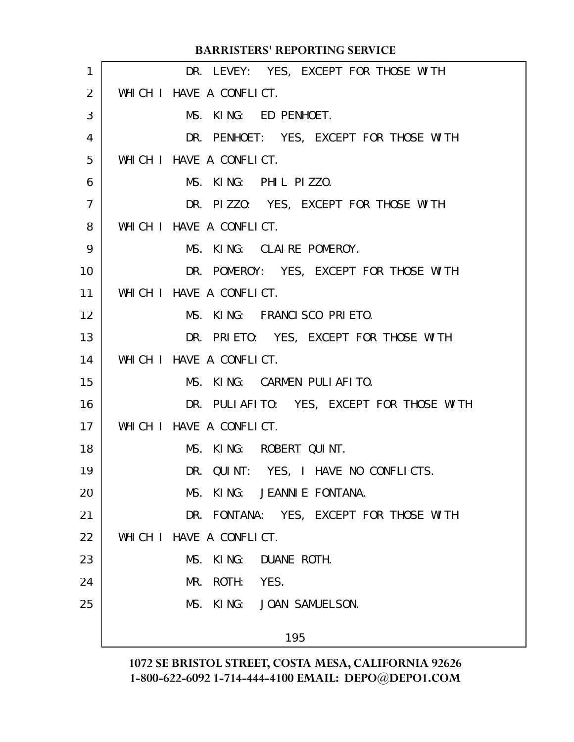|                | <b>BARRISTERS' REPORTING SERVICE</b>      |
|----------------|-------------------------------------------|
| 1              | DR. LEVEY: YES, EXCEPT FOR THOSE WITH     |
| 2              | WHICH I HAVE A CONFLICT.                  |
| 3              | MS. KING: ED PENHOET.                     |
| 4              | DR. PENHOET: YES, EXCEPT FOR THOSE WITH   |
| 5              | WHICH I HAVE A CONFLICT.                  |
| 6              | MS. KING: PHIL PIZZO.                     |
| $\overline{7}$ | DR. PIZZO: YES, EXCEPT FOR THOSE WITH     |
| 8              | WHICH I HAVE A CONFLICT.                  |
| 9              | MS. KING: CLAIRE POMEROY.                 |
| 10             | DR. POMEROY: YES, EXCEPT FOR THOSE WITH   |
| 11             | WHICH I HAVE A CONFLICT.                  |
| 12             | MS. KING: FRANCISCO PRIETO.               |
| 13             | DR. PRIETO: YES, EXCEPT FOR THOSE WITH    |
| 14             | WHICH I HAVE A CONFLICT.                  |
| 15             | MS. KING: CARMEN PULIAFITO.               |
| 16             | DR. PULIAFITO: YES, EXCEPT FOR THOSE WITH |
| 17             | WHICH I HAVE A CONFLICT.                  |
| 18             | MS. KING: ROBERT QUINT.                   |
| 19             | DR. QUINT: YES, I HAVE NO CONFLICTS.      |
| 20             | MS. KING: JEANNIE FONTANA.                |
| 21             | DR. FONTANA: YES, EXCEPT FOR THOSE WITH   |
| 22             | WHICH I HAVE A CONFLICT.                  |
| 23             | MS. KING: DUANE ROTH.                     |
| 24             | MR. ROTH: YES.                            |
| 25             | MS. KING: JOAN SAMUELSON.                 |
|                |                                           |
|                | 195                                       |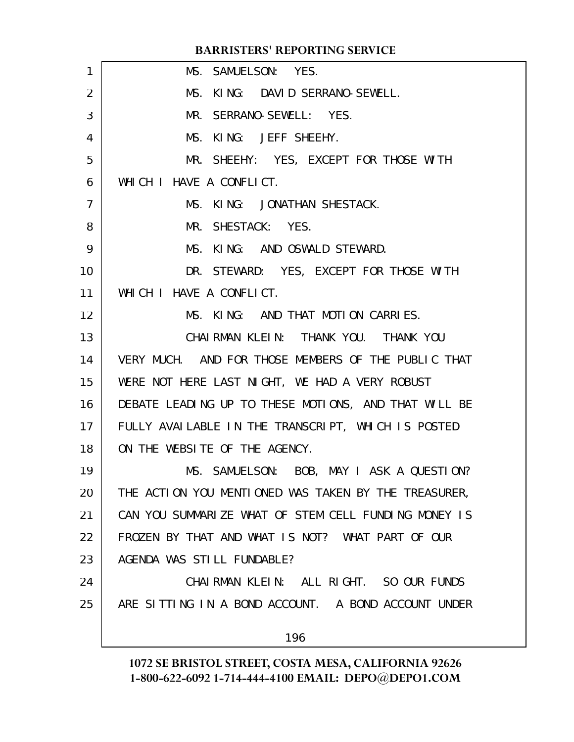|                | <b>BARRISTERS' REPORTING SERVICE</b>                 |
|----------------|------------------------------------------------------|
| 1              | MS. SAMUELSON: YES.                                  |
| $\overline{2}$ | MS. KING: DAVID SERRANO-SEWELL.                      |
| 3              | MR. SERRANO-SEWELL: YES.                             |
| 4              | MS. KING: JEFF SHEEHY.                               |
| 5              | MR. SHEEHY: YES, EXCEPT FOR THOSE WITH               |
| 6              | WHICH I HAVE A CONFLICT.                             |
| $\overline{7}$ | MS. KING: JONATHAN SHESTACK.                         |
| 8              | MR. SHESTACK: YES.                                   |
| 9              | MS. KING: AND OSWALD STEWARD.                        |
| 10             | DR. STEWARD: YES, EXCEPT FOR THOSE WITH              |
| 11             | WHICH I HAVE A CONFLICT.                             |
| 12             | MS. KING: AND THAT MOTION CARRIES.                   |
| 13             | CHAIRMAN KLEIN: THANK YOU. THANK YOU                 |
| 14             | VERY MUCH. AND FOR THOSE MEMBERS OF THE PUBLIC THAT  |
| 15             | WERE NOT HERE LAST NIGHT, WE HAD A VERY ROBUST       |
| 16             | DEBATE LEADING UP TO THESE MOTIONS, AND THAT WILL BE |
| 17             | FULLY AVAILABLE IN THE TRANSCRIPT, WHICH IS POSTED   |
| 18             | ON THE WEBSITE OF THE AGENCY.                        |
| 19             | MS. SAMUELSON: BOB, MAY I ASK A QUESTION?            |
| 20             | THE ACTION YOU MENTIONED WAS TAKEN BY THE TREASURER, |
| 21             | CAN YOU SUMMARIZE WHAT OF STEM CELL FUNDING MONEY IS |
| 22             | FROZEN BY THAT AND WHAT IS NOT? WHAT PART OF OUR     |
| 23             | AGENDA WAS STILL FUNDABLE?                           |
| 24             | CHAIRMAN KLEIN: ALL RIGHT. SO OUR FUNDS              |
| 25             | ARE SITTING IN A BOND ACCOUNT. A BOND ACCOUNT UNDER  |
|                |                                                      |
|                | 196                                                  |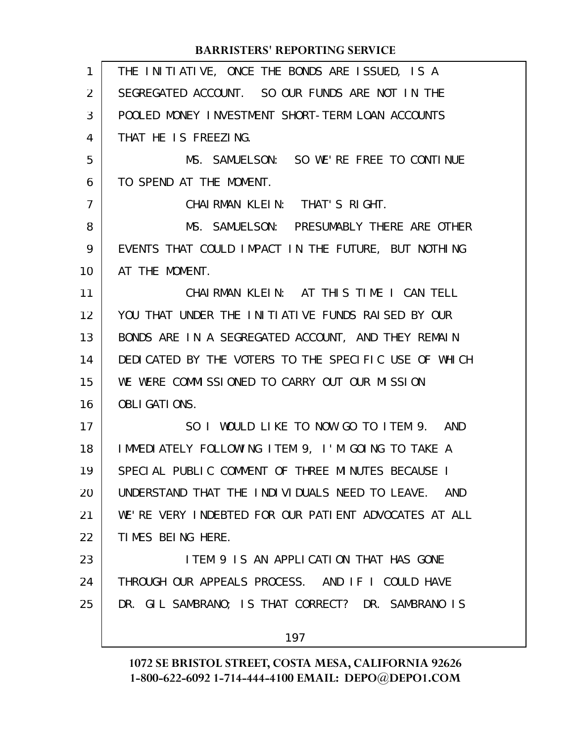| 1  | THE INITIATIVE, ONCE THE BONDS ARE ISSUED, IS A      |
|----|------------------------------------------------------|
| 2  | SEGREGATED ACCOUNT. SO OUR FUNDS ARE NOT IN THE      |
| 3  | POOLED MONEY INVESTMENT SHORT-TERM LOAN ACCOUNTS     |
| 4  | THAT HE IS FREEZING.                                 |
| 5  | MS. SAMUELSON: SO WE'RE FREE TO CONTINUE             |
| 6  | TO SPEND AT THE MOMENT.                              |
| 7  | CHAIRMAN KLEIN: THAT'S RIGHT.                        |
| 8  | MS. SAMUELSON: PRESUMABLY THERE ARE OTHER            |
| 9  | EVENTS THAT COULD IMPACT IN THE FUTURE, BUT NOTHING  |
| 10 | AT THE MOMENT.                                       |
| 11 | CHAIRMAN KLEIN: AT THIS TIME I CAN TELL              |
| 12 | YOU THAT UNDER THE INITIATIVE FUNDS RAISED BY OUR    |
| 13 | BONDS ARE IN A SEGREGATED ACCOUNT, AND THEY REMAIN   |
| 14 | DEDICATED BY THE VOTERS TO THE SPECIFIC USE OF WHICH |
| 15 | WE WERE COMMISSIONED TO CARRY OUT OUR MISSION        |
| 16 | <b>OBLI GATI ONS.</b>                                |
| 17 | SO I WOULD LIKE TO NOW GO TO ITEM 9. AND             |
| 18 | IMMEDIATELY FOLLOWING ITEM 9, I'M GOING TO TAKE A    |
| 19 | SPECIAL PUBLIC COMMENT OF THREE MINUTES BECAUSE I    |
| 20 | UNDERSTAND THAT THE INDIVIDUALS NEED TO LEAVE. AND   |
| 21 | WE'RE VERY INDEBTED FOR OUR PATIENT ADVOCATES AT ALL |
| 22 | TIMES BEING HERE.                                    |
| 23 | <b>ITEM 9 IS AN APPLICATION THAT HAS GONE</b>        |
| 24 | THROUGH OUR APPEALS PROCESS. AND IF I COULD HAVE     |
| 25 | DR. GIL SAMBRANO; IS THAT CORRECT? DR. SAMBRANO IS   |
|    | 197                                                  |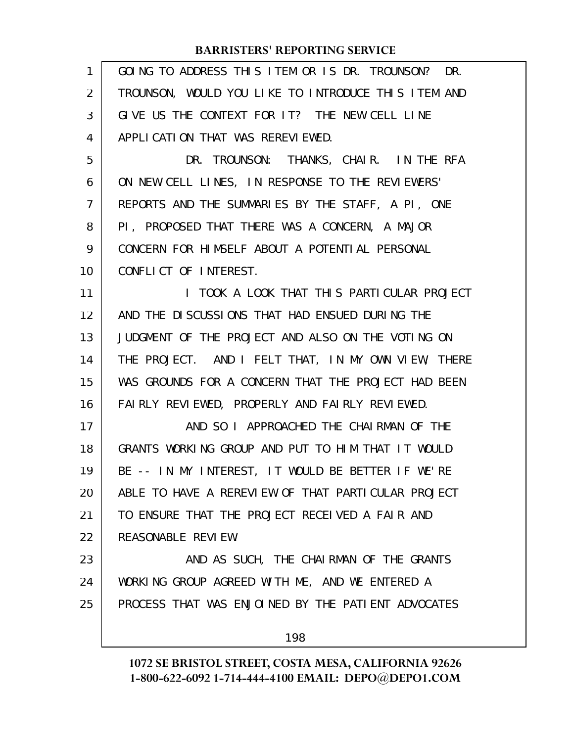| 1                 | GOING TO ADDRESS THIS ITEM OR IS DR. TROUNSON? DR.  |
|-------------------|-----------------------------------------------------|
| $\overline{2}$    | TROUNSON, WOULD YOU LIKE TO INTRODUCE THIS ITEM AND |
| 3                 | GIVE US THE CONTEXT FOR IT? THE NEW CELL LINE       |
| 4                 | APPLICATION THAT WAS REREVIEWED.                    |
| 5                 | DR. TROUNSON: THANKS, CHAIR. IN THE RFA             |
| 6                 | ON NEW CELL LINES, IN RESPONSE TO THE REVIEWERS'    |
| $\overline{7}$    | REPORTS AND THE SUMMARIES BY THE STAFF, A PI, ONE   |
| 8                 | PI, PROPOSED THAT THERE WAS A CONCERN, A MAJOR      |
| 9                 | CONCERN FOR HIMSELF ABOUT A POTENTIAL PERSONAL      |
| 10                | CONFLICT OF INTEREST.                               |
| 11                | I TOOK A LOOK THAT THIS PARTICULAR PROJECT          |
| $12 \overline{ }$ | AND THE DISCUSSIONS THAT HAD ENSUED DURING THE      |
| 13                | JUDGMENT OF THE PROJECT AND ALSO ON THE VOTING ON   |
| 14                | THE PROJECT. AND I FELT THAT, IN MY OWN VIEW, THERE |
| 15                | WAS GROUNDS FOR A CONCERN THAT THE PROJECT HAD BEEN |
| 16                | FAIRLY REVIEWED, PROPERLY AND FAIRLY REVIEWED.      |
| 17                | AND SO I APPROACHED THE CHAIRMAN OF THE             |
| 18                | GRANTS WORKING GROUP AND PUT TO HIM THAT IT WOULD   |
| 19                | BE -- IN MY INTEREST, IT WOULD BE BETTER IF WE'RE   |
| 20                | ABLE TO HAVE A REREVIEW OF THAT PARTICULAR PROJECT  |
| 21                | TO ENSURE THAT THE PROJECT RECEIVED A FAIR AND      |
| 22                | REASONABLE REVIEW.                                  |
| 23                | AND AS SUCH, THE CHAIRMAN OF THE GRANTS             |
| 24                | WORKING GROUP AGREED WITH ME, AND WE ENTERED A      |
| 25                | PROCESS THAT WAS ENJOINED BY THE PATIENT ADVOCATES  |
|                   | 198                                                 |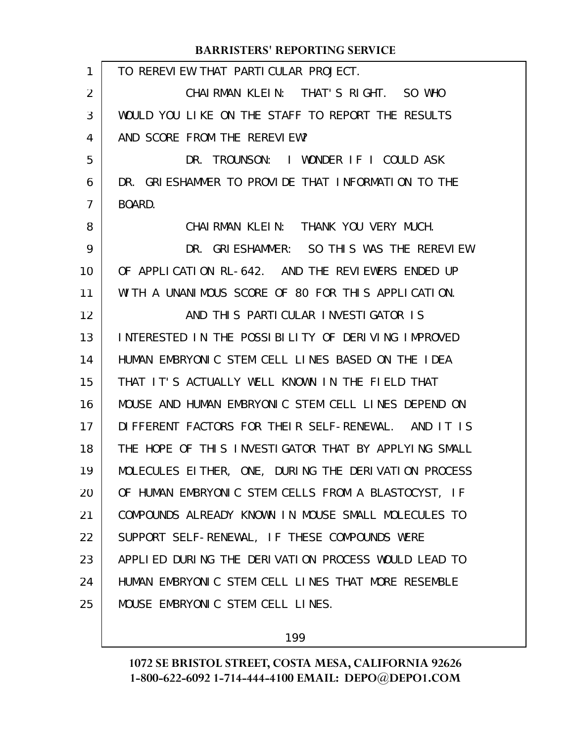|                | <b>BARRISTERS' REPORTING SERVICE</b>                 |
|----------------|------------------------------------------------------|
| 1              | TO REREVIEW THAT PARTICULAR PROJECT.                 |
| 2              | CHAIRMAN KLEIN: THAT'S RIGHT. SO WHO                 |
| 3              | WOULD YOU LIKE ON THE STAFF TO REPORT THE RESULTS    |
| 4              | AND SCORE FROM THE REREVIEW?                         |
| 5              | DR.<br>TROUNSON: I WONDER IF I COULD ASK             |
| 6              | DR. GRIESHAMMER TO PROVIDE THAT INFORMATION TO THE   |
| $\overline{7}$ | BOARD.                                               |
| 8              | CHAIRMAN KLEIN: THANK YOU VERY MUCH.                 |
| 9              | DR. GRIESHAMMER: SO THIS WAS THE REREVIEW            |
| 10             | OF APPLICATION RL-642. AND THE REVIEWERS ENDED UP    |
| 11             | WITH A UNANIMOUS SCORE OF 80 FOR THIS APPLICATION.   |
| 12             | AND THIS PARTICULAR INVESTIGATOR IS                  |
| 13             | INTERESTED IN THE POSSIBILITY OF DERIVING IMPROVED   |
| 14             | HUMAN EMBRYONIC STEM CELL LINES BASED ON THE IDEA    |
| 15             | THAT IT'S ACTUALLY WELL KNOWN IN THE FIELD THAT      |
| 16             | MOUSE AND HUMAN EMBRYONIC STEM CELL LINES DEPEND ON  |
| 17             | DIFFERENT FACTORS FOR THEIR SELF-RENEWAL. AND IT IS  |
| 18             | THE HOPE OF THIS INVESTIGATOR THAT BY APPLYING SMALL |
| 19             | MOLECULES EITHER, ONE, DURING THE DERIVATION PROCESS |
| 20             | OF HUMAN EMBRYONIC STEM CELLS FROM A BLASTOCYST, IF  |
| 21             | COMPOUNDS ALREADY KNOWN IN MOUSE SMALL MOLECULES TO  |
| 22             | SUPPORT SELF-RENEWAL, IF THESE COMPOUNDS WERE        |
| 23             | APPLIED DURING THE DERIVATION PROCESS WOULD LEAD TO  |
| 24             | HUMAN EMBRYONIC STEM CELL LINES THAT MORE RESEMBLE   |
| 25             | MOUSE EMBRYONIC STEM CELL LINES.                     |
|                |                                                      |

199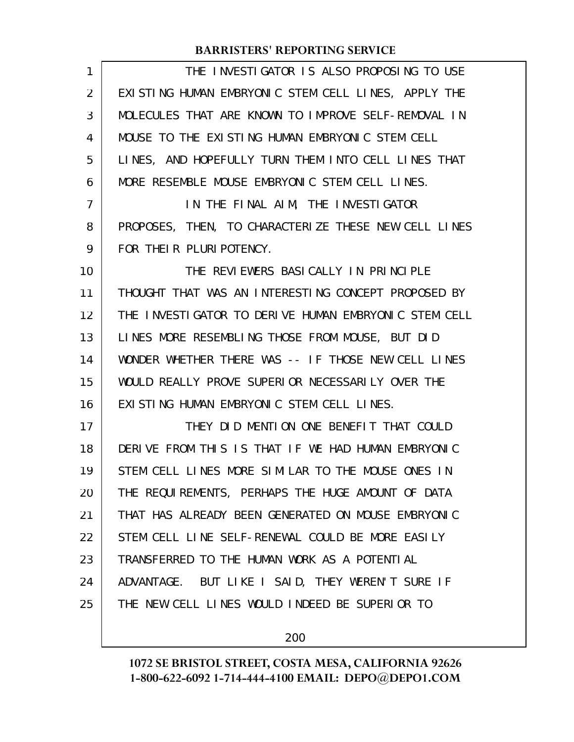| 1  | THE INVESTIGATOR IS ALSO PROPOSING TO USE            |
|----|------------------------------------------------------|
| 2  | EXISTING HUMAN EMBRYONIC STEM CELL LINES, APPLY THE  |
| 3  | MOLECULES THAT ARE KNOWN TO IMPROVE SELF-REMOVAL IN  |
| 4  | MOUSE TO THE EXISTING HUMAN EMBRYONIC STEM CELL      |
| 5  | LINES, AND HOPEFULLY TURN THEM INTO CELL LINES THAT  |
| 6  | MORE RESEMBLE MOUSE EMBRYONIC STEM CELL LINES.       |
| 7  | IN THE FINAL AIM, THE INVESTIGATOR                   |
| 8  | PROPOSES, THEN, TO CHARACTERIZE THESE NEW CELL LINES |
| 9  | FOR THEIR PLURIPOTENCY.                              |
| 10 | THE REVIEWERS BASICALLY IN PRINCIPLE                 |
| 11 | THOUGHT THAT WAS AN INTERESTING CONCEPT PROPOSED BY  |
| 12 | THE INVESTIGATOR TO DERIVE HUMAN EMBRYONIC STEM CELL |
| 13 | LINES MORE RESEMBLING THOSE FROM MOUSE, BUT DID      |
| 14 | WONDER WHETHER THERE WAS -- IF THOSE NEW CELL LINES  |
| 15 | WOULD REALLY PROVE SUPERIOR NECESSARILY OVER THE     |
| 16 | EXISTING HUMAN EMBRYONIC STEM CELL LINES.            |
| 17 | THEY DID MENTION ONE BENEFIT THAT COULD              |
| 18 | DERIVE FROM THIS IS THAT IF WE HAD HUMAN EMBRYONIC   |
| 19 | STEM CELL LINES MORE SIMILAR TO THE MOUSE ONES IN    |
| 20 | THE REQUIREMENTS, PERHAPS THE HUGE AMOUNT OF DATA    |
| 21 | THAT HAS ALREADY BEEN GENERATED ON MOUSE EMBRYONIC   |
| 22 | STEM CELL LINE SELF-RENEWAL COULD BE MORE EASILY     |
| 23 | TRANSFERRED TO THE HUMAN WORK AS A POTENTIAL         |
| 24 | ADVANTAGE. BUT LIKE I SAID, THEY WEREN'T SURE IF     |
| 25 | THE NEW CELL LINES WOULD INDEED BE SUPERIOR TO       |
|    |                                                      |

200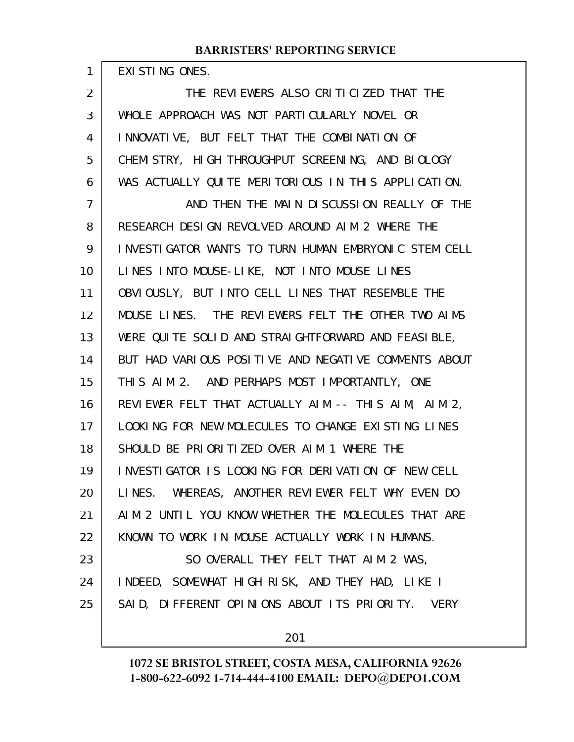EXISTING ONES.

1

THE REVIEWERS ALSO CRITICIZED THAT THE WHOLE APPROACH WAS NOT PARTICULARLY NOVEL OR INNOVATIVE, BUT FELT THAT THE COMBINATION OF CHEMISTRY, HIGH THROUGHPUT SCREENING, AND BIOLOGY WAS ACTUALLY QUITE MERITORIOUS IN THIS APPLICATION. AND THEN THE MAIN DISCUSSION REALLY OF THE RESEARCH DESIGN REVOLVED AROUND AIM 2 WHERE THE INVESTIGATOR WANTS TO TURN HUMAN EMBRYONIC STEM CELL LINES INTO MOUSE-LIKE, NOT INTO MOUSE LINES OBVIOUSLY, BUT INTO CELL LINES THAT RESEMBLE THE MOUSE LINES. THE REVIEWERS FELT THE OTHER TWO AIMS WERE QUITE SOLID AND STRAIGHTFORWARD AND FEASIBLE, BUT HAD VARIOUS POSITIVE AND NEGATIVE COMMENTS ABOUT THIS AIM 2. AND PERHAPS MOST IMPORTANTLY, ONE REVIEWER FELT THAT ACTUALLY AIM -- THIS AIM, AIM 2, LOOKING FOR NEW MOLECULES TO CHANGE EXISTING LINES SHOULD BE PRIORITIZED OVER AIM 1 WHERE THE INVESTIGATOR IS LOOKING FOR DERIVATION OF NEW CELL LINES. WHEREAS, ANOTHER REVIEWER FELT WHY EVEN DO AIM 2 UNTIL YOU KNOW WHETHER THE MOLECULES THAT ARE KNOWN TO WORK IN MOUSE ACTUALLY WORK IN HUMANS. SO OVERALL THEY FELT THAT AIM 2 WAS, INDEED, SOMEWHAT HIGH RISK, AND THEY HAD, LIKE I SAID, DIFFERENT OPINIONS ABOUT ITS PRIORITY. VERY 2 3 4 5 6 7 8 9 10 11 12 13 14 15 16 17 18 19 20 21 22 23 24 25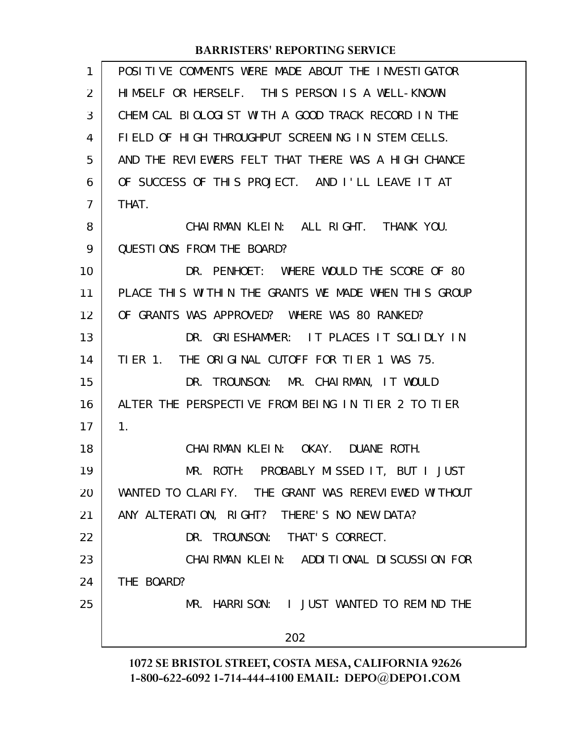| POSITIVE COMMENTS WERE MADE ABOUT THE INVESTIGATOR   |
|------------------------------------------------------|
| HIMSELF OR HERSELF. THIS PERSON IS A WELL-KNOWN      |
| CHEMICAL BIOLOGIST WITH A GOOD TRACK RECORD IN THE   |
| FIELD OF HIGH THROUGHPUT SCREENING IN STEM CELLS.    |
| AND THE REVIEWERS FELT THAT THERE WAS A HIGH CHANCE  |
| OF SUCCESS OF THIS PROJECT. AND I'LL LEAVE IT AT     |
| THAT.                                                |
| CHAIRMAN KLEIN: ALL RIGHT. THANK YOU.                |
| <b>QUESTIONS FROM THE BOARD?</b>                     |
| DR. PENHOET: WHERE WOULD THE SCORE OF 80             |
| PLACE THIS WITHIN THE GRANTS WE MADE WHEN THIS GROUP |
| OF GRANTS WAS APPROVED? WHERE WAS 80 RANKED?         |
| DR. GRIESHAMMER: IT PLACES IT SOLIDLY IN             |
| TIER 1. THE ORIGINAL CUTOFF FOR TIER 1 WAS 75.       |
| DR. TROUNSON: MR. CHAIRMAN, IT WOULD                 |
| ALTER THE PERSPECTIVE FROM BEING IN TIER 2 TO TIER   |
| $\mathbf{1}$ .                                       |
| CHAIRMAN KLEIN: OKAY. DUANE ROTH.                    |
| MR. ROTH: PROBABLY MISSED IT, BUT I JUST             |
| WANTED TO CLARIFY. THE GRANT WAS REREVIEWED WITHOUT  |
| ANY ALTERATION, RIGHT? THERE'S NO NEW DATA?          |
| DR. TROUNSON: THAT'S CORRECT.                        |
| CHAIRMAN KLEIN: ADDITIONAL DISCUSSION FOR            |
| THE BOARD?                                           |
| MR. HARRISON: I JUST WANTED TO REMIND THE            |
| 202                                                  |
|                                                      |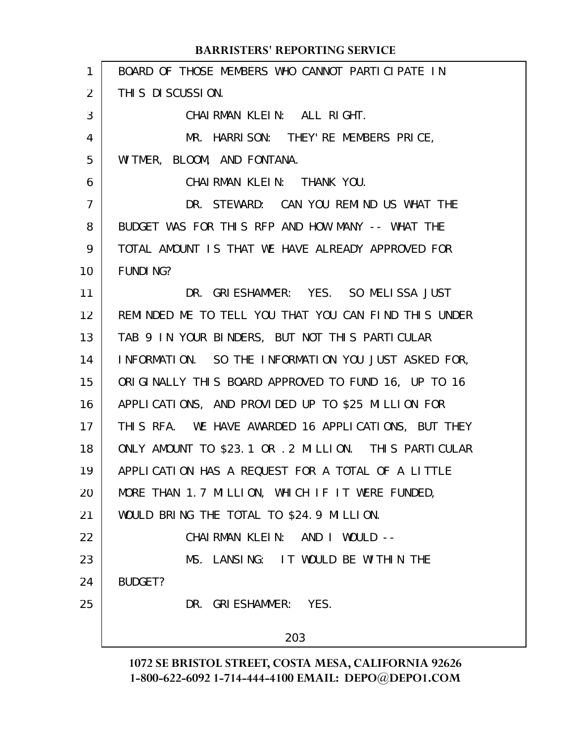| $\mathbf{1}$ | BOARD OF THOSE MEMBERS WHO CANNOT PARTICIPATE IN      |
|--------------|-------------------------------------------------------|
| 2            | THIS DISCUSSION.                                      |
| 3            | CHAIRMAN KLEIN: ALL RIGHT.                            |
| 4            | MR. HARRISON: THEY'RE MEMBERS PRICE,                  |
| 5            | WITMER, BLOOM, AND FONTANA.                           |
| 6            | CHAIRMAN KLEIN: THANK YOU.                            |
| 7            | DR. STEWARD: CAN YOU REMIND US WHAT THE               |
| 8            | BUDGET WAS FOR THIS RFP AND HOW MANY -- WHAT THE      |
| 9            | TOTAL AMOUNT IS THAT WE HAVE ALREADY APPROVED FOR     |
| 10           | <b>FUNDING?</b>                                       |
| 11           | DR. GRIESHAMMER: YES. SO MELISSA JUST                 |
| 12           | REMINDED ME TO TELL YOU THAT YOU CAN FIND THIS UNDER  |
| 13           | TAB 9 IN YOUR BINDERS, BUT NOT THIS PARTICULAR        |
| 14           | INFORMATION. SO THE INFORMATION YOU JUST ASKED FOR,   |
| 15           | ORIGINALLY THIS BOARD APPROVED TO FUND 16, UP TO 16   |
| 16           | APPLICATIONS, AND PROVIDED UP TO \$25 MILLION FOR     |
| 17           | THIS RFA. WE HAVE AWARDED 16 APPLICATIONS, BUT THEY   |
| 18           | ONLY AMOUNT TO \$23.1 OR . 2 MILLION. THIS PARTICULAR |
| 19           | APPLICATION HAS A REQUEST FOR A TOTAL OF A LITTLE     |
| 20           | MORE THAN 1.7 MILLION, WHICH IF IT WERE FUNDED,       |
| 21           | WOULD BRING THE TOTAL TO \$24.9 MILLION.              |
| 22           | CHAIRMAN KLEIN: AND I WOULD --                        |
| 23           | MS. LANSING: IT WOULD BE WITHIN THE                   |
| 24           | BUDGET?                                               |
| 25           | DR. GRIESHAMMER: YES.                                 |
|              | 203                                                   |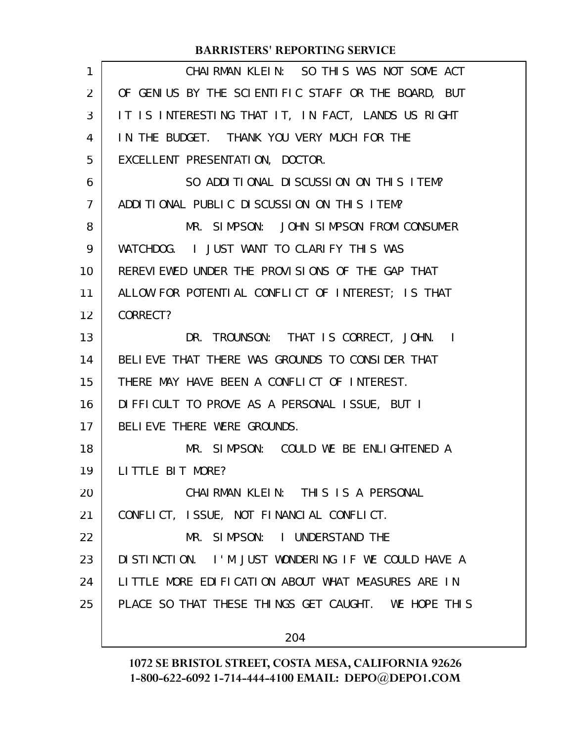| 1  | CHAIRMAN KLEIN: SO THIS WAS NOT SOME ACT            |
|----|-----------------------------------------------------|
| 2  | OF GENIUS BY THE SCIENTIFIC STAFF OR THE BOARD, BUT |
| 3  | IT IS INTERESTING THAT IT, IN FACT, LANDS US RIGHT  |
| 4  | IN THE BUDGET. THANK YOU VERY MUCH FOR THE          |
| 5  | EXCELLENT PRESENTATION, DOCTOR.                     |
| 6  | SO ADDITIONAL DISCUSSION ON THIS ITEM?              |
| 7  | ADDITIONAL PUBLIC DISCUSSION ON THIS ITEM?          |
| 8  | MR. SIMPSON: JOHN SIMPSON FROM CONSUMER             |
| 9  | WATCHDOG. I JUST WANT TO CLARIFY THIS WAS           |
| 10 | REREVIEWED UNDER THE PROVISIONS OF THE GAP THAT     |
| 11 | ALLOW FOR POTENTIAL CONFLICT OF INTEREST; IS THAT   |
| 12 | CORRECT?                                            |
| 13 | DR. TROUNSON: THAT IS CORRECT, JOHN. I              |
| 14 | BELIEVE THAT THERE WAS GROUNDS TO CONSIDER THAT     |
| 15 | THERE MAY HAVE BEEN A CONFLICT OF INTEREST.         |
| 16 | DIFFICULT TO PROVE AS A PERSONAL ISSUE, BUT I       |
| 17 | BELIEVE THERE WERE GROUNDS.                         |
| 18 | MR. SIMPSON: COULD WE BE ENLIGHTENED A              |
| 19 | LITTLE BIT MORE?                                    |
| 20 | CHAIRMAN KLEIN: THIS IS A PERSONAL                  |
| 21 | CONFLICT, ISSUE, NOT FINANCIAL CONFLICT.            |
| 22 | MR. SIMPSON: I UNDERSTAND THE                       |
| 23 | DISTINCTION. I'M JUST WONDERING IF WE COULD HAVE A  |
| 24 | LITTLE MORE EDIFICATION ABOUT WHAT MEASURES ARE IN  |
| 25 | PLACE SO THAT THESE THINGS GET CAUGHT. WE HOPE THIS |
|    | 204                                                 |
|    |                                                     |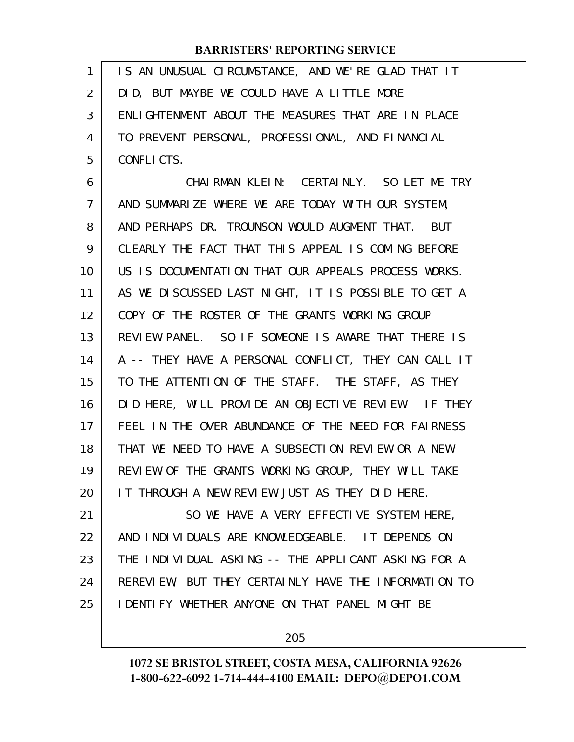IS AN UNUSUAL CIRCUMSTANCE, AND WE'RE GLAD THAT IT DID, BUT MAYBE WE COULD HAVE A LITTLE MORE ENLIGHTENMENT ABOUT THE MEASURES THAT ARE IN PLACE TO PREVENT PERSONAL, PROFESSIONAL, AND FINANCIAL CONFLICTS. 1 2 3 4 5

CHAIRMAN KLEIN: CERTAINLY. SO LET ME TRY AND SUMMARIZE WHERE WE ARE TODAY WITH OUR SYSTEM, AND PERHAPS DR. TROUNSON WOULD AUGMENT THAT. BUT CLEARLY THE FACT THAT THIS APPEAL IS COMING BEFORE US IS DOCUMENTATION THAT OUR APPEALS PROCESS WORKS. AS WE DISCUSSED LAST NIGHT, IT IS POSSIBLE TO GET A COPY OF THE ROSTER OF THE GRANTS WORKING GROUP REVIEW PANEL. SO IF SOMEONE IS AWARE THAT THERE IS A -- THEY HAVE A PERSONAL CONFLICT, THEY CAN CALL IT TO THE ATTENTION OF THE STAFF. THE STAFF, AS THEY DID HERE, WILL PROVIDE AN OBJECTIVE REVIEW. IF THEY FEEL IN THE OVER ABUNDANCE OF THE NEED FOR FAIRNESS THAT WE NEED TO HAVE A SUBSECTION REVIEW OR A NEW REVIEW OF THE GRANTS WORKING GROUP, THEY WILL TAKE IT THROUGH A NEW REVIEW JUST AS THEY DID HERE. SO WE HAVE A VERY EFFECTIVE SYSTEM HERE, 6 7 8 9 10 11 12 13 14 15 16 17 18 19 20 21

AND INDIVIDUALS ARE KNOWLEDGEABLE. IT DEPENDS ON THE INDIVIDUAL ASKING -- THE APPLICANT ASKING FOR A REREVIEW, BUT THEY CERTAINLY HAVE THE INFORMATION TO IDENTIFY WHETHER ANYONE ON THAT PANEL MIGHT BE 22 23 24 25

205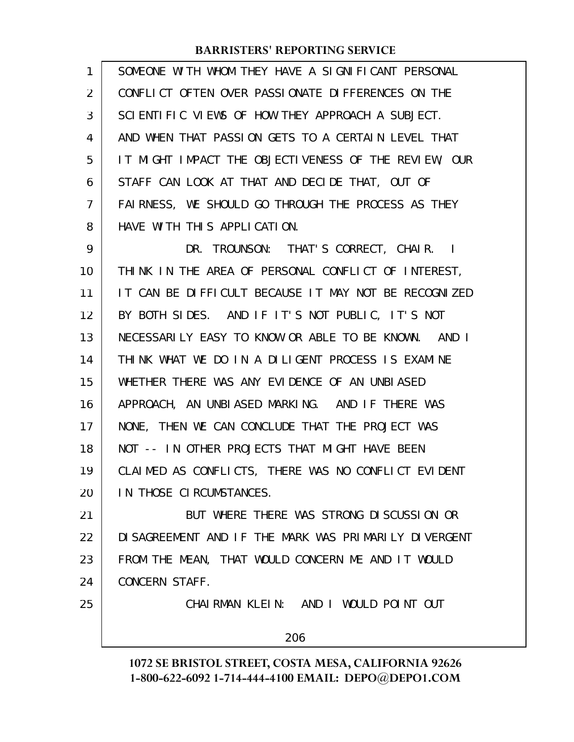| 1              | SOMEONE WITH WHOM THEY HAVE A SIGNIFICANT PERSONAL   |
|----------------|------------------------------------------------------|
| 2              | CONFLICT OFTEN OVER PASSIONATE DIFFERENCES ON THE    |
| 3              | SCIENTIFIC VIEWS OF HOW THEY APPROACH A SUBJECT.     |
| 4              | AND WHEN THAT PASSION GETS TO A CERTAIN LEVEL THAT   |
| 5              | IT MIGHT IMPACT THE OBJECTIVENESS OF THE REVIEW, OUR |
| 6              | STAFF CAN LOOK AT THAT AND DECIDE THAT, OUT OF       |
| $\overline{7}$ | FAIRNESS, WE SHOULD GO THROUGH THE PROCESS AS THEY   |
| 8              | HAVE WITH THIS APPLICATION.                          |
| 9              | DR. TROUNSON: THAT'S CORRECT, CHAIR. I               |
| 10             | THINK IN THE AREA OF PERSONAL CONFLICT OF INTEREST,  |
| 11             | IT CAN BE DIFFICULT BECAUSE IT MAY NOT BE RECOGNIZED |
| 12             | BY BOTH SIDES. AND IF IT'S NOT PUBLIC, IT'S NOT      |
| 13             | NECESSARILY EASY TO KNOW OR ABLE TO BE KNOWN. AND I  |
| 14             | THINK WHAT WE DO IN A DILIGENT PROCESS IS EXAMINE    |
| 15             | WHETHER THERE WAS ANY EVIDENCE OF AN UNBIASED        |
| 16             | APPROACH, AN UNBIASED MARKING. AND IF THERE WAS      |
| 17             | NONE, THEN WE CAN CONCLUDE THAT THE PROJECT WAS      |
| 18             | NOT -- IN OTHER PROJECTS THAT MIGHT HAVE BEEN        |
| 19             | CLAIMED AS CONFLICTS, THERE WAS NO CONFLICT EVIDENT  |
| 20             | IN THOSE CIRCUMSTANCES.                              |
| 21             | BUT WHERE THERE WAS STRONG DISCUSSION OR             |
| 22             | DISAGREEMENT AND IF THE MARK WAS PRIMARILY DIVERGENT |
| 23             | FROM THE MEAN, THAT WOULD CONCERN ME AND IT WOULD    |
| 24             | CONCERN STAFF.                                       |
| 25             | CHAIRMAN KLEIN: AND I WOULD POINT OUT                |
|                | 206                                                  |
|                |                                                      |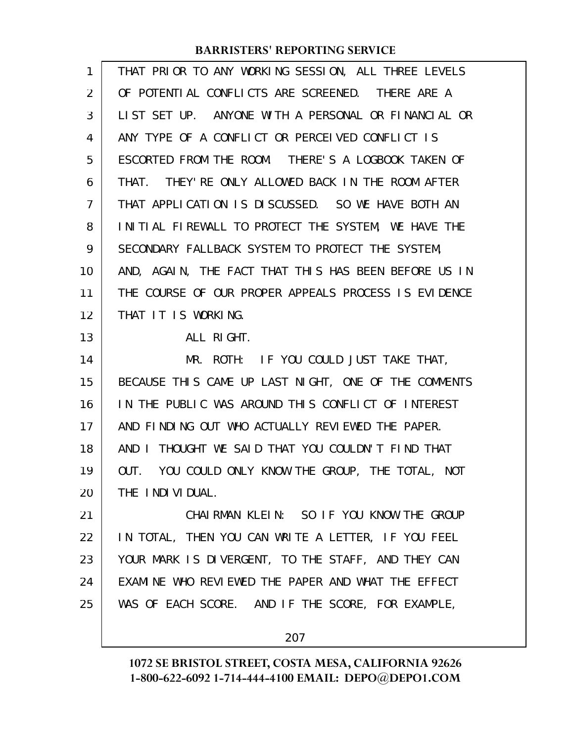| 1  | THAT PRIOR TO ANY WORKING SESSION, ALL THREE LEVELS   |
|----|-------------------------------------------------------|
| 2  | OF POTENTIAL CONFLICTS ARE SCREENED. THERE ARE A      |
| 3  | LIST SET UP. ANYONE WITH A PERSONAL OR FINANCIAL OR   |
| 4  | ANY TYPE OF A CONFLICT OR PERCEIVED CONFLICT IS       |
| 5  | ESCORTED FROM THE ROOM. THERE'S A LOGBOOK TAKEN OF    |
| 6  | THEY' RE ONLY ALLOWED BACK IN THE ROOM AFTER<br>THAT. |
| 7  | THAT APPLICATION IS DISCUSSED. SO WE HAVE BOTH AN     |
| 8  | INITIAL FIREWALL TO PROTECT THE SYSTEM, WE HAVE THE   |
| 9  | SECONDARY FALLBACK SYSTEM TO PROTECT THE SYSTEM,      |
| 10 | AND, AGAIN, THE FACT THAT THIS HAS BEEN BEFORE US IN  |
| 11 | THE COURSE OF OUR PROPER APPEALS PROCESS IS EVIDENCE  |
| 12 | THAT IT IS WORKING.                                   |
| 13 | ALL RIGHT.                                            |
| 14 | MR. ROTH: IF YOU COULD JUST TAKE THAT,                |
| 15 | BECAUSE THIS CAME UP LAST NIGHT, ONE OF THE COMMENTS  |
| 16 | IN THE PUBLIC WAS AROUND THIS CONFLICT OF INTEREST    |
| 17 | AND FINDING OUT WHO ACTUALLY REVIEWED THE PAPER.      |
| 18 | THOUGHT WE SAID THAT YOU COULDN'T FIND THAT<br>AND I  |
| 19 | YOU COULD ONLY KNOW THE GROUP, THE TOTAL, NOT<br>OUT. |
| 20 | THE INDIVIDUAL.                                       |
| 21 | CHAIRMAN KLEIN: SO IF YOU KNOW THE GROUP              |
| 22 | IN TOTAL, THEN YOU CAN WRITE A LETTER, IF YOU FEEL    |
| 23 | YOUR MARK IS DIVERGENT, TO THE STAFF, AND THEY CAN    |
| 24 | EXAMINE WHO REVIEWED THE PAPER AND WHAT THE EFFECT    |
| 25 | WAS OF EACH SCORE. AND IF THE SCORE, FOR EXAMPLE,     |
|    | 207                                                   |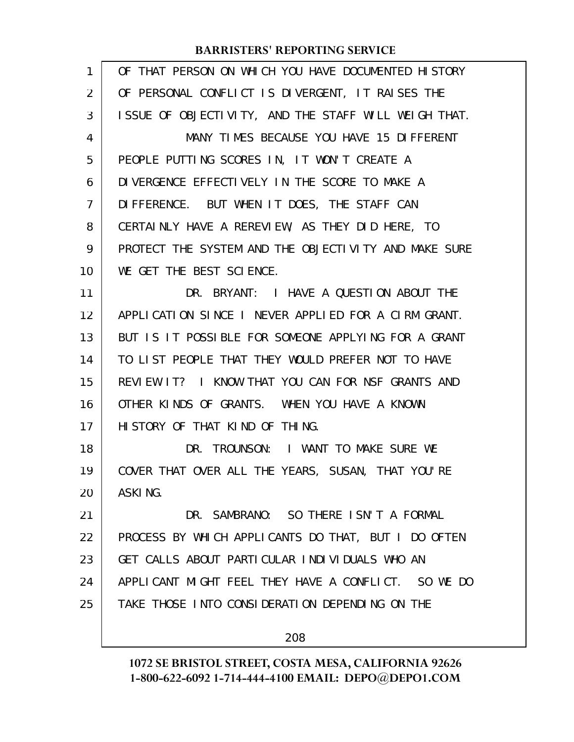| 1  | OF THAT PERSON ON WHICH YOU HAVE DOCUMENTED HISTORY  |
|----|------------------------------------------------------|
| 2  | OF PERSONAL CONFLICT IS DIVERGENT, IT RAISES THE     |
| 3  | ISSUE OF OBJECTIVITY, AND THE STAFF WILL WEIGH THAT. |
| 4  | MANY TIMES BECAUSE YOU HAVE 15 DIFFERENT             |
| 5  | PEOPLE PUTTING SCORES IN, IT WON'T CREATE A          |
| 6  | DIVERGENCE EFFECTIVELY IN THE SCORE TO MAKE A        |
| 7  | DIFFERENCE. BUT WHEN IT DOES, THE STAFF CAN          |
| 8  | CERTAINLY HAVE A REREVIEW, AS THEY DID HERE, TO      |
| 9  | PROTECT THE SYSTEM AND THE OBJECTIVITY AND MAKE SURE |
| 10 | WE GET THE BEST SCIENCE.                             |
| 11 | DR. BRYANT: I HAVE A QUESTION ABOUT THE              |
| 12 | APPLICATION SINCE I NEVER APPLIED FOR A CIRM GRANT.  |
| 13 | BUT IS IT POSSIBLE FOR SOMEONE APPLYING FOR A GRANT  |
| 14 | TO LIST PEOPLE THAT THEY WOULD PREFER NOT TO HAVE    |
| 15 | REVIEW IT? I KNOW THAT YOU CAN FOR NSF GRANTS AND    |
| 16 | OTHER KINDS OF GRANTS. WHEN YOU HAVE A KNOWN         |
| 17 | HISTORY OF THAT KIND OF THING.                       |
| 18 | DR. TROUNSON: I WANT TO MAKE SURE WE                 |
| 19 | COVER THAT OVER ALL THE YEARS, SUSAN, THAT YOU'RE    |
| 20 | ASKING.                                              |
| 21 | DR. SAMBRANO: SO THERE ISN'T A FORMAL                |
| 22 | PROCESS BY WHICH APPLICANTS DO THAT, BUT I DO OFTEN  |
| 23 | GET CALLS ABOUT PARTICULAR INDIVIDUALS WHO AN        |
| 24 | APPLICANT MIGHT FEEL THEY HAVE A CONFLICT. SO WE DO  |
| 25 | TAKE THOSE INTO CONSIDERATION DEPENDING ON THE       |
|    | 208                                                  |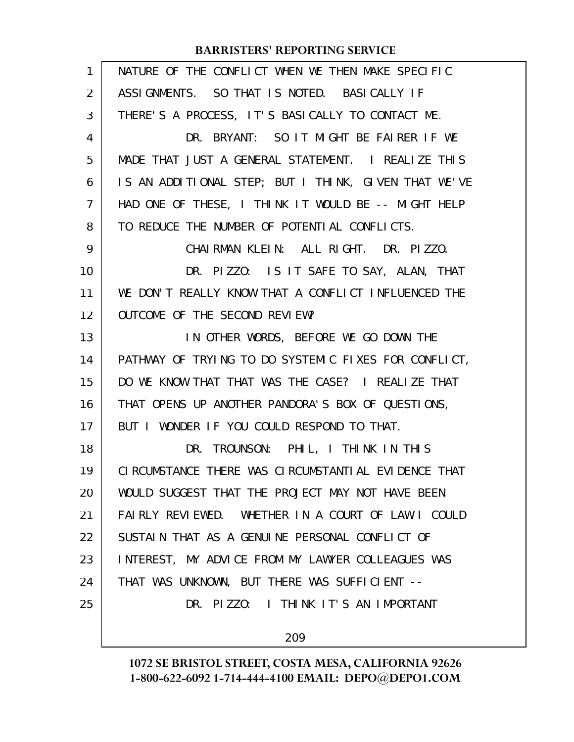| 1  | NATURE OF THE CONFLICT WHEN WE THEN MAKE SPECIFIC      |
|----|--------------------------------------------------------|
| 2  | ASSIGNMENTS. SO THAT IS NOTED. BASICALLY IF            |
| 3  | THERE'S A PROCESS, IT'S BASICALLY TO CONTACT ME.       |
| 4  | DR. BRYANT: SO IT MIGHT BE FAIRER IF WE                |
| 5  | MADE THAT JUST A GENERAL STATEMENT. I REALIZE THIS     |
| 6  | IS AN ADDITIONAL STEP; BUT I THINK, GIVEN THAT WE'VE   |
| 7  | HAD ONE OF THESE, I THINK IT WOULD BE -- MIGHT HELP    |
| 8  | TO REDUCE THE NUMBER OF POTENTIAL CONFLICTS.           |
| 9  | CHAIRMAN KLEIN: ALL RIGHT. DR. PIZZO.                  |
| 10 | DR. PIZZO: IS IT SAFE TO SAY, ALAN, THAT               |
| 11 | WE DON'T REALLY KNOW THAT A CONFLICT INFLUENCED THE    |
| 12 | OUTCOME OF THE SECOND REVIEW?                          |
| 13 | IN OTHER WORDS, BEFORE WE GO DOWN THE                  |
| 14 | PATHWAY OF TRYING TO DO SYSTEMIC FIXES FOR CONFLICT,   |
| 15 | DO WE KNOW THAT THAT WAS THE CASE? I REALIZE THAT      |
| 16 | THAT OPENS UP ANOTHER PANDORA'S BOX OF QUESTIONS,      |
| 17 | BUT I WONDER IF YOU COULD RESPOND TO THAT.             |
| 18 | DR. TROUNSON: PHIL, I THINK IN THIS                    |
| 19 | CI RCUMSTANCE THERE WAS CI RCUMSTANTIAL EVI DENCE THAT |
| 20 | WOULD SUGGEST THAT THE PROJECT MAY NOT HAVE BEEN       |
| 21 | FAIRLY REVIEWED. WHETHER IN A COURT OF LAW I COULD     |
| 22 | SUSTAIN THAT AS A GENUINE PERSONAL CONFLICT OF         |
| 23 | INTEREST, MY ADVICE FROM MY LAWYER COLLEAGUES WAS      |
| 24 | THAT WAS UNKNOWN, BUT THERE WAS SUFFICIENT --          |
| 25 | DR. PIZZO: I THINK IT'S AN IMPORTANT                   |
|    | 209                                                    |
|    |                                                        |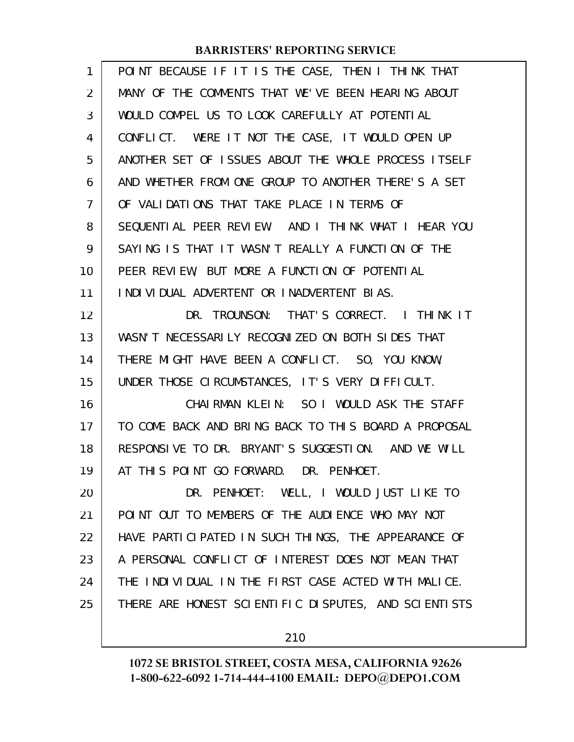| 1  | POINT BECAUSE IF IT IS THE CASE, THEN I THINK THAT   |
|----|------------------------------------------------------|
| 2  | MANY OF THE COMMENTS THAT WE'VE BEEN HEARING ABOUT   |
| 3  | WOULD COMPEL US TO LOOK CAREFULLY AT POTENTIAL       |
| 4  | CONFLICT. WERE IT NOT THE CASE, IT WOULD OPEN UP     |
| 5  | ANOTHER SET OF ISSUES ABOUT THE WHOLE PROCESS ITSELF |
| 6  | AND WHETHER FROM ONE GROUP TO ANOTHER THERE'S A SET  |
| 7  | OF VALIDATIONS THAT TAKE PLACE IN TERMS OF           |
| 8  | SEQUENTIAL PEER REVIEW. AND I THINK WHAT I HEAR YOU  |
| 9  | SAYING IS THAT IT WASN'T REALLY A FUNCTION OF THE    |
| 10 | PEER REVIEW, BUT MORE A FUNCTION OF POTENTIAL        |
| 11 | I NDI VI DUAL ADVERTENT OR I NADVERTENT BI AS.       |
| 12 | DR. TROUNSON: THAT'S CORRECT. I THINK IT             |
| 13 | WASN'T NECESSARILY RECOGNIZED ON BOTH SIDES THAT     |
| 14 | THERE MIGHT HAVE BEEN A CONFLICT. SO, YOU KNOW,      |
| 15 | UNDER THOSE CIRCUMSTANCES, IT'S VERY DIFFICULT.      |
| 16 | CHAIRMAN KLEIN: SO I WOULD ASK THE STAFF             |
| 17 | TO COME BACK AND BRING BACK TO THIS BOARD A PROPOSAL |
| 18 | RESPONSIVE TO DR. BRYANT'S SUGGESTION. AND WE WILL   |
| 19 | AT THIS POINT GO FORWARD. DR. PENHOET.               |
| 20 | DR. PENHOET: WELL, I WOULD JUST LIKE TO              |
| 21 | POINT OUT TO MEMBERS OF THE AUDIENCE WHO MAY NOT     |
| 22 | HAVE PARTICIPATED IN SUCH THINGS, THE APPEARANCE OF  |
| 23 | A PERSONAL CONFLICT OF INTEREST DOES NOT MEAN THAT   |
| 24 | THE INDIVIDUAL IN THE FIRST CASE ACTED WITH MALICE.  |
| 25 | THERE ARE HONEST SCIENTIFIC DISPUTES, AND SCIENTISTS |
|    |                                                      |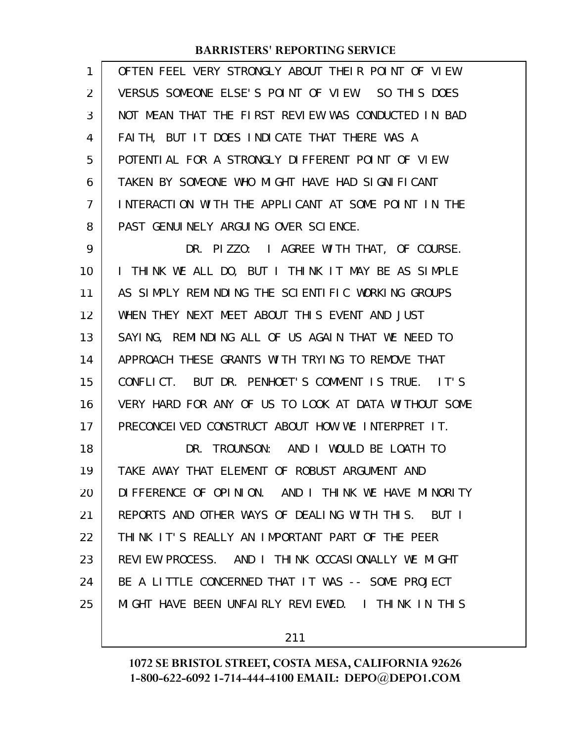| 1  | OFTEN FEEL VERY STRONGLY ABOUT THEIR POINT OF VIEW    |
|----|-------------------------------------------------------|
| 2  | VERSUS SOMEONE ELSE'S POINT OF VIEW. SO THIS DOES     |
| 3  | NOT MEAN THAT THE FIRST REVIEW WAS CONDUCTED IN BAD   |
| 4  | FAITH, BUT IT DOES INDICATE THAT THERE WAS A          |
| 5  | POTENTIAL FOR A STRONGLY DIFFERENT POINT OF VIEW      |
| 6  | TAKEN BY SOMEONE WHO MIGHT HAVE HAD SIGNIFICANT       |
| 7  | INTERACTION WITH THE APPLICANT AT SOME POINT IN THE   |
| 8  | PAST GENUINELY ARGUING OVER SCIENCE.                  |
| 9  | DR. PIZZO: I AGREE WITH THAT, OF COURSE.              |
| 10 | I THINK WE ALL DO, BUT I THINK IT MAY BE AS SIMPLE    |
| 11 | AS SIMPLY REMINDING THE SCIENTIFIC WORKING GROUPS     |
| 12 | WHEN THEY NEXT MEET ABOUT THIS EVENT AND JUST         |
| 13 | SAYING, REMINDING ALL OF US AGAIN THAT WE NEED TO     |
| 14 | APPROACH THESE GRANTS WITH TRYING TO REMOVE THAT      |
| 15 | CONFLICT. BUT DR. PENHOET'S COMMENT IS TRUE. IT'S     |
| 16 | VERY HARD FOR ANY OF US TO LOOK AT DATA WITHOUT SOME  |
| 17 | PRECONCEIVED CONSTRUCT ABOUT HOW WE INTERPRET IT.     |
| 18 | DR. TROUNSON: AND I WOULD BE LOATH TO                 |
| 19 | TAKE AWAY THAT ELEMENT OF ROBUST ARGUMENT AND         |
| 20 | DIFFERENCE OF OPINION. AND I THINK WE HAVE MINORITY   |
| 21 | REPORTS AND OTHER WAYS OF DEALING WITH THIS.<br>BUT I |
| 22 | THINK IT'S REALLY AN IMPORTANT PART OF THE PEER       |
| 23 | REVIEW PROCESS. AND I THINK OCCASIONALLY WE MIGHT     |
| 24 | BE A LITTLE CONCERNED THAT IT WAS -- SOME PROJECT     |
| 25 | MIGHT HAVE BEEN UNFAIRLY REVIEWED. I THINK IN THIS    |
|    |                                                       |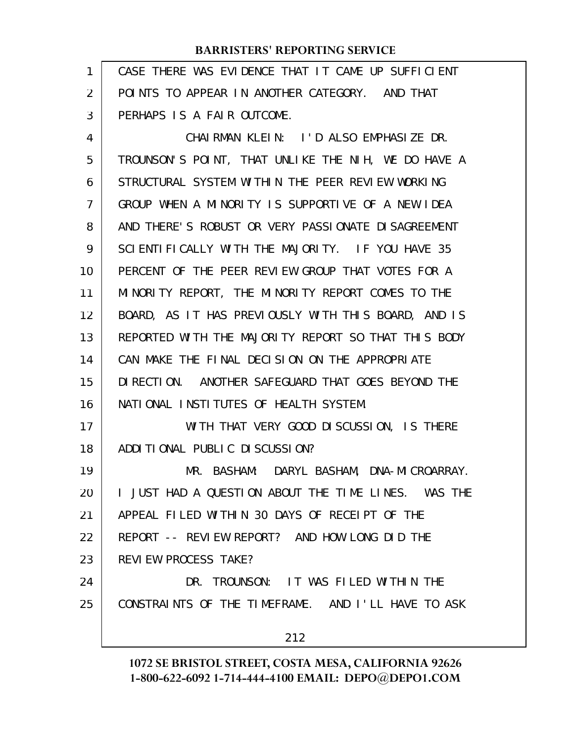| 1  | CASE THERE WAS EVIDENCE THAT IT CAME UP SUFFICIENT  |
|----|-----------------------------------------------------|
| 2  | POINTS TO APPEAR IN ANOTHER CATEGORY. AND THAT      |
| 3  | PERHAPS IS A FAIR OUTCOME.                          |
| 4  | CHAIRMAN KLEIN: I'D ALSO EMPHASIZE DR.              |
| 5  | TROUNSON'S POINT, THAT UNLIKE THE NIH, WE DO HAVE A |
| 6  | STRUCTURAL SYSTEM WITHIN THE PEER REVIEW WORKING    |
| 7  | GROUP WHEN A MINORITY IS SUPPORTIVE OF A NEW IDEA   |
| 8  | AND THERE'S ROBUST OR VERY PASSIONATE DISAGREEMENT  |
| 9  | SCIENTIFICALLY WITH THE MAJORITY. IF YOU HAVE 35    |
| 10 | PERCENT OF THE PEER REVIEW GROUP THAT VOTES FOR A   |
| 11 | MINORITY REPORT, THE MINORITY REPORT COMES TO THE   |
| 12 | BOARD, AS IT HAS PREVIOUSLY WITH THIS BOARD, AND IS |
| 13 | REPORTED WITH THE MAJORITY REPORT SO THAT THIS BODY |
| 14 | CAN MAKE THE FINAL DECISION ON THE APPROPRIATE      |
| 15 | DI RECTION. ANOTHER SAFEGUARD THAT GOES BEYOND THE  |
| 16 | NATIONAL INSTITUTES OF HEALTH SYSTEM.               |
| 17 | WITH THAT VERY GOOD DISCUSSION, IS THERE            |
| 18 | ADDITIONAL PUBLIC DISCUSSION?                       |
| 19 | MR. BASHAM: DARYL BASHAM, DNA-MICROARRAY.           |
| 20 | I JUST HAD A QUESTION ABOUT THE TIME LINES. WAS THE |
| 21 | APPEAL FILED WITHIN 30 DAYS OF RECEIPT OF THE       |
| 22 | REPORT -- REVIEW REPORT? AND HOW LONG DID THE       |
| 23 | REVIEW PROCESS TAKE?                                |
| 24 | DR. TROUNSON: IT WAS FILED WITHIN THE               |
| 25 | CONSTRAINTS OF THE TIMEFRAME. AND I'LL HAVE TO ASK  |
|    | 212                                                 |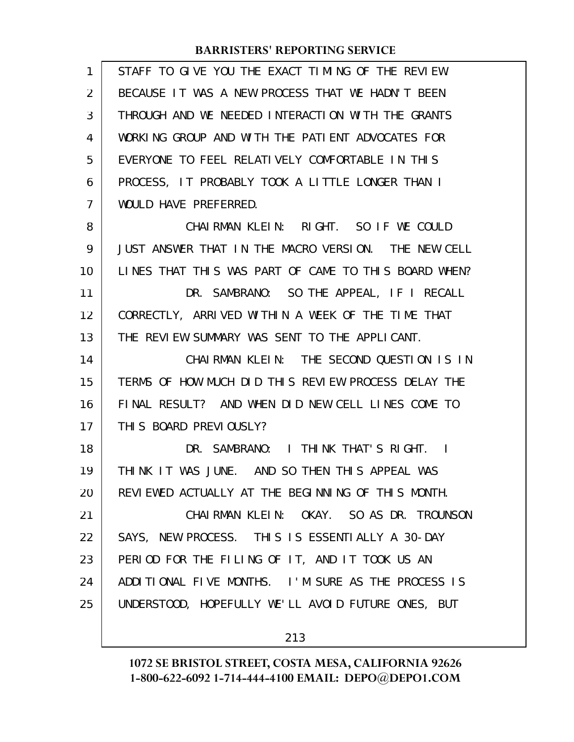| 1              | STAFF TO GIVE YOU THE EXACT TIMING OF THE REVIEW.    |
|----------------|------------------------------------------------------|
| $\overline{2}$ | BECAUSE IT WAS A NEW PROCESS THAT WE HADN'T BEEN     |
| 3              | THROUGH AND WE NEEDED INTERACTION WITH THE GRANTS    |
| 4              | WORKING GROUP AND WITH THE PATIENT ADVOCATES FOR     |
| 5              | EVERYONE TO FEEL RELATIVELY COMFORTABLE IN THIS      |
| 6              | PROCESS, IT PROBABLY TOOK A LITTLE LONGER THAN I     |
| $\overline{7}$ | WOULD HAVE PREFERRED.                                |
| 8              | CHAIRMAN KLEIN: RIGHT. SO IF WE COULD                |
| 9              | JUST ANSWER THAT IN THE MACRO VERSION. THE NEW CELL  |
| 10             | LINES THAT THIS WAS PART OF CAME TO THIS BOARD WHEN? |
| 11             | DR. SAMBRANO: SO THE APPEAL, IF I RECALL             |
| 12             | CORRECTLY, ARRIVED WITHIN A WEEK OF THE TIME THAT    |
| 13             | THE REVIEW SUMMARY WAS SENT TO THE APPLICANT.        |
| 14             | CHAIRMAN KLEIN: THE SECOND QUESTION IS IN            |
| 15             | TERMS OF HOW MUCH DID THIS REVIEW PROCESS DELAY THE  |
| 16             | FINAL RESULT? AND WHEN DID NEW CELL LINES COME TO    |
| 17             | THIS BOARD PREVIOUSLY?                               |
| 18             | DR. SAMBRANO: I THINK THAT'S RIGHT. I                |
| 19             | THINK IT WAS JUNE. AND SO THEN THIS APPEAL WAS       |
| 20             | REVIEWED ACTUALLY AT THE BEGINNING OF THIS MONTH.    |
| 21             | CHAIRMAN KLEIN: OKAY. SO AS DR. TROUNSON             |
| 22             | SAYS, NEW PROCESS. THIS IS ESSENTIALLY A 30-DAY      |
| 23             | PERIOD FOR THE FILING OF IT, AND IT TOOK US AN       |
| 24             | ADDITIONAL FIVE MONTHS. I'M SURE AS THE PROCESS IS   |
| 25             | UNDERSTOOD, HOPEFULLY WE'LL AVOID FUTURE ONES, BUT   |
|                |                                                      |
|                | 213                                                  |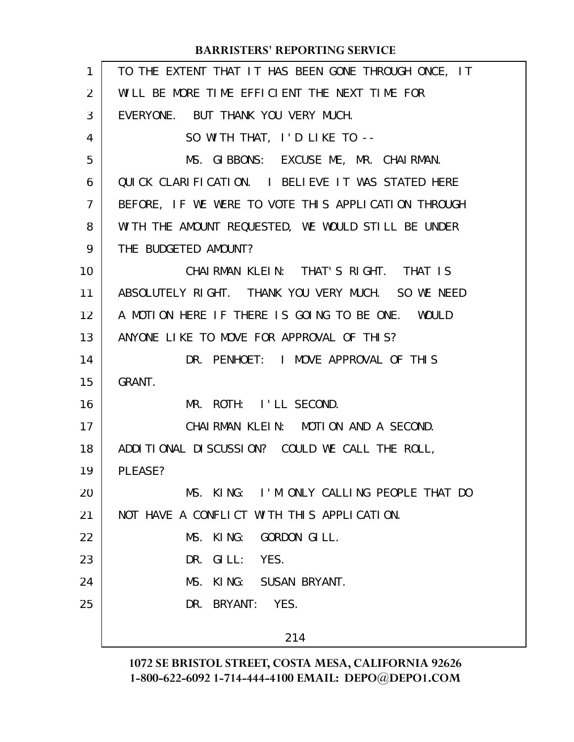| $\mathbf{1}$   | TO THE EXTENT THAT IT HAS BEEN GONE THROUGH ONCE, IT |
|----------------|------------------------------------------------------|
| $\overline{2}$ | WILL BE MORE TIME EFFICIENT THE NEXT TIME FOR        |
| 3              | EVERYONE. BUT THANK YOU VERY MUCH.                   |
| 4              | SO WITH THAT, I'D LIKE TO --                         |
| 5              | MS. GIBBONS: EXCUSE ME, MR. CHAIRMAN.                |
| 6              | QUICK CLARIFICATION. I BELIEVE IT WAS STATED HERE    |
| $\overline{7}$ | BEFORE, IF WE WERE TO VOTE THIS APPLICATION THROUGH  |
| 8              | WITH THE AMOUNT REQUESTED, WE WOULD STILL BE UNDER   |
| 9              | THE BUDGETED AMOUNT?                                 |
| 10             | CHAIRMAN KLEIN: THAT'S RIGHT. THAT IS                |
| 11             | ABSOLUTELY RIGHT. THANK YOU VERY MUCH. SO WE NEED    |
| 12             | A MOTION HERE IF THERE IS GOING TO BE ONE. WOULD     |
| 13             | ANYONE LIKE TO MOVE FOR APPROVAL OF THIS?            |
| 14             | DR. PENHOET: I MOVE APPROVAL OF THIS                 |
| 15             | GRANT.                                               |
| 16             | MR. ROTH: I'LL SECOND.                               |
| 17             | CHAIRMAN KLEIN: MOTION AND A SECOND.                 |
| 18             | ADDITIONAL DISCUSSION? COULD WE CALL THE ROLL,       |
| 19             | PLEASE?                                              |
| 20             | MS. KING: I'M ONLY CALLING PEOPLE THAT DO            |
| 21             | NOT HAVE A CONFLICT WITH THIS APPLICATION.           |
| 22             | MS. KING: GORDON GILL.                               |
| 23             | GILL: YES.<br>DR.                                    |
| 24             | KING: SUSAN BRYANT.<br>MS.                           |
| 25             | YES.<br>DR. BRYANT:                                  |
|                | 214                                                  |
|                |                                                      |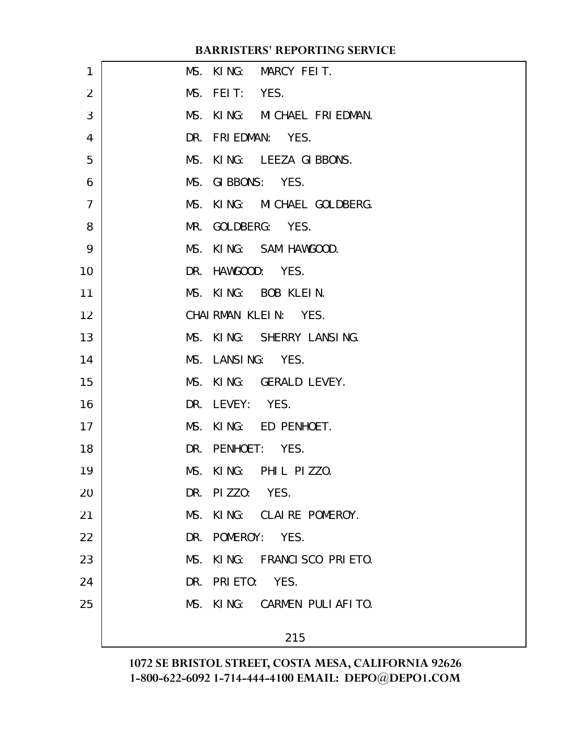| 1              | MS. KING: MARCY FEIT.          |  |
|----------------|--------------------------------|--|
| $\overline{2}$ | MS. FEIT: YES.                 |  |
| 3              | MS. KING: MICHAEL FRIEDMAN.    |  |
| $\overline{4}$ | DR. FRIEDMAN: YES.             |  |
| 5              | MS. KING: LEEZA GIBBONS.       |  |
| 6              | MS. GIBBONS: YES.              |  |
| $\overline{7}$ | MS. KING: MICHAEL GOLDBERG.    |  |
| 8              | MR. GOLDBERG: YES.             |  |
| 9              | MS. KING: SAM HAWGOOD.         |  |
| 10             | DR. HAWGOOD: YES.              |  |
| 11             | MS. KING: BOB KLEIN.           |  |
| 12             | CHAIRMAN KLEIN: YES.           |  |
| 13             | MS. KING: SHERRY LANSING.      |  |
| 14             | MS. LANSING: YES.              |  |
| 15             | MS. KING: GERALD LEVEY.        |  |
| 16             | DR. LEVEY: YES.                |  |
| 17             | MS. KING: ED PENHOET.          |  |
| 18             | DR. PENHOET: YES.              |  |
| 19             | MS. KING: PHIL PIZZO.          |  |
| 20             | DR. PIZZO: YES.                |  |
| 21             | MS. KING: CLAIRE POMEROY.      |  |
| 22             | DR. POMEROY: YES.              |  |
| 23             | MS.<br>KING: FRANCISCO PRIETO. |  |
| 24             | DR. PRIETO: YES.               |  |
| 25             | MS. KING: CARMEN PULIAFITO.    |  |
|                |                                |  |
|                | 215                            |  |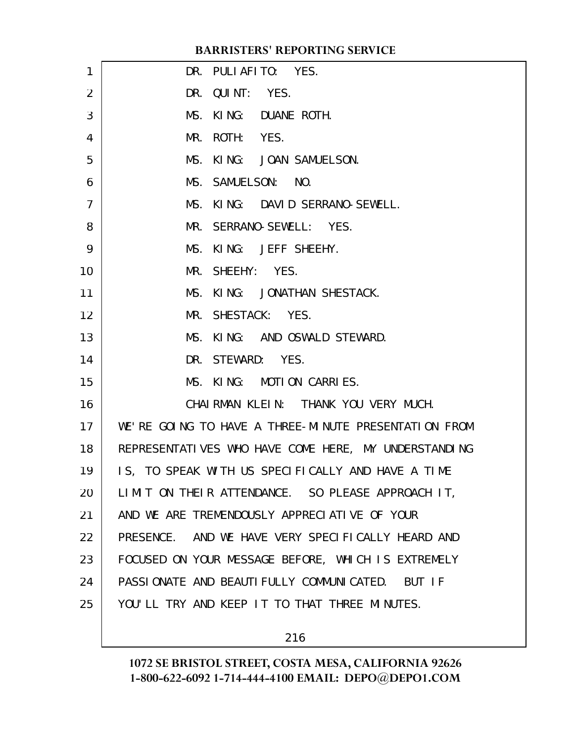| 1              | DR. PULIAFITO: YES.                                  |
|----------------|------------------------------------------------------|
| $\overline{2}$ | DR. QUINT: YES.                                      |
| 3              | MS. KING: DUANE ROTH.                                |
| $\overline{4}$ | MR. ROTH: YES.                                       |
| 5              | MS. KING: JOAN SAMUELSON.                            |
| 6              | MS. SAMUELSON: NO.                                   |
| $\overline{7}$ | MS. KING: DAVID SERRANO-SEWELL.                      |
| 8              | MR. SERRANO-SEWELL: YES.                             |
| 9              | MS. KING: JEFF SHEEHY.                               |
| 10             | MR. SHEEHY: YES.                                     |
| 11             | MS. KING: JONATHAN SHESTACK.                         |
| 12             | MR. SHESTACK: YES.                                   |
| 13             | MS. KING: AND OSWALD STEWARD.                        |
| 14             | DR. STEWARD: YES.                                    |
| 15             | MS. KING: MOTION CARRIES.                            |
| 16             | CHAIRMAN KLEIN: THANK YOU VERY MUCH.                 |
| 17             | WE'RE GOING TO HAVE A THREE-MINUTE PRESENTATION FROM |
| 18             | REPRESENTATIVES WHO HAVE COME HERE, MY UNDERSTANDING |
| 19             | IS, TO SPEAK WITH US SPECIFICALLY AND HAVE A TIME    |
| 20             | LIMIT ON THEIR ATTENDANCE. SO PLEASE APPROACH IT,    |
| 21             | AND WE ARE TREMENDOUSLY APPRECIATIVE OF YOUR         |
| 22             | PRESENCE. AND WE HAVE VERY SPECIFICALLY HEARD AND    |
| 23             | FOCUSED ON YOUR MESSAGE BEFORE, WHICH IS EXTREMELY   |
| 24             | PASSIONATE AND BEAUTIFULLY COMMUNICATED. BUT IF      |
| 25             | YOU'LL TRY AND KEEP IT TO THAT THREE MINUTES.        |
|                |                                                      |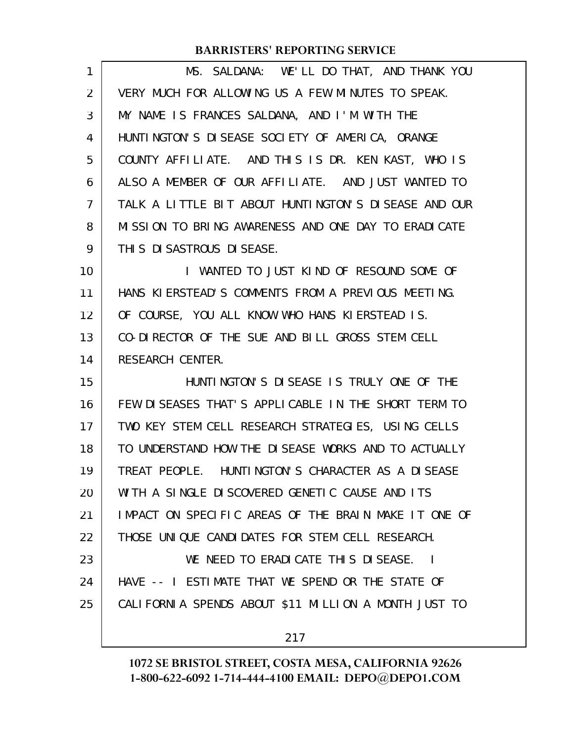| 1  | MS. SALDANA: WE'LL DO THAT, AND THANK YOU            |
|----|------------------------------------------------------|
| 2  | VERY MUCH FOR ALLOWING US A FEW MINUTES TO SPEAK.    |
| 3  | MY NAME IS FRANCES SALDANA, AND I'M WITH THE         |
| 4  | HUNTINGTON'S DISEASE SOCIETY OF AMERICA, ORANGE      |
| 5  | COUNTY AFFILIATE. AND THIS IS DR. KEN KAST, WHO IS   |
| 6  | ALSO A MEMBER OF OUR AFFILIATE. AND JUST WANTED TO   |
| 7  | TALK A LITTLE BIT ABOUT HUNTINGTON'S DISEASE AND OUR |
| 8  | MISSION TO BRING AWARENESS AND ONE DAY TO ERADICATE  |
| 9  | THI S DI SASTROUS DI SEASE.                          |
| 10 | I WANTED TO JUST KIND OF RESOUND SOME OF             |
| 11 | HANS KIERSTEAD'S COMMENTS FROM A PREVIOUS MEETING.   |
| 12 | OF COURSE, YOU ALL KNOW WHO HANS KIERSTEAD IS.       |
| 13 | CO-DIRECTOR OF THE SUE AND BILL GROSS STEM CELL      |
| 14 | <b>RESEARCH CENTER.</b>                              |
| 15 | HUNTINGTON'S DISEASE IS TRULY ONE OF THE             |
| 16 | FEW DISEASES THAT'S APPLICABLE IN THE SHORT TERM TO  |
| 17 | TWO KEY STEM CELL RESEARCH STRATEGIES, USING CELLS   |
| 18 | TO UNDERSTAND HOW THE DISEASE WORKS AND TO ACTUALLY  |
| 19 | TREAT PEOPLE. HUNTINGTON'S CHARACTER AS A DISEASE    |
| 20 | WITH A SINGLE DISCOVERED GENETIC CAUSE AND ITS       |
| 21 | IMPACT ON SPECIFIC AREAS OF THE BRAIN MAKE IT ONE OF |
| 22 | THOSE UNIQUE CANDIDATES FOR STEM CELL RESEARCH.      |
| 23 | WE NEED TO ERADICATE THIS DISEASE. I                 |
| 24 | HAVE -- I ESTIMATE THAT WE SPEND OR THE STATE OF     |
| 25 | CALIFORNIA SPENDS ABOUT \$11 MILLION A MONTH JUST TO |
|    | 217                                                  |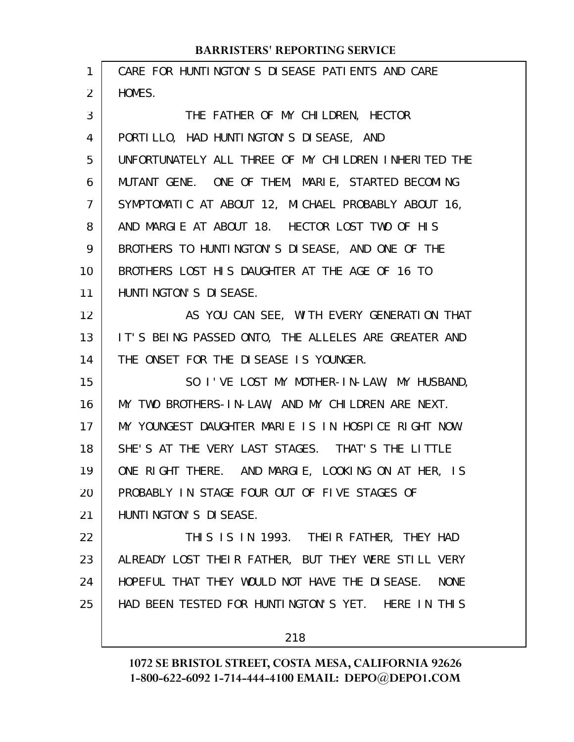| $\mathbf{1}$   | CARE FOR HUNTINGTON'S DISEASE PATIENTS AND CARE      |
|----------------|------------------------------------------------------|
| 2              | HOMES.                                               |
| 3              | THE FATHER OF MY CHILDREN, HECTOR                    |
| 4              | PORTILLO, HAD HUNTINGTON'S DISEASE, AND              |
| 5              | UNFORTUNATELY ALL THREE OF MY CHILDREN INHERITED THE |
| 6              | MUTANT GENE. ONE OF THEM, MARIE, STARTED BECOMING    |
| $\overline{7}$ | SYMPTOMATIC AT ABOUT 12, MICHAEL PROBABLY ABOUT 16,  |
| 8              | AND MARGIE AT ABOUT 18. HECTOR LOST TWO OF HIS       |
| 9              | BROTHERS TO HUNTINGTON'S DISEASE, AND ONE OF THE     |
| 10             | BROTHERS LOST HIS DAUGHTER AT THE AGE OF 16 TO       |
| 11             | HUNTI NGTON'S DI SEASE.                              |
| 12             | AS YOU CAN SEE, WITH EVERY GENERATION THAT           |
| 13             | IT'S BEING PASSED ONTO, THE ALLELES ARE GREATER AND  |
| 14             | THE ONSET FOR THE DISEASE IS YOUNGER.                |
| 15             | SO I'VE LOST MY MOTHER-IN-LAW, MY HUSBAND,           |
| 16             | MY TWO BROTHERS-IN-LAW, AND MY CHILDREN ARE NEXT.    |
| 17             | MY YOUNGEST DAUGHTER MARIE IS IN HOSPICE RIGHT NOW.  |
| 18             | SHE'S AT THE VERY LAST STAGES. THAT'S THE LITTLE     |
| 19             | ONE RIGHT THERE. AND MARGIE, LOOKING ON AT HER, IS   |
| 20             | PROBABLY IN STAGE FOUR OUT OF FIVE STAGES OF         |
| 21             | HUNTI NGTON'S DI SEASE.                              |
| 22             | THIS IS IN 1993. THEIR FATHER, THEY HAD              |
| 23             | ALREADY LOST THEIR FATHER, BUT THEY WERE STILL VERY  |
| 24             | HOPEFUL THAT THEY WOULD NOT HAVE THE DISEASE. NONE   |
| 25             | HAD BEEN TESTED FOR HUNTINGTON'S YET. HERE IN THIS   |
|                | 218                                                  |
|                |                                                      |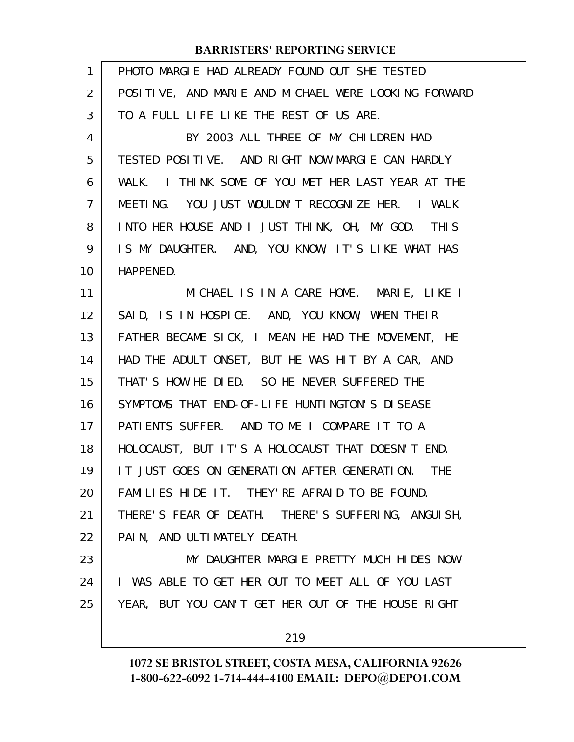| $\mathbf{1}$   | PHOTO MARGLE HAD ALREADY FOUND OUT SHE TESTED        |
|----------------|------------------------------------------------------|
| $\overline{2}$ | POSITIVE, AND MARIE AND MICHAEL WERE LOOKING FORWARD |
| 3              | TO A FULL LIFE LIKE THE REST OF US ARE.              |
| 4              | BY 2003 ALL THREE OF MY CHILDREN HAD                 |
| 5              | TESTED POSITIVE. AND RIGHT NOW MARGIE CAN HARDLY     |
| 6              | WALK. I THINK SOME OF YOU MET HER LAST YEAR AT THE   |
| $\overline{7}$ | MEETING. YOU JUST WOULDN'T RECOGNIZE HER. I WALK     |
| 8              | INTO HER HOUSE AND I JUST THINK, OH, MY GOD. THIS    |
| 9              | IS MY DAUGHTER. AND, YOU KNOW, IT'S LIKE WHAT HAS    |
| 10             | HAPPENED.                                            |
| 11             | MICHAEL IS IN A CARE HOME. MARIE, LIKE I             |
| 12             | SAID, IS IN HOSPICE. AND, YOU KNOW, WHEN THEIR       |
| 13             | FATHER BECAME SICK, I MEAN HE HAD THE MOVEMENT, HE   |
| 14             | HAD THE ADULT ONSET, BUT HE WAS HIT BY A CAR, AND    |
| 15             | THAT'S HOW HE DIED. SO HE NEVER SUFFERED THE         |
| 16             | SYMPTOMS THAT END-OF-LIFE HUNTINGTON'S DISEASE       |
| 17             | PATIENTS SUFFER. AND TO ME I COMPARE IT TO A         |
| 18             | HOLOCAUST, BUT IT'S A HOLOCAUST THAT DOESN'T END.    |
| 19             | IT JUST GOES ON GENERATION AFTER GENERATION. THE     |
| 20             | FAMILIES HIDE IT. THEY' RE AFRAID TO BE FOUND.       |
| 21             | THERE'S FEAR OF DEATH. THERE'S SUFFERING, ANGUISH,   |
| 22             | PAIN, AND ULTIMATELY DEATH.                          |
| 23             | MY DAUGHTER MARGLE PRETTY MUCH HIDES NOW.            |
| 24             | I WAS ABLE TO GET HER OUT TO MEET ALL OF YOU LAST    |
| 25             | YEAR, BUT YOU CAN'T GET HER OUT OF THE HOUSE RIGHT   |
|                | 219                                                  |
|                |                                                      |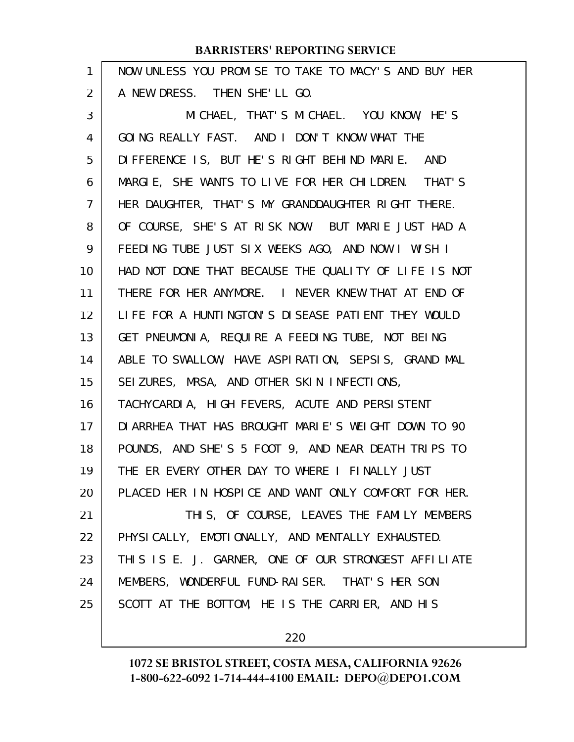| 1  | NOW UNLESS YOU PROMISE TO TAKE TO MACY'S AND BUY HER |
|----|------------------------------------------------------|
| 2  | A NEW DRESS. THEN SHE'LL GO.                         |
| 3  | MICHAEL, THAT'S MICHAEL. YOU KNOW, HE'S              |
| 4  | GOING REALLY FAST. AND I DON'T KNOW WHAT THE         |
| 5  | DIFFERENCE IS, BUT HE'S RIGHT BEHIND MARIE. AND      |
| 6  | MARGIE, SHE WANTS TO LIVE FOR HER CHILDREN. THAT'S   |
| 7  | HER DAUGHTER, THAT'S MY GRANDDAUGHTER RIGHT THERE.   |
| 8  | OF COURSE, SHE'S AT RISK NOW. BUT MARIE JUST HAD A   |
| 9  | FEEDING TUBE JUST SIX WEEKS AGO, AND NOW I WISH I    |
| 10 | HAD NOT DONE THAT BECAUSE THE QUALITY OF LIFE IS NOT |
| 11 | THERE FOR HER ANYMORE. I NEVER KNEW THAT AT END OF   |
| 12 | LIFE FOR A HUNTINGTON'S DISEASE PATIENT THEY WOULD   |
| 13 | GET PNEUMONIA, REQUIRE A FEEDING TUBE, NOT BEING     |
| 14 | ABLE TO SWALLOW, HAVE ASPIRATION, SEPSIS, GRAND MAL  |
| 15 | SEIZURES, MRSA, AND OTHER SKIN INFECTIONS,           |
| 16 | TACHYCARDIA, HIGH FEVERS, ACUTE AND PERSISTENT       |
| 17 | DI ARRHEA THAT HAS BROUGHT MARIE'S WEIGHT DOWN TO 90 |
| 18 | POUNDS, AND SHE'S 5 FOOT 9, AND NEAR DEATH TRIPS TO  |
| 19 | THE ER EVERY OTHER DAY TO WHERE I FINALLY JUST       |
| 20 | PLACED HER IN HOSPICE AND WANT ONLY COMFORT FOR HER. |
| 21 | THIS, OF COURSE, LEAVES THE FAMILY MEMBERS           |
| 22 | PHYSICALLY, EMOTIONALLY, AND MENTALLY EXHAUSTED.     |
| 23 | THIS IS E. J. GARNER, ONE OF OUR STRONGEST AFFILIATE |
| 24 | MEMBERS, WONDERFUL FUND-RAISER. THAT'S HER SON       |
| 25 | SCOTT AT THE BOTTOM, HE IS THE CARRIER, AND HIS      |
|    |                                                      |

220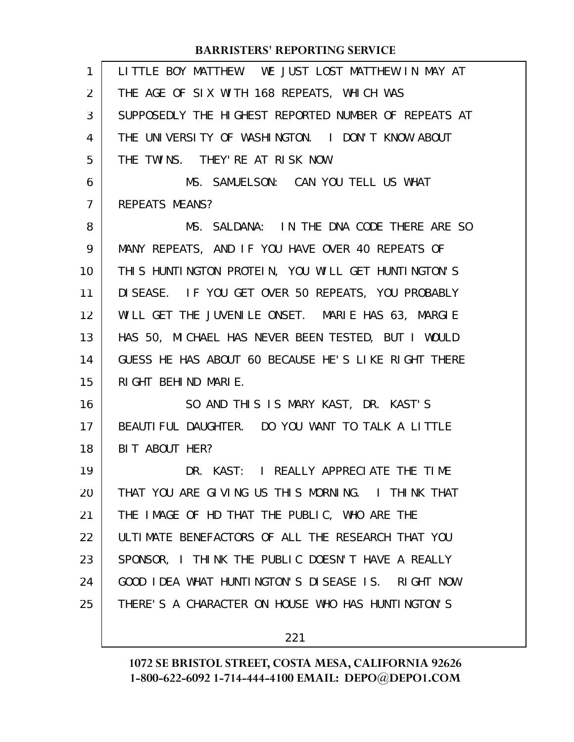| 1              | LITTLE BOY MATTHEW. WE JUST LOST MATTHEW IN MAY AT   |
|----------------|------------------------------------------------------|
| 2              | THE AGE OF SIX WITH 168 REPEATS, WHICH WAS           |
| 3              | SUPPOSEDLY THE HIGHEST REPORTED NUMBER OF REPEATS AT |
| 4              | THE UNIVERSITY OF WASHINGTON. I DON'T KNOW ABOUT     |
| 5              | THE TWINS. THEY' RE AT RISK NOW.                     |
| 6              | MS. SAMUELSON: CAN YOU TELL US WHAT                  |
| $\overline{7}$ | <b>REPEATS MEANS?</b>                                |
| 8              | MS. SALDANA: IN THE DNA CODE THERE ARE SO            |
| 9              | MANY REPEATS, AND IF YOU HAVE OVER 40 REPEATS OF     |
| 10             | THIS HUNTINGTON PROTEIN, YOU WILL GET HUNTINGTON'S   |
| 11             | DISEASE. IF YOU GET OVER 50 REPEATS, YOU PROBABLY    |
| 12             | WILL GET THE JUVENILE ONSET. MARIE HAS 63, MARGIE    |
| 13             | HAS 50, MICHAEL HAS NEVER BEEN TESTED, BUT I WOULD   |
| 14             | GUESS HE HAS ABOUT 60 BECAUSE HE'S LIKE RIGHT THERE  |
| 15             | RIGHT BEHIND MARIE.                                  |
| 16             | SO AND THIS IS MARY KAST, DR. KAST'S                 |
| 17             | BEAUTIFUL DAUGHTER. DO YOU WANT TO TALK A LITTLE     |
| 18             | BIT ABOUT HER?                                       |
| 19             | DR. KAST: I REALLY APPRECIATE THE TIME               |
| 20             | THAT YOU ARE GIVING US THIS MORNING. I THINK THAT    |
| 21             | THE IMAGE OF HD THAT THE PUBLIC, WHO ARE THE         |
| 22             | ULTIMATE BENEFACTORS OF ALL THE RESEARCH THAT YOU    |
| 23             | SPONSOR, I THINK THE PUBLIC DOESN'T HAVE A REALLY    |
| 24             | GOOD IDEA WHAT HUNTINGTON'S DISEASE IS. RIGHT NOW    |
| 25             | THERE'S A CHARACTER ON HOUSE WHO HAS HUNTINGTON'S    |
|                |                                                      |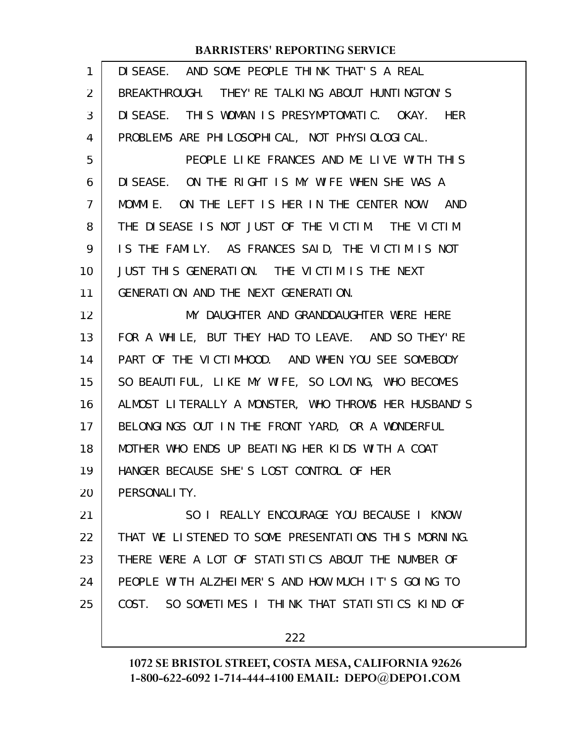| $\mathbf{1}$   | DISEASE. AND SOME PEOPLE THINK THAT'S A REAL         |
|----------------|------------------------------------------------------|
| 2              | BREAKTHROUGH. THEY' RE TALKING ABOUT HUNTINGTON'S    |
| 3              | DISEASE. THIS WOMAN IS PRESYMPTOMATIC. OKAY. HER     |
| 4              | PROBLEMS ARE PHILOSOPHICAL, NOT PHYSIOLOGICAL.       |
| 5              | PEOPLE LIKE FRANCES AND ME LIVE WITH THIS            |
| 6              | DISEASE. ON THE RIGHT IS MY WIFE WHEN SHE WAS A      |
| $\overline{7}$ | MOMMIE. ON THE LEFT IS HER IN THE CENTER NOW. AND    |
| 8              | THE DISEASE IS NOT JUST OF THE VICTIM. THE VICTIM    |
| 9              | IS THE FAMILY. AS FRANCES SAID, THE VICTIM IS NOT    |
| 10             | JUST THIS GENERATION. THE VICTIM IS THE NEXT         |
| 11             | GENERATION AND THE NEXT GENERATION.                  |
| 12             | MY DAUGHTER AND GRANDDAUGHTER WERE HERE              |
| 13             | FOR A WHILE, BUT THEY HAD TO LEAVE. AND SO THEY'RE   |
| 14             | PART OF THE VICTIMHOOD. AND WHEN YOU SEE SOMEBODY    |
| 15             | SO BEAUTIFUL, LIKE MY WIFE, SO LOVING, WHO BECOMES   |
| 16             | ALMOST LITERALLY A MONSTER, WHO THROWS HER HUSBAND'S |
| 17             | BELONGINGS OUT IN THE FRONT YARD, OR A WONDERFUL     |
| 18             | MOTHER WHO ENDS UP BEATING HER KIDS WITH A COAT      |
| 19             | HANGER BECAUSE SHE'S LOST CONTROL OF HER             |
| 20             | PERSONALI TY.                                        |
| 21             | SO I REALLY ENCOURAGE YOU BECAUSE I KNOW             |
| 22             | THAT WE LISTENED TO SOME PRESENTATIONS THIS MORNING. |
| 23             | THERE WERE A LOT OF STATISTICS ABOUT THE NUMBER OF   |
| 24             | PEOPLE WITH ALZHEIMER'S AND HOW MUCH IT'S GOING TO   |
| 25             | COST. SO SOMETIMES I THINK THAT STATISTICS KIND OF   |
|                | 222                                                  |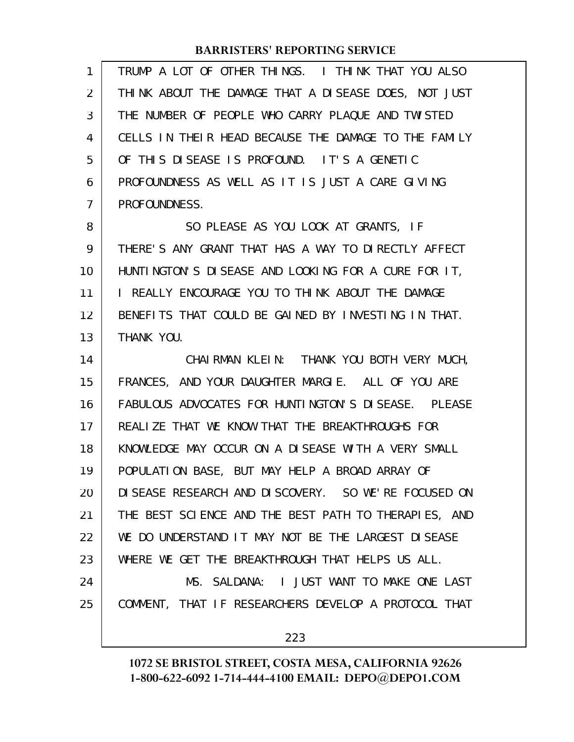| 1  | TRUMP A LOT OF OTHER THINGS. I THINK THAT YOU ALSO    |
|----|-------------------------------------------------------|
| 2  | THINK ABOUT THE DAMAGE THAT A DISEASE DOES, NOT JUST  |
| 3  | THE NUMBER OF PEOPLE WHO CARRY PLAQUE AND TWISTED     |
| 4  | CELLS IN THEIR HEAD BECAUSE THE DAMAGE TO THE FAMILY  |
| 5  | OF THIS DISEASE IS PROFOUND. IT'S A GENETIC           |
| 6  | PROFOUNDNESS AS WELL AS IT IS JUST A CARE GIVING      |
| 7  | PROFOUNDNESS.                                         |
| 8  | SO PLEASE AS YOU LOOK AT GRANTS, IF                   |
| 9  | THERE'S ANY GRANT THAT HAS A WAY TO DIRECTLY AFFECT   |
| 10 | HUNTINGTON'S DISEASE AND LOOKING FOR A CURE FOR IT,   |
| 11 | I REALLY ENCOURAGE YOU TO THINK ABOUT THE DAMAGE      |
| 12 | BENEFITS THAT COULD BE GAINED BY INVESTING IN THAT.   |
| 13 | THANK YOU.                                            |
| 14 | CHAIRMAN KLEIN: THANK YOU BOTH VERY MUCH,             |
| 15 | FRANCES, AND YOUR DAUGHTER MARGIE. ALL OF YOU ARE     |
| 16 | FABULOUS ADVOCATES FOR HUNTINGTON'S DISEASE. PLEASE   |
| 17 | REALIZE THAT WE KNOW THAT THE BREAKTHROUGHS FOR       |
| 18 | KNOWLEDGE MAY OCCUR ON A DISEASE WITH A VERY SMALL    |
| 19 | POPULATION BASE, BUT MAY HELP A BROAD ARRAY OF        |
| 20 | DI SEASE RESEARCH AND DI SCOVERY. SO WE'RE FOCUSED ON |
| 21 | THE BEST SCIENCE AND THE BEST PATH TO THERAPIES, AND  |
| 22 | WE DO UNDERSTAND IT MAY NOT BE THE LARGEST DISEASE    |
| 23 | WHERE WE GET THE BREAKTHROUGH THAT HELPS US ALL.      |
| 24 | MS. SALDANA: I JUST WANT TO MAKE ONE LAST             |
| 25 | COMMENT, THAT IF RESEARCHERS DEVELOP A PROTOCOL THAT  |
|    | 223                                                   |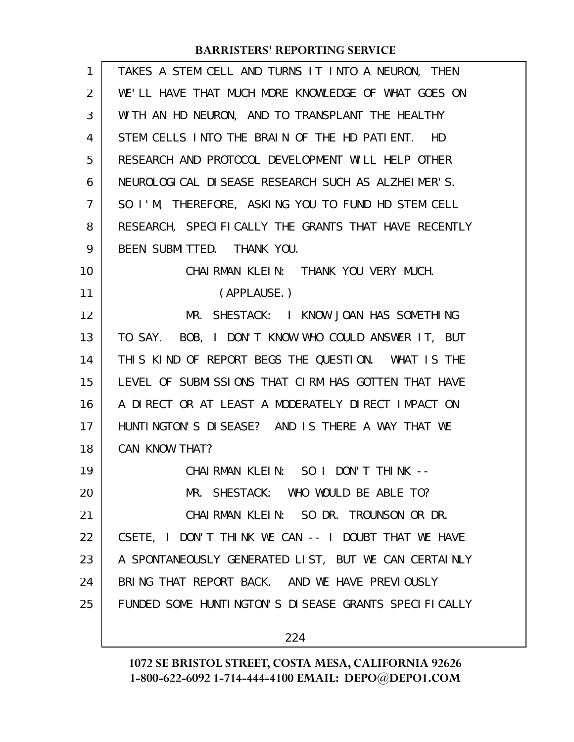| 1  | TAKES A STEM CELL AND TURNS IT INTO A NEURON, THEN   |
|----|------------------------------------------------------|
| 2  | WE'LL HAVE THAT MUCH MORE KNOWLEDGE OF WHAT GOES ON  |
| 3  | WITH AN HD NEURON, AND TO TRANSPLANT THE HEALTHY     |
| 4  | STEM CELLS INTO THE BRAIN OF THE HD PATIENT. HD      |
| 5  | RESEARCH AND PROTOCOL DEVELOPMENT WILL HELP OTHER    |
| 6  | NEUROLOGICAL DI SEASE RESEARCH SUCH AS ALZHEIMER'S.  |
| 7  | SO I'M, THEREFORE, ASKING YOU TO FUND HD STEM CELL   |
| 8  | RESEARCH, SPECIFICALLY THE GRANTS THAT HAVE RECENTLY |
| 9  | BEEN SUBMITTED. THANK YOU.                           |
| 10 | CHAIRMAN KLEIN: THANK YOU VERY MUCH.                 |
| 11 | (APPLAUSE.)                                          |
| 12 | MR. SHESTACK: I KNOW JOAN HAS SOMETHING              |
| 13 | TO SAY. BOB, I DON'T KNOW WHO COULD ANSWER IT, BUT   |
| 14 | THIS KIND OF REPORT BEGS THE QUESTION. WHAT IS THE   |
| 15 | LEVEL OF SUBMISSIONS THAT CIRM HAS GOTTEN THAT HAVE  |
| 16 | A DIRECT OR AT LEAST A MODERATELY DIRECT IMPACT ON   |
| 17 | HUNTINGTON'S DISEASE? AND IS THERE A WAY THAT WE     |
| 18 | CAN KNOW THAT?                                       |
| 19 | CHAIRMAN KLEIN: SO I DON'T THINK --                  |
| 20 | MR. SHESTACK: WHO WOULD BE ABLE TO?                  |
| 21 | CHAIRMAN KLEIN: SO DR. TROUNSON OR DR.               |
| 22 | CSETE, I DON'T THINK WE CAN -- I DOUBT THAT WE HAVE  |
| 23 | A SPONTANEOUSLY GENERATED LIST, BUT WE CAN CERTAINLY |
| 24 | BRING THAT REPORT BACK. AND WE HAVE PREVIOUSLY       |
| 25 | FUNDED SOME HUNTINGTON'S DISEASE GRANTS SPECIFICALLY |
|    |                                                      |
|    | 224                                                  |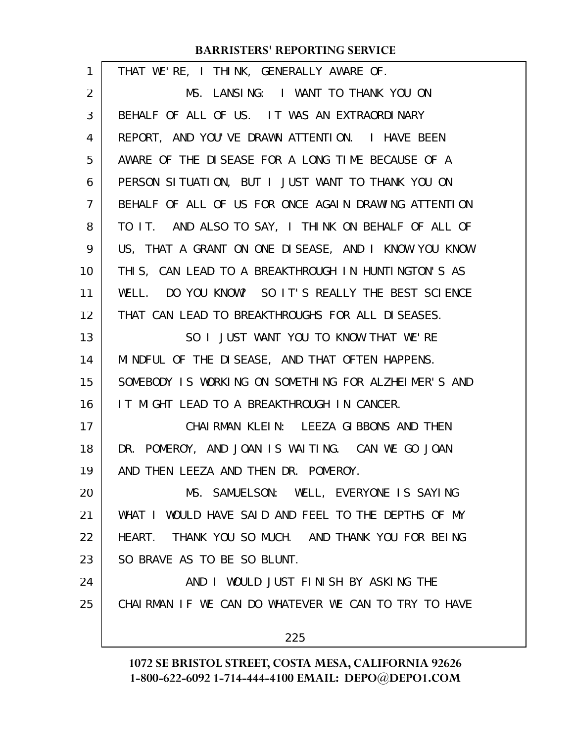| $\mathbf{1}$   | THAT WE'RE, I THINK, GENERALLY AWARE OF.             |
|----------------|------------------------------------------------------|
| $\overline{2}$ | MS. LANSING: I WANT TO THANK YOU ON                  |
| 3              | BEHALF OF ALL OF US. IT WAS AN EXTRAORDINARY         |
| 4              | REPORT, AND YOU'VE DRAWN ATTENTION. I HAVE BEEN      |
| 5              | AWARE OF THE DISEASE FOR A LONG TIME BECAUSE OF A    |
| 6              | PERSON SITUATION, BUT I JUST WANT TO THANK YOU ON    |
| $\overline{7}$ | BEHALF OF ALL OF US FOR ONCE AGAIN DRAWING ATTENTION |
| 8              | TO IT. AND ALSO TO SAY, I THINK ON BEHALF OF ALL OF  |
| 9              | US, THAT A GRANT ON ONE DISEASE, AND I KNOW YOU KNOW |
| 10             | THIS, CAN LEAD TO A BREAKTHROUGH IN HUNTINGTON'S AS  |
| 11             | WELL. DO YOU KNOW? SO IT'S REALLY THE BEST SCIENCE   |
| 12             | THAT CAN LEAD TO BREAKTHROUGHS FOR ALL DISEASES.     |
| 13             | SO I JUST WANT YOU TO KNOW THAT WE'RE                |
| 14             | MINDFUL OF THE DISEASE, AND THAT OFTEN HAPPENS.      |
| 15             | SOMEBODY IS WORKING ON SOMETHING FOR ALZHEIMER'S AND |
| 16             | IT MIGHT LEAD TO A BREAKTHROUGH IN CANCER.           |
| 17             | CHAI RMAN KLEIN: LEEZA GIBBONS AND THEN              |
| 18             | DR. POMEROY, AND JOAN IS WAITING. CAN WE GO JOAN     |
| 19             | AND THEN LEEZA AND THEN DR. POMEROY.                 |
| 20             | MS. SAMUELSON: WELL, EVERYONE IS SAYING              |
| 21             | WHAT I WOULD HAVE SAID AND FEEL TO THE DEPTHS OF MY  |
| 22             | HEART. THANK YOU SO MUCH. AND THANK YOU FOR BEING    |
| 23             | SO BRAVE AS TO BE SO BLUNT.                          |
| 24             | AND I WOULD JUST FINISH BY ASKING THE                |
| 25             | CHAIRMAN IF WE CAN DO WHATEVER WE CAN TO TRY TO HAVE |
|                | 225                                                  |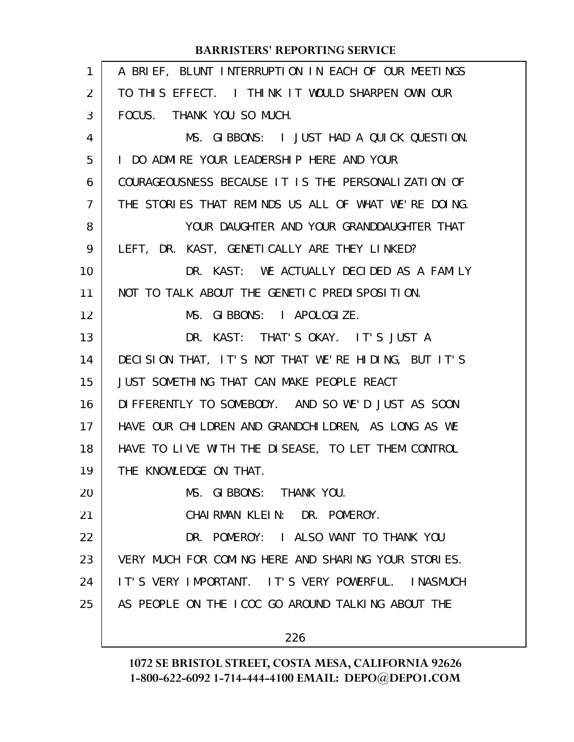| 1              | A BRIEF, BLUNT INTERRUPTION IN EACH OF OUR MEETINGS  |
|----------------|------------------------------------------------------|
| 2              | TO THIS EFFECT. I THINK IT WOULD SHARPEN OWN OUR     |
| 3              | FOCUS. THANK YOU SO MUCH.                            |
| 4              | MS. GIBBONS: I JUST HAD A QUICK QUESTION.            |
| 5              | I DO ADMIRE YOUR LEADERSHIP HERE AND YOUR            |
| 6              | COURAGEOUSNESS BECAUSE IT IS THE PERSONALIZATION OF  |
| $\overline{7}$ | THE STORIES THAT REMINDS US ALL OF WHAT WE'RE DOING. |
| 8              | YOUR DAUGHTER AND YOUR GRANDDAUGHTER THAT            |
| 9              | LEFT, DR. KAST, GENETICALLY ARE THEY LINKED?         |
| 10             | DR. KAST: WE ACTUALLY DECIDED AS A FAMILY            |
| 11             | NOT TO TALK ABOUT THE GENETIC PREDISPOSITION.        |
| 12             | MS. GIBBONS: I APOLOGIZE.                            |
| 13             | DR. KAST: THAT'S OKAY. IT'S JUST A                   |
| 14             | DECISION THAT, IT'S NOT THAT WE'RE HIDING, BUT IT'S  |
| 15             | JUST SOMETHING THAT CAN MAKE PEOPLE REACT            |
| 16             | DIFFERENTLY TO SOMEBODY. AND SO WE'D JUST AS SOON    |
| 17             | HAVE OUR CHILDREN AND GRANDCHILDREN, AS LONG AS WE   |
| 18             | HAVE TO LIVE WITH THE DISEASE, TO LET THEM CONTROL   |
| 19             | THE KNOWLEDGE ON THAT.                               |
| 20             | MS. GIBBONS: THANK YOU.                              |
| 21             | CHAIRMAN KLEIN: DR. POMEROY.                         |
| 22             | DR. POMEROY: I ALSO WANT TO THANK YOU                |
| 23             | VERY MUCH FOR COMING HERE AND SHARING YOUR STORIES.  |
| 24             | IT'S VERY IMPORTANT. IT'S VERY POWERFUL. INASMUCH    |
| 25             | AS PEOPLE ON THE ICOC GO AROUND TALKING ABOUT THE    |
|                | 226                                                  |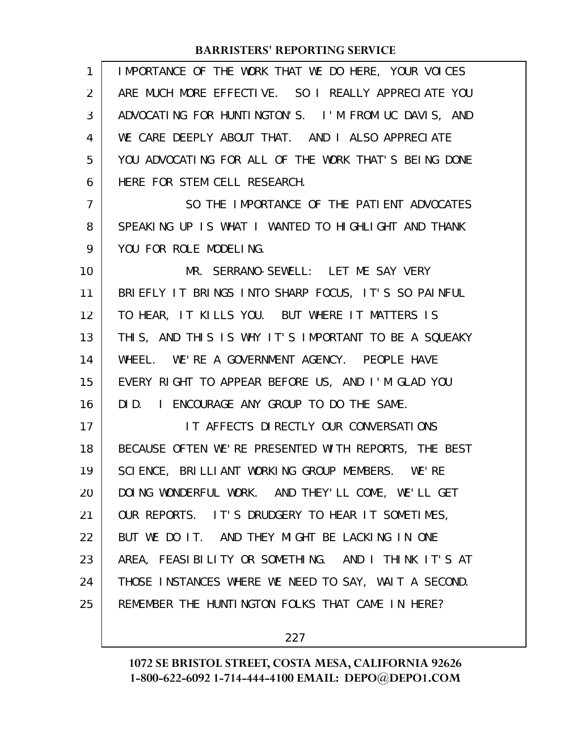| 1              | IMPORTANCE OF THE WORK THAT WE DO HERE, YOUR VOICES  |
|----------------|------------------------------------------------------|
| 2              | ARE MUCH MORE EFFECTIVE. SO I REALLY APPRECIATE YOU  |
| 3              | ADVOCATING FOR HUNTINGTON'S. I'M FROM UC DAVIS, AND  |
| 4              | WE CARE DEEPLY ABOUT THAT. AND I ALSO APPRECIATE     |
| 5              | YOU ADVOCATING FOR ALL OF THE WORK THAT'S BEING DONE |
| 6              | HERE FOR STEM CELL RESEARCH.                         |
| $\overline{7}$ | SO THE IMPORTANCE OF THE PATIENT ADVOCATES           |
| 8              | SPEAKING UP IS WHAT I WANTED TO HIGHLIGHT AND THANK  |
| 9              | YOU FOR ROLE MODELING.                               |
| 10             | MR. SERRANO-SEWELL: LET ME SAY VERY                  |
| 11             | BRIEFLY IT BRINGS INTO SHARP FOCUS, IT'S SO PAINFUL  |
| 12             | TO HEAR, IT KILLS YOU. BUT WHERE IT MATTERS IS       |
| 13             | THIS, AND THIS IS WHY IT'S IMPORTANT TO BE A SQUEAKY |
| 14             | WHEEL. WE'RE A GOVERNMENT AGENCY. PEOPLE HAVE        |
| 15             | EVERY RIGHT TO APPEAR BEFORE US, AND I'M GLAD YOU    |
| 16             | DID. I ENCOURAGE ANY GROUP TO DO THE SAME.           |
| 17             | IT AFFECTS DIRECTLY OUR CONVERSATIONS                |
| 18             | BECAUSE OFTEN WE'RE PRESENTED WITH REPORTS, THE BEST |
| 19             | SCIENCE, BRILLIANT WORKING GROUP MEMBERS. WE'RE      |
| 20             | DOING WONDERFUL WORK. AND THEY'LL COME, WE'LL GET    |
| 21             | OUR REPORTS. IT'S DRUDGERY TO HEAR IT SOMETIMES,     |
| 22             | BUT WE DO IT. AND THEY MIGHT BE LACKING IN ONE       |
| 23             | AREA, FEASIBILITY OR SOMETHING. AND I THINK IT'S AT  |
| 24             | THOSE INSTANCES WHERE WE NEED TO SAY, WAIT A SECOND. |
| 25             | REMEMBER THE HUNTINGTON FOLKS THAT CAME IN HERE?     |
|                |                                                      |

227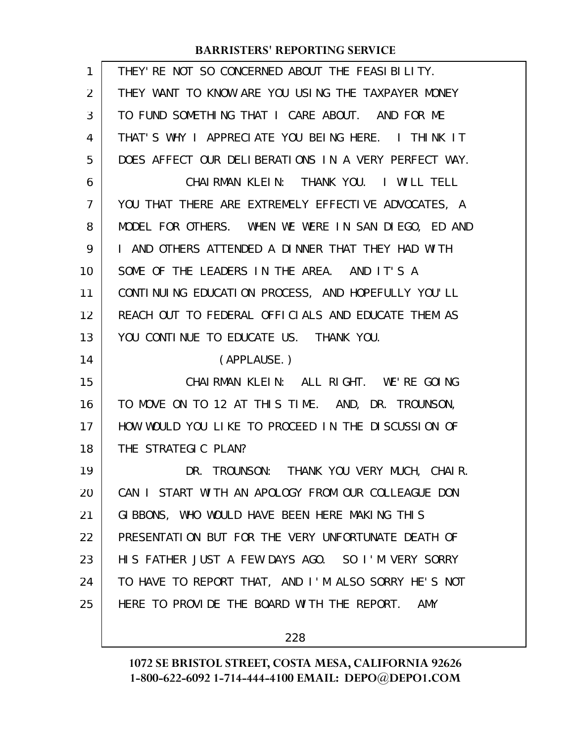| $\mathbf{1}$   | THEY' RE NOT SO CONCERNED ABOUT THE FEASIBILITY.         |
|----------------|----------------------------------------------------------|
| 2              | THEY WANT TO KNOW ARE YOU USING THE TAXPAYER MONEY       |
| 3              | TO FUND SOMETHING THAT I CARE ABOUT. AND FOR ME          |
| 4              | THAT'S WHY I APPRECIATE YOU BEING HERE. I THINK IT       |
| 5              | DOES AFFECT OUR DELIBERATIONS IN A VERY PERFECT WAY.     |
| 6              | CHAIRMAN KLEIN: THANK YOU. I WILL TELL                   |
| $\overline{7}$ | YOU THAT THERE ARE EXTREMELY EFFECTIVE ADVOCATES, A      |
| 8              | MODEL FOR OTHERS. WHEN WE WERE IN SAN DIEGO, ED AND      |
| 9              | I AND OTHERS ATTENDED A DINNER THAT THEY HAD WITH        |
| 10             | SOME OF THE LEADERS IN THE AREA. AND IT'S A              |
| 11             | CONTINUING EDUCATION PROCESS, AND HOPEFULLY YOU'LL       |
| 12             | REACH OUT TO FEDERAL OFFICIALS AND EDUCATE THEM AS       |
| 13             | YOU CONTINUE TO EDUCATE US. THANK YOU.                   |
| 14             | (APPLAUSE.)                                              |
| 15             | CHAIRMAN KLEIN: ALL RIGHT. WE'RE GOING                   |
| 16             |                                                          |
|                | TO MOVE ON TO 12 AT THIS TIME. AND, DR. TROUNSON,        |
| 17             | HOW WOULD YOU LIKE TO PROCEED IN THE DISCUSSION OF       |
| 18             | THE STRATEGIC PLAN?                                      |
| 19             | DR. TROUNSON: THANK YOU VERY MUCH, CHAIR.                |
| 20             | CAN I START WITH AN APOLOGY FROM OUR COLLEAGUE DON       |
| 21             | GIBBONS, WHO WOULD HAVE BEEN HERE MAKING THIS            |
| 22             | PRESENTATION BUT FOR THE VERY UNFORTUNATE DEATH OF       |
| 23             | HIS FATHER JUST A FEW DAYS AGO. SO I'M VERY SORRY        |
| 24             | TO HAVE TO REPORT THAT, AND I'M ALSO SORRY HE'S NOT      |
| 25             | HERE TO PROVIDE THE BOARD WITH THE REPORT.<br><b>AMY</b> |

228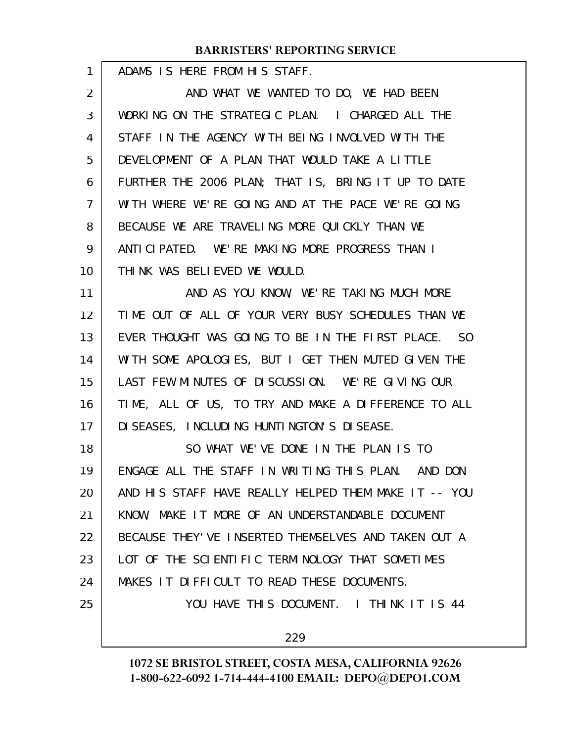ADAMS IS HERE FROM HIS STAFF.

1

AND WHAT WE WANTED TO DO, WE HAD BEEN WORKING ON THE STRATEGIC PLAN. I CHARGED ALL THE STAFF IN THE AGENCY WITH BEING INVOLVED WITH THE DEVELOPMENT OF A PLAN THAT WOULD TAKE A LITTLE FURTHER THE 2006 PLAN; THAT IS, BRING IT UP TO DATE WITH WHERE WE'RE GOING AND AT THE PACE WE'RE GOING BECAUSE WE ARE TRAVELING MORE QUICKLY THAN WE ANTICIPATED. WE'RE MAKING MORE PROGRESS THAN I THINK WAS BELIEVED WE WOULD. 2 3 4 5 6 7 8 9 10

AND AS YOU KNOW, WE'RE TAKING MUCH MORE TIME OUT OF ALL OF YOUR VERY BUSY SCHEDULES THAN WE EVER THOUGHT WAS GOING TO BE IN THE FIRST PLACE. SO WITH SOME APOLOGIES, BUT I GET THEN MUTED GIVEN THE LAST FEW MINUTES OF DISCUSSION. WE'RE GIVING OUR TIME, ALL OF US, TO TRY AND MAKE A DIFFERENCE TO ALL DISEASES, INCLUDING HUNTINGTON'S DISEASE. 11 12 13 14 15 16 17

SO WHAT WE'VE DONE IN THE PLAN IS TO ENGAGE ALL THE STAFF IN WRITING THIS PLAN. AND DON AND HIS STAFF HAVE REALLY HELPED THEM MAKE IT -- YOU KNOW, MAKE IT MORE OF AN UNDERSTANDABLE DOCUMENT BECAUSE THEY'VE INSERTED THEMSELVES AND TAKEN OUT A LOT OF THE SCIENTIFIC TERMINOLOGY THAT SOMETIMES MAKES IT DIFFICULT TO READ THESE DOCUMENTS. YOU HAVE THIS DOCUMENT. I THINK IT IS 44 18 19 20 21 22 23 24 25

229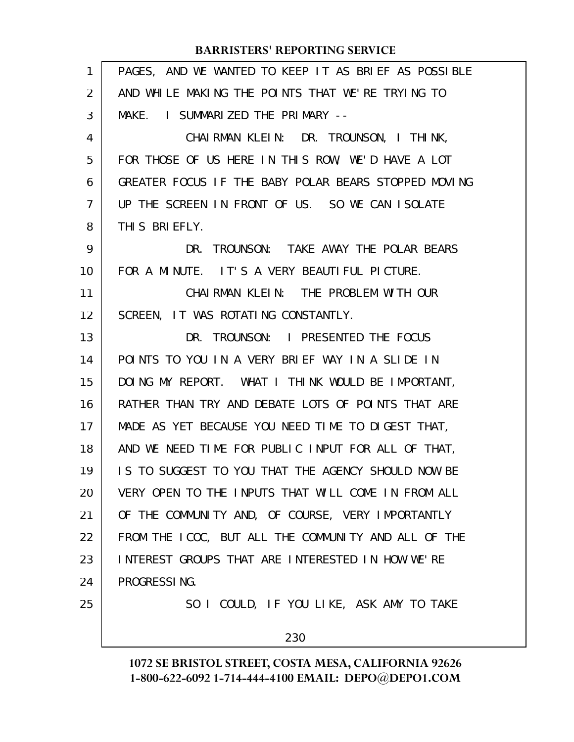| PAGES, AND WE WANTED TO KEEP IT AS BRIEF AS POSSIBLE |
|------------------------------------------------------|
| AND WHILE MAKING THE POINTS THAT WE'RE TRYING TO     |
| MAKE. I SUMMARIZED THE PRIMARY --                    |
| CHAIRMAN KLEIN: DR. TROUNSON, I THINK,               |
| FOR THOSE OF US HERE IN THIS ROW, WE'D HAVE A LOT    |
| GREATER FOCUS IF THE BABY POLAR BEARS STOPPED MOVING |
| UP THE SCREEN IN FRONT OF US. SO WE CAN ISOLATE      |
| THIS BRIEFLY.                                        |
| TROUNSON: TAKE AWAY THE POLAR BEARS<br>DR.           |
| FOR A MINUTE. IT'S A VERY BEAUTIFUL PICTURE.         |
| CHAIRMAN KLEIN: THE PROBLEM WITH OUR                 |
| SCREEN, IT WAS ROTATING CONSTANTLY.                  |
| DR. TROUNSON: I PRESENTED THE FOCUS                  |
| POINTS TO YOU IN A VERY BRIEF WAY IN A SLIDE IN      |
| DOING MY REPORT. WHAT I THINK WOULD BE IMPORTANT,    |
| RATHER THAN TRY AND DEBATE LOTS OF POINTS THAT ARE   |
| MADE AS YET BECAUSE YOU NEED TIME TO DIGEST THAT,    |
| AND WE NEED TIME FOR PUBLIC INPUT FOR ALL OF THAT,   |
| IS TO SUGGEST TO YOU THAT THE AGENCY SHOULD NOW BE   |
| VERY OPEN TO THE INPUTS THAT WILL COME IN FROM ALL   |
| OF THE COMMUNITY AND, OF COURSE, VERY IMPORTANTLY    |
| FROM THE ICOC, BUT ALL THE COMMUNITY AND ALL OF THE  |
| INTEREST GROUPS THAT ARE INTERESTED IN HOW WE'RE     |
| PROGRESSING.                                         |
| SO I COULD, IF YOU LIKE, ASK AMY TO TAKE             |
| 230                                                  |
|                                                      |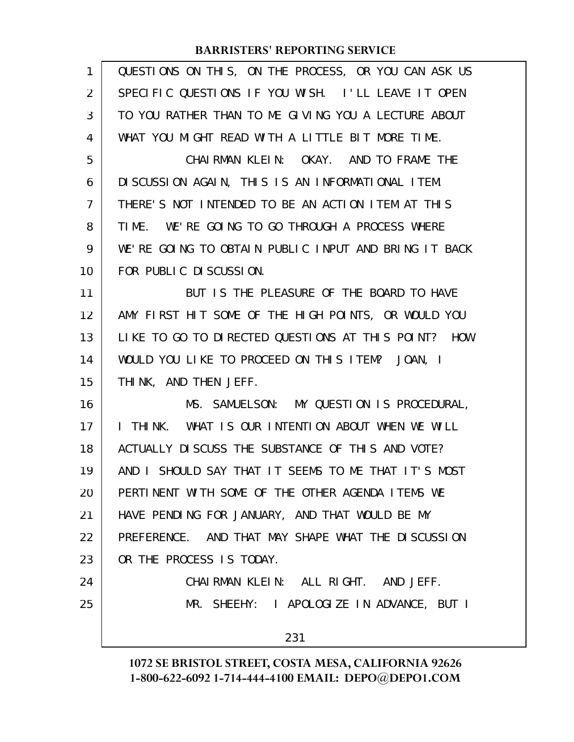| 1              | QUESTIONS ON THIS, ON THE PROCESS, OR YOU CAN ASK US |
|----------------|------------------------------------------------------|
| 2              | SPECIFIC QUESTIONS IF YOU WISH. I'LL LEAVE IT OPEN   |
| 3              | TO YOU RATHER THAN TO ME GIVING YOU A LECTURE ABOUT  |
| 4              | WHAT YOU MIGHT READ WITH A LITTLE BIT MORE TIME.     |
| 5              | CHAIRMAN KLEIN: OKAY. AND TO FRAME THE               |
| 6              | DI SCUSSION AGAIN, THIS IS AN INFORMATIONAL ITEM.    |
| $\overline{7}$ | THERE'S NOT INTENDED TO BE AN ACTION ITEM AT THIS    |
| 8              | TIME. WE'RE GOING TO GO THROUGH A PROCESS WHERE      |
| 9              | WE'RE GOING TO OBTAIN PUBLIC INPUT AND BRING IT BACK |
| 10             | FOR PUBLIC DISCUSSION.                               |
| 11             | BUT IS THE PLEASURE OF THE BOARD TO HAVE             |
| 12             | AMY FIRST HIT SOME OF THE HIGH POINTS, OR WOULD YOU  |
| 13             | LIKE TO GO TO DIRECTED QUESTIONS AT THIS POINT? HOW  |
| 14             | WOULD YOU LIKE TO PROCEED ON THIS ITEM? JOAN, I      |
| 15             | THINK, AND THEN JEFF.                                |
| 16             | MS. SAMUELSON: MY QUESTION IS PROCEDURAL,            |
| 17             | I THINK. WHAT IS OUR INTENTION ABOUT WHEN WE WILL    |
| 18             | ACTUALLY DISCUSS THE SUBSTANCE OF THIS AND VOTE?     |
| 19             | AND I SHOULD SAY THAT IT SEEMS TO ME THAT IT'S MOST  |
| 20             | PERTINENT WITH SOME OF THE OTHER AGENDA ITEMS WE     |
| 21             | HAVE PENDING FOR JANUARY, AND THAT WOULD BE MY       |
| 22             | PREFERENCE. AND THAT MAY SHAPE WHAT THE DISCUSSION   |
| 23             | OR THE PROCESS IS TODAY.                             |
| 24             | CHAIRMAN KLEIN: ALL RIGHT. AND JEFF.                 |
| 25             | MR. SHEEHY: I APOLOGIZE IN ADVANCE, BUT I            |
|                | 231                                                  |
|                |                                                      |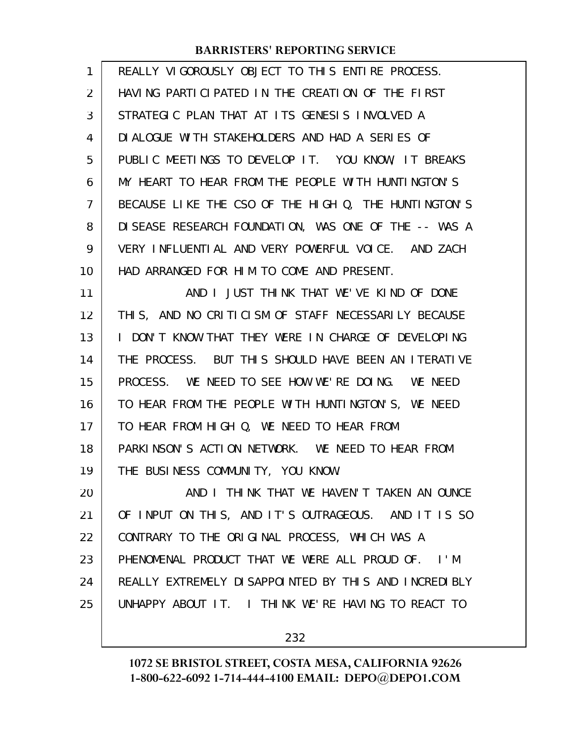| $\mathbf{1}$ | REALLY VIGOROUSLY OBJECT TO THIS ENTIRE PROCESS.      |
|--------------|-------------------------------------------------------|
| 2            | HAVING PARTICIPATED IN THE CREATION OF THE FIRST      |
| 3            | STRATEGIC PLAN THAT AT ITS GENESIS INVOLVED A         |
| 4            | DIALOGUE WITH STAKEHOLDERS AND HAD A SERIES OF        |
| 5            | PUBLIC MEETINGS TO DEVELOP IT. YOU KNOW, IT BREAKS    |
| 6            | MY HEART TO HEAR FROM THE PEOPLE WITH HUNTINGTON'S    |
| 7            | BECAUSE LIKE THE CSO OF THE HIGH Q, THE HUNTINGTON'S  |
| 8            | DISEASE RESEARCH FOUNDATION, WAS ONE OF THE -- WAS A  |
| 9            | VERY INFLUENTIAL AND VERY POWERFUL VOICE. AND ZACH    |
| 10           | HAD ARRANGED FOR HIM TO COME AND PRESENT.             |
| 11           | AND I JUST THINK THAT WE'VE KIND OF DONE              |
| 12           | THIS, AND NO CRITICISM OF STAFF NECESSARILY BECAUSE   |
| 13           | I DON'T KNOW THAT THEY WERE IN CHARGE OF DEVELOPING   |
| 14           | THE PROCESS. BUT THIS SHOULD HAVE BEEN AN ITERATIVE   |
| 15           | PROCESS. WE NEED TO SEE HOW WE'RE DOING. WE NEED      |
| 16           | TO HEAR FROM THE PEOPLE WITH HUNTINGTON'S, WE NEED    |
| 17           | TO HEAR FROM HIGH Q, WE NEED TO HEAR FROM             |
| 18           | PARKINSON'S ACTION NETWORK. WE NEED TO HEAR FROM      |
| 19           | THE BUSINESS COMMUNITY, YOU KNOW.                     |
| 20           | AND I THINK THAT WE HAVEN'T TAKEN AN OUNCE            |
| 21           | OF INPUT ON THIS, AND IT'S OUTRAGEOUS. AND IT IS SO   |
| 22           | CONTRARY TO THE ORIGINAL PROCESS, WHICH WAS A         |
| 23           | PHENOMENAL PRODUCT THAT WE WERE ALL PROUD OF. I'M     |
| 24           | REALLY EXTREMELY DI SAPPOINTED BY THIS AND INCREDIBLY |
| 25           | UNHAPPY ABOUT IT. I THINK WE'RE HAVING TO REACT TO    |
|              |                                                       |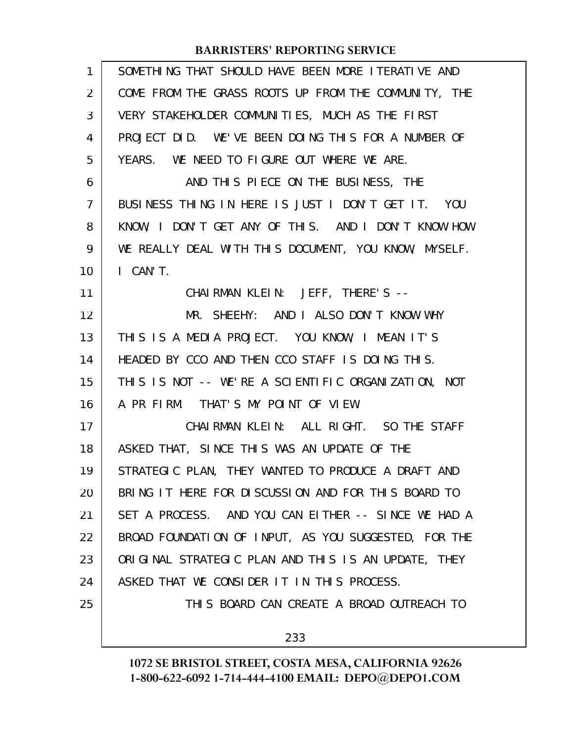| SOMETHING THAT SHOULD HAVE BEEN MORE ITERATIVE AND   |
|------------------------------------------------------|
| COME FROM THE GRASS ROOTS UP FROM THE COMMUNITY, THE |
| VERY STAKEHOLDER COMMUNITIES, MUCH AS THE FIRST      |
| PROJECT DID. WE'VE BEEN DOING THIS FOR A NUMBER OF   |
| YEARS. WE NEED TO FIGURE OUT WHERE WE ARE.           |
| AND THIS PIECE ON THE BUSINESS, THE                  |
| BUSINESS THING IN HERE IS JUST I DON'T GET IT. YOU   |
| KNOW, I DON'T GET ANY OF THIS. AND I DON'T KNOW HOW  |
| WE REALLY DEAL WITH THIS DOCUMENT, YOU KNOW, MYSELF. |
| I CAN'T.                                             |
| CHAIRMAN KLEIN: JEFF, THERE'S --                     |
| MR. SHEEHY: AND I ALSO DON'T KNOW WHY                |
| THIS IS A MEDIA PROJECT. YOU KNOW, I MEAN IT'S       |
| HEADED BY CCO AND THEN CCO STAFF IS DOING THIS.      |
| THIS IS NOT -- WE'RE A SCIENTIFIC ORGANIZATION, NOT  |
| A PR FIRM. THAT'S MY POINT OF VIEW.                  |
| CHAIRMAN KLEIN: ALL RIGHT. SO THE STAFF              |
| ASKED THAT, SINCE THIS WAS AN UPDATE OF THE          |
| STRATEGIC PLAN, THEY WANTED TO PRODUCE A DRAFT AND   |
| BRING IT HERE FOR DISCUSSION AND FOR THIS BOARD TO   |
| SET A PROCESS. AND YOU CAN EITHER -- SINCE WE HAD A  |
| BROAD FOUNDATION OF INPUT, AS YOU SUGGESTED, FOR THE |
| ORIGINAL STRATEGIC PLAN AND THIS IS AN UPDATE, THEY  |
| ASKED THAT WE CONSIDER IT IN THIS PROCESS.           |
| THIS BOARD CAN CREATE A BROAD OUTREACH TO            |
| 233                                                  |
|                                                      |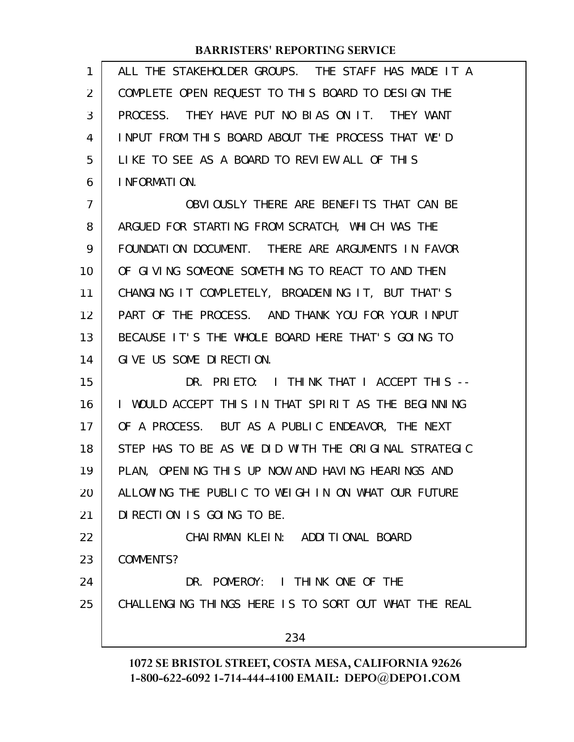| 1  | ALL THE STAKEHOLDER GROUPS. THE STAFF HAS MADE IT A  |
|----|------------------------------------------------------|
| 2  | COMPLETE OPEN REQUEST TO THIS BOARD TO DESIGN THE    |
| 3  | PROCESS. THEY HAVE PUT NO BIAS ON IT. THEY WANT      |
| 4  | INPUT FROM THIS BOARD ABOUT THE PROCESS THAT WE'D    |
| 5  | LIKE TO SEE AS A BOARD TO REVIEW ALL OF THIS         |
| 6  | I NFORMATION.                                        |
| 7  | OBVIOUSLY THERE ARE BENEFITS THAT CAN BE             |
| 8  | ARGUED FOR STARTING FROM SCRATCH, WHICH WAS THE      |
| 9  | FOUNDATION DOCUMENT. THERE ARE ARGUMENTS IN FAVOR    |
| 10 | OF GIVING SOMEONE SOMETHING TO REACT TO AND THEN     |
| 11 | CHANGING IT COMPLETELY, BROADENING IT, BUT THAT'S    |
| 12 | PART OF THE PROCESS. AND THANK YOU FOR YOUR INPUT    |
| 13 | BECAUSE IT'S THE WHOLE BOARD HERE THAT'S GOING TO    |
| 14 | GIVE US SOME DIRECTION.                              |
| 15 | DR. PRIETO: I THINK THAT I ACCEPT THIS --            |
| 16 | I WOULD ACCEPT THIS IN THAT SPIRIT AS THE BEGINNING  |
| 17 | OF A PROCESS. BUT AS A PUBLIC ENDEAVOR, THE NEXT     |
| 18 | STEP HAS TO BE AS WE DID WITH THE ORIGINAL STRATEGIC |
| 19 | PLAN, OPENING THIS UP NOW AND HAVING HEARINGS AND    |
| 20 | ALLOWING THE PUBLIC TO WEIGH IN ON WHAT OUR FUTURE   |
| 21 | DI RECTION IS GOING TO BE.                           |
| 22 | CHAI RMAN KLEIN: ADDITIONAL BOARD                    |
| 23 | COMMENTS?                                            |
| 24 | DR. POMEROY: I THINK ONE OF THE                      |
| 25 | CHALLENGING THINGS HERE IS TO SORT OUT WHAT THE REAL |
|    | 234                                                  |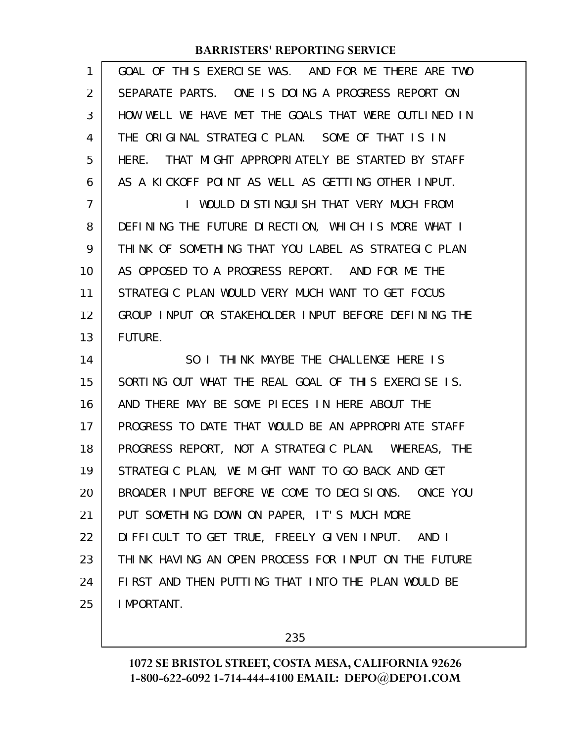| 1              | GOAL OF THIS EXERCISE WAS. AND FOR ME THERE ARE TWO  |
|----------------|------------------------------------------------------|
| $\overline{2}$ | SEPARATE PARTS. ONE IS DOING A PROGRESS REPORT ON    |
| 3              | HOW WELL WE HAVE MET THE GOALS THAT WERE OUTLINED IN |
| 4              | THE ORIGINAL STRATEGIC PLAN. SOME OF THAT IS IN      |
| 5              | HERE. THAT MIGHT APPROPRIATELY BE STARTED BY STAFF   |
| 6              | AS A KICKOFF POINT AS WELL AS GETTING OTHER INPUT.   |
| $\overline{7}$ | I WOULD DISTINGUISH THAT VERY MUCH FROM              |
| 8              | DEFINING THE FUTURE DIRECTION, WHICH IS MORE WHAT I  |
| 9              | THINK OF SOMETHING THAT YOU LABEL AS STRATEGIC PLAN  |
| 10             | AS OPPOSED TO A PROGRESS REPORT. AND FOR ME THE      |
| 11             | STRATEGIC PLAN WOULD VERY MUCH WANT TO GET FOCUS     |
| 12             | GROUP INPUT OR STAKEHOLDER INPUT BEFORE DEFINING THE |
| 13             | <b>FUTURE.</b>                                       |
| 14             | SO I THINK MAYBE THE CHALLENGE HERE IS               |
|                |                                                      |
| 15             | SORTING OUT WHAT THE REAL GOAL OF THIS EXERCISE IS.  |
| 16             | AND THERE MAY BE SOME PIECES IN HERE ABOUT THE       |
| 17             | PROGRESS TO DATE THAT WOULD BE AN APPROPRIATE STAFF  |
| 18             | PROGRESS REPORT, NOT A STRATEGIC PLAN. WHEREAS, THE  |
| 19             | STRATEGIC PLAN, WE MIGHT WANT TO GO BACK AND GET     |
| 20             | BROADER INPUT BEFORE WE COME TO DECISIONS. ONCE YOU  |
| 21             | PUT SOMETHING DOWN ON PAPER, IT'S MUCH MORE          |
| 22             | DIFFICULT TO GET TRUE, FREELY GIVEN INPUT. AND I     |
| 23             | THINK HAVING AN OPEN PROCESS FOR INPUT ON THE FUTURE |
| 24             | FIRST AND THEN PUTTING THAT INTO THE PLAN WOULD BE   |

235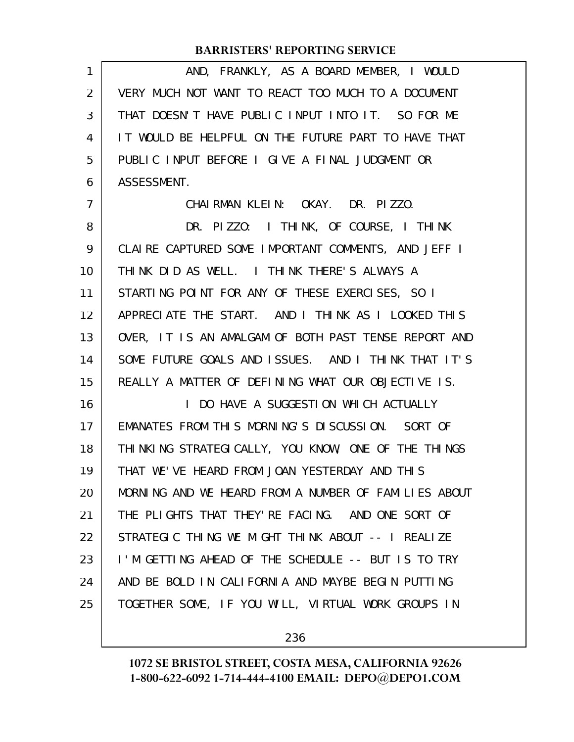| 1              | AND, FRANKLY, AS A BOARD MEMBER, I WOULD             |
|----------------|------------------------------------------------------|
| 2              | VERY MUCH NOT WANT TO REACT TOO MUCH TO A DOCUMENT   |
| 3              | THAT DOESN'T HAVE PUBLIC INPUT INTO IT. SO FOR ME    |
| 4              | IT WOULD BE HELPFUL ON THE FUTURE PART TO HAVE THAT  |
| 5              | PUBLIC INPUT BEFORE I GIVE A FINAL JUDGMENT OR       |
| 6              | ASSESSMENT.                                          |
| $\overline{7}$ | CHAIRMAN KLEIN: OKAY. DR. PIZZO.                     |
| 8              | DR. PIZZO: I THINK, OF COURSE, I THINK               |
| 9              | CLAIRE CAPTURED SOME IMPORTANT COMMENTS, AND JEFF I  |
| 10             | THINK DID AS WELL. I THINK THERE'S ALWAYS A          |
| 11             | STARTING POINT FOR ANY OF THESE EXERCISES, SO I      |
| 12             | APPRECIATE THE START. AND I THINK AS I LOOKED THIS   |
| 13             | OVER, IT IS AN AMALGAM OF BOTH PAST TENSE REPORT AND |
| 14             | SOME FUTURE GOALS AND ISSUES. AND I THINK THAT IT'S  |
| 15             | REALLY A MATTER OF DEFINING WHAT OUR OBJECTIVE IS.   |
| 16             | I DO HAVE A SUGGESTION WHICH ACTUALLY                |
| 17             | EMANATES FROM THIS MORNING'S DISCUSSION. SORT OF     |
| 18             | THINKING STRATEGICALLY, YOU KNOW, ONE OF THE THINGS  |
| 19             | THAT WE'VE HEARD FROM JOAN YESTERDAY AND THIS        |
| 20             | MORNING AND WE HEARD FROM A NUMBER OF FAMILIES ABOUT |
| 21             | THE PLIGHTS THAT THEY'RE FACING. AND ONE SORT OF     |
| 22             | STRATEGIC THING WE MIGHT THINK ABOUT -- I REALIZE    |
| 23             | I'M GETTING AHEAD OF THE SCHEDULE -- BUT IS TO TRY   |
| 24             | AND BE BOLD IN CALIFORNIA AND MAYBE BEGIN PUTTING    |
| 25             | TOGETHER SOME, IF YOU WILL, VIRTUAL WORK GROUPS IN   |
|                |                                                      |

236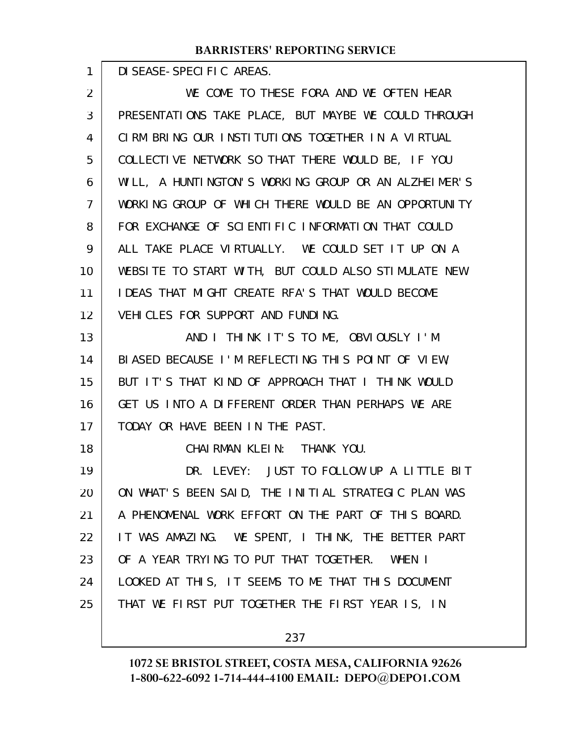DISEASE-SPECIFIC AREAS.

1

18

WE COME TO THESE FORA AND WE OFTEN HEAR PRESENTATIONS TAKE PLACE, BUT MAYBE WE COULD THROUGH CIRM BRING OUR INSTITUTIONS TOGETHER IN A VIRTUAL COLLECTIVE NETWORK SO THAT THERE WOULD BE, IF YOU WILL, A HUNTINGTON'S WORKING GROUP OR AN ALZHEIMER'S WORKING GROUP OF WHICH THERE WOULD BE AN OPPORTUNITY FOR EXCHANGE OF SCIENTIFIC INFORMATION THAT COULD ALL TAKE PLACE VIRTUALLY. WE COULD SET IT UP ON A WEBSITE TO START WITH, BUT COULD ALSO STIMULATE NEW IDEAS THAT MIGHT CREATE RFA'S THAT WOULD BECOME VEHICLES FOR SUPPORT AND FUNDING. AND I THINK IT'S TO ME, OBVIOUSLY I'M 2 3 4 5 6 7 8 9 10 11 12 13

BIASED BECAUSE I'M REFLECTING THIS POINT OF VIEW, BUT IT'S THAT KIND OF APPROACH THAT I THINK WOULD GET US INTO A DIFFERENT ORDER THAN PERHAPS WE ARE TODAY OR HAVE BEEN IN THE PAST. 14 15 16 17

CHAIRMAN KLEIN: THANK YOU.

DR. LEVEY: JUST TO FOLLOW UP A LITTLE BIT ON WHAT'S BEEN SAID, THE INITIAL STRATEGIC PLAN WAS A PHENOMENAL WORK EFFORT ON THE PART OF THIS BOARD. IT WAS AMAZING. WE SPENT, I THINK, THE BETTER PART OF A YEAR TRYING TO PUT THAT TOGETHER. WHEN I LOOKED AT THIS, IT SEEMS TO ME THAT THIS DOCUMENT THAT WE FIRST PUT TOGETHER THE FIRST YEAR IS, IN 19 20 21 22 23 24 25

237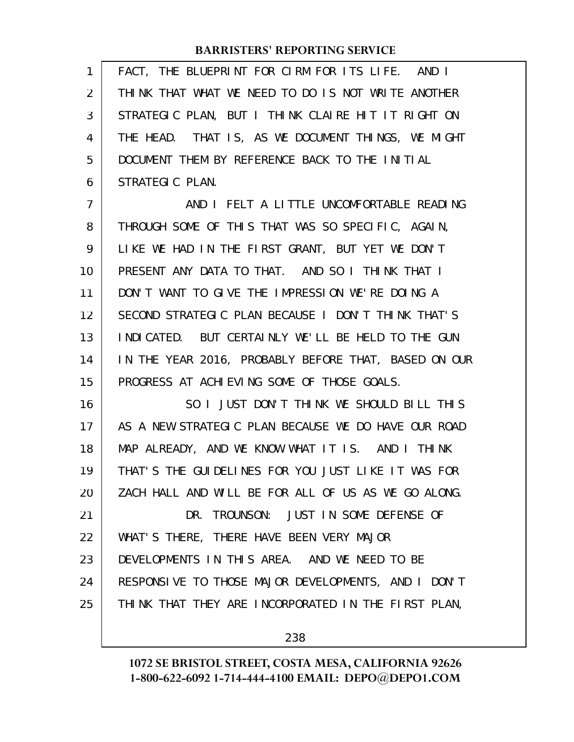| 1              | FACT, THE BLUEPRINT FOR CIRM FOR ITS LIFE. AND I     |
|----------------|------------------------------------------------------|
| $\overline{2}$ | THINK THAT WHAT WE NEED TO DO IS NOT WRITE ANOTHER   |
| 3              | STRATEGIC PLAN, BUT I THINK CLAIRE HIT IT RIGHT ON   |
| 4              | THE HEAD. THAT IS, AS WE DOCUMENT THINGS, WE MIGHT   |
| 5              | DOCUMENT THEM BY REFERENCE BACK TO THE INITIAL       |
| 6              | STRATEGIC PLAN.                                      |
| 7              | AND I FELT A LITTLE UNCOMFORTABLE READING            |
| 8              | THROUGH SOME OF THIS THAT WAS SO SPECIFIC, AGAIN,    |
| 9              | LIKE WE HAD IN THE FIRST GRANT, BUT YET WE DON'T     |
| 10             | PRESENT ANY DATA TO THAT. AND SO I THINK THAT I      |
| 11             | DON'T WANT TO GIVE THE IMPRESSION WE'RE DOING A      |
| 12             | SECOND STRATEGIC PLAN BECAUSE I DON'T THINK THAT'S   |
| 13             | INDICATED. BUT CERTAINLY WE'LL BE HELD TO THE GUN    |
| 14             | IN THE YEAR 2016, PROBABLY BEFORE THAT, BASED ON OUR |
| 15             | PROGRESS AT ACHIEVING SOME OF THOSE GOALS.           |
| 16             | SO I JUST DON'T THINK WE SHOULD BILL THIS            |
| 17             | AS A NEW STRATEGIC PLAN BECAUSE WE DO HAVE OUR ROAD  |
| 18             | MAP ALREADY, AND WE KNOW WHAT IT IS. AND I THINK     |
| 19             | THAT'S THE GUIDELINES FOR YOU JUST LIKE IT WAS FOR   |
| 20             | ZACH HALL AND WILL BE FOR ALL OF US AS WE GO ALONG.  |
| 21             | DR. TROUNSON: JUST IN SOME DEFENSE OF                |
| 22             | WHAT'S THERE, THERE HAVE BEEN VERY MAJOR             |
| 23             | DEVELOPMENTS IN THIS AREA. AND WE NEED TO BE         |
| 24             | RESPONSIVE TO THOSE MAJOR DEVELOPMENTS, AND I DON'T  |
| 25             | THINK THAT THEY ARE INCORPORATED IN THE FIRST PLAN,  |
|                |                                                      |

238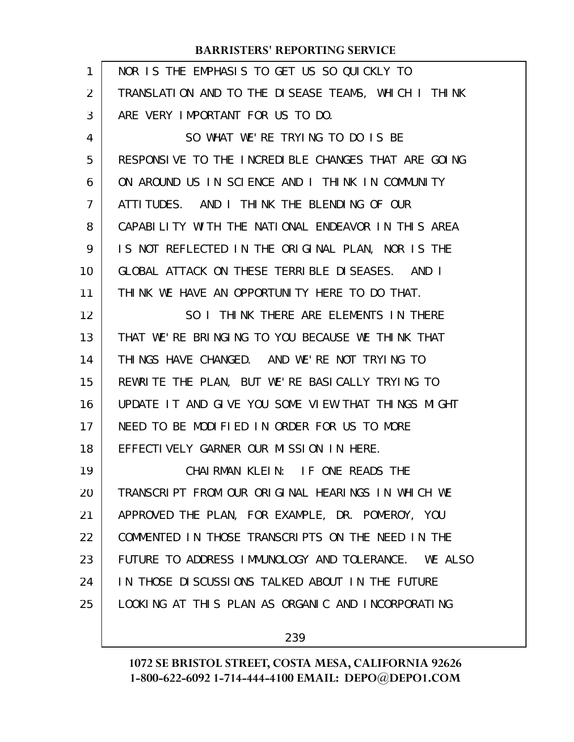| 1  | NOR IS THE EMPHASIS TO GET US SO QUICKLY TO         |
|----|-----------------------------------------------------|
| 2  | TRANSLATION AND TO THE DISEASE TEAMS, WHICH I THINK |
| 3  | ARE VERY IMPORTANT FOR US TO DO.                    |
| 4  | SO WHAT WE'RE TRYING TO DO IS BE                    |
| 5  | RESPONSIVE TO THE INCREDIBLE CHANGES THAT ARE GOING |
| 6  | ON AROUND US IN SCIENCE AND I THINK IN COMMUNITY    |
| 7  | ATTITUDES. AND I THINK THE BLENDING OF OUR          |
| 8  | CAPABILITY WITH THE NATIONAL ENDEAVOR IN THIS AREA  |
| 9  | IS NOT REFLECTED IN THE ORIGINAL PLAN, NOR IS THE   |
| 10 | GLOBAL ATTACK ON THESE TERRIBLE DISEASES. AND I     |
| 11 | THINK WE HAVE AN OPPORTUNITY HERE TO DO THAT.       |
| 12 | SO I THINK THERE ARE ELEMENTS IN THERE              |
| 13 | THAT WE'RE BRINGING TO YOU BECAUSE WE THINK THAT    |
| 14 | THINGS HAVE CHANGED. AND WE'RE NOT TRYING TO        |
| 15 | REWRITE THE PLAN, BUT WE'RE BASICALLY TRYING TO     |
| 16 | UPDATE IT AND GIVE YOU SOME VIEW THAT THINGS MIGHT  |
| 17 | NEED TO BE MODIFIED IN ORDER FOR US TO MORE         |
| 18 | EFFECTIVELY GARNER OUR MISSION IN HERE.             |
| 19 | CHAIRMAN KLEIN: IF ONE READS THE                    |
| 20 | TRANSCRIPT FROM OUR ORIGINAL HEARINGS IN WHICH WE   |
| 21 | APPROVED THE PLAN, FOR EXAMPLE, DR. POMEROY, YOU    |
| 22 | COMMENTED IN THOSE TRANSCRIPTS ON THE NEED IN THE   |
| 23 | FUTURE TO ADDRESS IMMUNOLOGY AND TOLERANCE. WE ALSO |
| 24 | IN THOSE DISCUSSIONS TALKED ABOUT IN THE FUTURE     |
| 25 | LOOKING AT THIS PLAN AS ORGANIC AND INCORPORATING   |
|    |                                                     |

239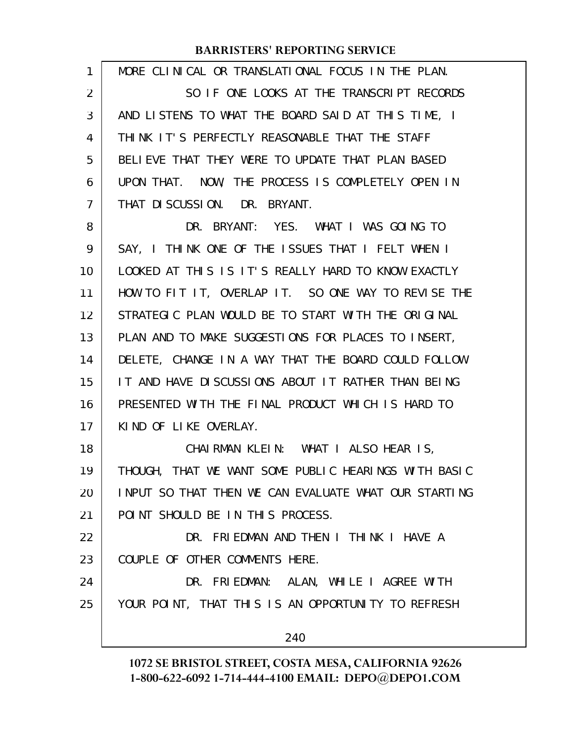| 1                 | MORE CLINICAL OR TRANSLATIONAL FOCUS IN THE PLAN.    |
|-------------------|------------------------------------------------------|
| 2                 | SO IF ONE LOOKS AT THE TRANSCRIPT RECORDS            |
| 3                 | AND LISTENS TO WHAT THE BOARD SAID AT THIS TIME, I   |
| 4                 | THINK IT'S PERFECTLY REASONABLE THAT THE STAFF       |
| 5                 | BELIEVE THAT THEY WERE TO UPDATE THAT PLAN BASED     |
| 6                 | UPON THAT. NOW, THE PROCESS IS COMPLETELY OPEN IN    |
| 7                 | THAT DISCUSSION. DR. BRYANT.                         |
| 8                 | DR. BRYANT: YES. WHAT I WAS GOING TO                 |
| 9                 | SAY, I THINK ONE OF THE ISSUES THAT I FELT WHEN I    |
| 10                | LOOKED AT THIS IS IT'S REALLY HARD TO KNOW EXACTLY   |
| 11                | HOW TO FIT IT, OVERLAP IT. SO ONE WAY TO REVISE THE  |
| $12 \overline{ }$ | STRATEGIC PLAN WOULD BE TO START WITH THE ORIGINAL   |
| 13                | PLAN AND TO MAKE SUGGESTIONS FOR PLACES TO INSERT,   |
| 14                | DELETE, CHANGE IN A WAY THAT THE BOARD COULD FOLLOW  |
| 15                | IT AND HAVE DISCUSSIONS ABOUT IT RATHER THAN BEING   |
| 16                | PRESENTED WITH THE FINAL PRODUCT WHICH IS HARD TO    |
| 17                | KIND OF LIKE OVERLAY.                                |
| 18                | CHAIRMAN KLEIN: WHAT I ALSO HEAR IS,                 |
| 19                | THOUGH, THAT WE WANT SOME PUBLIC HEARINGS WITH BASIC |
| 20                | INPUT SO THAT THEN WE CAN EVALUATE WHAT OUR STARTING |
| 21                | POINT SHOULD BE IN THIS PROCESS.                     |
| 22                | DR. FRIEDMAN AND THEN I THINK I HAVE A               |
| 23                | COUPLE OF OTHER COMMENTS HERE.                       |
| 24                | DR. FRIEDMAN: ALAN, WHILE I AGREE WITH               |
| 25                | YOUR POINT, THAT THIS IS AN OPPORTUNITY TO REFRESH   |
|                   | 240                                                  |
|                   |                                                      |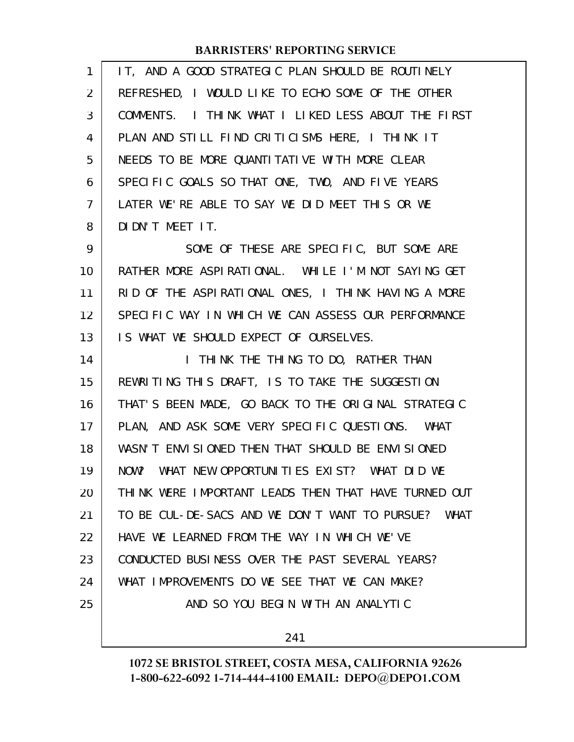| 1              | IT, AND A GOOD STRATEGIC PLAN SHOULD BE ROUTINELY    |
|----------------|------------------------------------------------------|
| 2              | REFRESHED, I WOULD LIKE TO ECHO SOME OF THE OTHER    |
| 3              | COMMENTS. I THINK WHAT I LIKED LESS ABOUT THE FIRST  |
| 4              | PLAN AND STILL FIND CRITICISMS HERE, I THINK IT      |
| 5              | NEEDS TO BE MORE QUANTITATIVE WITH MORE CLEAR        |
| 6              | SPECIFIC GOALS SO THAT ONE, TWO, AND FIVE YEARS      |
| $\overline{7}$ | LATER WE'RE ABLE TO SAY WE DID MEET THIS OR WE       |
| 8              | DIDN'T MEET IT.                                      |
| 9              | SOME OF THESE ARE SPECIFIC, BUT SOME ARE             |
| 10             | RATHER MORE ASPIRATIONAL. WHILE I'M NOT SAYING GET   |
| 11             | RID OF THE ASPIRATIONAL ONES, I THINK HAVING A MORE  |
| 12             | SPECIFIC WAY IN WHICH WE CAN ASSESS OUR PERFORMANCE  |
| 13             | IS WHAT WE SHOULD EXPECT OF OURSELVES.               |
| 14             | I THINK THE THING TO DO, RATHER THAN                 |
| 15             | REWRITING THIS DRAFT, IS TO TAKE THE SUGGESTION      |
| 16             | THAT'S BEEN MADE, GO BACK TO THE ORIGINAL STRATEGIC  |
| 17             | PLAN, AND ASK SOME VERY SPECIFIC QUESTIONS. WHAT     |
| 18             | WASN'T ENVISIONED THEN THAT SHOULD BE ENVISIONED     |
| 19             | NOW? WHAT NEW OPPORTUNITIES EXIST? WHAT DID WE       |
| 20             | THINK WERE IMPORTANT LEADS THEN THAT HAVE TURNED OUT |
| 21             | TO BE CUL-DE-SACS AND WE DON'T WANT TO PURSUE? WHAT  |
| 22             | HAVE WE LEARNED FROM THE WAY IN WHICH WE'VE          |
| 23             | CONDUCTED BUSINESS OVER THE PAST SEVERAL YEARS?      |
| 24             | WHAT IMPROVEMENTS DO WE SEE THAT WE CAN MAKE?        |
| 25             | AND SO YOU BEGIN WITH AN ANALYTIC                    |
|                |                                                      |

241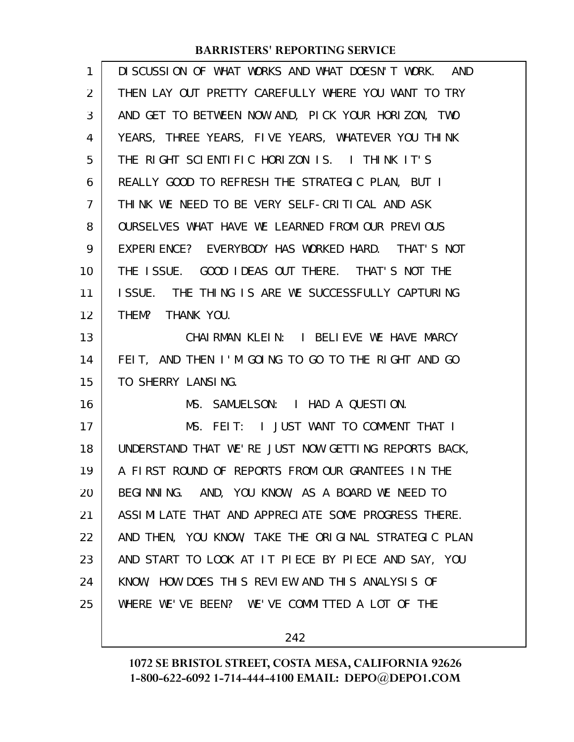| 1  | DISCUSSION OF WHAT WORKS AND WHAT DOESN'T WORK. AND  |
|----|------------------------------------------------------|
| 2  | THEN LAY OUT PRETTY CAREFULLY WHERE YOU WANT TO TRY  |
| 3  | AND GET TO BETWEEN NOW AND, PICK YOUR HORIZON, TWO   |
| 4  | YEARS, THREE YEARS, FIVE YEARS, WHATEVER YOU THINK   |
| 5  | THE RIGHT SCIENTIFIC HORIZON IS. I THINK IT'S        |
| 6  | REALLY GOOD TO REFRESH THE STRATEGIC PLAN, BUT I     |
| 7  | THINK WE NEED TO BE VERY SELF-CRITICAL AND ASK       |
| 8  | OURSELVES WHAT HAVE WE LEARNED FROM OUR PREVIOUS     |
| 9  | EXPERIENCE? EVERYBODY HAS WORKED HARD. THAT'S NOT    |
| 10 | THE ISSUE. GOOD IDEAS OUT THERE. THAT'S NOT THE      |
| 11 | ISSUE. THE THING IS ARE WE SUCCESSFULLY CAPTURING    |
| 12 | THEM? THANK YOU.                                     |
| 13 | CHAIRMAN KLEIN: I BELIEVE WE HAVE MARCY              |
| 14 | FEIT, AND THEN I'M GOING TO GO TO THE RIGHT AND GO   |
| 15 | TO SHERRY LANSING.                                   |
| 16 | MS. SAMUELSON: I HAD A QUESTION.                     |
| 17 | MS. FEIT: I JUST WANT TO COMMENT THAT I              |
| 18 | UNDERSTAND THAT WE'RE JUST NOW GETTING REPORTS BACK, |
| 19 | A FIRST ROUND OF REPORTS FROM OUR GRANTEES IN THE    |
| 20 | BEGINNING. AND, YOU KNOW, AS A BOARD WE NEED TO      |
| 21 | ASSIMILATE THAT AND APPRECIATE SOME PROGRESS THERE.  |
| 22 | AND THEN, YOU KNOW, TAKE THE ORIGINAL STRATEGIC PLAN |
| 23 | AND START TO LOOK AT IT PIECE BY PIECE AND SAY, YOU  |
| 24 | KNOW, HOW DOES THIS REVIEW AND THIS ANALYSIS OF      |
| 25 | WHERE WE'VE BEEN? WE'VE COMMITTED A LOT OF THE       |
|    |                                                      |

242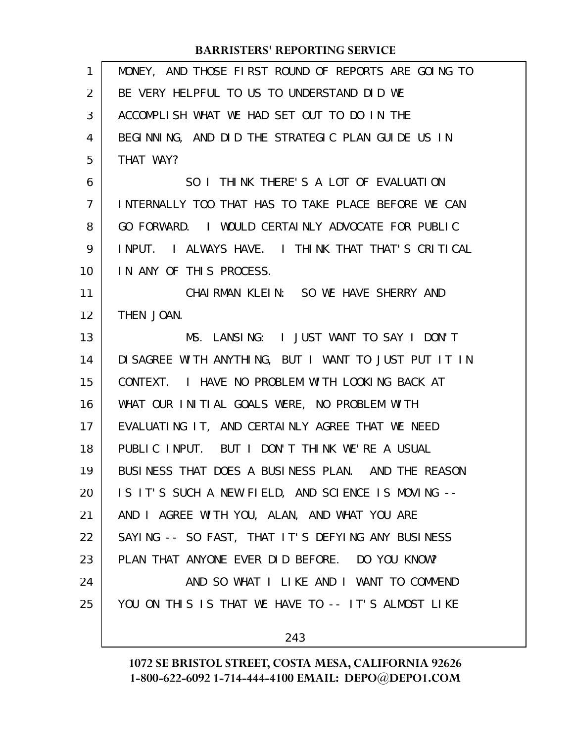| 1              | MONEY, AND THOSE FIRST ROUND OF REPORTS ARE GOING TO |
|----------------|------------------------------------------------------|
| $\overline{2}$ | BE VERY HELPFUL TO US TO UNDERSTAND DID WE           |
| 3              | ACCOMPLISH WHAT WE HAD SET OUT TO DO IN THE          |
| 4              | BEGINNING, AND DID THE STRATEGIC PLAN GUIDE US IN    |
| 5              | THAT WAY?                                            |
| 6              | SO I THINK THERE'S A LOT OF EVALUATION               |
| $\overline{7}$ | INTERNALLY TOO THAT HAS TO TAKE PLACE BEFORE WE CAN  |
| 8              | GO FORWARD. I WOULD CERTAINLY ADVOCATE FOR PUBLIC    |
| 9              | INPUT. I ALWAYS HAVE. I THINK THAT THAT'S CRITICAL   |
| 10             | IN ANY OF THIS PROCESS.                              |
| 11             | CHAIRMAN KLEIN: SO WE HAVE SHERRY AND                |
| 12             | THEN JOAN.                                           |
| 13             | MS. LANSING: I JUST WANT TO SAY I DON'T              |
| 14             | DISAGREE WITH ANYTHING, BUT I WANT TO JUST PUT IT IN |
| 15             | CONTEXT. I HAVE NO PROBLEM WITH LOOKING BACK AT      |
| 16             | WHAT OUR INITIAL GOALS WERE, NO PROBLEM WITH         |
| 17             | EVALUATING IT, AND CERTAINLY AGREE THAT WE NEED      |
| 18             | PUBLIC INPUT. BUT I DON'T THINK WE'RE A USUAL        |
| 19             | BUSINESS THAT DOES A BUSINESS PLAN. AND THE REASON   |
| 20             | IS IT'S SUCH A NEW FIELD, AND SCIENCE IS MOVING --   |
| 21             | AND I AGREE WITH YOU, ALAN, AND WHAT YOU ARE         |
| 22             | SAYING -- SO FAST, THAT IT'S DEFYING ANY BUSINESS    |
| 23             | PLAN THAT ANYONE EVER DID BEFORE. DO YOU KNOW?       |
| 24             | AND SO WHAT I LIKE AND I WANT TO COMMEND             |
| 25             | YOU ON THIS IS THAT WE HAVE TO -- IT'S ALMOST LIKE   |
|                | 243                                                  |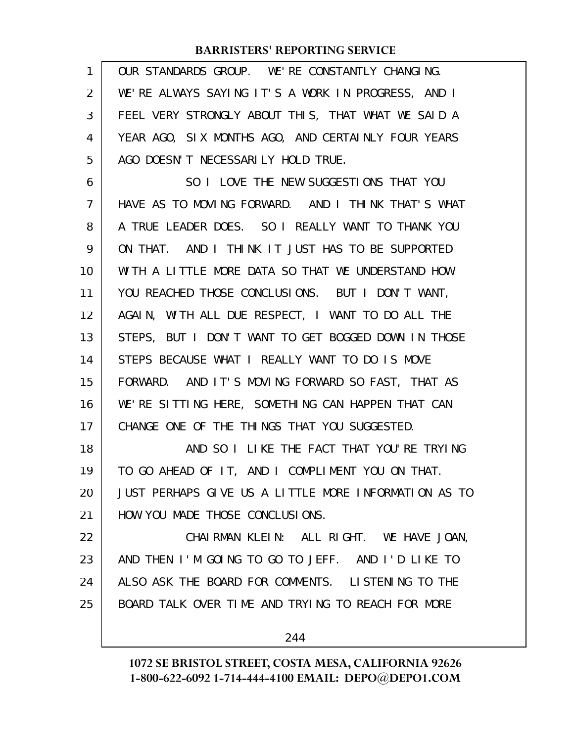| 1              | OUR STANDARDS GROUP. WE'RE CONSTANTLY CHANGING.      |
|----------------|------------------------------------------------------|
| $\overline{2}$ | WE'RE ALWAYS SAYING IT'S A WORK IN PROGRESS, AND I   |
| 3              | FEEL VERY STRONGLY ABOUT THIS, THAT WHAT WE SAID A   |
| 4              | YEAR AGO, SIX MONTHS AGO, AND CERTAINLY FOUR YEARS   |
| 5              | AGO DOESN'T NECESSARILY HOLD TRUE.                   |
| 6              | SO I LOVE THE NEW SUGGESTIONS THAT YOU               |
| $\overline{7}$ | HAVE AS TO MOVING FORWARD. AND I THINK THAT'S WHAT   |
| 8              | A TRUE LEADER DOES. SO I REALLY WANT TO THANK YOU    |
| 9              | ON THAT. AND I THINK IT JUST HAS TO BE SUPPORTED     |
| 10             | WITH A LITTLE MORE DATA SO THAT WE UNDERSTAND HOW    |
| 11             | YOU REACHED THOSE CONCLUSIONS. BUT I DON'T WANT,     |
| 12             | AGAIN, WITH ALL DUE RESPECT, I WANT TO DO ALL THE    |
| 13             | STEPS, BUT I DON'T WANT TO GET BOGGED DOWN IN THOSE  |
| 14             | STEPS BECAUSE WHAT I REALLY WANT TO DO IS MOVE       |
| 15             | FORWARD. AND IT'S MOVING FORWARD SO FAST, THAT AS    |
| 16             | WE'RE SITTING HERE, SOMETHING CAN HAPPEN THAT CAN    |
| 17             | CHANGE ONE OF THE THINGS THAT YOU SUGGESTED.         |
| 18             | AND SO I LIKE THE FACT THAT YOU'RE TRYING            |
| 19             | TO GO AHEAD OF IT, AND I COMPLIMENT YOU ON THAT.     |
| 20             | JUST PERHAPS GIVE US A LITTLE MORE INFORMATION AS TO |
| 21             | HOW YOU MADE THOSE CONCLUSIONS.                      |
| 22             | CHAIRMAN KLEIN: ALL RIGHT. WE HAVE JOAN,             |
| 23             | AND THEN I'M GOING TO GO TO JEFF. AND I'D LIKE TO    |
| 24             | ALSO ASK THE BOARD FOR COMMENTS. LISTENING TO THE    |
| 25             | BOARD TALK OVER TIME AND TRYING TO REACH FOR MORE    |
|                | 244                                                  |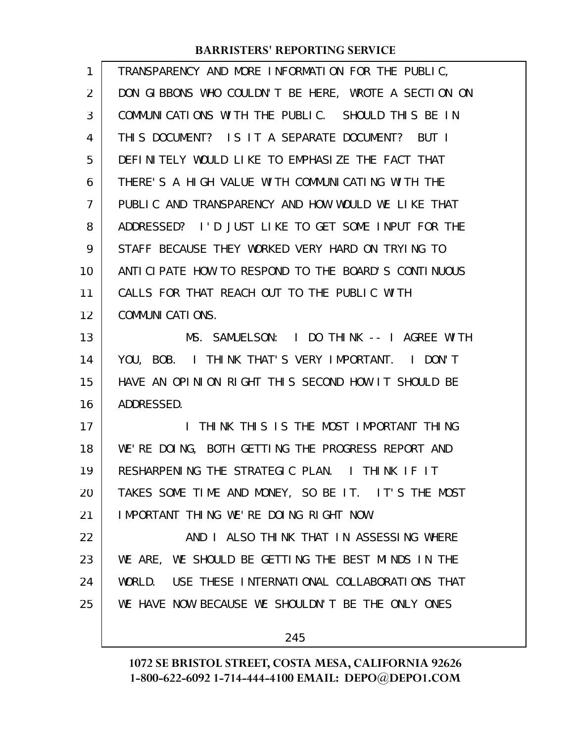| 1              | TRANSPARENCY AND MORE INFORMATION FOR THE PUBLIC,    |
|----------------|------------------------------------------------------|
| $\overline{2}$ | DON GIBBONS WHO COULDN'T BE HERE, WROTE A SECTION ON |
| 3              | COMMUNICATIONS WITH THE PUBLIC. SHOULD THIS BE IN    |
| 4              | THIS DOCUMENT? IS IT A SEPARATE DOCUMENT? BUT I      |
| 5              | DEFINITELY WOULD LIKE TO EMPHASIZE THE FACT THAT     |
| 6              | THERE'S A HIGH VALUE WITH COMMUNICATING WITH THE     |
| 7              | PUBLIC AND TRANSPARENCY AND HOW WOULD WE LIKE THAT   |
| 8              | ADDRESSED? I'D JUST LIKE TO GET SOME INPUT FOR THE   |
| 9              | STAFF BECAUSE THEY WORKED VERY HARD ON TRYING TO     |
| 10             | ANTICIPATE HOW TO RESPOND TO THE BOARD'S CONTINUOUS  |
| 11             | CALLS FOR THAT REACH OUT TO THE PUBLIC WITH          |
| 12             | COMMUNICATIONS.                                      |
| 13             | MS. SAMUELSON: I DO THINK -- I AGREE WITH            |
| 14             | YOU, BOB. I THINK THAT'S VERY IMPORTANT. I DON'T     |
| 15             | HAVE AN OPINION RIGHT THIS SECOND HOW IT SHOULD BE   |
| 16             | ADDRESSED.                                           |
| 17             | I THINK THIS IS THE MOST IMPORTANT THING             |
| 18             | WE'RE DOING, BOTH GETTING THE PROGRESS REPORT AND    |
| 19             | RESHARPENING THE STRATEGIC PLAN. I THINK IF IT       |
| 20             | TAKES SOME TIME AND MONEY, SO BE IT. IT'S THE MOST   |
| 21             | IMPORTANT THING WE'RE DOING RIGHT NOW.               |
| 22             | AND I ALSO THINK THAT IN ASSESSING WHERE             |
| 23             | WE ARE, WE SHOULD BE GETTING THE BEST MINDS IN THE   |
| 24             | WORLD. USE THESE INTERNATIONAL COLLABORATIONS THAT   |
| 25             | WE HAVE NOW BECAUSE WE SHOULDN'T BE THE ONLY ONES    |
|                | 245                                                  |
|                |                                                      |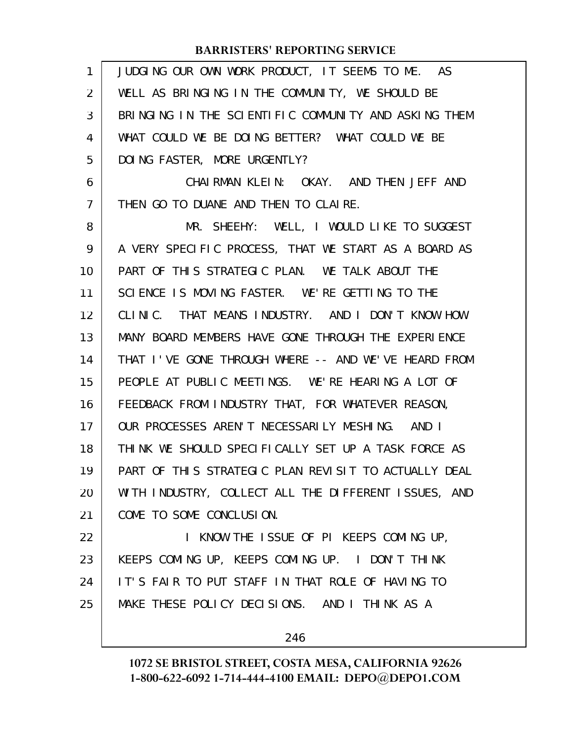| $\mathbf{1}$   | JUDGING OUR OWN WORK PRODUCT, IT SEEMS TO ME. AS     |
|----------------|------------------------------------------------------|
| 2              | WELL AS BRINGING IN THE COMMUNITY, WE SHOULD BE      |
| 3              | BRINGING IN THE SCIENTIFIC COMMUNITY AND ASKING THEM |
| 4              | WHAT COULD WE BE DOING BETTER? WHAT COULD WE BE      |
| 5              | DOING FASTER, MORE URGENTLY?                         |
| 6              | CHAIRMAN KLEIN: OKAY. AND THEN JEFF AND              |
| $\overline{7}$ | THEN GO TO DUANE AND THEN TO CLAIRE.                 |
| 8              | MR. SHEEHY: WELL, I WOULD LIKE TO SUGGEST            |
| 9              | A VERY SPECIFIC PROCESS, THAT WE START AS A BOARD AS |
| 10             | PART OF THIS STRATEGIC PLAN. WE TALK ABOUT THE       |
| 11             | SCIENCE IS MOVING FASTER. WE'RE GETTING TO THE       |
| 12             | CLINIC. THAT MEANS INDUSTRY. AND I DON'T KNOW HOW    |
| 13             | MANY BOARD MEMBERS HAVE GONE THROUGH THE EXPERIENCE  |
| 14             | THAT I'VE GONE THROUGH WHERE -- AND WE'VE HEARD FROM |
| 15             | PEOPLE AT PUBLIC MEETINGS. WE'RE HEARING A LOT OF    |
| 16             | FEEDBACK FROM INDUSTRY THAT, FOR WHATEVER REASON,    |
| 17             | OUR PROCESSES AREN'T NECESSARILY MESHING. AND I      |
| 18             | THINK WE SHOULD SPECIFICALLY SET UP A TASK FORCE AS  |
| 19             | PART OF THIS STRATEGIC PLAN REVISIT TO ACTUALLY DEAL |
| 20             | WITH INDUSTRY, COLLECT ALL THE DIFFERENT ISSUES, AND |
| 21             | COME TO SOME CONCLUSION.                             |
| 22             | I KNOW THE ISSUE OF PI KEEPS COMING UP,              |
| 23             | KEEPS COMING UP, KEEPS COMING UP. I DON'T THINK      |
| 24             | IT'S FAIR TO PUT STAFF IN THAT ROLE OF HAVING TO     |
| 25             | MAKE THESE POLICY DECISIONS. AND I THINK AS A        |
|                |                                                      |

246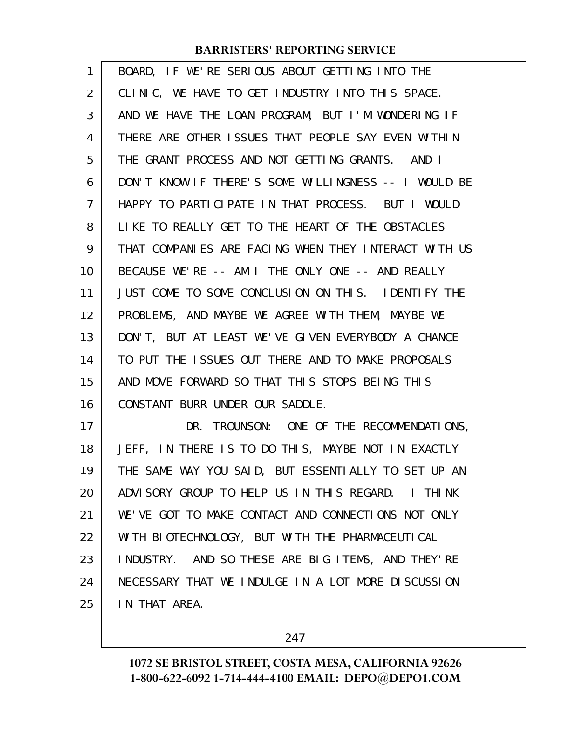| 1  | BOARD, IF WE'RE SERIOUS ABOUT GETTING INTO THE       |
|----|------------------------------------------------------|
| 2  | CLINIC, WE HAVE TO GET INDUSTRY INTO THIS SPACE.     |
| 3  | AND WE HAVE THE LOAN PROGRAM, BUT I'M WONDERING IF   |
| 4  | THERE ARE OTHER ISSUES THAT PEOPLE SAY EVEN WITHIN   |
| 5  | THE GRANT PROCESS AND NOT GETTING GRANTS. AND I      |
| 6  | DON'T KNOW IF THERE'S SOME WILLINGNESS -- I WOULD BE |
| 7  | HAPPY TO PARTICIPATE IN THAT PROCESS. BUT I WOULD    |
| 8  | LIKE TO REALLY GET TO THE HEART OF THE OBSTACLES     |
| 9  | THAT COMPANIES ARE FACING WHEN THEY INTERACT WITH US |
| 10 | BECAUSE WE'RE -- AM I THE ONLY ONE -- AND REALLY     |
| 11 | JUST COME TO SOME CONCLUSION ON THIS. IDENTIFY THE   |
| 12 | PROBLEMS, AND MAYBE WE AGREE WITH THEM, MAYBE WE     |
| 13 | DON'T, BUT AT LEAST WE'VE GIVEN EVERYBODY A CHANCE   |
| 14 | TO PUT THE ISSUES OUT THERE AND TO MAKE PROPOSALS    |
| 15 | AND MOVE FORWARD SO THAT THIS STOPS BEING THIS       |
| 16 | CONSTANT BURR UNDER OUR SADDLE.                      |
| 17 | DR. TROUNSON: ONE OF THE RECOMMENDATIONS,            |
| 18 | JEFF, IN THERE IS TO DO THIS, MAYBE NOT IN EXACTLY   |
| 19 | THE SAME WAY YOU SAID, BUT ESSENTIALLY TO SET UP AN  |
| 20 | ADVISORY GROUP TO HELP US IN THIS REGARD. I THINK    |
| 21 | WE'VE GOT TO MAKE CONTACT AND CONNECTIONS NOT ONLY   |
| 22 | WITH BIOTECHNOLOGY, BUT WITH THE PHARMACEUTICAL      |
| 23 | INDUSTRY. AND SO THESE ARE BIG ITEMS, AND THEY'RE    |
| 24 | NECESSARY THAT WE INDULGE IN A LOT MORE DISCUSSION   |
| 25 | IN THAT AREA.                                        |

247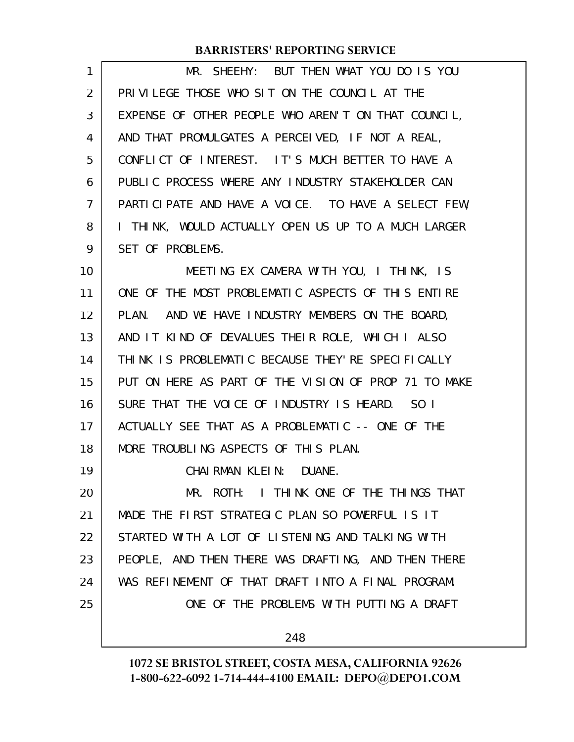| 1  | MR. SHEEHY: BUT THEN WHAT YOU DO IS YOU              |
|----|------------------------------------------------------|
| 2  | PRIVILEGE THOSE WHO SIT ON THE COUNCIL AT THE        |
| 3  | EXPENSE OF OTHER PEOPLE WHO AREN'T ON THAT COUNCIL,  |
| 4  | AND THAT PROMULGATES A PERCEIVED, IF NOT A REAL,     |
| 5  | CONFLICT OF INTEREST. IT'S MUCH BETTER TO HAVE A     |
| 6  | PUBLIC PROCESS WHERE ANY INDUSTRY STAKEHOLDER CAN    |
| 7  | PARTICIPATE AND HAVE A VOICE. TO HAVE A SELECT FEW,  |
| 8  | I THINK, WOULD ACTUALLY OPEN US UP TO A MUCH LARGER  |
| 9  | SET OF PROBLEMS.                                     |
| 10 | MEETING EX CAMERA WITH YOU, I THINK, IS              |
| 11 | ONE OF THE MOST PROBLEMATIC ASPECTS OF THIS ENTIRE   |
| 12 | PLAN. AND WE HAVE INDUSTRY MEMBERS ON THE BOARD,     |
| 13 | AND IT KIND OF DEVALUES THEIR ROLE, WHICH I ALSO     |
| 14 | THINK IS PROBLEMATIC BECAUSE THEY'RE SPECIFICALLY    |
| 15 | PUT ON HERE AS PART OF THE VISION OF PROP 71 TO MAKE |
| 16 | SURE THAT THE VOICE OF INDUSTRY IS HEARD. SO I       |
| 17 | ACTUALLY SEE THAT AS A PROBLEMATIC -- ONE OF THE     |
| 18 | MORE TROUBLING ASPECTS OF THIS PLAN.                 |
| 19 | CHAI RMAN KLEIN: DUANE.                              |
| 20 | MR. ROTH: I THINK ONE OF THE THINGS THAT             |
| 21 | MADE THE FIRST STRATEGIC PLAN SO POWERFUL IS IT      |
| 22 | STARTED WITH A LOT OF LISTENING AND TALKING WITH     |
| 23 | PEOPLE, AND THEN THERE WAS DRAFTING, AND THEN THERE  |
| 24 | WAS REFINEMENT OF THAT DRAFT INTO A FINAL PROGRAM.   |
| 25 | ONE OF THE PROBLEMS WITH PUTTING A DRAFT             |
|    | 248                                                  |
|    |                                                      |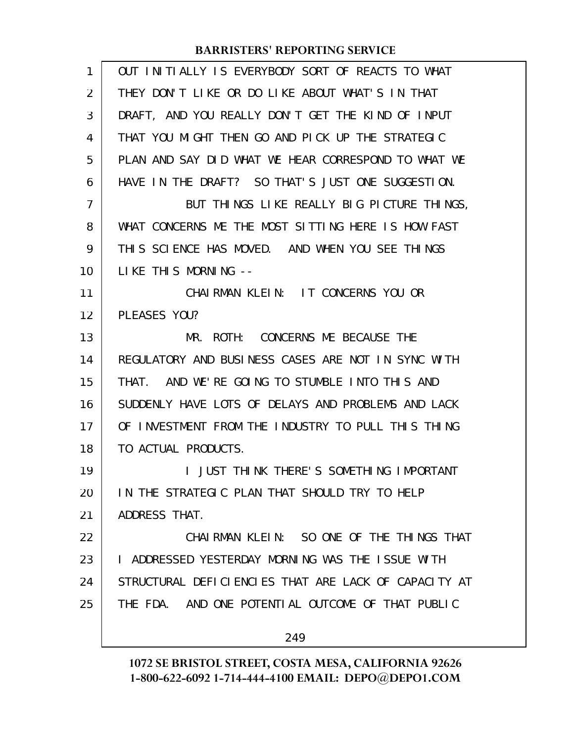| 1              | OUT INITIALLY IS EVERYBODY SORT OF REACTS TO WHAT    |
|----------------|------------------------------------------------------|
| 2              | THEY DON'T LIKE OR DO LIKE ABOUT WHAT'S IN THAT      |
| 3              | DRAFT, AND YOU REALLY DON'T GET THE KIND OF INPUT    |
| 4              | THAT YOU MIGHT THEN GO AND PICK UP THE STRATEGIC     |
| 5              | PLAN AND SAY DID WHAT WE HEAR CORRESPOND TO WHAT WE  |
| 6              | HAVE IN THE DRAFT? SO THAT'S JUST ONE SUGGESTION.    |
| $\overline{7}$ | BUT THINGS LIKE REALLY BIG PICTURE THINGS,           |
| 8              | WHAT CONCERNS ME THE MOST SITTING HERE IS HOW FAST   |
| 9              | THIS SCIENCE HAS MOVED. AND WHEN YOU SEE THINGS      |
| 10             | LIKE THIS MORNING --                                 |
| 11             | CHAIRMAN KLEIN: IT CONCERNS YOU OR                   |
| 12             | PLEASES YOU?                                         |
| 13             | MR. ROTH: CONCERNS ME BECAUSE THE                    |
| 14             | REGULATORY AND BUSINESS CASES ARE NOT IN SYNC WITH   |
| 15             | THAT. AND WE'RE GOING TO STUMBLE INTO THIS AND       |
| 16             | SUDDENLY HAVE LOTS OF DELAYS AND PROBLEMS AND LACK   |
| 17             | OF INVESTMENT FROM THE INDUSTRY TO PULL THIS THING   |
| 18             | TO ACTUAL PRODUCTS.                                  |
| 19             | I JUST THINK THERE'S SOMETHING IMPORTANT             |
| 20             | IN THE STRATEGIC PLAN THAT SHOULD TRY TO HELP        |
| 21             | ADDRESS THAT.                                        |
| 22             | CHAIRMAN KLEIN: SO ONE OF THE THINGS THAT            |
| 23             | I ADDRESSED YESTERDAY MORNING WAS THE ISSUE WITH     |
| 24             | STRUCTURAL DEFICIENCIES THAT ARE LACK OF CAPACITY AT |
| 25             | THE FDA. AND ONE POTENTIAL OUTCOME OF THAT PUBLIC    |
|                | 249                                                  |
|                |                                                      |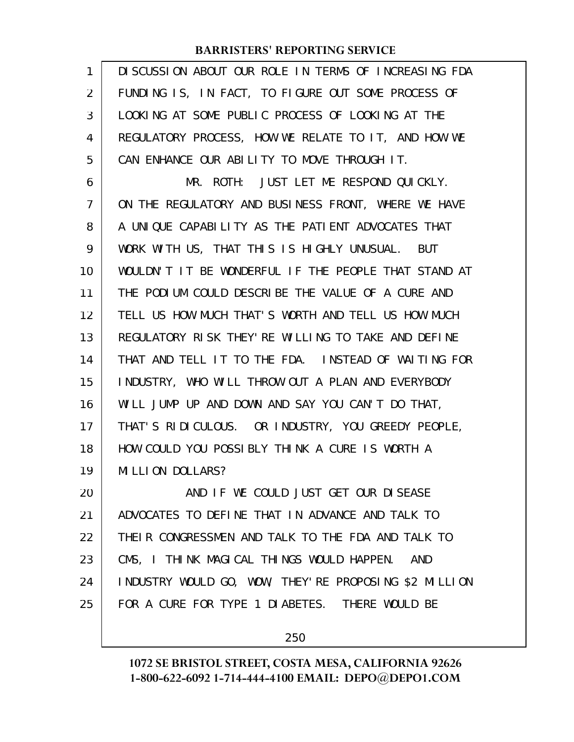| 1              | DISCUSSION ABOUT OUR ROLE IN TERMS OF INCREASING FDA    |
|----------------|---------------------------------------------------------|
| 2              | FUNDING IS, IN FACT, TO FIGURE OUT SOME PROCESS OF      |
| 3              | LOOKING AT SOME PUBLIC PROCESS OF LOOKING AT THE        |
| 4              | REGULATORY PROCESS, HOW WE RELATE TO IT, AND HOW WE     |
| 5              | CAN ENHANCE OUR ABILITY TO MOVE THROUGH IT.             |
| 6              | MR. ROTH: JUST LET ME RESPOND QUICKLY.                  |
| $\overline{7}$ | ON THE REGULATORY AND BUSINESS FRONT, WHERE WE HAVE     |
| 8              | A UNIQUE CAPABILITY AS THE PATIENT ADVOCATES THAT       |
| 9              | WORK WITH US, THAT THIS IS HIGHLY UNUSUAL. BUT          |
| 10             | WOULDN'T IT BE WONDERFUL IF THE PEOPLE THAT STAND AT    |
| 11             | THE PODIUM COULD DESCRIBE THE VALUE OF A CURE AND       |
| 12             | TELL US HOW MUCH THAT'S WORTH AND TELL US HOW MUCH      |
| 13             | REGULATORY RISK THEY' RE WILLING TO TAKE AND DEFINE     |
| 14             | THAT AND TELL IT TO THE FDA. INSTEAD OF WAITING FOR     |
| 15             | INDUSTRY, WHO WILL THROW OUT A PLAN AND EVERYBODY       |
| 16             | WILL JUMP UP AND DOWN AND SAY YOU CAN'T DO THAT,        |
| 17             | THAT'S RIDICULOUS. OR INDUSTRY, YOU GREEDY PEOPLE,      |
| 18             | HOW COULD YOU POSSIBLY THINK A CURE IS WORTH A          |
| 19             | MILLION DOLLARS?                                        |
| 20             | AND IF WE COULD JUST GET OUR DISEASE                    |
| 21             | ADVOCATES TO DEFINE THAT IN ADVANCE AND TALK TO         |
| 22             | THEIR CONGRESSMEN AND TALK TO THE FDA AND TALK TO       |
| 23             | CMS, I THINK MAGICAL THINGS WOULD HAPPEN.<br><b>AND</b> |
| 24             | INDUSTRY WOULD GO, WOW, THEY'RE PROPOSING \$2 MILLION   |
| 25             | FOR A CURE FOR TYPE 1 DIABETES. THERE WOULD BE          |
|                |                                                         |

250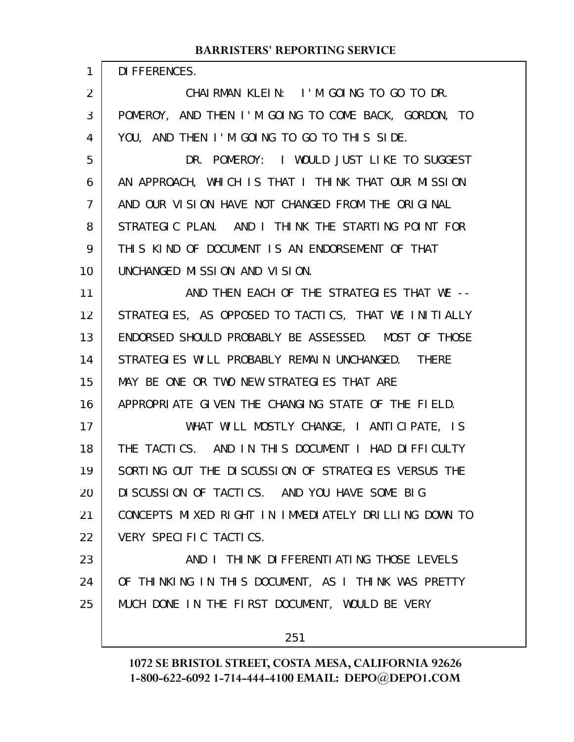|                 | <b>BARRISTERS' REPORTING SERVICE</b>                 |
|-----------------|------------------------------------------------------|
| $\mathbf{1}$    | DI FFERENCES.                                        |
| $\overline{2}$  | CHAIRMAN KLEIN: I'M GOING TO GO TO DR.               |
| 3               | POMEROY, AND THEN I'M GOING TO COME BACK, GORDON, TO |
| 4               | YOU, AND THEN I'M GOING TO GO TO THIS SIDE.          |
| 5               | DR. POMEROY: I WOULD JUST LIKE TO SUGGEST            |
| 6               | AN APPROACH, WHICH IS THAT I THINK THAT OUR MISSION  |
| $\overline{7}$  | AND OUR VISION HAVE NOT CHANGED FROM THE ORIGINAL    |
| 8               | STRATEGIC PLAN. AND I THINK THE STARTING POINT FOR   |
| 9               | THIS KIND OF DOCUMENT IS AN ENDORSEMENT OF THAT      |
| 10              | UNCHANGED MISSION AND VISION.                        |
| 11              | AND THEN EACH OF THE STRATEGIES THAT WE --           |
| 12 <sup>2</sup> | STRATEGIES, AS OPPOSED TO TACTICS, THAT WE INITIALLY |
| 13              | ENDORSED SHOULD PROBABLY BE ASSESSED. MOST OF THOSE  |
| 14              | STRATEGIES WILL PROBABLY REMAIN UNCHANGED. THERE     |
| 15              | MAY BE ONE OR TWO NEW STRATEGIES THAT ARE            |
| 16              | APPROPRIATE GIVEN THE CHANGING STATE OF THE FIELD.   |
| 17              | WHAT WILL MOSTLY CHANGE, I ANTICIPATE, IS            |
| 18              | THE TACTICS. AND IN THIS DOCUMENT I HAD DIFFICULTY   |
| 19              | SORTING OUT THE DISCUSSION OF STRATEGIES VERSUS THE  |
| 20              | DISCUSSION OF TACTICS. AND YOU HAVE SOME BIG         |
| 21              | CONCEPTS MIXED RIGHT IN IMMEDIATELY DRILLING DOWN TO |
| 22              | VERY SPECIFIC TACTICS.                               |
| 23              | AND I THINK DIFFERENTIATING THOSE LEVELS             |
| 24              | OF THINKING IN THIS DOCUMENT, AS I THINK WAS PRETTY  |
| 25              | MUCH DONE IN THE FIRST DOCUMENT, WOULD BE VERY       |
|                 |                                                      |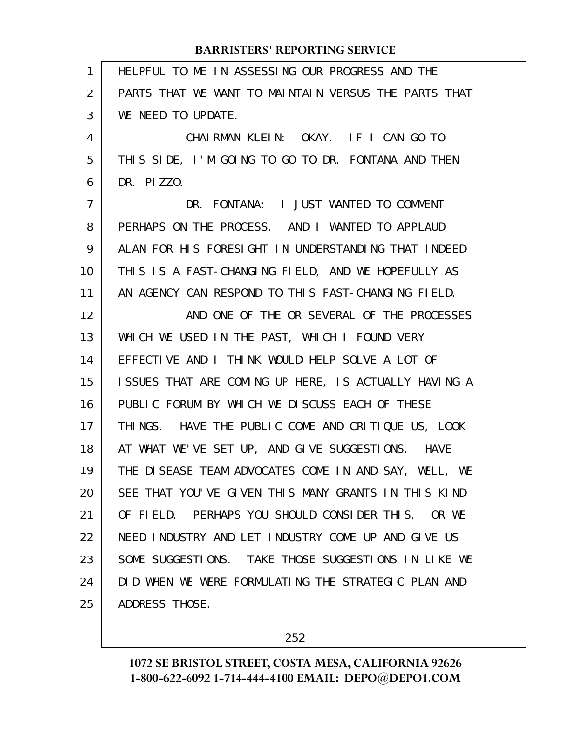| 1              | HELPFUL TO ME IN ASSESSING OUR PROGRESS AND THE      |
|----------------|------------------------------------------------------|
| 2              | PARTS THAT WE WANT TO MAINTAIN VERSUS THE PARTS THAT |
| 3              | WE NEED TO UPDATE.                                   |
| 4              | CHAIRMAN KLEIN: OKAY. IF I CAN GO TO                 |
| 5              | THIS SIDE, I'M GOING TO GO TO DR. FONTANA AND THEN   |
| 6              | DR. PIZZO.                                           |
| $\overline{7}$ | DR. FONTANA: I JUST WANTED TO COMMENT                |
| 8              | PERHAPS ON THE PROCESS. AND I WANTED TO APPLAUD      |
| 9              | ALAN FOR HIS FORESIGHT IN UNDERSTANDING THAT INDEED  |
| 10             | THIS IS A FAST-CHANGING FIELD, AND WE HOPEFULLY AS   |
| 11             | AN AGENCY CAN RESPOND TO THIS FAST-CHANGING FIELD.   |
| 12             | AND ONE OF THE OR SEVERAL OF THE PROCESSES           |
| 13             | WHICH WE USED IN THE PAST, WHICH I FOUND VERY        |
| 14             | EFFECTIVE AND I THINK WOULD HELP SOLVE A LOT OF      |
| 15             | ISSUES THAT ARE COMING UP HERE, IS ACTUALLY HAVING A |
| 16             | PUBLIC FORUM BY WHICH WE DISCUSS EACH OF THESE       |
| 17             | THINGS. HAVE THE PUBLIC COME AND CRITIQUE US, LOOK   |
| 18             | AT WHAT WE'VE SET UP, AND GIVE SUGGESTIONS. HAVE     |
| 19             | THE DISEASE TEAM ADVOCATES COME IN AND SAY, WELL, WE |
| 20             | SEE THAT YOU'VE GIVEN THIS MANY GRANTS IN THIS KIND  |
| 21             | OF FIELD. PERHAPS YOU SHOULD CONSIDER THIS. OR WE    |
| 22             | NEED INDUSTRY AND LET INDUSTRY COME UP AND GIVE US   |
| 23             | SOME SUGGESTIONS. TAKE THOSE SUGGESTIONS IN LIKE WE  |
| 24             | DID WHEN WE WERE FORMULATING THE STRATEGIC PLAN AND  |
| 25             | ADDRESS THOSE.                                       |
|                |                                                      |

252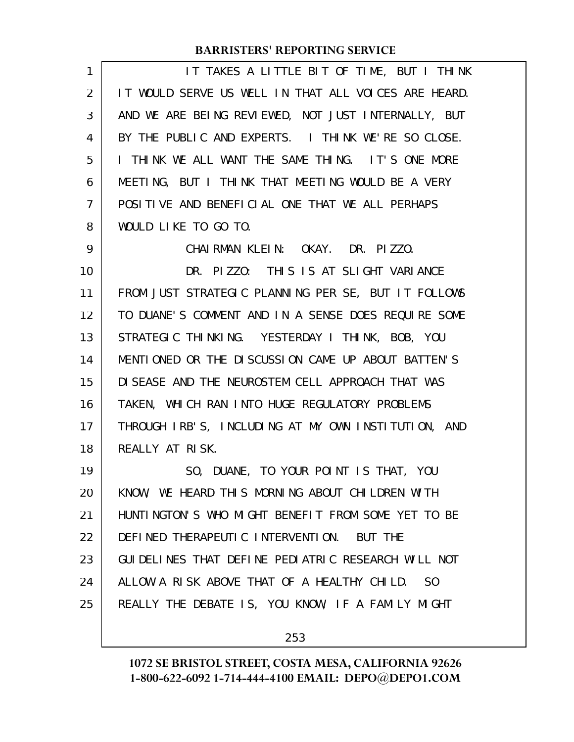| 1  | IT TAKES A LITTLE BIT OF TIME, BUT I THINK                   |
|----|--------------------------------------------------------------|
| 2  | IT WOULD SERVE US WELL IN THAT ALL VOICES ARE HEARD.         |
| 3  | AND WE ARE BEING REVIEWED, NOT JUST INTERNALLY, BUT          |
| 4  | BY THE PUBLIC AND EXPERTS. I THINK WE'RE SO CLOSE.           |
| 5  | I THINK WE ALL WANT THE SAME THING. IT'S ONE MORE            |
| 6  | MEETING, BUT I THINK THAT MEETING WOULD BE A VERY            |
| 7  | POSITIVE AND BENEFICIAL ONE THAT WE ALL PERHAPS              |
| 8  | WOULD LIKE TO GO TO.                                         |
| 9  | CHAIRMAN KLEIN: OKAY. DR. PIZZO.                             |
| 10 | DR. PIZZO: THIS IS AT SLIGHT VARIANCE                        |
| 11 | FROM JUST STRATEGIC PLANNING PER SE, BUT IT FOLLOWS          |
| 12 | TO DUANE'S COMMENT AND IN A SENSE DOES REQUIRE SOME          |
| 13 | STRATEGIC THINKING. YESTERDAY I THINK, BOB, YOU              |
| 14 | MENTIONED OR THE DISCUSSION CAME UP ABOUT BATTEN'S           |
| 15 | DI SEASE AND THE NEUROSTEM CELL APPROACH THAT WAS            |
| 16 | TAKEN, WHICH RAN INTO HUGE REGULATORY PROBLEMS               |
| 17 | THROUGH IRB'S, INCLUDING AT MY OWN INSTITUTION, AND          |
| 18 | REALLY AT RISK.                                              |
| 19 | SO, DUANE, TO YOUR POINT IS THAT, YOU                        |
| 20 | KNOW, WE HEARD THIS MORNING ABOUT CHILDREN WITH              |
| 21 | HUNTINGTON'S WHO MIGHT BENEFIT FROM SOME YET TO BE           |
| 22 | DEFINED THERAPEUTIC INTERVENTION. BUT THE                    |
| 23 | GUIDELINES THAT DEFINE PEDIATRIC RESEARCH WILL NOT           |
| 24 | ALLOW A RISK ABOVE THAT OF A HEALTHY CHILD.<br><sub>SO</sub> |
| 25 | REALLY THE DEBATE IS, YOU KNOW, IF A FAMILY MIGHT            |
|    |                                                              |

253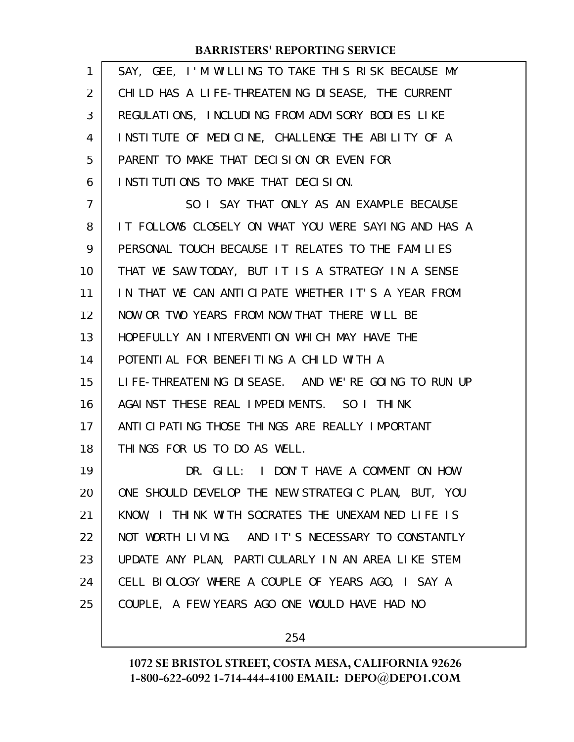| 1              | SAY, GEE, I'M WILLING TO TAKE THIS RISK BECAUSE MY   |
|----------------|------------------------------------------------------|
| $\overline{2}$ | CHILD HAS A LIFE-THREATENING DISEASE, THE CURRENT    |
| 3              | REGULATIONS, INCLUDING FROM ADVISORY BODIES LIKE     |
| 4              | INSTITUTE OF MEDICINE, CHALLENGE THE ABILITY OF A    |
| 5              | PARENT TO MAKE THAT DECISION OR EVEN FOR             |
| 6              | INSTITUTIONS TO MAKE THAT DECISION.                  |
| $\overline{7}$ | SO I SAY THAT ONLY AS AN EXAMPLE BECAUSE             |
| 8              | IT FOLLOWS CLOSELY ON WHAT YOU WERE SAYING AND HAS A |
| 9              | PERSONAL TOUCH BECAUSE IT RELATES TO THE FAMILIES    |
| 10             | THAT WE SAW TODAY, BUT IT IS A STRATEGY IN A SENSE   |
| 11             | IN THAT WE CAN ANTICIPATE WHETHER IT'S A YEAR FROM   |
| 12             | NOW OR TWO YEARS FROM NOW THAT THERE WILL BE         |
| 13             | HOPEFULLY AN INTERVENTION WHICH MAY HAVE THE         |
| 14             | POTENTIAL FOR BENEFITING A CHILD WITH A              |
| 15             | LIFE-THREATENING DISEASE. AND WE'RE GOING TO RUN UP  |
| 16             | AGAINST THESE REAL IMPEDIMENTS. SO I THINK           |
| 17             | ANTI CI PATI NG THOSE THI NGS ARE REALLY I MPORTANT  |
| 18             | THINGS FOR US TO DO AS WELL.                         |
| 19             | DR. GILL: I DON'T HAVE A COMMENT ON HOW              |
| 20             | ONE SHOULD DEVELOP THE NEW STRATEGIC PLAN, BUT, YOU  |
| 21             | KNOW, I THINK WITH SOCRATES THE UNEXAMINED LIFE IS   |
| 22             | NOT WORTH LIVING. AND IT'S NECESSARY TO CONSTANTLY   |
| 23             | UPDATE ANY PLAN, PARTICULARLY IN AN AREA LIKE STEM   |
| 24             | CELL BIOLOGY WHERE A COUPLE OF YEARS AGO, I SAY A    |
| 25             | COUPLE, A FEW YEARS AGO ONE WOULD HAVE HAD NO        |
|                |                                                      |

254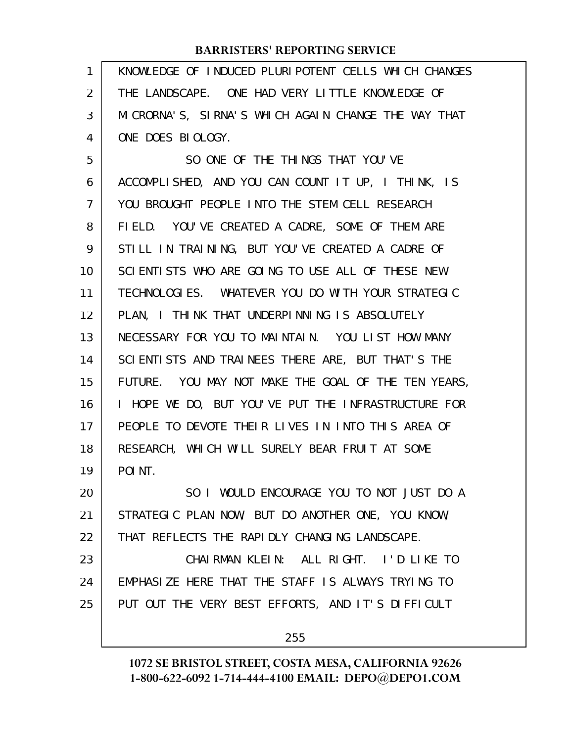KNOWLEDGE OF INDUCED PLURIPOTENT CELLS WHICH CHANGES THE LANDSCAPE. ONE HAD VERY LITTLE KNOWLEDGE OF MICRORNA'S, SIRNA'S WHICH AGAIN CHANGE THE WAY THAT ONE DOES BIOLOGY. 1 2 3 4

SO ONE OF THE THINGS THAT YOU'VE ACCOMPLISHED, AND YOU CAN COUNT IT UP, I THINK, IS YOU BROUGHT PEOPLE INTO THE STEM CELL RESEARCH FIELD. YOU'VE CREATED A CADRE, SOME OF THEM ARE STILL IN TRAINING, BUT YOU'VE CREATED A CADRE OF SCIENTISTS WHO ARE GOING TO USE ALL OF THESE NEW TECHNOLOGIES. WHATEVER YOU DO WITH YOUR STRATEGIC PLAN, I THINK THAT UNDERPINNING IS ABSOLUTELY NECESSARY FOR YOU TO MAINTAIN. YOU LIST HOW MANY SCIENTISTS AND TRAINEES THERE ARE, BUT THAT'S THE FUTURE. YOU MAY NOT MAKE THE GOAL OF THE TEN YEARS, I HOPE WE DO, BUT YOU'VE PUT THE INFRASTRUCTURE FOR PEOPLE TO DEVOTE THEIR LIVES IN INTO THIS AREA OF RESEARCH, WHICH WILL SURELY BEAR FRUIT AT SOME POINT. SO I WOULD ENCOURAGE YOU TO NOT JUST DO A 5 6 7 8 9 10 11 12 13 14 15 16 17 18 19 20

STRATEGIC PLAN NOW, BUT DO ANOTHER ONE, YOU KNOW, THAT REFLECTS THE RAPIDLY CHANGING LANDSCAPE. 21 22

CHAIRMAN KLEIN: ALL RIGHT. I'D LIKE TO EMPHASIZE HERE THAT THE STAFF IS ALWAYS TRYING TO PUT OUT THE VERY BEST EFFORTS, AND IT'S DIFFICULT 23 24 25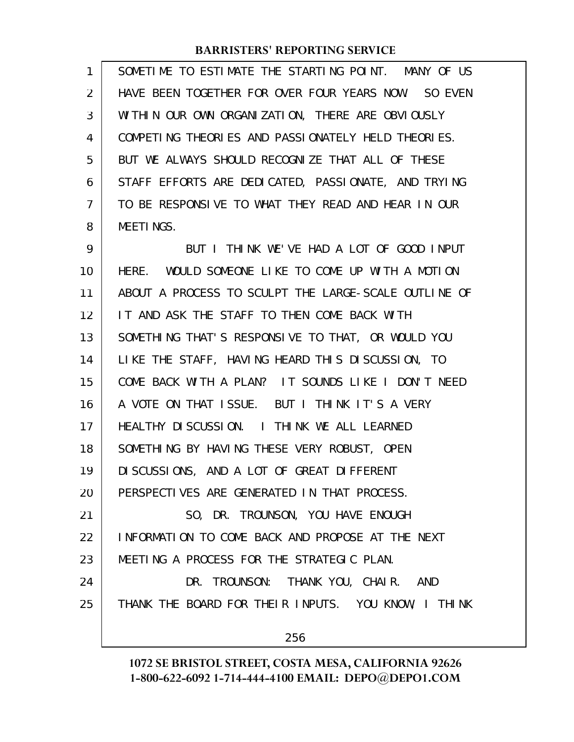| 1  | SOMETIME TO ESTIMATE THE STARTING POINT. MANY OF US  |
|----|------------------------------------------------------|
| 2  | HAVE BEEN TOGETHER FOR OVER FOUR YEARS NOW. SO EVEN  |
| 3  | WITHIN OUR OWN ORGANIZATION, THERE ARE OBVIOUSLY     |
| 4  | COMPETING THEORIES AND PASSIONATELY HELD THEORIES.   |
| 5  | BUT WE ALWAYS SHOULD RECOGNIZE THAT ALL OF THESE     |
| 6  | STAFF EFFORTS ARE DEDICATED, PASSIONATE, AND TRYING  |
| 7  | TO BE RESPONSIVE TO WHAT THEY READ AND HEAR IN OUR   |
| 8  | MEETINGS.                                            |
| 9  | BUT I THINK WE'VE HAD A LOT OF GOOD INPUT            |
| 10 | HERE. WOULD SOMEONE LIKE TO COME UP WITH A MOTION    |
| 11 | ABOUT A PROCESS TO SCULPT THE LARGE-SCALE OUTLINE OF |
| 12 | IT AND ASK THE STAFF TO THEN COME BACK WITH          |
| 13 | SOMETHING THAT'S RESPONSIVE TO THAT, OR WOULD YOU    |
| 14 | LIKE THE STAFF, HAVING HEARD THIS DISCUSSION, TO     |
| 15 | COME BACK WITH A PLAN? IT SOUNDS LIKE I DON'T NEED   |
| 16 | A VOTE ON THAT ISSUE. BUT I THINK IT'S A VERY        |
| 17 | HEALTHY DISCUSSION. I THINK WE ALL LEARNED           |
| 18 | SOMETHING BY HAVING THESE VERY ROBUST, OPEN          |
| 19 | DI SCUSSIONS, AND A LOT OF GREAT DIFFERENT           |
| 20 | PERSPECTIVES ARE GENERATED IN THAT PROCESS.          |
| 21 | SO, DR. TROUNSON, YOU HAVE ENOUGH                    |
| 22 | INFORMATION TO COME BACK AND PROPOSE AT THE NEXT     |
| 23 | MEETING A PROCESS FOR THE STRATEGIC PLAN.            |
| 24 | DR. TROUNSON: THANK YOU, CHAIR. AND                  |
| 25 | THANK THE BOARD FOR THEIR INPUTS. YOU KNOW, I THINK  |
|    |                                                      |

256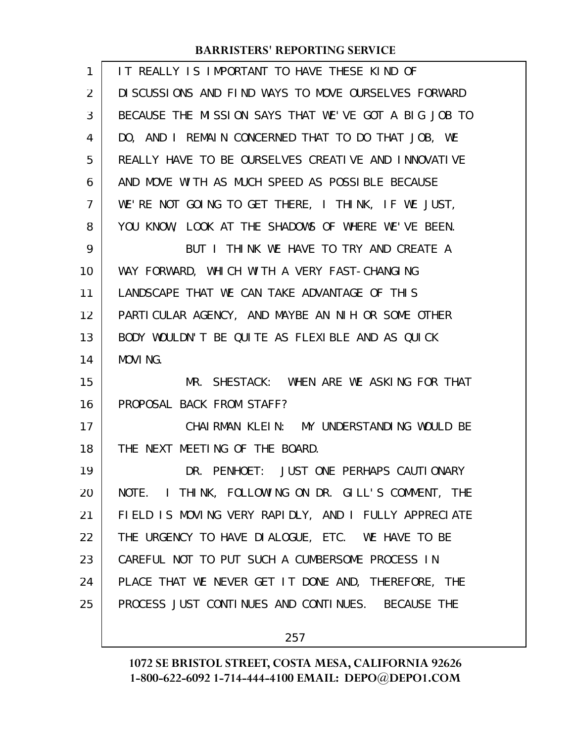| 1  | IT REALLY IS IMPORTANT TO HAVE THESE KIND OF         |
|----|------------------------------------------------------|
| 2  | DISCUSSIONS AND FIND WAYS TO MOVE OURSELVES FORWARD  |
| 3  | BECAUSE THE MISSION SAYS THAT WE'VE GOT A BIG JOB TO |
| 4  | DO, AND I REMAIN CONCERNED THAT TO DO THAT JOB, WE   |
| 5  | REALLY HAVE TO BE OURSELVES CREATIVE AND INNOVATIVE  |
| 6  | AND MOVE WITH AS MUCH SPEED AS POSSIBLE BECAUSE      |
| 7  | WE'RE NOT GOING TO GET THERE, I THINK, IF WE JUST,   |
| 8  | YOU KNOW, LOOK AT THE SHADOWS OF WHERE WE'VE BEEN.   |
| 9  | BUT I THINK WE HAVE TO TRY AND CREATE A              |
| 10 | WAY FORWARD, WHICH WITH A VERY FAST-CHANGING         |
| 11 | LANDSCAPE THAT WE CAN TAKE ADVANTAGE OF THIS         |
| 12 | PARTICULAR AGENCY, AND MAYBE AN NIH OR SOME OTHER    |
| 13 | BODY WOULDN'T BE QUITE AS FLEXIBLE AND AS QUICK      |
| 14 | MOVING.                                              |
| 15 | MR. SHESTACK: WHEN ARE WE ASKING FOR THAT            |
| 16 | PROPOSAL BACK FROM STAFF?                            |
| 17 | CHAI RMAN KLEIN: MY UNDERSTANDING WOULD BE           |
| 18 | THE NEXT MEETING OF THE BOARD.                       |
| 19 | DR. PENHOET: JUST ONE PERHAPS CAUTIONARY             |
| 20 | NOTE. I THINK, FOLLOWING ON DR. GILL'S COMMENT, THE  |
| 21 | FIELD IS MOVING VERY RAPIDLY, AND I FULLY APPRECIATE |
| 22 | THE URGENCY TO HAVE DIALOGUE, ETC. WE HAVE TO BE     |
| 23 | CAREFUL NOT TO PUT SUCH A CUMBERSOME PROCESS IN      |
| 24 | PLACE THAT WE NEVER GET IT DONE AND, THEREFORE, THE  |
| 25 | PROCESS JUST CONTINUES AND CONTINUES. BECAUSE THE    |
|    |                                                      |

257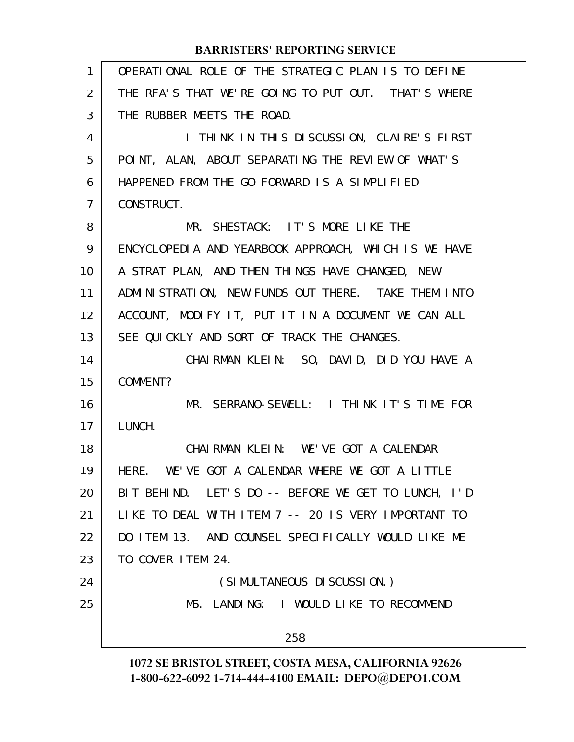| 1              | OPERATIONAL ROLE OF THE STRATEGIC PLAN IS TO DEFINE  |
|----------------|------------------------------------------------------|
| 2              | THE RFA'S THAT WE'RE GOING TO PUT OUT. THAT'S WHERE  |
| 3              | THE RUBBER MEETS THE ROAD.                           |
| 4              | I THINK IN THIS DISCUSSION, CLAIRE'S FIRST           |
| 5              | POINT, ALAN, ABOUT SEPARATING THE REVIEW OF WHAT'S   |
| 6              | HAPPENED FROM THE GO FORWARD IS A SIMPLIFIED         |
| $\overline{7}$ | CONSTRUCT.                                           |
| 8              | MR. SHESTACK: IT'S MORE LIKE THE                     |
| 9              | ENCYCLOPEDIA AND YEARBOOK APPROACH, WHICH IS WE HAVE |
| 10             | A STRAT PLAN, AND THEN THINGS HAVE CHANGED, NEW      |
| 11             | ADMINISTRATION, NEW FUNDS OUT THERE. TAKE THEM INTO  |
| 12             | ACCOUNT, MODIFY IT, PUT IT IN A DOCUMENT WE CAN ALL  |
| 13             | SEE QUICKLY AND SORT OF TRACK THE CHANGES.           |
| 14             | CHAIRMAN KLEIN: SO, DAVID, DID YOU HAVE A            |
| 15             | COMMENT?                                             |
| 16             | MR. SERRANO-SEWELL: I THINK IT'S TIME FOR            |
| 17             | LUNCH.                                               |
| 18             | CHAIRMAN KLEIN: WE'VE GOT A CALENDAR                 |
| 19             | HERE. WE'VE GOT A CALENDAR WHERE WE GOT A LITTLE     |
| 20             | BIT BEHIND. LET'S DO -- BEFORE WE GET TO LUNCH, I'D  |
| 21             | LIKE TO DEAL WITH ITEM 7 -- 20 IS VERY IMPORTANT TO  |
| 22             | DO ITEM 13. AND COUNSEL SPECIFICALLY WOULD LIKE ME   |
| 23             | TO COVER ITEM 24.                                    |
| 24             | (SIMULTANEOUS DI SCUSSION.)                          |
| 25             | MS. LANDING: I WOULD LIKE TO RECOMMEND               |
|                | 258                                                  |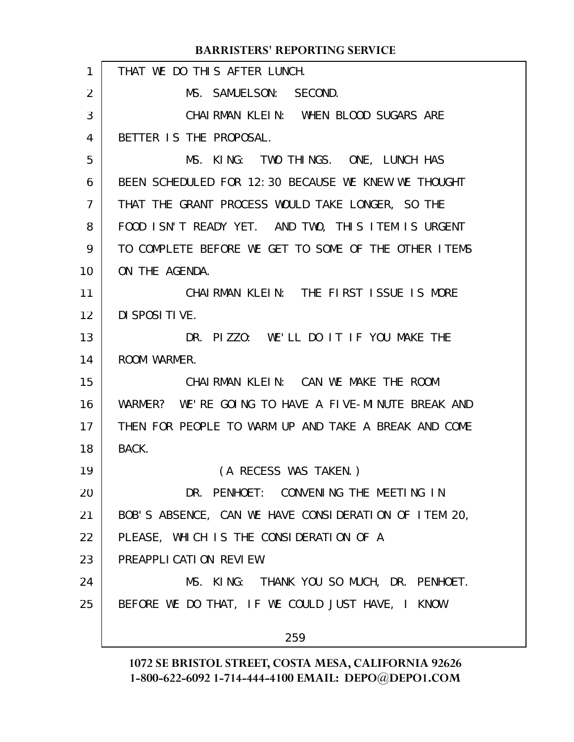#### THAT WE DO THIS AFTER LUNCH. MS. SAMUELSON: SECOND. CHAIRMAN KLEIN: WHEN BLOOD SUGARS ARE BETTER IS THE PROPOSAL. MS. KING: TWO THINGS. ONE, LUNCH HAS BEEN SCHEDULED FOR 12:30 BECAUSE WE KNEW WE THOUGHT THAT THE GRANT PROCESS WOULD TAKE LONGER, SO THE FOOD ISN'T READY YET. AND TWO, THIS ITEM IS URGENT TO COMPLETE BEFORE WE GET TO SOME OF THE OTHER ITEMS ON THE AGENDA. CHAIRMAN KLEIN: THE FIRST ISSUE IS MORE DISPOSITIVE. DR. PIZZO: WE'LL DO IT IF YOU MAKE THE ROOM WARMER. CHAIRMAN KLEIN: CAN WE MAKE THE ROOM WARMER? WE'RE GOING TO HAVE A FIVE-MINUTE BREAK AND THEN FOR PEOPLE TO WARM UP AND TAKE A BREAK AND COME BACK. (A RECESS WAS TAKEN.) DR. PENHOET: CONVENING THE MEETING IN BOB'S ABSENCE, CAN WE HAVE CONSIDERATION OF ITEM 20, PLEASE, WHICH IS THE CONSIDERATION OF A PREAPPLICATION REVIEW. MS. KING: THANK YOU SO MUCH, DR. PENHOET. BEFORE WE DO THAT, IF WE COULD JUST HAVE, I KNOW 259 **BARRISTERS' REPORTING SERVICE** 1 2 3 4 5 6 7 8 9 10 11 12 13 14 15 16 17 18 19 20 21 22 23 24 25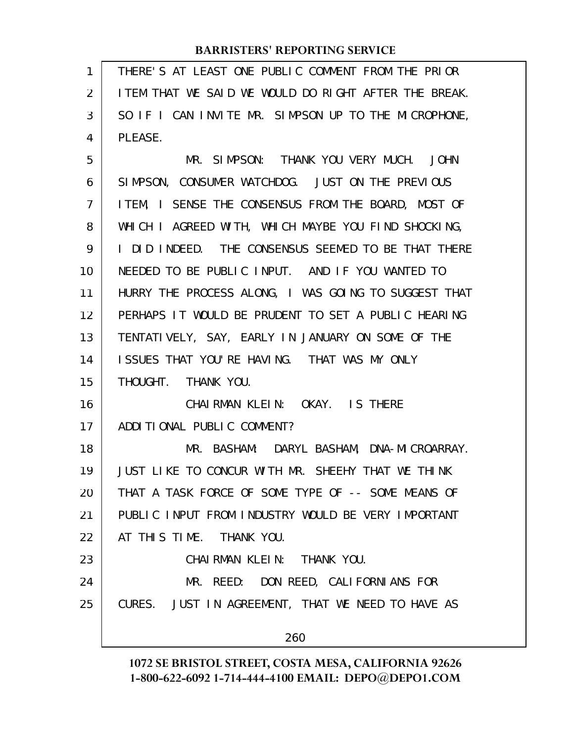| 1              | THERE'S AT LEAST ONE PUBLIC COMMENT FROM THE PRIOR    |
|----------------|-------------------------------------------------------|
| 2              | I TEM THAT WE SAID WE WOULD DO RIGHT AFTER THE BREAK. |
| 3              | SO IF I CAN INVITE MR. SIMPSON UP TO THE MICROPHONE,  |
| 4              | PLEASE.                                               |
| 5              | MR. SIMPSON: THANK YOU VERY MUCH. JOHN                |
| 6              | SIMPSON, CONSUMER WATCHDOG. JUST ON THE PREVIOUS      |
| $\overline{7}$ | ITEM, I SENSE THE CONSENSUS FROM THE BOARD, MOST OF   |
| 8              | WHICH I AGREED WITH, WHICH MAYBE YOU FIND SHOCKING,   |
| 9              | I DID INDEED. THE CONSENSUS SEEMED TO BE THAT THERE   |
| 10             | NEEDED TO BE PUBLIC INPUT. AND IF YOU WANTED TO       |
| 11             | HURRY THE PROCESS ALONG, I WAS GOING TO SUGGEST THAT  |
| 12             | PERHAPS IT WOULD BE PRUDENT TO SET A PUBLIC HEARING   |
| 13             | TENTATIVELY, SAY, EARLY IN JANUARY ON SOME OF THE     |
| 14             | ISSUES THAT YOU'RE HAVING. THAT WAS MY ONLY           |
| 15             | THOUGHT. THANK YOU.                                   |
| 16             | CHAIRMAN KLEIN: OKAY. IS THERE                        |
| 17             | ADDITIONAL PUBLIC COMMENT?                            |
| 18             | MR. BASHAM: DARYL BASHAM, DNA-MICROARRAY.             |
| 19             | JUST LIKE TO CONCUR WITH MR. SHEEHY THAT WE THINK     |
| 20             | THAT A TASK FORCE OF SOME TYPE OF -- SOME MEANS OF    |
| 21             | PUBLIC INPUT FROM INDUSTRY WOULD BE VERY IMPORTANT    |
| 22             | AT THIS TIME. THANK YOU.                              |
| 23             | CHAIRMAN KLEIN: THANK YOU.                            |
| 24             | MR. REED: DON REED, CALIFORNIANS FOR                  |
| 25             | CURES. JUST IN AGREEMENT, THAT WE NEED TO HAVE AS     |
|                | 260                                                   |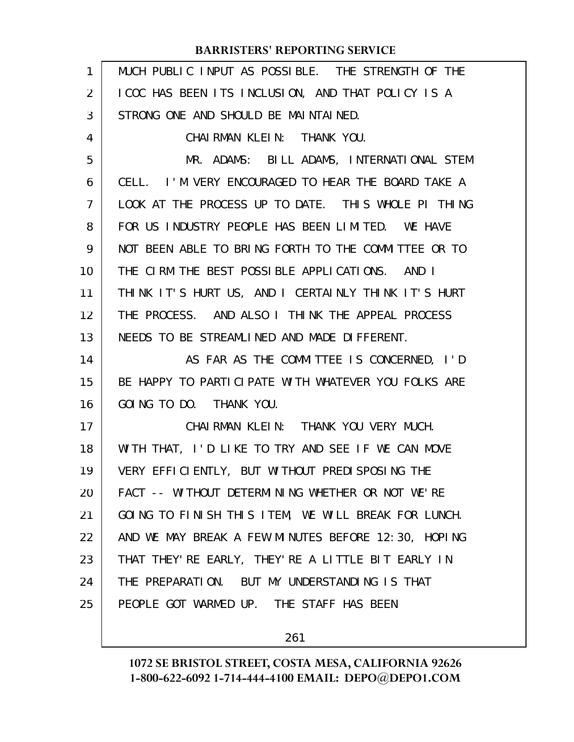| $\mathbf{1}$ | MUCH PUBLIC INPUT AS POSSIBLE. THE STRENGTH OF THE  |
|--------------|-----------------------------------------------------|
| 2            | I COC HAS BEEN ITS INCLUSION, AND THAT POLICY IS A  |
| 3            | STRONG ONE AND SHOULD BE MAINTAINED.                |
| 4            | CHAI RMAN KLEIN: THANK YOU.                         |
| 5            | MR. ADAMS: BILL ADAMS, INTERNATIONAL STEM           |
| 6            | CELL. I'M VERY ENCOURAGED TO HEAR THE BOARD TAKE A  |
| 7            | LOOK AT THE PROCESS UP TO DATE. THIS WHOLE PI THING |
| 8            | FOR US INDUSTRY PEOPLE HAS BEEN LIMITED. WE HAVE    |
| 9            | NOT BEEN ABLE TO BRING FORTH TO THE COMMITTEE OR TO |
| 10           | THE CIRM THE BEST POSSIBLE APPLICATIONS. AND I      |
| 11           | THINK IT'S HURT US, AND I CERTAINLY THINK IT'S HURT |
| 12           | THE PROCESS. AND ALSO I THINK THE APPEAL PROCESS    |
| 13           | NEEDS TO BE STREAMLINED AND MADE DIFFERENT.         |
| 14           | AS FAR AS THE COMMITTEE IS CONCERNED, I'D           |
| 15           | BE HAPPY TO PARTICIPATE WITH WHATEVER YOU FOLKS ARE |
| 16           | GOING TO DO. THANK YOU.                             |
| 17           | CHAIRMAN KLEIN: THANK YOU VERY MUCH.                |
| 18           | WITH THAT, I'D LIKE TO TRY AND SEE IF WE CAN MOVE   |
| 19           | VERY EFFICIENTLY, BUT WITHOUT PREDISPOSING THE      |
| 20           | FACT -- WITHOUT DETERMINING WHETHER OR NOT WE'RE    |
| 21           | GOING TO FINISH THIS ITEM, WE WILL BREAK FOR LUNCH. |
| 22           | AND WE MAY BREAK A FEW MINUTES BEFORE 12:30, HOPING |
| 23           | THAT THEY' RE EARLY, THEY' RE A LITTLE BIT EARLY IN |
| 24           | THE PREPARATION. BUT MY UNDERSTANDING IS THAT       |
| 25           | PEOPLE GOT WARMED UP. THE STAFF HAS BEEN            |
|              |                                                     |

261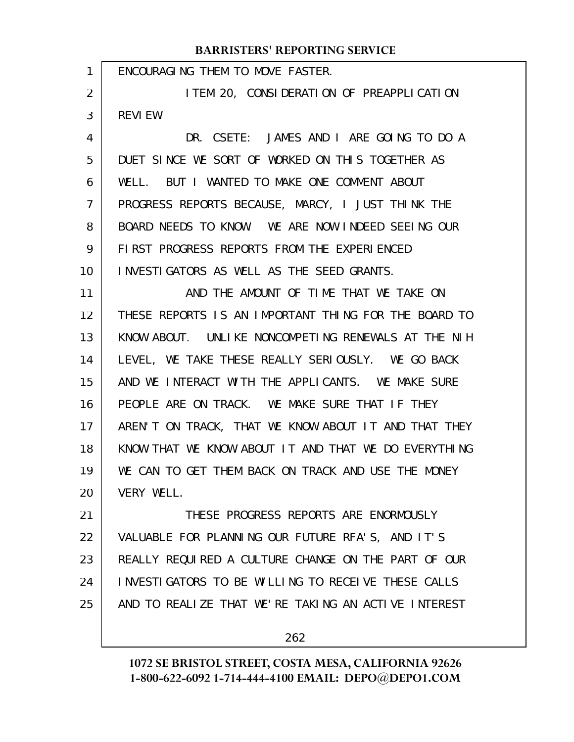| 1  | ENCOURAGING THEM TO MOVE FASTER.                     |
|----|------------------------------------------------------|
| 2  | I TEM 20, CONSIDERATION OF PREAPPLICATION            |
| 3  | <b>REVIEW.</b>                                       |
| 4  | DR. CSETE: JAMES AND I ARE GOING TO DO A             |
| 5  | DUET SINCE WE SORT OF WORKED ON THIS TOGETHER AS     |
| 6  | WELL. BUT I WANTED TO MAKE ONE COMMENT ABOUT         |
| 7  | PROGRESS REPORTS BECAUSE, MARCY, I JUST THINK THE    |
| 8  | BOARD NEEDS TO KNOW. WE ARE NOW INDEED SEEING OUR    |
| 9  | FIRST PROGRESS REPORTS FROM THE EXPERIENCED          |
| 10 | INVESTIGATORS AS WELL AS THE SEED GRANTS.            |
| 11 | AND THE AMOUNT OF TIME THAT WE TAKE ON               |
| 12 | THESE REPORTS IS AN IMPORTANT THING FOR THE BOARD TO |
| 13 | KNOW ABOUT. UNLIKE NONCOMPETING RENEWALS AT THE NIH  |
| 14 | LEVEL, WE TAKE THESE REALLY SERIOUSLY. WE GO BACK    |
| 15 | AND WE INTERACT WITH THE APPLICANTS. WE MAKE SURE    |
| 16 | PEOPLE ARE ON TRACK. WE MAKE SURE THAT IF THEY       |
| 17 | AREN'T ON TRACK, THAT WE KNOW ABOUT IT AND THAT THEY |
| 18 | KNOW THAT WE KNOW ABOUT IT AND THAT WE DO EVERYTHING |
| 19 | WE CAN TO GET THEM BACK ON TRACK AND USE THE MONEY   |
| 20 | VERY WELL.                                           |
| 21 | THESE PROGRESS REPORTS ARE ENORMOUSLY                |
| 22 | VALUABLE FOR PLANNING OUR FUTURE RFA'S, AND IT'S     |
| 23 | REALLY REQUIRED A CULTURE CHANGE ON THE PART OF OUR  |
| 24 | INVESTIGATORS TO BE WILLING TO RECEIVE THESE CALLS   |
| 25 | AND TO REALIZE THAT WE'RE TAKING AN ACTIVE INTEREST  |
|    |                                                      |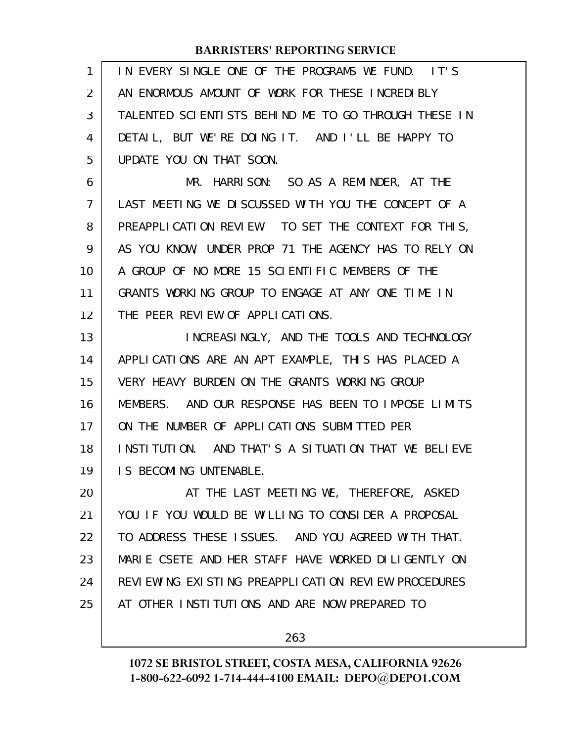| 1              | IN EVERY SINGLE ONE OF THE PROGRAMS WE FUND. IT'S    |
|----------------|------------------------------------------------------|
| 2              | AN ENORMOUS AMOUNT OF WORK FOR THESE INCREDIBLY      |
| 3              | TALENTED SCIENTISTS BEHIND ME TO GO THROUGH THESE IN |
| 4              | DETAIL, BUT WE'RE DOING IT. AND I'LL BE HAPPY TO     |
| 5              | UPDATE YOU ON THAT SOON.                             |
| 6              | MR. HARRISON: SO AS A REMINDER, AT THE               |
| $\overline{7}$ | LAST MEETING WE DISCUSSED WITH YOU THE CONCEPT OF A  |
| 8              | PREAPPLICATION REVIEW. TO SET THE CONTEXT FOR THIS,  |
| 9              | AS YOU KNOW, UNDER PROP 71 THE AGENCY HAS TO RELY ON |
| 10             | A GROUP OF NO MORE 15 SCIENTIFIC MEMBERS OF THE      |
| 11             | GRANTS WORKING GROUP TO ENGAGE AT ANY ONE TIME IN    |
| 12             | THE PEER REVIEW OF APPLICATIONS.                     |
| 13             | INCREASINGLY, AND THE TOOLS AND TECHNOLOGY           |
| 14             | APPLICATIONS ARE AN APT EXAMPLE, THIS HAS PLACED A   |
| 15             | VERY HEAVY BURDEN ON THE GRANTS WORKING GROUP        |
| 16             | MEMBERS. AND OUR RESPONSE HAS BEEN TO IMPOSE LIMITS  |
| 17             | ON THE NUMBER OF APPLICATIONS SUBMITTED PER          |
| 18             | INSTITUTION. AND THAT'S A SITUATION THAT WE BELIEVE  |
| 19             | IS BECOMING UNTENABLE.                               |
| 20             | AT THE LAST MEETING WE, THEREFORE, ASKED             |
| 21             | YOU IF YOU WOULD BE WILLING TO CONSIDER A PROPOSAL   |
| 22             | TO ADDRESS THESE ISSUES. AND YOU AGREED WITH THAT.   |
| 23             | MARIE CSETE AND HER STAFF HAVE WORKED DILIGENTLY ON  |
| 24             | REVIEWING EXISTING PREAPPLICATION REVIEW PROCEDURES  |
| 25             | AT OTHER INSTITUTIONS AND ARE NOW PREPARED TO        |
|                |                                                      |

263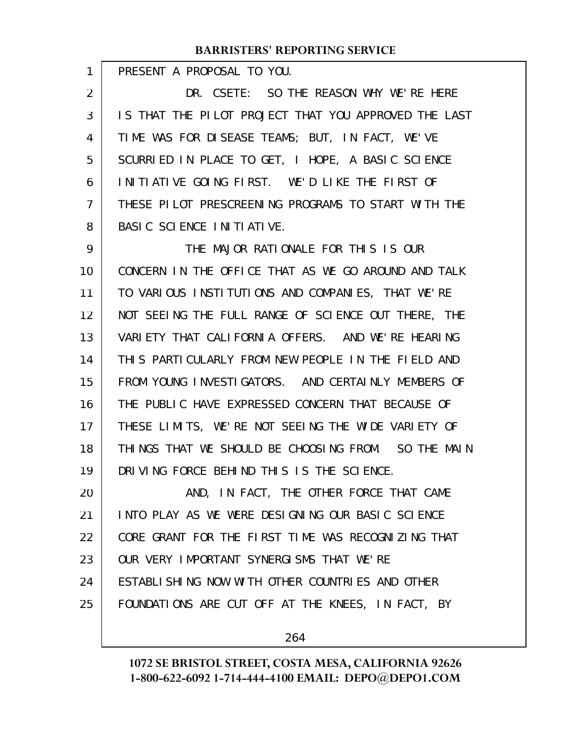PRESENT A PROPOSAL TO YOU.

1

DR. CSETE: SO THE REASON WHY WE'RE HERE IS THAT THE PILOT PROJECT THAT YOU APPROVED THE LAST TIME WAS FOR DISEASE TEAMS; BUT, IN FACT, WE'VE SCURRIED IN PLACE TO GET, I HOPE, A BASIC SCIENCE INITIATIVE GOING FIRST. WE'D LIKE THE FIRST OF THESE PILOT PRESCREENING PROGRAMS TO START WITH THE BASIC SCIENCE INITIATIVE. 2 3 4 5 6 7 8

THE MAJOR RATIONALE FOR THIS IS OUR CONCERN IN THE OFFICE THAT AS WE GO AROUND AND TALK TO VARIOUS INSTITUTIONS AND COMPANIES, THAT WE'RE NOT SEEING THE FULL RANGE OF SCIENCE OUT THERE, THE VARIETY THAT CALIFORNIA OFFERS. AND WE'RE HEARING THIS PARTICULARLY FROM NEW PEOPLE IN THE FIELD AND FROM YOUNG INVESTIGATORS. AND CERTAINLY MEMBERS OF THE PUBLIC HAVE EXPRESSED CONCERN THAT BECAUSE OF THESE LIMITS, WE'RE NOT SEEING THE WIDE VARIETY OF THINGS THAT WE SHOULD BE CHOOSING FROM. SO THE MAIN DRIVING FORCE BEHIND THIS IS THE SCIENCE. 9 10 11 12 13 14 15 16 17 18 19

AND, IN FACT, THE OTHER FORCE THAT CAME INTO PLAY AS WE WERE DESIGNING OUR BASIC SCIENCE CORE GRANT FOR THE FIRST TIME WAS RECOGNIZING THAT OUR VERY IMPORTANT SYNERGISMS THAT WE'RE ESTABLISHING NOW WITH OTHER COUNTRIES AND OTHER FOUNDATIONS ARE CUT OFF AT THE KNEES, IN FACT, BY 20 21 22 23 24 25

264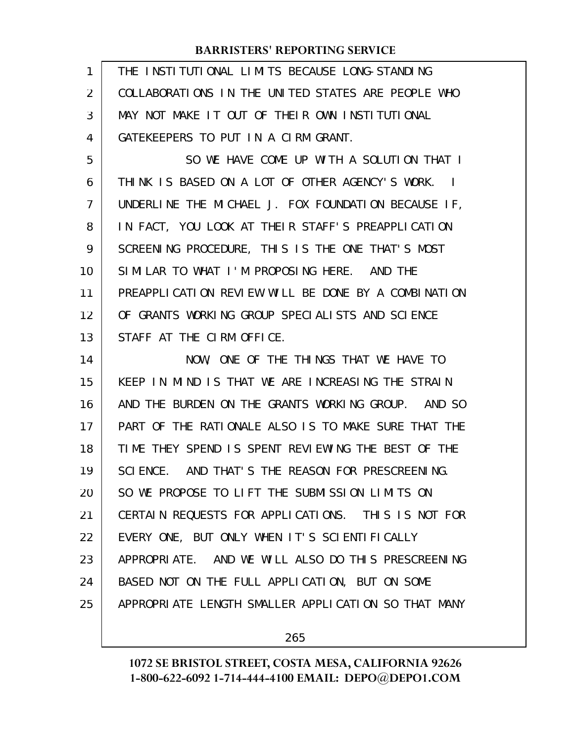| 1  | THE INSTITUTIONAL LIMITS BECAUSE LONG-STANDING      |
|----|-----------------------------------------------------|
| 2  | COLLABORATIONS IN THE UNITED STATES ARE PEOPLE WHO  |
| 3  | MAY NOT MAKE IT OUT OF THEIR OWN INSTITUTIONAL      |
| 4  | GATEKEEPERS TO PUT IN A CIRM GRANT.                 |
| 5  | SO WE HAVE COME UP WITH A SOLUTION THAT I           |
| 6  | THINK IS BASED ON A LOT OF OTHER AGENCY'S WORK. I   |
| 7  | UNDERLINE THE MICHAEL J. FOX FOUNDATION BECAUSE IF, |
| 8  | IN FACT, YOU LOOK AT THEIR STAFF'S PREAPPLICATION   |
| 9  | SCREENING PROCEDURE, THIS IS THE ONE THAT'S MOST    |
| 10 | SIMILAR TO WHAT I'M PROPOSING HERE. AND THE         |
| 11 | PREAPPLICATION REVIEW WILL BE DONE BY A COMBINATION |
| 12 | OF GRANTS WORKING GROUP SPECIALISTS AND SCIENCE     |
| 13 | STAFF AT THE CIRM OFFICE.                           |
|    |                                                     |
| 14 | NOW, ONE OF THE THINGS THAT WE HAVE TO              |
| 15 | KEEP IN MIND IS THAT WE ARE INCREASING THE STRAIN   |
| 16 | AND THE BURDEN ON THE GRANTS WORKING GROUP. AND SO  |
| 17 | PART OF THE RATIONALE ALSO IS TO MAKE SURE THAT THE |
| 18 | TIME THEY SPEND IS SPENT REVIEWING THE BEST OF THE  |
| 19 | SCIENCE. AND THAT'S THE REASON FOR PRESCREENING.    |
| 20 | SO WE PROPOSE TO LIFT THE SUBMISSION LIMITS ON      |
| 21 | CERTAIN REQUESTS FOR APPLICATIONS. THIS IS NOT FOR  |
| 22 | EVERY ONE, BUT ONLY WHEN IT'S SCIENTIFICALLY        |
| 23 | APPROPRIATE. AND WE WILL ALSO DO THIS PRESCREENING  |
| 24 | BASED NOT ON THE FULL APPLICATION, BUT ON SOME      |
| 25 | APPROPRIATE LENGTH SMALLER APPLICATION SO THAT MANY |

265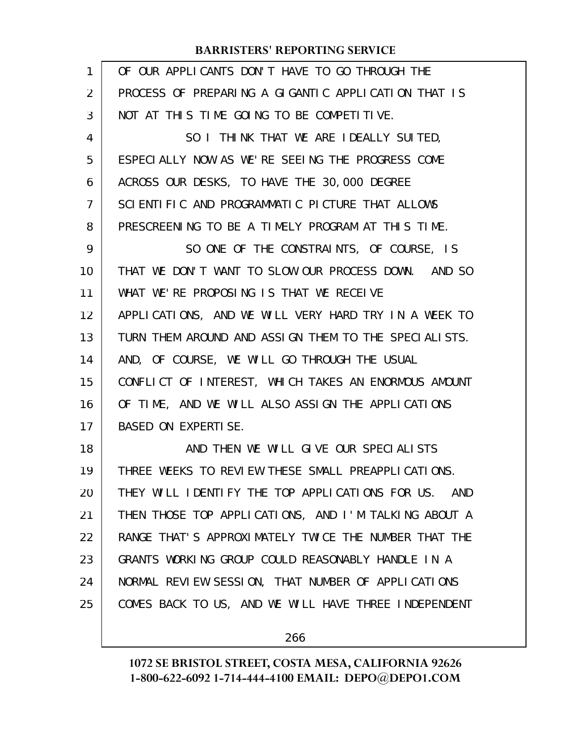| $\mathbf{1}$ | OF OUR APPLICANTS DON'T HAVE TO GO THROUGH THE       |
|--------------|------------------------------------------------------|
| 2            | PROCESS OF PREPARING A GIGANTIC APPLICATION THAT IS  |
| 3            | NOT AT THIS TIME GOING TO BE COMPETITIVE.            |
| 4            | SO I THINK THAT WE ARE IDEALLY SUITED,               |
| 5            | ESPECIALLY NOW AS WE'RE SEEING THE PROGRESS COME     |
| 6            | ACROSS OUR DESKS, TO HAVE THE 30,000 DEGREE          |
| 7            | SCIENTIFIC AND PROGRAMMATIC PICTURE THAT ALLOWS      |
| 8            | PRESCREENING TO BE A TIMELY PROGRAM AT THIS TIME.    |
| 9            | SO ONE OF THE CONSTRAINTS, OF COURSE, IS             |
| 10           | THAT WE DON'T WANT TO SLOW OUR PROCESS DOWN. AND SO  |
| 11           | WHAT WE'RE PROPOSING IS THAT WE RECEIVE              |
| 12           | APPLICATIONS, AND WE WILL VERY HARD TRY IN A WEEK TO |
| 13           | TURN THEM AROUND AND ASSIGN THEM TO THE SPECIALISTS. |
| 14           | AND, OF COURSE, WE WILL GO THROUGH THE USUAL         |
| 15           | CONFLICT OF INTEREST, WHICH TAKES AN ENORMOUS AMOUNT |
| 16           | OF TIME, AND WE WILL ALSO ASSIGN THE APPLICATIONS    |
| 17           | BASED ON EXPERTISE.                                  |
| 18           | AND THEN WE WILL GIVE OUR SPECIALISTS                |
| 19           | THREE WEEKS TO REVIEW THESE SMALL PREAPPLICATIONS.   |
| 20           | THEY WILL IDENTIFY THE TOP APPLICATIONS FOR US. AND  |
| 21           | THEN THOSE TOP APPLICATIONS, AND I'M TALKING ABOUT A |
| 22           | RANGE THAT'S APPROXIMATELY TWICE THE NUMBER THAT THE |
| 23           | GRANTS WORKING GROUP COULD REASONABLY HANDLE IN A    |
| 24           | NORMAL REVIEW SESSION, THAT NUMBER OF APPLICATIONS   |
| 25           | COMES BACK TO US, AND WE WILL HAVE THREE INDEPENDENT |
|              |                                                      |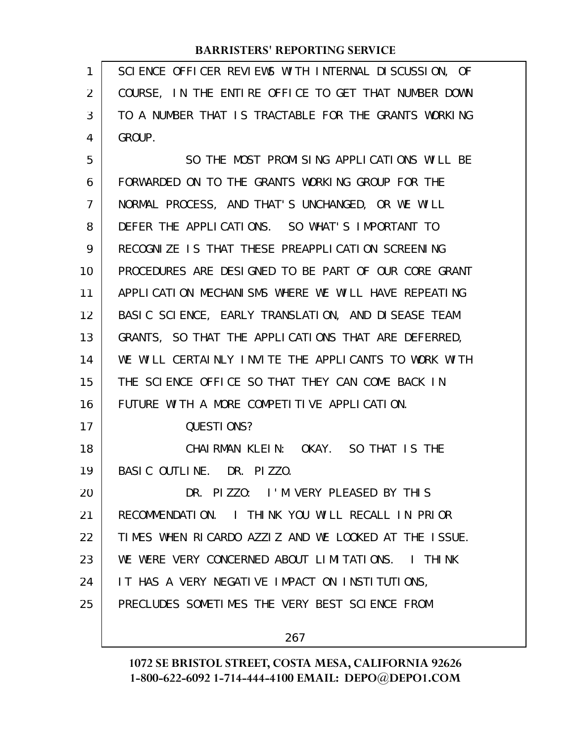| 1  | SCIENCE OFFICER REVIEWS WITH INTERNAL DISCUSSION, OF |
|----|------------------------------------------------------|
| 2  | COURSE, IN THE ENTIRE OFFICE TO GET THAT NUMBER DOWN |
| 3  | TO A NUMBER THAT IS TRACTABLE FOR THE GRANTS WORKING |
| 4  | GROUP.                                               |
| 5  | SO THE MOST PROMISING APPLICATIONS WILL BE           |
| 6  | FORWARDED ON TO THE GRANTS WORKING GROUP FOR THE     |
| 7  | NORMAL PROCESS, AND THAT'S UNCHANGED, OR WE WILL     |
| 8  | DEFER THE APPLICATIONS. SO WHAT'S IMPORTANT TO       |
| 9  | RECOGNIZE IS THAT THESE PREAPPLICATION SCREENING     |
| 10 | PROCEDURES ARE DESIGNED TO BE PART OF OUR CORE GRANT |
| 11 | APPLICATION MECHANISMS WHERE WE WILL HAVE REPEATING  |
| 12 | BASIC SCIENCE, EARLY TRANSLATION, AND DISEASE TEAM   |
| 13 | GRANTS, SO THAT THE APPLICATIONS THAT ARE DEFERRED,  |
| 14 | WE WILL CERTAINLY INVITE THE APPLICANTS TO WORK WITH |
| 15 | THE SCIENCE OFFICE SO THAT THEY CAN COME BACK IN     |
| 16 | FUTURE WITH A MORE COMPETITIVE APPLICATION.          |
| 17 | QUESTIONS?                                           |
| 18 | CHAIRMAN KLEIN: OKAY. SO THAT IS THE                 |
| 19 | BASIC OUTLINE. DR. PIZZO.                            |
| 20 | DR. PIZZO: I'M VERY PLEASED BY THIS                  |
| 21 | RECOMMENDATION. I THINK YOU WILL RECALL IN PRIOR     |
| 22 | TIMES WHEN RICARDO AZZIZ AND WE LOOKED AT THE ISSUE. |
| 23 | WE WERE VERY CONCERNED ABOUT LIMITATIONS. I THINK    |
| 24 | IT HAS A VERY NEGATIVE IMPACT ON INSTITUTIONS,       |
| 25 | PRECLUDES SOMETIMES THE VERY BEST SCIENCE FROM       |
|    |                                                      |

267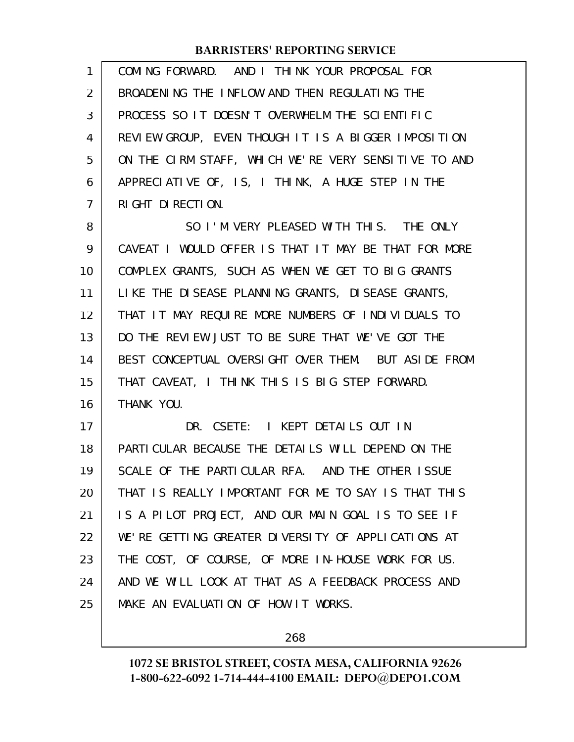| 1              | COMING FORWARD. AND I THINK YOUR PROPOSAL FOR        |
|----------------|------------------------------------------------------|
| $\overline{2}$ | BROADENING THE INFLOW AND THEN REGULATING THE        |
| 3              | PROCESS SO IT DOESN'T OVERWHELM THE SCIENTIFIC       |
| 4              | REVIEW GROUP, EVEN THOUGH IT IS A BIGGER IMPOSITION  |
| 5              | ON THE CIRM STAFF, WHICH WE'RE VERY SENSITIVE TO AND |
| 6              | APPRECIATIVE OF, IS, I THINK, A HUGE STEP IN THE     |
| 7              | RIGHT DIRECTION.                                     |
| 8              | SO I'M VERY PLEASED WITH THIS. THE ONLY              |
| 9              | CAVEAT I WOULD OFFER IS THAT IT MAY BE THAT FOR MORE |
| 10             | COMPLEX GRANTS, SUCH AS WHEN WE GET TO BIG GRANTS    |
| 11             | LIKE THE DISEASE PLANNING GRANTS, DISEASE GRANTS,    |
| 12             | THAT IT MAY REQUIRE MORE NUMBERS OF INDIVIDUALS TO   |
| 13             | DO THE REVIEW JUST TO BE SURE THAT WE'VE GOT THE     |
| 14             | BEST CONCEPTUAL OVERSIGHT OVER THEM. BUT ASIDE FROM  |
| 15             | THAT CAVEAT, I THINK THIS IS BIG STEP FORWARD.       |
| 16             | THANK YOU.                                           |
| 17             | DR. CSETE: I KEPT DETAILS OUT IN                     |
| 18             | PARTI CULAR BECAUSE THE DETAILS WILL DEPEND ON THE   |
| 19             | SCALE OF THE PARTICULAR RFA. AND THE OTHER ISSUE     |
| 20             | THAT IS REALLY IMPORTANT FOR ME TO SAY IS THAT THIS  |
| 21             | IS A PILOT PROJECT, AND OUR MAIN GOAL IS TO SEE IF   |
| 22             | WE'RE GETTING GREATER DIVERSITY OF APPLICATIONS AT   |
| 23             | THE COST, OF COURSE, OF MORE IN-HOUSE WORK FOR US.   |
| 24             | AND WE WILL LOOK AT THAT AS A FEEDBACK PROCESS AND   |
| 25             | MAKE AN EVALUATION OF HOW IT WORKS.                  |
|                |                                                      |

268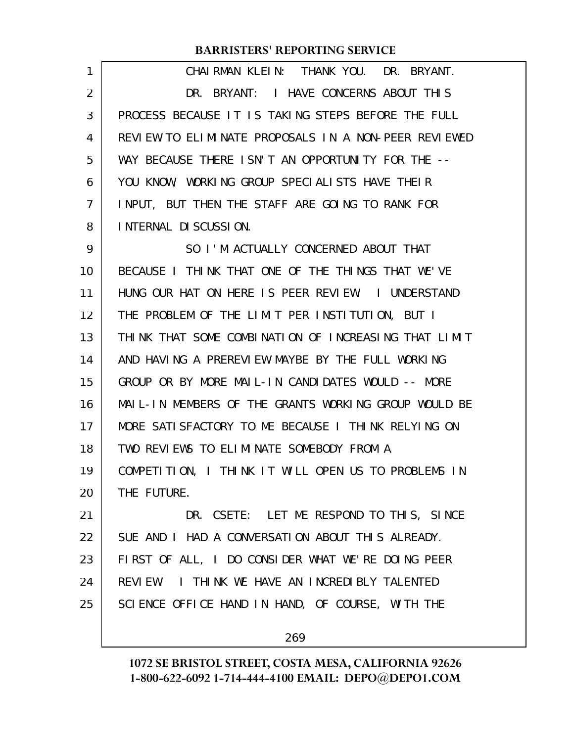| 1  | CHAIRMAN KLEIN: THANK YOU. DR. BRYANT.               |
|----|------------------------------------------------------|
| 2  | DR. BRYANT: I HAVE CONCERNS ABOUT THIS               |
| 3  | PROCESS BECAUSE IT IS TAKING STEPS BEFORE THE FULL   |
| 4  | REVIEW TO ELIMINATE PROPOSALS IN A NON-PEER REVIEWED |
| 5  | WAY BECAUSE THERE ISN'T AN OPPORTUNITY FOR THE --    |
| 6  | YOU KNOW, WORKING GROUP SPECIALISTS HAVE THEIR       |
| 7  | INPUT, BUT THEN THE STAFF ARE GOING TO RANK FOR      |
| 8  | INTERNAL DI SCUSSION.                                |
| 9  | SO I'M ACTUALLY CONCERNED ABOUT THAT                 |
| 10 | BECAUSE I THINK THAT ONE OF THE THINGS THAT WE'VE    |
| 11 | HUNG OUR HAT ON HERE IS PEER REVIEW. I UNDERSTAND    |
| 12 | THE PROBLEM OF THE LIMIT PER INSTITUTION, BUT I      |
| 13 | THINK THAT SOME COMBINATION OF INCREASING THAT LIMIT |
| 14 | AND HAVING A PREREVIEW MAYBE BY THE FULL WORKING     |
| 15 | GROUP OR BY MORE MAIL-IN CANDIDATES WOULD -- MORE    |
| 16 | MAIL-IN MEMBERS OF THE GRANTS WORKING GROUP WOULD BE |
| 17 | MORE SATISFACTORY TO ME BECAUSE I THINK RELYING ON   |
| 18 | TWO REVIEWS TO ELIMINATE SOMEBODY FROM A             |
| 19 | COMPETITION, I THINK IT WILL OPEN US TO PROBLEMS IN  |
| 20 | THE FUTURE.                                          |
| 21 | DR. CSETE: LET ME RESPOND TO THIS, SINCE             |
| 22 | SUE AND I HAD A CONVERSATION ABOUT THIS ALREADY.     |
| 23 | FIRST OF ALL, I DO CONSIDER WHAT WE'RE DOING PEER    |
| 24 | REVIEW. I THINK WE HAVE AN INCREDIBLY TALENTED       |
| 25 | SCIENCE OFFICE HAND IN HAND, OF COURSE, WITH THE     |
|    |                                                      |

269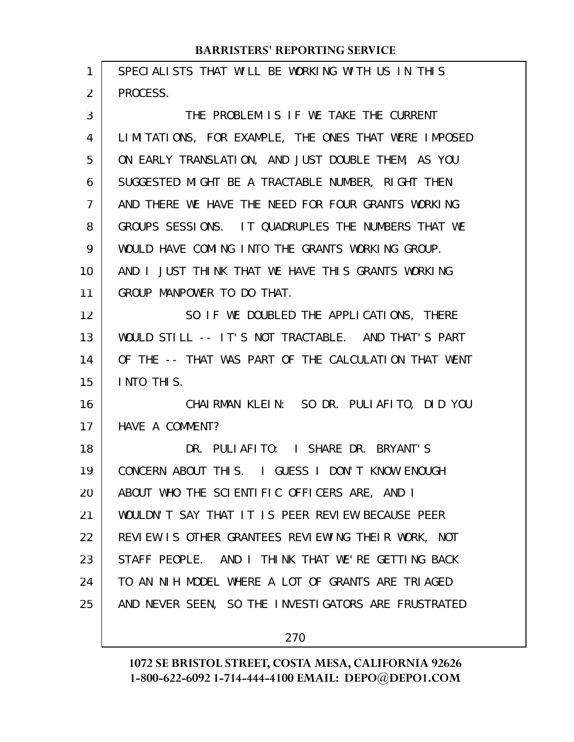| 1              | SPECIALISTS THAT WILL BE WORKING WITH US IN THIS     |
|----------------|------------------------------------------------------|
| $\overline{2}$ | PROCESS.                                             |
| 3              | THE PROBLEM IS IF WE TAKE THE CURRENT                |
| 4              | LIMITATIONS, FOR EXAMPLE, THE ONES THAT WERE IMPOSED |
| 5              | ON EARLY TRANSLATION, AND JUST DOUBLE THEM, AS YOU   |
| 6              | SUGGESTED MIGHT BE A TRACTABLE NUMBER, RIGHT THEN    |
| $\overline{7}$ | AND THERE WE HAVE THE NEED FOR FOUR GRANTS WORKING   |
| 8              | GROUPS SESSIONS. IT QUADRUPLES THE NUMBERS THAT WE   |
| 9              | WOULD HAVE COMING INTO THE GRANTS WORKING GROUP.     |
| 10             | AND I JUST THINK THAT WE HAVE THIS GRANTS WORKING    |
| 11             | GROUP MANPOWER TO DO THAT.                           |
| 12             | SO IF WE DOUBLED THE APPLICATIONS, THERE             |
| 13             | WOULD STILL -- IT'S NOT TRACTABLE. AND THAT'S PART   |
| 14             | OF THE -- THAT WAS PART OF THE CALCULATION THAT WENT |
| 15             | INTO THIS.                                           |
| 16             | CHAIRMAN KLEIN: SO DR. PULIAFITO, DID YOU            |
| 17             | HAVE A COMMENT?                                      |
| 18             | DR. PULIAFITO: I SHARE DR. BRYANT'S                  |
| 19             | CONCERN ABOUT THIS. I GUESS I DON'T KNOW ENOUGH      |
| 20             | ABOUT WHO THE SCIENTIFIC OFFICERS ARE, AND I         |
| 21             | WOULDN'T SAY THAT IT IS PEER REVIEW BECAUSE PEER     |
| 22             | REVIEW IS OTHER GRANTEES REVIEWING THEIR WORK, NOT   |
| 23             | STAFF PEOPLE. AND I THINK THAT WE'RE GETTING BACK    |
| 24             | TO AN NIH MODEL WHERE A LOT OF GRANTS ARE TRIAGED    |
| 25             | AND NEVER SEEN, SO THE INVESTIGATORS ARE FRUSTRATED  |
|                |                                                      |

270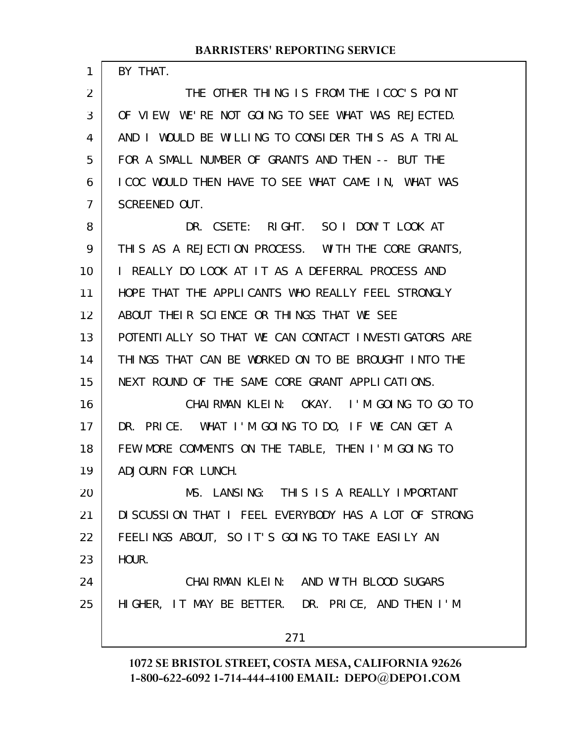BY THAT.

1

THE OTHER THING IS FROM THE ICOC'S POINT OF VIEW, WE'RE NOT GOING TO SEE WHAT WAS REJECTED. AND I WOULD BE WILLING TO CONSIDER THIS AS A TRIAL FOR A SMALL NUMBER OF GRANTS AND THEN -- BUT THE ICOC WOULD THEN HAVE TO SEE WHAT CAME IN, WHAT WAS SCREENED OUT. DR. CSETE: RIGHT. SO I DON'T LOOK AT 2 3 4 5 6 7 8

THIS AS A REJECTION PROCESS. WITH THE CORE GRANTS, I REALLY DO LOOK AT IT AS A DEFERRAL PROCESS AND HOPE THAT THE APPLICANTS WHO REALLY FEEL STRONGLY ABOUT THEIR SCIENCE OR THINGS THAT WE SEE POTENTIALLY SO THAT WE CAN CONTACT INVESTIGATORS ARE THINGS THAT CAN BE WORKED ON TO BE BROUGHT INTO THE NEXT ROUND OF THE SAME CORE GRANT APPLICATIONS. CHAIRMAN KLEIN: OKAY. I'M GOING TO GO TO 9 10 11 12 13 14 15 16

DR. PRICE. WHAT I'M GOING TO DO, IF WE CAN GET A FEW MORE COMMENTS ON THE TABLE, THEN I'M GOING TO ADJOURN FOR LUNCH. 17 18 19

MS. LANSING: THIS IS A REALLY IMPORTANT DISCUSSION THAT I FEEL EVERYBODY HAS A LOT OF STRONG FEELINGS ABOUT, SO IT'S GOING TO TAKE EASILY AN HOUR. 20 21 22 23

CHAIRMAN KLEIN: AND WITH BLOOD SUGARS HIGHER, IT MAY BE BETTER. DR. PRICE, AND THEN I'M 24 25

271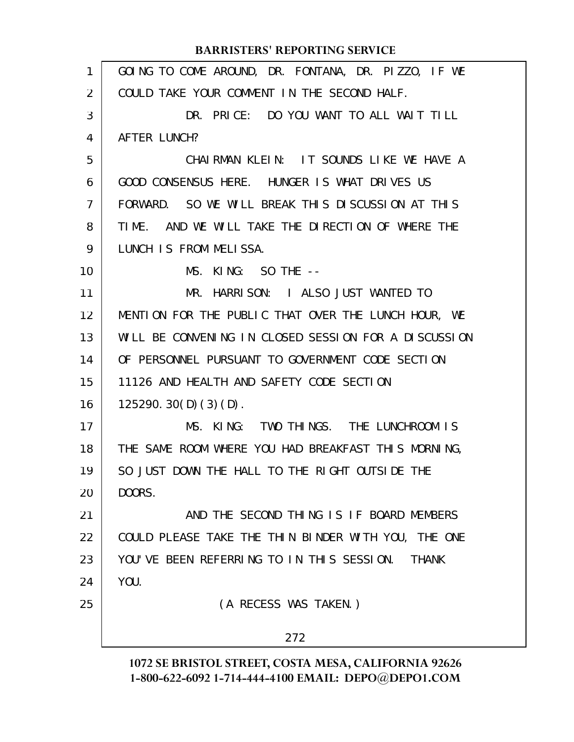| $\mathbf{1}$   | GOING TO COME AROUND, DR. FONTANA, DR. PIZZO, IF WE       |
|----------------|-----------------------------------------------------------|
| $\overline{2}$ | COULD TAKE YOUR COMMENT IN THE SECOND HALF.               |
| 3              | DR. PRICE: DO YOU WANT TO ALL WAIT TILL                   |
| 4              | AFTER LUNCH?                                              |
| 5              | CHAIRMAN KLEIN: IT SOUNDS LIKE WE HAVE A                  |
| 6              | GOOD CONSENSUS HERE. HUNGER IS WHAT DRIVES US             |
| $\overline{7}$ | FORWARD. SO WE WILL BREAK THIS DISCUSSION AT THIS         |
| 8              | AND WE WILL TAKE THE DIRECTION OF WHERE THE<br>TIME.      |
| 9              | LUNCH IS FROM MELISSA.                                    |
| 10             | $MS.$ KING: SO THE $--$                                   |
| 11             | MR. HARRISON: I ALSO JUST WANTED TO                       |
| 12             | MENTION FOR THE PUBLIC THAT OVER THE LUNCH HOUR, WE       |
| 13             | WILL BE CONVENING IN CLOSED SESSION FOR A DISCUSSION      |
| 14             | OF PERSONNEL PURSUANT TO GOVERNMENT CODE SECTION          |
| 15             | 11126 AND HEALTH AND SAFETY CODE SECTION                  |
| 16             | 125290.30(D)(3)(D).                                       |
| 17             | MS. KING: TWO THINGS. THE LUNCHROOM IS                    |
| 18             | THE SAME ROOM WHERE YOU HAD BREAKFAST THIS MORNING,       |
| 19             | SO JUST DOWN THE HALL TO THE RIGHT OUTSIDE THE            |
| 20             | DOORS.                                                    |
| 21             | AND THE SECOND THING IS IF BOARD MEMBERS                  |
| 22             | COULD PLEASE TAKE THE THIN BINDER WITH YOU, THE ONE       |
| 23             | YOU'VE BEEN REFERRING TO IN THIS SESSION.<br><b>THANK</b> |
| 24             | YOU.                                                      |
| 25             | (A RECESS WAS TAKEN.)                                     |
|                | 272                                                       |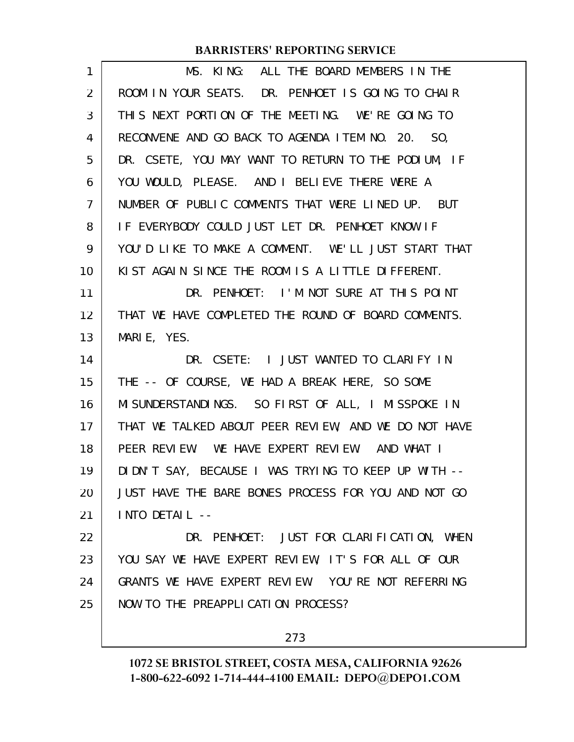| 1  | MS. KING: ALL THE BOARD MEMBERS IN THE               |
|----|------------------------------------------------------|
| 2  | ROOM IN YOUR SEATS. DR. PENHOET IS GOING TO CHAIR    |
| 3  | THIS NEXT PORTION OF THE MEETING. WE'RE GOING TO     |
| 4  | RECONVENE AND GO BACK TO AGENDA ITEM NO. 20. SO,     |
| 5  | DR. CSETE, YOU MAY WANT TO RETURN TO THE PODIUM, IF  |
| 6  | YOU WOULD, PLEASE. AND I BELIEVE THERE WERE A        |
| 7  | NUMBER OF PUBLIC COMMENTS THAT WERE LINED UP. BUT    |
| 8  | IF EVERYBODY COULD JUST LET DR. PENHOET KNOW IF      |
| 9  | YOU'D LIKE TO MAKE A COMMENT. WE'LL JUST START THAT  |
| 10 | KIST AGAIN SINCE THE ROOM IS A LITTLE DIFFERENT.     |
| 11 | DR. PENHOET: I'M NOT SURE AT THIS POINT              |
| 12 | THAT WE HAVE COMPLETED THE ROUND OF BOARD COMMENTS.  |
| 13 | MARIE, YES.                                          |
| 14 | DR. CSETE: I JUST WANTED TO CLARIFY IN               |
| 15 | THE -- OF COURSE, WE HAD A BREAK HERE, SO SOME       |
| 16 | MI SUNDERSTANDINGS. SO FIRST OF ALL, I MISSPOKE IN   |
| 17 | THAT WE TALKED ABOUT PEER REVIEW, AND WE DO NOT HAVE |
| 18 | PEER REVIEW. WE HAVE EXPERT REVIEW. AND WHAT I       |
| 19 | DIDN'T SAY, BECAUSE I WAS TRYING TO KEEP UP WITH --  |
| 20 | JUST HAVE THE BARE BONES PROCESS FOR YOU AND NOT GO  |
| 21 | INTO DETAIL --                                       |
| 22 | DR. PENHOET: JUST FOR CLARIFICATION, WHEN            |
| 23 | YOU SAY WE HAVE EXPERT REVIEW, IT'S FOR ALL OF OUR   |
| 24 | GRANTS WE HAVE EXPERT REVIEW. YOU'RE NOT REFERRING   |
| 25 | NOW TO THE PREAPPLICATION PROCESS?                   |
|    |                                                      |

273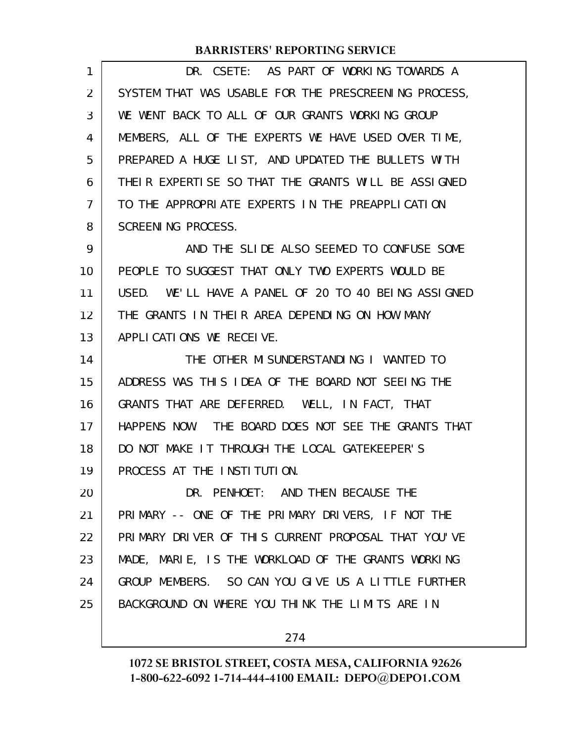| 1  | DR. CSETE: AS PART OF WORKING TOWARDS A              |
|----|------------------------------------------------------|
| 2  | SYSTEM THAT WAS USABLE FOR THE PRESCREENING PROCESS, |
| 3  | WE WENT BACK TO ALL OF OUR GRANTS WORKING GROUP      |
| 4  | MEMBERS, ALL OF THE EXPERTS WE HAVE USED OVER TIME,  |
| 5  | PREPARED A HUGE LIST, AND UPDATED THE BULLETS WITH   |
| 6  | THEIR EXPERTISE SO THAT THE GRANTS WILL BE ASSIGNED  |
| 7  | TO THE APPROPRIATE EXPERTS IN THE PREAPPLICATION     |
| 8  | SCREENING PROCESS.                                   |
| 9  | AND THE SLIDE ALSO SEEMED TO CONFUSE SOME            |
| 10 | PEOPLE TO SUGGEST THAT ONLY TWO EXPERTS WOULD BE     |
| 11 | USED. WE'LL HAVE A PANEL OF 20 TO 40 BEING ASSIGNED  |
| 12 | THE GRANTS IN THEIR AREA DEPENDING ON HOW MANY       |
| 13 | APPLICATIONS WE RECEIVE.                             |
| 14 | THE OTHER MISUNDERSTANDING I WANTED TO               |
| 15 | ADDRESS WAS THIS IDEA OF THE BOARD NOT SEEING THE    |
| 16 | GRANTS THAT ARE DEFERRED. WELL, IN FACT, THAT        |
| 17 | HAPPENS NOW. THE BOARD DOES NOT SEE THE GRANTS THAT  |
| 18 | DO NOT MAKE IT THROUGH THE LOCAL GATEKEEPER'S        |
| 19 | PROCESS AT THE INSTITUTION.                          |
| 20 | DR. PENHOET: AND THEN BECAUSE THE                    |
| 21 | PRIMARY -- ONE OF THE PRIMARY DRIVERS, IF NOT THE    |
| 22 | PRIMARY DRIVER OF THIS CURRENT PROPOSAL THAT YOU'VE  |
| 23 | MADE, MARIE, IS THE WORKLOAD OF THE GRANTS WORKING   |
| 24 | GROUP MEMBERS. SO CAN YOU GIVE US A LITTLE FURTHER   |
| 25 | BACKGROUND ON WHERE YOU THINK THE LIMITS ARE IN      |
|    | 274                                                  |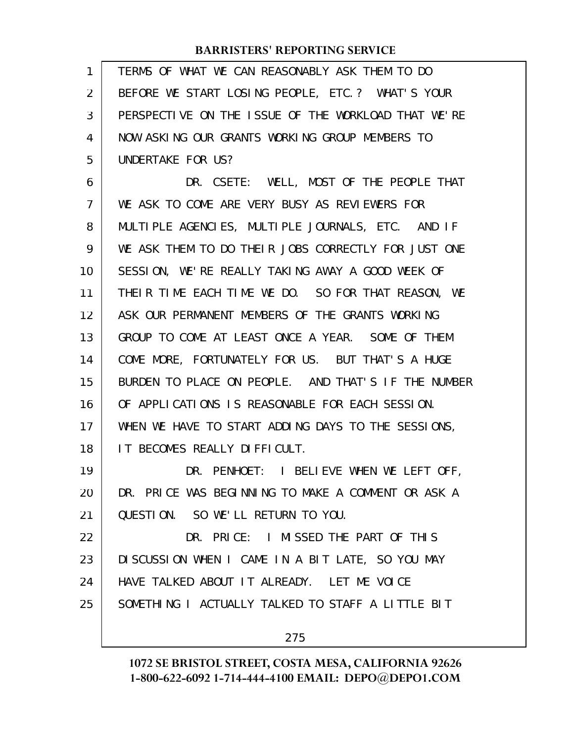| 1              | TERMS OF WHAT WE CAN REASONABLY ASK THEM TO DO      |
|----------------|-----------------------------------------------------|
| $\overline{2}$ | BEFORE WE START LOSING PEOPLE, ETC. ? WHAT'S YOUR   |
| 3              | PERSPECTIVE ON THE ISSUE OF THE WORKLOAD THAT WE'RE |
| 4              | NOW ASKING OUR GRANTS WORKING GROUP MEMBERS TO      |
| 5              | UNDERTAKE FOR US?                                   |
| 6              | DR. CSETE: WELL, MOST OF THE PEOPLE THAT            |
| 7              | WE ASK TO COME ARE VERY BUSY AS REVIEWERS FOR       |
| 8              | MULTIPLE AGENCIES, MULTIPLE JOURNALS, ETC. AND IF   |
| 9              | WE ASK THEM TO DO THEIR JOBS CORRECTLY FOR JUST ONE |
| 10             | SESSION, WE'RE REALLY TAKING AWAY A GOOD WEEK OF    |
| 11             | THEIR TIME EACH TIME WE DO. SO FOR THAT REASON, WE  |
| 12             | ASK OUR PERMANENT MEMBERS OF THE GRANTS WORKING     |
| 13             | GROUP TO COME AT LEAST ONCE A YEAR. SOME OF THEM    |
| 14             | COME MORE, FORTUNATELY FOR US. BUT THAT'S A HUGE    |
| 15             | BURDEN TO PLACE ON PEOPLE. AND THAT'S IF THE NUMBER |
| 16             | OF APPLICATIONS IS REASONABLE FOR EACH SESSION.     |
| 17             | WHEN WE HAVE TO START ADDING DAYS TO THE SESSIONS,  |
| 18             | IT BECOMES REALLY DIFFICULT.                        |
| 19             | DR. PENHOET: I BELIEVE WHEN WE LEFT OFF,            |
| 20             | DR. PRICE WAS BEGINNING TO MAKE A COMMENT OR ASK A  |
| 21             | QUESTION. SO WE'LL RETURN TO YOU.                   |
| 22             | DR. PRICE: I MISSED THE PART OF THIS                |
| 23             | DISCUSSION WHEN I CAME IN A BIT LATE, SO YOU MAY    |
| 24             | HAVE TALKED ABOUT IT ALREADY. LET ME VOICE          |
| 25             | SOMETHING I ACTUALLY TALKED TO STAFF A LITTLE BIT   |
|                | 275                                                 |
|                |                                                     |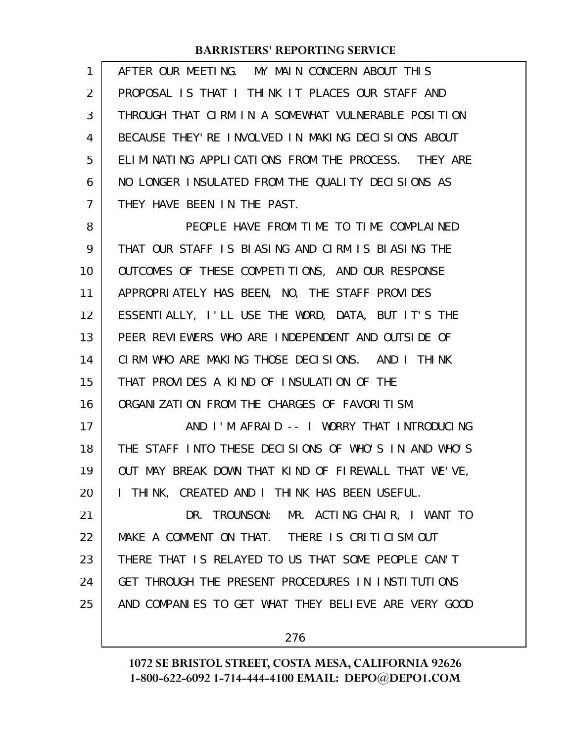| 1  | AFTER OUR MEETING. MY MAIN CONCERN ABOUT THIS        |
|----|------------------------------------------------------|
| 2  | PROPOSAL IS THAT I THINK IT PLACES OUR STAFF AND     |
| 3  | THROUGH THAT CIRM IN A SOMEWHAT VULNERABLE POSITION  |
| 4  | BECAUSE THEY'RE INVOLVED IN MAKING DECISIONS ABOUT   |
| 5  | ELIMINATING APPLICATIONS FROM THE PROCESS. THEY ARE  |
| 6  | NO LONGER INSULATED FROM THE QUALITY DECISIONS AS    |
| 7  | THEY HAVE BEEN IN THE PAST.                          |
| 8  | PEOPLE HAVE FROM TIME TO TIME COMPLAINED             |
| 9  | THAT OUR STAFF IS BLASING AND CIRM IS BLASING THE    |
| 10 | OUTCOMES OF THESE COMPETITIONS, AND OUR RESPONSE     |
| 11 | APPROPRIATELY HAS BEEN, NO, THE STAFF PROVIDES       |
| 12 | ESSENTIALLY, I'LL USE THE WORD, DATA, BUT IT'S THE   |
| 13 | PEER REVIEWERS WHO ARE INDEPENDENT AND OUTSIDE OF    |
| 14 | CIRM WHO ARE MAKING THOSE DECISIONS. AND I THINK     |
| 15 | THAT PROVIDES A KIND OF INSULATION OF THE            |
| 16 | ORGANIZATION FROM THE CHARGES OF FAVORITISM.         |
| 17 | AND I'M AFRAID -- I WORRY THAT INTRODUCING           |
| 18 | THE STAFF INTO THESE DECISIONS OF WHO'S IN AND WHO'S |
| 19 | OUT MAY BREAK DOWN THAT KIND OF FIREWALL THAT WE'VE, |
| 20 | I THINK, CREATED AND I THINK HAS BEEN USEFUL.        |
| 21 | DR. TROUNSON: MR. ACTING CHAIR, I WANT TO            |
| 22 | MAKE A COMMENT ON THAT. THERE IS CRITICISM OUT       |
| 23 | THERE THAT IS RELAYED TO US THAT SOME PEOPLE CAN'T   |
| 24 | GET THROUGH THE PRESENT PROCEDURES IN INSTITUTIONS   |
| 25 | AND COMPANIES TO GET WHAT THEY BELIEVE ARE VERY GOOD |
|    |                                                      |

276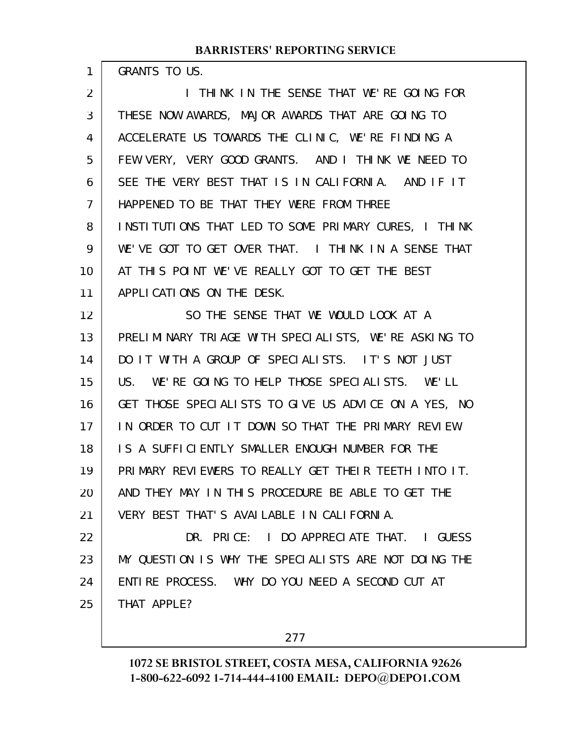| 1  | GRANTS TO US.                                        |
|----|------------------------------------------------------|
| 2  | I THINK IN THE SENSE THAT WE'RE GOING FOR            |
| 3  | THESE NOW AWARDS, MAJOR AWARDS THAT ARE GOING TO     |
| 4  | ACCELERATE US TOWARDS THE CLINIC, WE'RE FINDING A    |
| 5  | FEW VERY, VERY GOOD GRANTS. AND I THINK WE NEED TO   |
| 6  | SEE THE VERY BEST THAT IS IN CALIFORNIA. AND IF IT   |
| 7  | HAPPENED TO BE THAT THEY WERE FROM THREE             |
| 8  | INSTITUTIONS THAT LED TO SOME PRIMARY CURES, I THINK |
| 9  | WE'VE GOT TO GET OVER THAT. I THINK IN A SENSE THAT  |
| 10 | AT THIS POINT WE'VE REALLY GOT TO GET THE BEST       |
| 11 | APPLICATIONS ON THE DESK.                            |
| 12 | SO THE SENSE THAT WE WOULD LOOK AT A                 |
| 13 | PRELIMINARY TRIAGE WITH SPECIALISTS, WE'RE ASKING TO |
| 14 | DO IT WITH A GROUP OF SPECIALISTS. IT'S NOT JUST     |
| 15 | US. WE'RE GOING TO HELP THOSE SPECIALISTS. WE'LL     |
| 16 | GET THOSE SPECIALISTS TO GIVE US ADVICE ON A YES, NO |
| 17 | IN ORDER TO CUT IT DOWN SO THAT THE PRIMARY REVIEW   |
| 18 | IS A SUFFICIENTLY SMALLER ENOUGH NUMBER FOR THE      |
| 19 | PRIMARY REVIEWERS TO REALLY GET THEIR TEETH INTO IT. |
| 20 | AND THEY MAY IN THIS PROCEDURE BE ABLE TO GET THE    |
| 21 | VERY BEST THAT'S AVAILABLE IN CALIFORNIA.            |
| 22 | DR. PRICE: I DO APPRECIATE THAT. I GUESS             |
| 23 | MY QUESTION IS WHY THE SPECIALISTS ARE NOT DOING THE |
| 24 | ENTIRE PROCESS. WHY DO YOU NEED A SECOND CUT AT      |
| 25 | THAT APPLE?                                          |
|    |                                                      |

277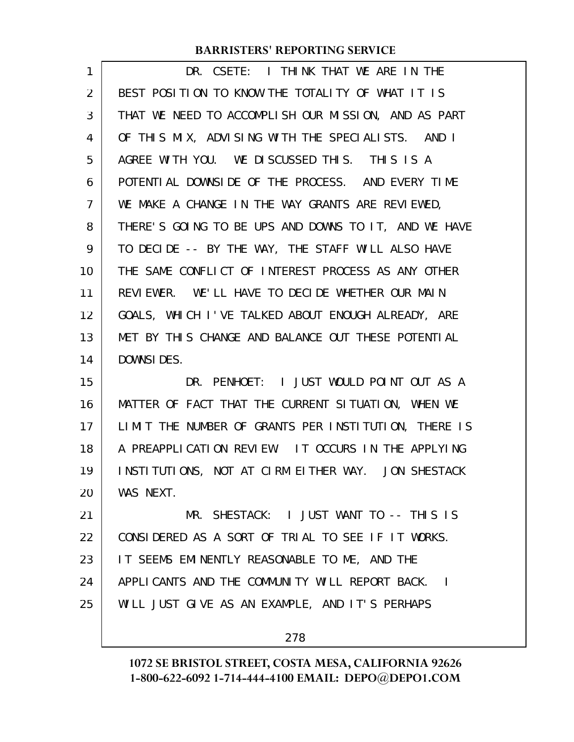| 1  | DR. CSETE: I THINK THAT WE ARE IN THE                |
|----|------------------------------------------------------|
| 2  | BEST POSITION TO KNOW THE TOTALITY OF WHAT IT IS     |
| 3  | THAT WE NEED TO ACCOMPLISH OUR MISSION, AND AS PART  |
| 4  | OF THIS MIX, ADVISING WITH THE SPECIALISTS. AND I    |
| 5  | AGREE WITH YOU. WE DISCUSSED THIS. THIS IS A         |
| 6  | POTENTIAL DOWNSIDE OF THE PROCESS. AND EVERY TIME    |
| 7  | WE MAKE A CHANGE IN THE WAY GRANTS ARE REVIEWED,     |
| 8  | THERE'S GOING TO BE UPS AND DOWNS TO IT, AND WE HAVE |
| 9  | TO DECIDE -- BY THE WAY, THE STAFF WILL ALSO HAVE    |
| 10 | THE SAME CONFLICT OF INTEREST PROCESS AS ANY OTHER   |
| 11 | REVIEWER. WE'LL HAVE TO DECIDE WHETHER OUR MAIN      |
| 12 | GOALS, WHICH I'VE TALKED ABOUT ENOUGH ALREADY, ARE   |
| 13 | MET BY THIS CHANGE AND BALANCE OUT THESE POTENTIAL   |
| 14 | DOWNSIDES.                                           |
| 15 | DR. PENHOET: I JUST WOULD POINT OUT AS A             |
| 16 | MATTER OF FACT THAT THE CURRENT SITUATION, WHEN WE   |
| 17 | LIMIT THE NUMBER OF GRANTS PER INSTITUTION, THERE IS |
| 18 | A PREAPPLICATION REVIEW. IT OCCURS IN THE APPLYING   |
| 19 | INSTITUTIONS, NOT AT CIRM EITHER WAY. JON SHESTACK   |
| 20 | WAS NEXT.                                            |
| 21 | MR. SHESTACK: I JUST WANT TO -- THIS IS              |
| 22 | CONSIDERED AS A SORT OF TRIAL TO SEE IF IT WORKS.    |
| 23 | IT SEEMS EMINENTLY REASONABLE TO ME, AND THE         |
| 24 |                                                      |
|    | APPLICANTS AND THE COMMUNITY WILL REPORT BACK. I     |
| 25 | WILL JUST GIVE AS AN EXAMPLE, AND IT'S PERHAPS       |

278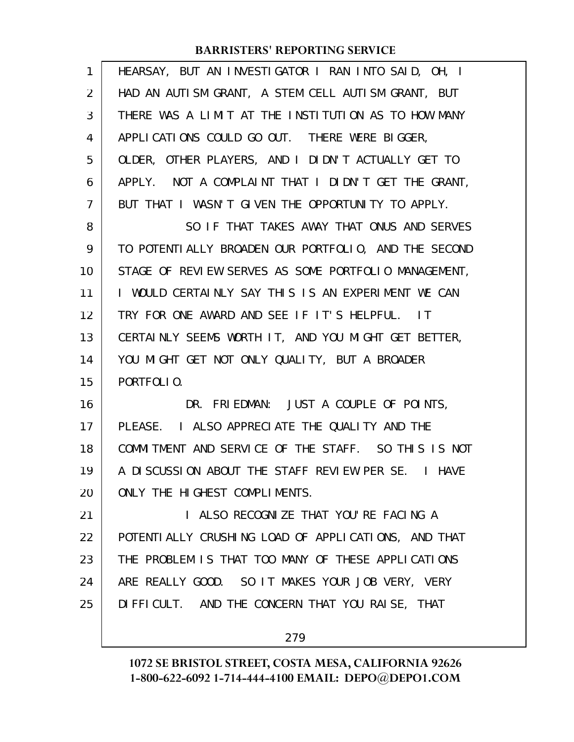| 1  | HEARSAY, BUT AN INVESTIGATOR I RAN INTO SAID, OH, I  |
|----|------------------------------------------------------|
| 2  | HAD AN AUTISM GRANT, A STEM CELL AUTISM GRANT, BUT   |
| 3  | THERE WAS A LIMIT AT THE INSTITUTION AS TO HOW MANY  |
| 4  | APPLICATIONS COULD GO OUT. THERE WERE BIGGER,        |
| 5  | OLDER, OTHER PLAYERS, AND I DIDN'T ACTUALLY GET TO   |
| 6  | APPLY. NOT A COMPLAINT THAT I DIDN'T GET THE GRANT,  |
| 7  | BUT THAT I WASN'T GIVEN THE OPPORTUNITY TO APPLY.    |
| 8  | SO IF THAT TAKES AWAY THAT ONUS AND SERVES           |
| 9  | TO POTENTIALLY BROADEN OUR PORTFOLIO, AND THE SECOND |
| 10 | STAGE OF REVIEW SERVES AS SOME PORTFOLIO MANAGEMENT, |
| 11 | I WOULD CERTAINLY SAY THIS IS AN EXPERIMENT WE CAN   |
| 12 | TRY FOR ONE AWARD AND SEE IF IT'S HELPFUL. IT        |
| 13 | CERTAINLY SEEMS WORTH IT, AND YOU MIGHT GET BETTER,  |
| 14 | YOU MIGHT GET NOT ONLY QUALITY, BUT A BROADER        |
| 15 | PORTFOLIO.                                           |
|    |                                                      |
| 16 | DR. FRIEDMAN: JUST A COUPLE OF POINTS,               |
| 17 | PLEASE. I ALSO APPRECIATE THE QUALITY AND THE        |
| 18 | COMMITMENT AND SERVICE OF THE STAFF. SO THIS IS NOT  |
| 19 | A DISCUSSION ABOUT THE STAFF REVIEW PER SE. I HAVE   |
| 20 | ONLY THE HIGHEST COMPLIMENTS.                        |
| 21 | I ALSO RECOGNIZE THAT YOU'RE FACING A                |
| 22 | POTENTI ALLY CRUSHING LOAD OF APPLICATIONS, AND THAT |
| 23 | THE PROBLEM IS THAT TOO MANY OF THESE APPLICATIONS   |
| 24 | ARE REALLY GOOD. SO IT MAKES YOUR JOB VERY, VERY     |
| 25 | DIFFICULT. AND THE CONCERN THAT YOU RAISE, THAT      |

279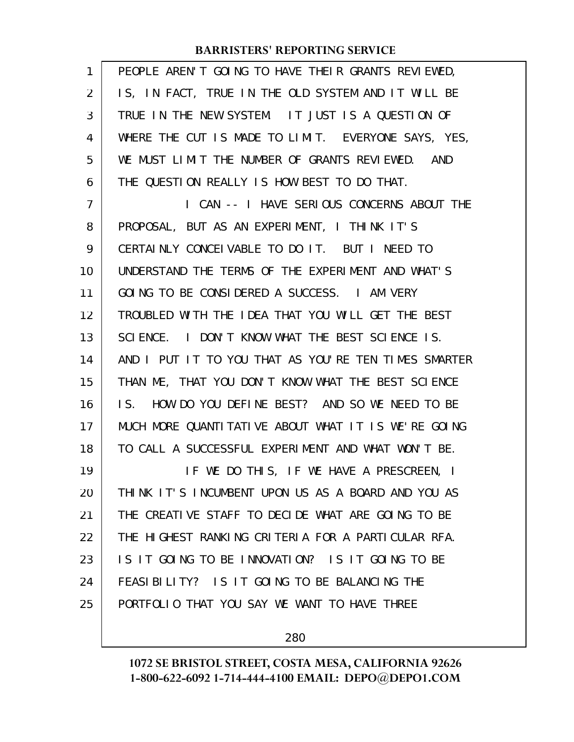| 1              | PEOPLE AREN'T GOING TO HAVE THEIR GRANTS REVIEWED,              |
|----------------|-----------------------------------------------------------------|
| 2              | IS, IN FACT, TRUE IN THE OLD SYSTEM AND IT WILL BE              |
| 3              | TRUE IN THE NEW SYSTEM. IT JUST IS A QUESTION OF                |
| 4              | WHERE THE CUT IS MADE TO LIMIT. EVERYONE SAYS, YES,             |
| 5              | WE MUST LIMIT THE NUMBER OF GRANTS REVIEWED. AND                |
| 6              | THE QUESTION REALLY IS HOW BEST TO DO THAT.                     |
| $\overline{7}$ | I CAN -- I HAVE SERIOUS CONCERNS ABOUT THE                      |
| 8              | PROPOSAL, BUT AS AN EXPERIMENT, I THINK IT'S                    |
| 9              | CERTAINLY CONCEIVABLE TO DO IT. BUT I NEED TO                   |
| 10             | UNDERSTAND THE TERMS OF THE EXPERIMENT AND WHAT'S               |
| 11             | GOING TO BE CONSIDERED A SUCCESS. I AM VERY                     |
| 12             | TROUBLED WITH THE IDEA THAT YOU WILL GET THE BEST               |
| 13             | SCIENCE. I DON'T KNOW WHAT THE BEST SCIENCE IS.                 |
| 14             | AND I PUT IT TO YOU THAT AS YOU'RE TEN TIMES SMARTER            |
| 15             | THAN ME, THAT YOU DON'T KNOW WHAT THE BEST SCIENCE              |
| 16             | HOW DO YOU DEFINE BEST? AND SO WE NEED TO BE<br>$\mathsf{IS}$ . |
| 17             | MUCH MORE QUANTITATIVE ABOUT WHAT IT IS WE'RE GOING             |
| 18             | TO CALL A SUCCESSFUL EXPERIMENT AND WHAT WON'T BE.              |
| 19             | IF WE DO THIS, IF WE HAVE A PRESCREEN, I                        |
| 20             | THINK IT'S INCUMBENT UPON US AS A BOARD AND YOU AS              |
| 21             | THE CREATIVE STAFF TO DECIDE WHAT ARE GOING TO BE               |
| 22             | THE HIGHEST RANKING CRITERIA FOR A PARTICULAR RFA.              |
| 23             | IS IT GOING TO BE INNOVATION? IS IT GOING TO BE                 |
| 24             | FEASIBILITY? IS IT GOING TO BE BALANCING THE                    |
| 25             | PORTFOLIO THAT YOU SAY WE WANT TO HAVE THREE                    |
|                |                                                                 |

280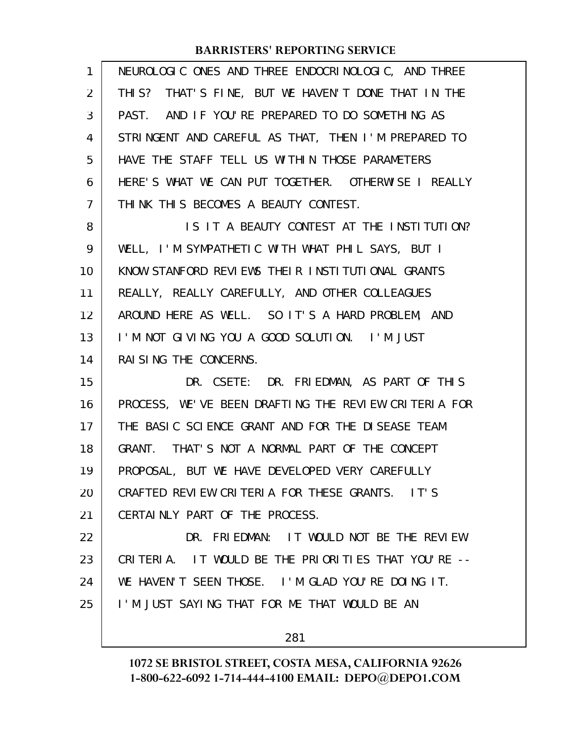| 1              | NEUROLOGIC ONES AND THREE ENDOCRINOLOGIC, AND THREE  |
|----------------|------------------------------------------------------|
| 2              | THIS? THAT'S FINE, BUT WE HAVEN'T DONE THAT IN THE   |
| 3              | PAST. AND IF YOU'RE PREPARED TO DO SOMETHING AS      |
| 4              | STRINGENT AND CAREFUL AS THAT, THEN I'M PREPARED TO  |
| 5              | HAVE THE STAFF TELL US WITHIN THOSE PARAMETERS       |
| 6              | HERE'S WHAT WE CAN PUT TOGETHER. OTHERWISE I REALLY  |
| $\overline{7}$ | THINK THIS BECOMES A BEAUTY CONTEST.                 |
| 8              | IS IT A BEAUTY CONTEST AT THE INSTITUTION?           |
| 9              | WELL, I'M SYMPATHETIC WITH WHAT PHIL SAYS, BUT I     |
| 10             | KNOW STANFORD REVIEWS THEIR INSTITUTIONAL GRANTS     |
| 11             | REALLY, REALLY CAREFULLY, AND OTHER COLLEAGUES       |
| 12             | AROUND HERE AS WELL. SO IT'S A HARD PROBLEM, AND     |
| 13             | I'M NOT GIVING YOU A GOOD SOLUTION. I'M JUST         |
| 14             | RAI SING THE CONCERNS.                               |
| 15             | DR. CSETE: DR. FRIEDMAN, AS PART OF THIS             |
|                |                                                      |
| 16             | PROCESS, WE'VE BEEN DRAFTING THE REVIEW CRITERIA FOR |
| 17             | THE BASIC SCIENCE GRANT AND FOR THE DISEASE TEAM     |
| 18             | GRANT. THAT'S NOT A NORMAL PART OF THE CONCEPT       |
| 19             | PROPOSAL, BUT WE HAVE DEVELOPED VERY CAREFULLY       |
| 20             | CRAFTED REVIEW CRITERIA FOR THESE GRANTS. IT'S       |
| 21             | CERTAINLY PART OF THE PROCESS.                       |
| 22             | DR. FRIEDMAN: IT WOULD NOT BE THE REVIEW             |
| 23             | CRITERIA. IT WOULD BE THE PRIORITIES THAT YOU'RE --  |
| 24             | WE HAVEN'T SEEN THOSE. I'M GLAD YOU'RE DOING IT.     |
| 25             | I'M JUST SAYING THAT FOR ME THAT WOULD BE AN         |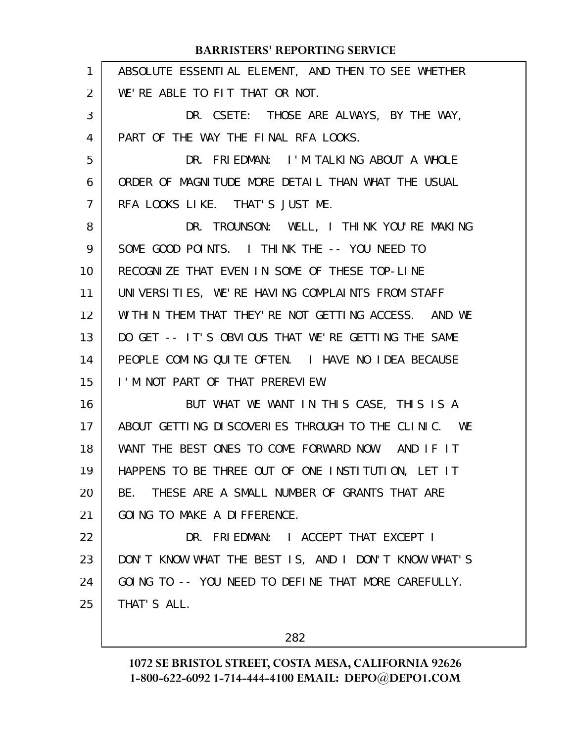|                | <b>BARRISTERS' REPORTING SERVICE</b>                 |
|----------------|------------------------------------------------------|
| 1              | ABSOLUTE ESSENTIAL ELEMENT, AND THEN TO SEE WHETHER  |
| $\overline{2}$ | WE'RE ABLE TO FIT THAT OR NOT.                       |
| 3              | DR. CSETE: THOSE ARE ALWAYS, BY THE WAY,             |
| 4              | PART OF THE WAY THE FINAL RFA LOOKS.                 |
| 5              | DR. FRIEDMAN: I'M TALKING ABOUT A WHOLE              |
| 6              | ORDER OF MAGNITUDE MORE DETAIL THAN WHAT THE USUAL   |
| $\overline{7}$ | RFA LOOKS LIKE. THAT'S JUST ME.                      |
| 8              | DR. TROUNSON: WELL, I THINK YOU'RE MAKING            |
| 9              | SOME GOOD POINTS. I THINK THE -- YOU NEED TO         |
| 10             | RECOGNIZE THAT EVEN IN SOME OF THESE TOP-LINE        |
| 11             | UNIVERSITIES, WE'RE HAVING COMPLAINTS FROM STAFF     |
| 12             | WITHIN THEM THAT THEY'RE NOT GETTING ACCESS. AND WE  |
| 13             | DO GET -- IT'S OBVIOUS THAT WE'RE GETTING THE SAME   |
| 14             | PEOPLE COMING QUITE OFTEN. I HAVE NO IDEA BECAUSE    |
| 15             | I'M NOT PART OF THAT PREREVIEW.                      |
| 16             | BUT WHAT WE WANT IN THIS CASE, THIS IS A             |
| 17             | ABOUT GETTING DISCOVERIES THROUGH TO THE CLINIC. WE  |
| 18             | WANT THE BEST ONES TO COME FORWARD NOW. AND IF IT    |
| 19             | HAPPENS TO BE THREE OUT OF ONE INSTITUTION, LET IT   |
| 20             | THESE ARE A SMALL NUMBER OF GRANTS THAT ARE<br>BE.   |
| 21             | GOING TO MAKE A DIFFERENCE.                          |
| 22             | DR. FRIEDMAN: I ACCEPT THAT EXCEPT I                 |
| 23             | DON'T KNOW WHAT THE BEST IS, AND I DON'T KNOW WHAT'S |
| 24             | GOING TO -- YOU NEED TO DEFINE THAT MORE CAREFULLY.  |
| 25             | THAT'S ALL.                                          |
|                |                                                      |

282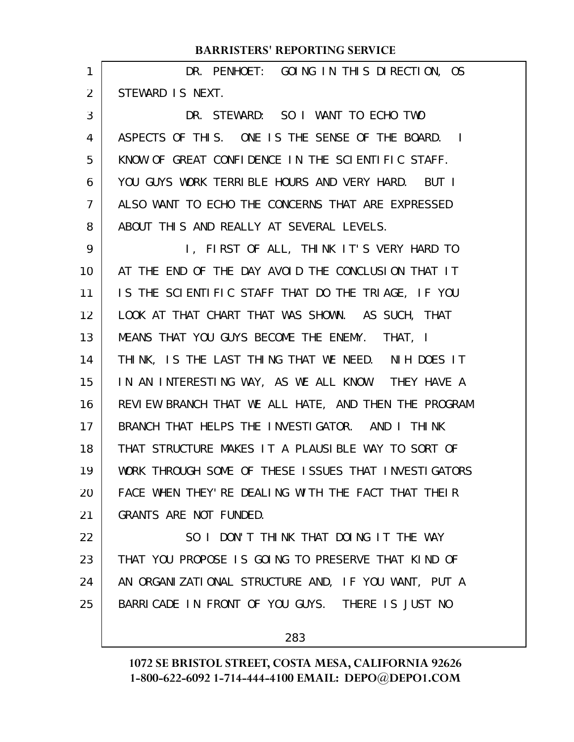| 1  | DR. PENHOET: GOING IN THIS DIRECTION, OS             |
|----|------------------------------------------------------|
| 2  | STEWARD IS NEXT.                                     |
| 3  | DR. STEWARD: SO I WANT TO ECHO TWO                   |
| 4  | ASPECTS OF THIS. ONE IS THE SENSE OF THE BOARD. I    |
| 5  | KNOW OF GREAT CONFIDENCE IN THE SCIENTIFIC STAFF.    |
| 6  | YOU GUYS WORK TERRIBLE HOURS AND VERY HARD. BUT I    |
| 7  | ALSO WANT TO ECHO THE CONCERNS THAT ARE EXPRESSED    |
| 8  | ABOUT THIS AND REALLY AT SEVERAL LEVELS.             |
| 9  | I, FIRST OF ALL, THINK IT'S VERY HARD TO             |
| 10 | AT THE END OF THE DAY AVOID THE CONCLUSION THAT IT   |
| 11 | IS THE SCIENTIFIC STAFF THAT DO THE TRIAGE, IF YOU   |
| 12 | LOOK AT THAT CHART THAT WAS SHOWN. AS SUCH, THAT     |
| 13 | MEANS THAT YOU GUYS BECOME THE ENEMY. THAT, I        |
| 14 | THINK, IS THE LAST THING THAT WE NEED. NIH DOES IT   |
| 15 | IN AN INTERESTING WAY, AS WE ALL KNOW. THEY HAVE A   |
| 16 | REVIEW BRANCH THAT WE ALL HATE, AND THEN THE PROGRAM |
| 17 | BRANCH THAT HELPS THE INVESTIGATOR. AND I THINK      |
| 18 | THAT STRUCTURE MAKES IT A PLAUSIBLE WAY TO SORT OF   |
| 19 | WORK THROUGH SOME OF THESE ISSUES THAT INVESTIGATORS |
| 20 | FACE WHEN THEY' RE DEALING WITH THE FACT THAT THEIR  |
| 21 | GRANTS ARE NOT FUNDED.                               |
| 22 | SO I DON'T THINK THAT DOING IT THE WAY               |
| 23 | THAT YOU PROPOSE IS GOING TO PRESERVE THAT KIND OF   |
| 24 | AN ORGANIZATIONAL STRUCTURE AND, IF YOU WANT, PUT A  |
| 25 | BARRICADE IN FRONT OF YOU GUYS. THERE IS JUST NO     |
|    |                                                      |

283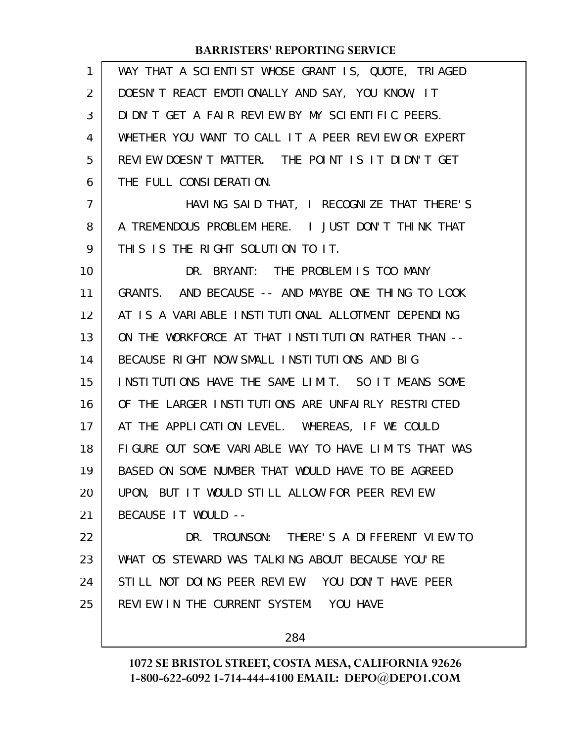| 1              | WAY THAT A SCIENTIST WHOSE GRANT IS, QUOTE, TRIAGED  |
|----------------|------------------------------------------------------|
| 2              | DOESN'T REACT EMOTIONALLY AND SAY, YOU KNOW, IT      |
| 3              | DIDN'T GET A FAIR REVIEW BY MY SCIENTIFIC PEERS.     |
| 4              | WHETHER YOU WANT TO CALL IT A PEER REVIEW OR EXPERT  |
| 5              | REVIEW DOESN'T MATTER. THE POINT IS IT DIDN'T GET    |
| 6              | THE FULL CONSIDERATION.                              |
| $\overline{7}$ | HAVING SAID THAT, I RECOGNIZE THAT THERE'S           |
| 8              | A TREMENDOUS PROBLEM HERE. I JUST DON'T THINK THAT   |
| 9              | THIS IS THE RIGHT SOLUTION TO IT.                    |
| 10             | DR. BRYANT: THE PROBLEM IS TOO MANY                  |
| 11             | GRANTS. AND BECAUSE -- AND MAYBE ONE THING TO LOOK   |
| 12             | AT IS A VARIABLE INSTITUTIONAL ALLOTMENT DEPENDING   |
| 13             | ON THE WORKFORCE AT THAT INSTITUTION RATHER THAN --  |
| 14             | BECAUSE RIGHT NOW SMALL INSTITUTIONS AND BIG         |
| 15             | INSTITUTIONS HAVE THE SAME LIMIT. SO IT MEANS SOME   |
| 16             | OF THE LARGER INSTITUTIONS ARE UNFAIRLY RESTRICTED   |
| 17             | AT THE APPLICATION LEVEL. WHEREAS, IF WE COULD       |
| 18             | FIGURE OUT SOME VARIABLE WAY TO HAVE LIMITS THAT WAS |
| 19             | BASED ON SOME NUMBER THAT WOULD HAVE TO BE AGREED    |
| 20             | UPON, BUT IT WOULD STILL ALLOW FOR PEER REVIEW       |
| 21             | BECAUSE IT WOULD --                                  |
| 22             | DR. TROUNSON: THERE'S A DIFFERENT VIEW TO            |
| 23             | WHAT OS STEWARD WAS TALKING ABOUT BECAUSE YOU'RE     |
| 24             | STILL NOT DOING PEER REVIEW. YOU DON'T HAVE PEER     |
| 25             | REVIEW IN THE CURRENT SYSTEM. YOU HAVE               |
|                |                                                      |

284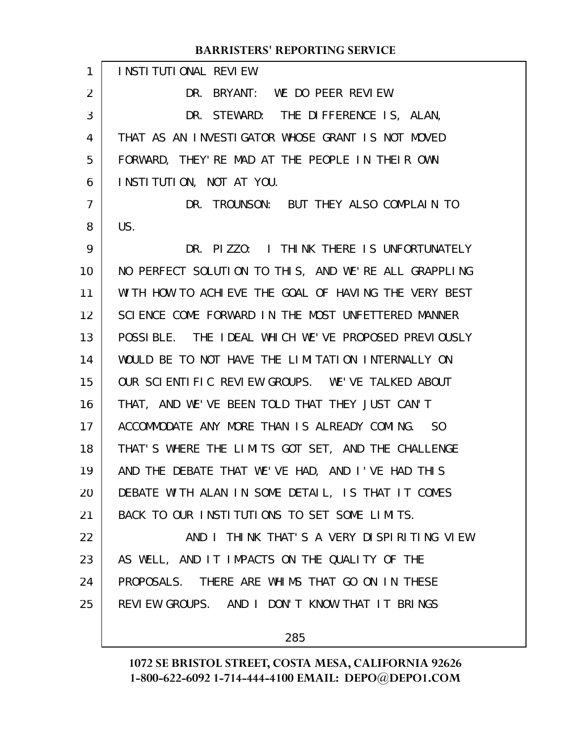INSTITUTIONAL REVIEW. DR. BRYANT: WE DO PEER REVIEW. DR. STEWARD: THE DIFFERENCE IS, ALAN, THAT AS AN INVESTIGATOR WHOSE GRANT IS NOT MOVED FORWARD, THEY'RE MAD AT THE PEOPLE IN THEIR OWN INSTITUTION, NOT AT YOU. DR. TROUNSON: BUT THEY ALSO COMPLAIN TO US. DR. PIZZO: I THINK THERE IS UNFORTUNATELY NO PERFECT SOLUTION TO THIS, AND WE'RE ALL GRAPPLING WITH HOW TO ACHIEVE THE GOAL OF HAVING THE VERY BEST SCIENCE COME FORWARD IN THE MOST UNFETTERED MANNER POSSIBLE. THE IDEAL WHICH WE'VE PROPOSED PREVIOUSLY WOULD BE TO NOT HAVE THE LIMITATION INTERNALLY ON OUR SCIENTIFIC REVIEW GROUPS. WE'VE TALKED ABOUT THAT, AND WE'VE BEEN TOLD THAT THEY JUST CAN'T ACCOMMODATE ANY MORE THAN IS ALREADY COMING. SO THAT'S WHERE THE LIMITS GOT SET, AND THE CHALLENGE AND THE DEBATE THAT WE'VE HAD, AND I'VE HAD THIS DEBATE WITH ALAN IN SOME DETAIL, IS THAT IT COMES BACK TO OUR INSTITUTIONS TO SET SOME LIMITS. AND I THINK THAT'S A VERY DISPIRITING VIEW AS WELL, AND IT IMPACTS ON THE QUALITY OF THE PROPOSALS. THERE ARE WHIMS THAT GO ON IN THESE REVIEW GROUPS. AND I DON'T KNOW THAT IT BRINGS 1 2 3 4 5 6 7 8 9 10 11 12 13 14 15 16 17 18 19 20 21 22 23 24 25

285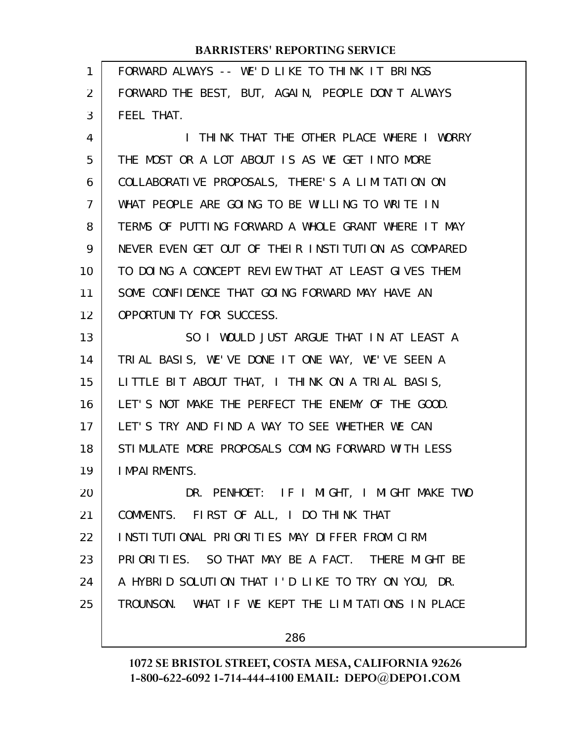| 1  | FORWARD ALWAYS -- WE'D LIKE TO THINK IT BRINGS      |
|----|-----------------------------------------------------|
| 2  | FORWARD THE BEST, BUT, AGAIN, PEOPLE DON'T ALWAYS   |
| 3  | FEEL THAT.                                          |
| 4  | I THINK THAT THE OTHER PLACE WHERE I WORRY          |
| 5  | THE MOST OR A LOT ABOUT IS AS WE GET INTO MORE      |
| 6  | COLLABORATIVE PROPOSALS, THERE'S A LIMITATION ON    |
| 7  | WHAT PEOPLE ARE GOING TO BE WILLING TO WRITE IN     |
| 8  | TERMS OF PUTTING FORWARD A WHOLE GRANT WHERE IT MAY |
| 9  | NEVER EVEN GET OUT OF THEIR INSTITUTION AS COMPARED |
| 10 | TO DOING A CONCEPT REVIEW THAT AT LEAST GIVES THEM  |
| 11 | SOME CONFIDENCE THAT GOING FORWARD MAY HAVE AN      |
| 12 | OPPORTUNITY FOR SUCCESS.                            |
| 13 | SO I WOULD JUST ARGUE THAT IN AT LEAST A            |
| 14 | TRIAL BASIS, WE'VE DONE IT ONE WAY, WE'VE SEEN A    |
| 15 | LITTLE BIT ABOUT THAT, I THINK ON A TRIAL BASIS,    |
| 16 | LET'S NOT MAKE THE PERFECT THE ENEMY OF THE GOOD.   |
| 17 | LET'S TRY AND FIND A WAY TO SEE WHETHER WE CAN      |
| 18 | STIMULATE MORE PROPOSALS COMING FORWARD WITH LESS   |
| 19 | <b>IMPAIRMENTS.</b>                                 |
| 20 | DR. PENHOET: IF I MIGHT, I MIGHT MAKE TWO           |
| 21 | COMMENTS. FIRST OF ALL, I DO THINK THAT             |
| 22 | INSTITUTIONAL PRIORITIES MAY DIFFER FROM CIRM       |
| 23 | PRIORITIES. SO THAT MAY BE A FACT. THERE MIGHT BE   |
| 24 | A HYBRID SOLUTION THAT I'D LIKE TO TRY ON YOU, DR.  |
| 25 | TROUNSON. WHAT IF WE KEPT THE LIMITATIONS IN PLACE  |
|    | 286                                                 |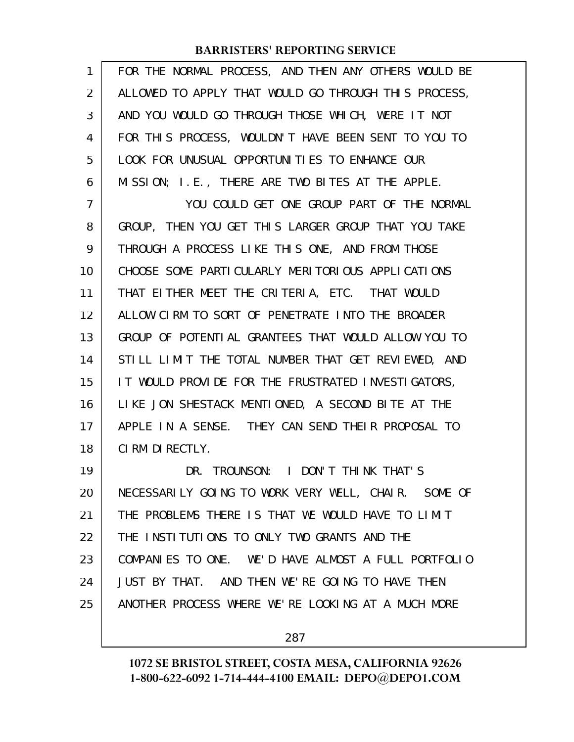| $\mathbf{1}$ | FOR THE NORMAL PROCESS, AND THEN ANY OTHERS WOULD BE |
|--------------|------------------------------------------------------|
| 2            | ALLOWED TO APPLY THAT WOULD GO THROUGH THIS PROCESS, |
| 3            | AND YOU WOULD GO THROUGH THOSE WHICH, WERE IT NOT    |
| 4            | FOR THIS PROCESS, WOULDN'T HAVE BEEN SENT TO YOU TO  |
| 5            | LOOK FOR UNUSUAL OPPORTUNITIES TO ENHANCE OUR        |
| 6            | MISSION; I.E., THERE ARE TWO BITES AT THE APPLE.     |
| 7            | YOU COULD GET ONE GROUP PART OF THE NORMAL           |
| 8            | GROUP, THEN YOU GET THIS LARGER GROUP THAT YOU TAKE  |
| 9            | THROUGH A PROCESS LIKE THIS ONE, AND FROM THOSE      |
| 10           | CHOOSE SOME PARTICULARLY MERITORIOUS APPLICATIONS    |
| 11           | THAT EITHER MEET THE CRITERIA, ETC. THAT WOULD       |
| 12           | ALLOW CIRM TO SORT OF PENETRATE INTO THE BROADER     |
| 13           | GROUP OF POTENTIAL GRANTEES THAT WOULD ALLOW YOU TO  |
| 14           | STILL LIMIT THE TOTAL NUMBER THAT GET REVIEWED, AND  |
| 15           | IT WOULD PROVIDE FOR THE FRUSTRATED INVESTIGATORS,   |
| 16           | LIKE JON SHESTACK MENTIONED, A SECOND BITE AT THE    |
| 17           | APPLE IN A SENSE. THEY CAN SEND THEIR PROPOSAL TO    |
| 18           | CIRM DIRECTLY.                                       |
| 19           | DR. TROUNSON: I DON'T THINK THAT'S                   |
| 20           | NECESSARILY GOING TO WORK VERY WELL, CHAIR. SOME OF  |
| 21           | THE PROBLEMS THERE IS THAT WE WOULD HAVE TO LIMIT    |
| 22           | THE INSTITUTIONS TO ONLY TWO GRANTS AND THE          |
| 23           | COMPANIES TO ONE. WE'D HAVE ALMOST A FULL PORTFOLIO  |
| 24           | JUST BY THAT. AND THEN WE'RE GOING TO HAVE THEN      |
| 25           | ANOTHER PROCESS WHERE WE'RE LOOKING AT A MUCH MORE   |
|              |                                                      |

287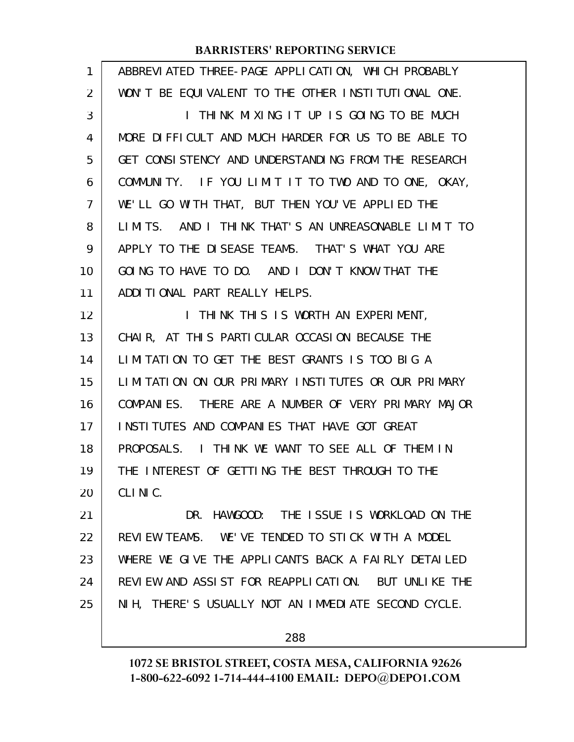| ABBREVIATED THREE-PAGE APPLICATION, WHICH PROBABLY  |
|-----------------------------------------------------|
| WON'T BE EQUIVALENT TO THE OTHER INSTITUTIONAL ONE. |
| I THINK MIXING IT UP IS GOING TO BE MUCH            |
| MORE DIFFICULT AND MUCH HARDER FOR US TO BE ABLE TO |
| GET CONSISTENCY AND UNDERSTANDING FROM THE RESEARCH |
| COMMUNITY. IF YOU LIMIT IT TO TWO AND TO ONE, OKAY, |
| WE'LL GO WITH THAT, BUT THEN YOU'VE APPLIED THE     |
| LIMITS. AND I THINK THAT'S AN UNREASONABLE LIMIT TO |
| APPLY TO THE DISEASE TEAMS. THAT'S WHAT YOU ARE     |
| GOING TO HAVE TO DO. AND I DON'T KNOW THAT THE      |
| ADDITIONAL PART REALLY HELPS.                       |
| I THINK THIS IS WORTH AN EXPERIMENT,                |
| CHAIR, AT THIS PARTICULAR OCCASION BECAUSE THE      |
| LIMITATION TO GET THE BEST GRANTS IS TOO BIG A      |
| LIMITATION ON OUR PRIMARY INSTITUTES OR OUR PRIMARY |
| COMPANIES. THERE ARE A NUMBER OF VERY PRIMARY MAJOR |
| INSTITUTES AND COMPANIES THAT HAVE GOT GREAT        |
| PROPOSALS. I THINK WE WANT TO SEE ALL OF THEM IN    |
| THE INTEREST OF GETTING THE BEST THROUGH TO THE     |
| CLINIC.                                             |
| HAWGOOD: THE ISSUE IS WORKLOAD ON THE<br>DR.        |
| REVIEW TEAMS. WE'VE TENDED TO STICK WITH A MODEL    |
| WHERE WE GIVE THE APPLICANTS BACK A FAIRLY DETAILED |
| REVIEW AND ASSIST FOR REAPPLICATION. BUT UNLIKE THE |
| NIH, THERE'S USUALLY NOT AN IMMEDIATE SECOND CYCLE. |
| 288                                                 |
|                                                     |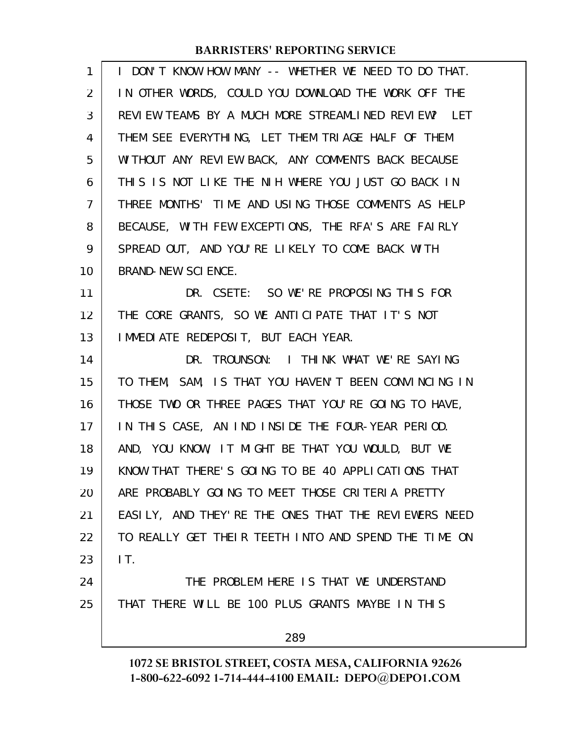| $\mathbf{1}$   | I DON'T KNOW HOW MANY -- WHETHER WE NEED TO DO THAT. |
|----------------|------------------------------------------------------|
| $\overline{2}$ | IN OTHER WORDS, COULD YOU DOWNLOAD THE WORK OFF THE  |
| 3              | REVIEW TEAMS BY A MUCH MORE STREAMLINED REVIEW? LET  |
| 4              | THEM SEE EVERYTHING, LET THEM TRIAGE HALF OF THEM    |
| 5              | WITHOUT ANY REVIEW BACK, ANY COMMENTS BACK BECAUSE   |
| 6              | THIS IS NOT LIKE THE NIH WHERE YOU JUST GO BACK IN   |
| $\overline{7}$ | THREE MONTHS' TIME AND USING THOSE COMMENTS AS HELP  |
| 8              | BECAUSE, WITH FEW EXCEPTIONS, THE RFA'S ARE FAIRLY   |
| 9              | SPREAD OUT, AND YOU'RE LIKELY TO COME BACK WITH      |
| 10             | BRAND-NEW SCIENCE.                                   |
| 11             | DR. CSETE: SO WE'RE PROPOSING THIS FOR               |
| 12             | THE CORE GRANTS, SO WE ANTICIPATE THAT IT'S NOT      |
| 13             | I MMEDI ATE REDEPOSIT, BUT EACH YEAR.                |
| 14             | DR. TROUNSON: I THINK WHAT WE'RE SAYING              |
| 15             | TO THEM, SAM, IS THAT YOU HAVEN'T BEEN CONVINCING IN |
| 16             | THOSE TWO OR THREE PAGES THAT YOU'RE GOING TO HAVE,  |
| 17             | IN THIS CASE, AN IND INSIDE THE FOUR-YEAR PERIOD.    |
| 18             | AND, YOU KNOW, IT MIGHT BE THAT YOU WOULD, BUT WE    |
| 19             | KNOW THAT THERE'S GOING TO BE 40 APPLICATIONS THAT   |
| 20             | ARE PROBABLY GOING TO MEET THOSE CRITERIA PRETTY     |
| 21             | EASILY, AND THEY'RE THE ONES THAT THE REVIEWERS NEED |
| 22             | TO REALLY GET THEIR TEETH INTO AND SPEND THE TIME ON |
| 23             | IT.                                                  |
| 24             | THE PROBLEM HERE IS THAT WE UNDERSTAND               |
| 25             | THAT THERE WILL BE 100 PLUS GRANTS MAYBE IN THIS     |
|                | 289                                                  |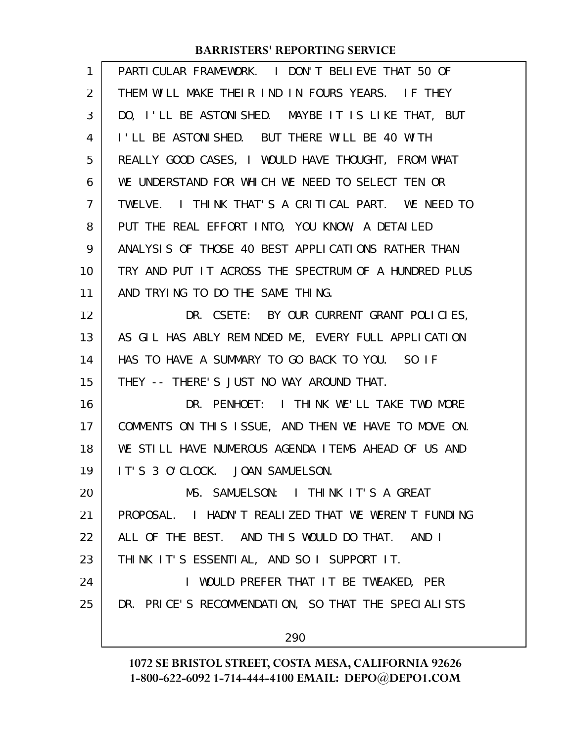| $\mathbf{1}$   | PARTICULAR FRAMEWORK. I DON'T BELIEVE THAT 50 OF     |
|----------------|------------------------------------------------------|
| 2              | THEM WILL MAKE THEIR IND IN FOURS YEARS. IF THEY     |
| 3              | DO, I'LL BE ASTONISHED. MAYBE IT IS LIKE THAT, BUT   |
| 4              | I'LL BE ASTONISHED. BUT THERE WILL BE 40 WITH        |
| 5              | REALLY GOOD CASES, I WOULD HAVE THOUGHT, FROM WHAT   |
| 6              | WE UNDERSTAND FOR WHICH WE NEED TO SELECT TEN OR     |
| $\overline{7}$ | TWELVE. I THINK THAT'S A CRITICAL PART. WE NEED TO   |
| 8              | PUT THE REAL EFFORT INTO, YOU KNOW, A DETAILED       |
| 9              | ANALYSIS OF THOSE 40 BEST APPLICATIONS RATHER THAN   |
| 10             | TRY AND PUT IT ACROSS THE SPECTRUM OF A HUNDRED PLUS |
| 11             | AND TRYING TO DO THE SAME THING.                     |
| 12             | DR. CSETE: BY OUR CURRENT GRANT POLICIES,            |
| 13             | AS GIL HAS ABLY REMINDED ME, EVERY FULL APPLICATION  |
| 14             | HAS TO HAVE A SUMMARY TO GO BACK TO YOU. SO IF       |
| 15             | THEY -- THERE'S JUST NO WAY AROUND THAT.             |
| 16             | DR. PENHOET: I THINK WE'LL TAKE TWO MORE             |
| 17             | COMMENTS ON THIS ISSUE, AND THEN WE HAVE TO MOVE ON. |
| 18             | WE STILL HAVE NUMEROUS AGENDA ITEMS AHEAD OF US AND  |
| 19             | IT'S 3 O'CLOCK. JOAN SAMUELSON.                      |
| 20             | MS. SAMUELSON: I THINK IT'S A GREAT                  |
| 21             | PROPOSAL. I HADN'T REALIZED THAT WE WEREN'T FUNDING  |
| 22             | ALL OF THE BEST. AND THIS WOULD DO THAT. AND I       |
| 23             | THINK IT'S ESSENTIAL, AND SO I SUPPORT IT.           |
| 24             | I WOULD PREFER THAT IT BE TWEAKED, PER               |
| 25             | DR. PRICE'S RECOMMENDATION, SO THAT THE SPECIALISTS  |
|                | 290                                                  |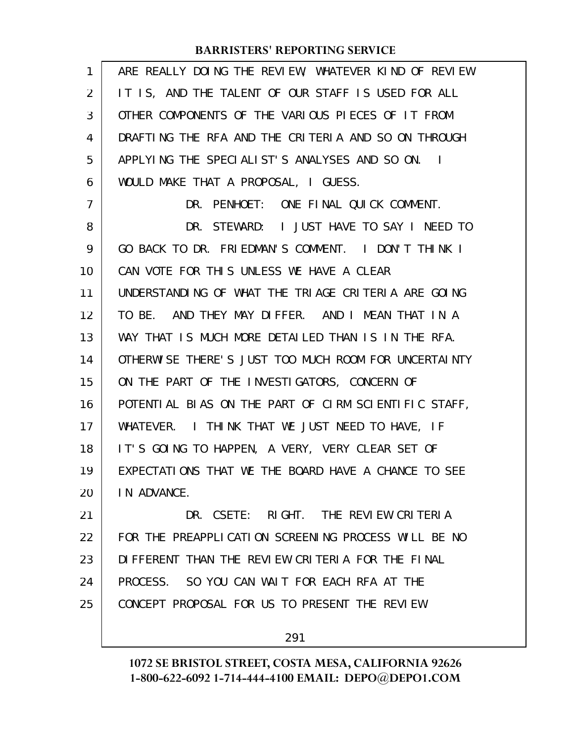| 1  | ARE REALLY DOING THE REVIEW, WHATEVER KIND OF REVIEW |
|----|------------------------------------------------------|
| 2  | IT IS, AND THE TALENT OF OUR STAFF IS USED FOR ALL   |
| 3  | OTHER COMPONENTS OF THE VARIOUS PIECES OF IT FROM    |
| 4  | DRAFTING THE RFA AND THE CRITERIA AND SO ON THROUGH  |
| 5  | APPLYING THE SPECIALIST'S ANALYSES AND SO ON. I      |
| 6  | WOULD MAKE THAT A PROPOSAL, I GUESS.                 |
| 7  | DR. PENHOET: ONE FINAL QUICK COMMENT.                |
| 8  | DR. STEWARD: I JUST HAVE TO SAY I NEED TO            |
| 9  | GO BACK TO DR. FRIEDMAN'S COMMENT. I DON'T THINK I   |
| 10 | CAN VOTE FOR THIS UNLESS WE HAVE A CLEAR             |
| 11 | UNDERSTANDING OF WHAT THE TRIAGE CRITERIA ARE GOING  |
| 12 | TO BE. AND THEY MAY DIFFER. AND I MEAN THAT IN A     |
| 13 | WAY THAT IS MUCH MORE DETAILED THAN IS IN THE RFA.   |
| 14 | OTHERWISE THERE'S JUST TOO MUCH ROOM FOR UNCERTAINTY |
| 15 | ON THE PART OF THE INVESTIGATORS, CONCERN OF         |
| 16 | POTENTIAL BIAS ON THE PART OF CIRM SCIENTIFIC STAFF, |
| 17 | WHATEVER. I THINK THAT WE JUST NEED TO HAVE, IF      |
| 18 | IT'S GOING TO HAPPEN, A VERY, VERY CLEAR SET OF      |
| 19 | EXPECTATIONS THAT WE THE BOARD HAVE A CHANCE TO SEE  |
| 20 | IN ADVANCE.                                          |
| 21 | DR. CSETE: RIGHT. THE REVIEW CRITERIA                |
| 22 | FOR THE PREAPPLICATION SCREENING PROCESS WILL BE NO  |
| 23 | DIFFERENT THAN THE REVIEW CRITERIA FOR THE FINAL     |
| 24 | PROCESS. SO YOU CAN WAIT FOR EACH RFA AT THE         |
| 25 | CONCEPT PROPOSAL FOR US TO PRESENT THE REVIEW        |
|    |                                                      |

291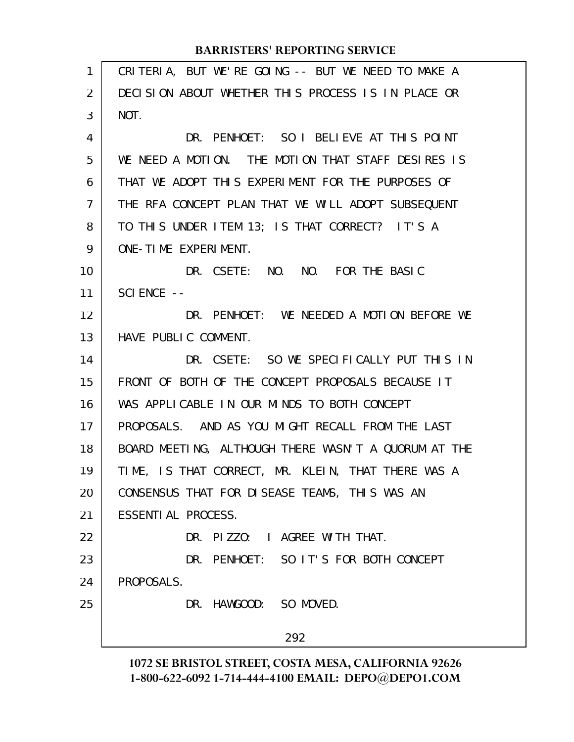| 1              | CRITERIA, BUT WE'RE GOING -- BUT WE NEED TO MAKE A   |
|----------------|------------------------------------------------------|
| $\overline{2}$ | DECISION ABOUT WHETHER THIS PROCESS IS IN PLACE OR   |
| 3              | NOT.                                                 |
| 4              | DR. PENHOET: SO I BELIEVE AT THIS POINT              |
| 5              | WE NEED A MOTION. THE MOTION THAT STAFF DESIRES IS   |
| 6              | THAT WE ADOPT THIS EXPERIMENT FOR THE PURPOSES OF    |
| $\overline{7}$ | THE RFA CONCEPT PLAN THAT WE WILL ADOPT SUBSEQUENT   |
| 8              | TO THIS UNDER ITEM 13; IS THAT CORRECT? IT'S A       |
| 9              | ONE-TIME EXPERIMENT.                                 |
| 10             | DR. CSETE: NO. NO. FOR THE BASIC                     |
| 11             | $SCI$ ENCE $--$                                      |
| 12             | DR. PENHOET: WE NEEDED A MOTION BEFORE WE            |
| 13             | HAVE PUBLIC COMMENT.                                 |
| 14             | DR. CSETE: SO WE SPECIFICALLY PUT THIS IN            |
| 15             | FRONT OF BOTH OF THE CONCEPT PROPOSALS BECAUSE IT    |
| 16             | WAS APPLICABLE IN OUR MINDS TO BOTH CONCEPT          |
| 17             | PROPOSALS. AND AS YOU MIGHT RECALL FROM THE LAST     |
| 18             | BOARD MEETING, ALTHOUGH THERE WASN'T A QUORUM AT THE |
| 19             | TIME, IS THAT CORRECT, MR. KLEIN, THAT THERE WAS A   |
| 20             | CONSENSUS THAT FOR DISEASE TEAMS, THIS WAS AN        |
| 21             | ESSENTI AL PROCESS.                                  |
| 22             | DR. PIZZO: I AGREE WITH THAT.                        |
| 23             | DR. PENHOET: SO IT'S FOR BOTH CONCEPT                |
| 24             | PROPOSALS.                                           |
| 25             | DR. HAWGOOD: SO MOVED.                               |
|                | 292                                                  |
|                |                                                      |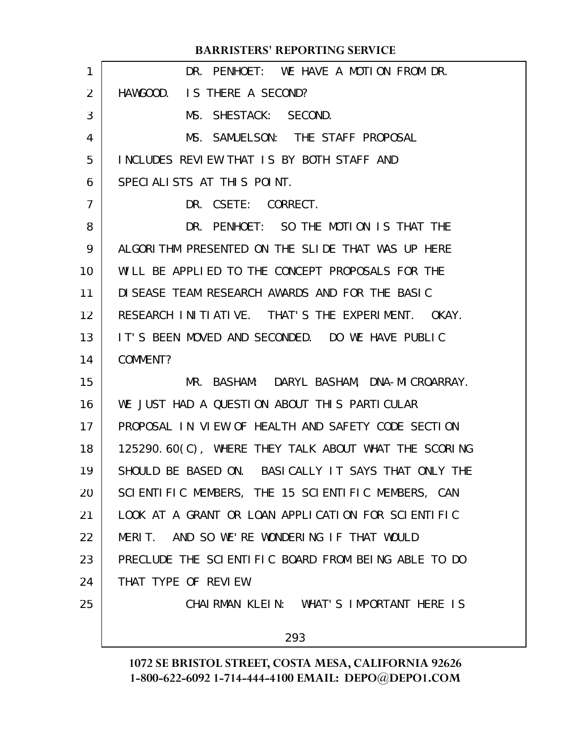| 1              | DR. PENHOET: WE HAVE A MOTION FROM DR.               |
|----------------|------------------------------------------------------|
| 2              | HAWGOOD. IS THERE A SECOND?                          |
| 3              | MS. SHESTACK: SECOND.                                |
| 4              | MS. SAMUELSON: THE STAFF PROPOSAL                    |
| 5              | INCLUDES REVIEW THAT IS BY BOTH STAFF AND            |
| 6              | SPECIALISTS AT THIS POINT.                           |
| $\overline{7}$ | DR. CSETE: CORRECT.                                  |
| 8              | DR. PENHOET: SO THE MOTION IS THAT THE               |
| 9              | ALGORITHM PRESENTED ON THE SLIDE THAT WAS UP HERE    |
| 10             | WILL BE APPLIED TO THE CONCEPT PROPOSALS FOR THE     |
| 11             | DI SEASE TEAM RESEARCH AWARDS AND FOR THE BASIC      |
| 12             | RESEARCH INITIATIVE. THAT'S THE EXPERIMENT. OKAY.    |
| 13             | IT'S BEEN MOVED AND SECONDED. DO WE HAVE PUBLIC      |
| 14             | COMMENT?                                             |
| 15             | MR. BASHAM: DARYL BASHAM, DNA-MICROARRAY.            |
| 16             | WE JUST HAD A QUESTION ABOUT THIS PARTICULAR         |
| 17             | PROPOSAL IN VIEW OF HEALTH AND SAFETY CODE SECTION   |
| 18             | 125290.60(C), WHERE THEY TALK ABOUT WHAT THE SCORING |
| 19             | SHOULD BE BASED ON. BASICALLY IT SAYS THAT ONLY THE  |
| 20             | SCIENTIFIC MEMBERS, THE 15 SCIENTIFIC MEMBERS, CAN   |
| 21             | LOOK AT A GRANT OR LOAN APPLICATION FOR SCIENTIFIC   |
| 22             | MERIT. AND SO WE'RE WONDERING IF THAT WOULD          |
| 23             | PRECLUDE THE SCIENTIFIC BOARD FROM BEING ABLE TO DO  |
| 24             | THAT TYPE OF REVIEW.                                 |
| 25             | CHAIRMAN KLEIN: WHAT'S IMPORTANT HERE IS             |
|                | 293                                                  |
|                |                                                      |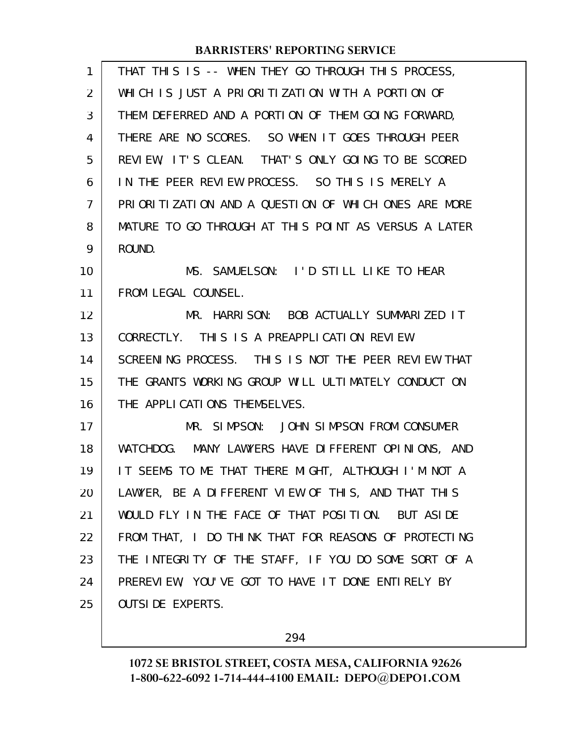| 1  | THAT THIS IS -- WHEN THEY GO THROUGH THIS PROCESS,   |
|----|------------------------------------------------------|
| 2  | WHICH IS JUST A PRIORITIZATION WITH A PORTION OF     |
| 3  | THEM DEFERRED AND A PORTION OF THEM GOING FORWARD,   |
| 4  | THERE ARE NO SCORES. SO WHEN IT GOES THROUGH PEER    |
| 5  | REVIEW, IT'S CLEAN. THAT'S ONLY GOING TO BE SCORED   |
| 6  | IN THE PEER REVIEW PROCESS. SO THIS IS MERELY A      |
| 7  | PRIORITIZATION AND A QUESTION OF WHICH ONES ARE MORE |
| 8  | MATURE TO GO THROUGH AT THIS POINT AS VERSUS A LATER |
| 9  | ROUND.                                               |
| 10 | MS. SAMUELSON: I'D STILL LIKE TO HEAR                |
| 11 | FROM LEGAL COUNSEL.                                  |
| 12 | MR. HARRISON: BOB ACTUALLY SUMMARIZED IT             |
| 13 | CORRECTLY. THIS IS A PREAPPLICATION REVIEW           |
| 14 | SCREENING PROCESS. THIS IS NOT THE PEER REVIEW THAT  |
| 15 | THE GRANTS WORKING GROUP WILL ULTIMATELY CONDUCT ON  |
| 16 | THE APPLICATIONS THEMSELVES.                         |
| 17 | MR. SIMPSON: JOHN SIMPSON FROM CONSUMER              |
| 18 | WATCHDOG. MANY LAWYERS HAVE DIFFERENT OPINIONS, AND  |
| 19 | IT SEEMS TO ME THAT THERE MIGHT, ALTHOUGH I'M NOT A  |
| 20 | LAWYER, BE A DIFFERENT VIEW OF THIS, AND THAT THIS   |
| 21 | WOULD FLY IN THE FACE OF THAT POSITION. BUT ASIDE    |
| 22 | FROM THAT, I DO THINK THAT FOR REASONS OF PROTECTING |
| 23 | THE INTEGRITY OF THE STAFF, IF YOU DO SOME SORT OF A |
| 24 | PREREVIEW, YOU'VE GOT TO HAVE IT DONE ENTIRELY BY    |
| 25 | <b>OUTSIDE EXPERTS.</b>                              |
|    |                                                      |

294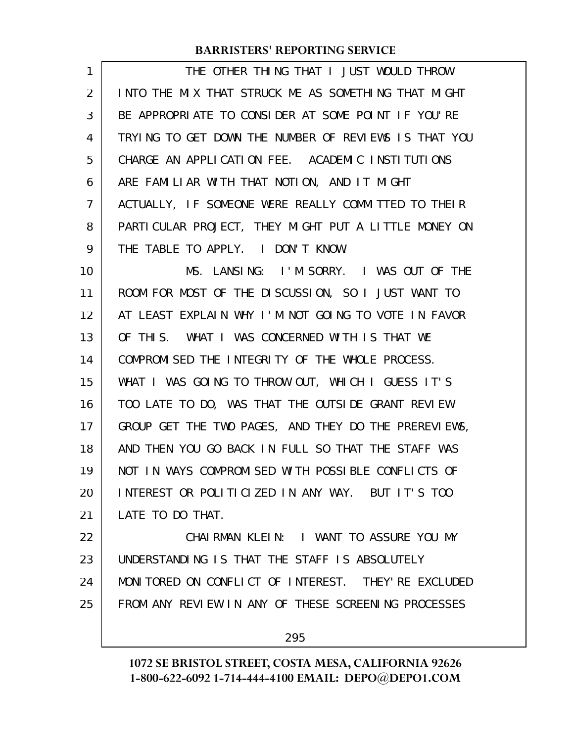| 1              | THE OTHER THING THAT I JUST WOULD THROW              |
|----------------|------------------------------------------------------|
| $\overline{2}$ | INTO THE MIX THAT STRUCK ME AS SOMETHING THAT MIGHT  |
| 3              | BE APPROPRIATE TO CONSIDER AT SOME POINT IF YOU'RE   |
| 4              | TRYING TO GET DOWN THE NUMBER OF REVIEWS IS THAT YOU |
| 5              | CHARGE AN APPLICATION FEE. ACADEMIC INSTITUTIONS     |
| 6              | ARE FAMILIAR WITH THAT NOTION, AND IT MIGHT          |
| 7              | ACTUALLY, IF SOMEONE WERE REALLY COMMITTED TO THEIR  |
| 8              | PARTICULAR PROJECT, THEY MIGHT PUT A LITTLE MONEY ON |
| 9              | THE TABLE TO APPLY. I DON'T KNOW.                    |
| 10             | MS. LANSING: I'M SORRY. I WAS OUT OF THE             |
| 11             | ROOM FOR MOST OF THE DISCUSSION, SO I JUST WANT TO   |
| 12             | AT LEAST EXPLAIN WHY I'M NOT GOING TO VOTE IN FAVOR  |
| 13             | OF THIS. WHAT I WAS CONCERNED WITH IS THAT WE        |
| 14             | COMPROMISED THE INTEGRITY OF THE WHOLE PROCESS.      |
| 15             | WHAT I WAS GOING TO THROW OUT, WHICH I GUESS IT'S    |
| 16             | TOO LATE TO DO, WAS THAT THE OUTSIDE GRANT REVIEW    |
| 17             | GROUP GET THE TWO PAGES, AND THEY DO THE PREREVIEWS, |
| 18             | AND THEN YOU GO BACK IN FULL SO THAT THE STAFF WAS   |
| 19             | NOT IN WAYS COMPROMISED WITH POSSIBLE CONFLICTS OF   |
| 20             | INTEREST OR POLITICIZED IN ANY WAY. BUT IT'S TOO     |
| 21             | LATE TO DO THAT.                                     |
| 22             | CHAIRMAN KLEIN: I WANT TO ASSURE YOU MY              |
| 23             | UNDERSTANDING IS THAT THE STAFF IS ABSOLUTELY        |
| 24             | MONITORED ON CONFLICT OF INTEREST. THEY'RE EXCLUDED  |
| 25             | FROM ANY REVIEW IN ANY OF THESE SCREENING PROCESSES  |

295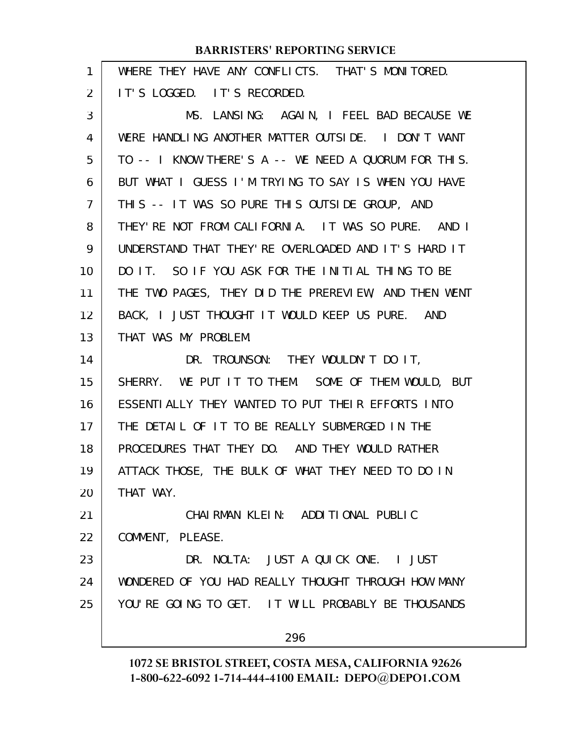| 1  | WHERE THEY HAVE ANY CONFLICTS. THAT'S MONITORED.     |
|----|------------------------------------------------------|
| 2  | IT'S LOGGED. IT'S RECORDED.                          |
| 3  | MS. LANSING: AGAIN, I FEEL BAD BECAUSE WE            |
| 4  | WERE HANDLING ANOTHER MATTER OUTSIDE. I DON'T WANT   |
| 5  | TO -- I KNOW THERE'S A -- WE NEED A QUORUM FOR THIS. |
| 6  | BUT WHAT I GUESS I'M TRYING TO SAY IS WHEN YOU HAVE  |
| 7  | THIS -- IT WAS SO PURE THIS OUTSIDE GROUP, AND       |
| 8  | THEY'RE NOT FROM CALIFORNIA. IT WAS SO PURE. AND I   |
| 9  | UNDERSTAND THAT THEY' RE OVERLOADED AND IT'S HARD IT |
| 10 | DO IT. SO IF YOU ASK FOR THE INITIAL THING TO BE     |
| 11 | THE TWO PAGES, THEY DID THE PREREVIEW, AND THEN WENT |
| 12 | BACK, I JUST THOUGHT IT WOULD KEEP US PURE. AND      |
| 13 | THAT WAS MY PROBLEM.                                 |
| 14 | DR. TROUNSON: THEY WOULDN'T DO IT,                   |
| 15 | SHERRY. WE PUT IT TO THEM. SOME OF THEM WOULD, BUT   |
| 16 | ESSENTIALLY THEY WANTED TO PUT THEIR EFFORTS INTO    |
| 17 | THE DETAIL OF IT TO BE REALLY SUBMERGED IN THE       |
| 18 | PROCEDURES THAT THEY DO. AND THEY WOULD RATHER       |
| 19 | ATTACK THOSE, THE BULK OF WHAT THEY NEED TO DO IN    |
| 20 | THAT WAY.                                            |
| 21 | CHAI RMAN KLEIN: ADDITIONAL PUBLIC                   |
| 22 | COMMENT, PLEASE.                                     |
| 23 | DR. NOLTA: JUST A QUICK ONE. I JUST                  |
| 24 | WONDERED OF YOU HAD REALLY THOUGHT THROUGH HOW MANY  |
| 25 | YOU'RE GOING TO GET. IT WILL PROBABLY BE THOUSANDS   |
|    | 296                                                  |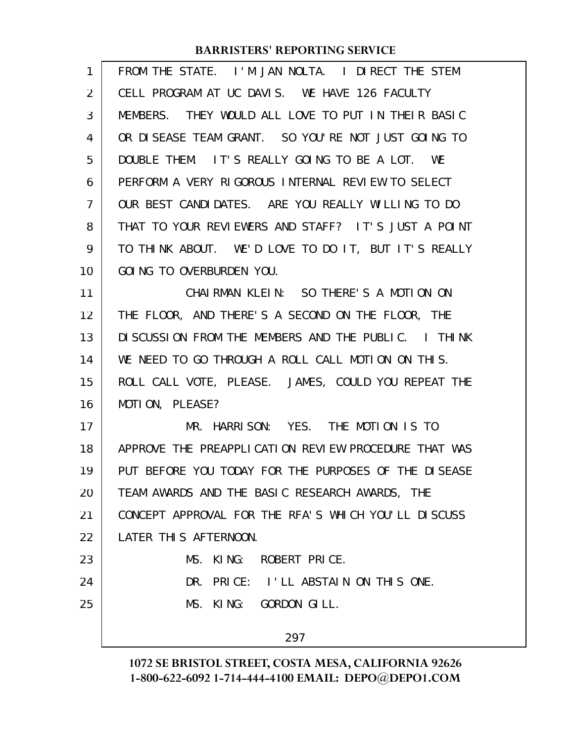| 1  | FROM THE STATE. I'M JAN NOLTA. I DIRECT THE STEM     |
|----|------------------------------------------------------|
| 2  | CELL PROGRAM AT UC DAVIS. WE HAVE 126 FACULTY        |
| 3  | MEMBERS. THEY WOULD ALL LOVE TO PUT IN THEIR BASIC   |
| 4  | OR DISEASE TEAM GRANT. SO YOU'RE NOT JUST GOING TO   |
| 5  | DOUBLE THEM. IT'S REALLY GOING TO BE A LOT. WE       |
| 6  | PERFORM A VERY RIGOROUS INTERNAL REVIEW TO SELECT    |
| 7  | OUR BEST CANDIDATES. ARE YOU REALLY WILLING TO DO    |
| 8  | THAT TO YOUR REVIEWERS AND STAFF? IT'S JUST A POINT  |
| 9  | TO THINK ABOUT. WE'D LOVE TO DO IT, BUT IT'S REALLY  |
| 10 | GOING TO OVERBURDEN YOU.                             |
| 11 | CHAIRMAN KLEIN: SO THERE'S A MOTION ON               |
| 12 | THE FLOOR, AND THERE'S A SECOND ON THE FLOOR, THE    |
| 13 | DISCUSSION FROM THE MEMBERS AND THE PUBLIC. I THINK  |
| 14 | WE NEED TO GO THROUGH A ROLL CALL MOTION ON THIS.    |
| 15 | ROLL CALL VOTE, PLEASE. JAMES, COULD YOU REPEAT THE  |
| 16 | MOTION, PLEASE?                                      |
| 17 | MR. HARRISON: YES. THE MOTION IS TO                  |
| 18 | APPROVE THE PREAPPLICATION REVIEW PROCEDURE THAT WAS |
| 19 | PUT BEFORE YOU TODAY FOR THE PURPOSES OF THE DISEASE |
| 20 | TEAM AWARDS AND THE BASIC RESEARCH AWARDS, THE       |
| 21 | CONCEPT APPROVAL FOR THE RFA'S WHICH YOU'LL DISCUSS  |
| 22 | LATER THIS AFTERNOON.                                |
| 23 | MS. KING:<br>ROBERT PRICE.                           |
| 24 | DR. PRICE: I'LL ABSTAIN ON THIS ONE.                 |
| 25 | MS. KING: GORDON GILL.                               |
|    | 297                                                  |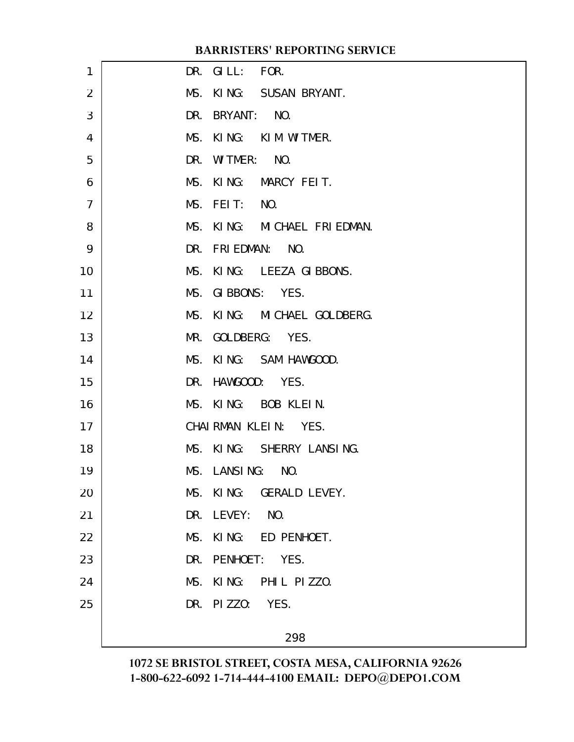| 1              | DR. GILL: FOR.              |  |
|----------------|-----------------------------|--|
| 2              | MS. KING: SUSAN BRYANT.     |  |
| 3              | DR. BRYANT: NO.             |  |
| 4              | MS. KING: KIM WITMER.       |  |
| 5              | DR. WITMER: NO.             |  |
| 6              | MS. KING: MARCY FEIT.       |  |
| $\overline{7}$ | MS. FEIT: NO.               |  |
| 8              | MS. KING: MICHAEL FRIEDMAN. |  |
| 9              | DR. FRIEDMAN: NO.           |  |
| 10             | MS. KING: LEEZA GIBBONS.    |  |
| 11             | MS. GIBBONS: YES.           |  |
| 12             | MS. KING: MICHAEL GOLDBERG. |  |
| 13             | MR. GOLDBERG: YES.          |  |
| 14             | MS. KING: SAM HAWGOOD.      |  |
| 15             | DR. HAWGOOD: YES.           |  |
| 16             | MS. KING: BOB KLEIN.        |  |
| 17             | CHAIRMAN KLEIN: YES.        |  |
| 18             | MS. KING: SHERRY LANSING.   |  |
| 19             | MS. LANSING: NO.            |  |
| 20             | MS. KING: GERALD LEVEY.     |  |
| 21             | DR. LEVEY: NO.              |  |
| 22             | MS.<br>KING: ED PENHOET.    |  |
| 23             | DR. PENHOET: YES.           |  |
| 24             | MS. KING: PHIL PIZZO.       |  |
| 25             | DR. PIZZO: YES.             |  |
|                | 298                         |  |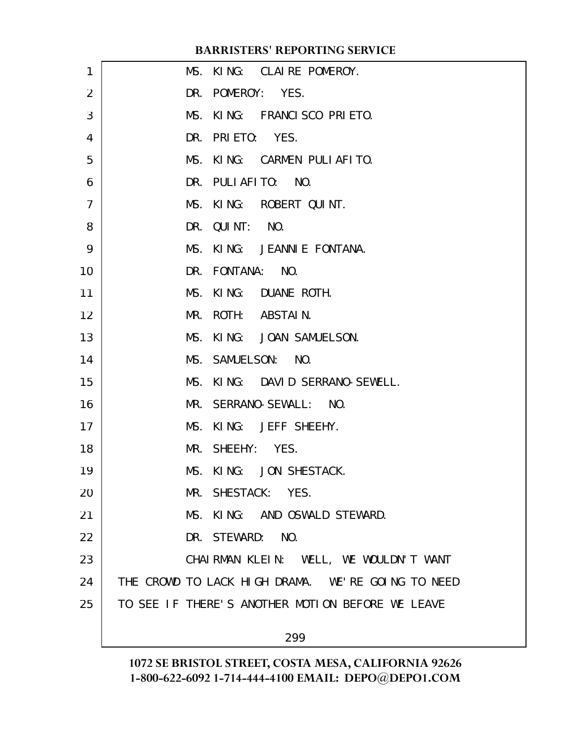| 1              |  | MS. KING: CLAIRE POMEROY.                         |
|----------------|--|---------------------------------------------------|
| $\overline{2}$ |  | DR. POMEROY: YES.                                 |
| 3              |  | MS. KING: FRANCISCO PRIETO.                       |
| 4              |  | DR. PRIETO: YES.                                  |
| 5              |  | MS. KING: CARMEN PULIAFITO.                       |
| 6              |  | DR. PULIAFITO: NO.                                |
| $\overline{7}$ |  | MS. KING: ROBERT QUINT.                           |
| 8              |  | DR. QUINT: NO.                                    |
| 9              |  | MS. KING: JEANNIE FONTANA.                        |
| 10             |  | DR. FONTANA: NO.                                  |
| 11             |  | MS. KING: DUANE ROTH.                             |
| 12             |  | MR. ROTH: ABSTAIN.                                |
| 13             |  | MS. KING: JOAN SAMUELSON.                         |
| 14             |  | MS. SAMUELSON: NO.                                |
| 15             |  | MS. KING: DAVID SERRANO-SEWELL.                   |
| 16             |  | MR. SERRANO-SEWALL: NO.                           |
| 17             |  | MS. KING: JEFF SHEEHY.                            |
| 18             |  | MR. SHEEHY: YES.                                  |
| 19             |  | MS. KING: JON SHESTACK.                           |
| 20             |  | MR. SHESTACK: YES.                                |
| 21             |  | MS. KING: AND OSWALD STEWARD.                     |
| 22             |  | DR. STEWARD: NO.                                  |
| 23             |  | CHAIRMAN KLEIN: WELL, WE WOULDN'T WANT            |
| 24             |  | THE CROWD TO LACK HIGH DRAMA. WE'RE GOING TO NEED |
| 25             |  | TO SEE IF THERE'S ANOTHER MOTION BEFORE WE LEAVE  |
|                |  |                                                   |

299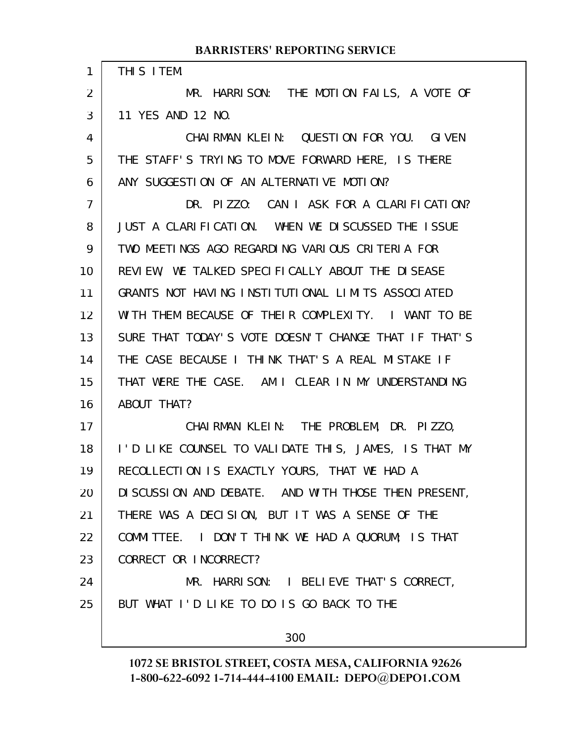| 1              | THIS ITEM.                                           |
|----------------|------------------------------------------------------|
| $\overline{2}$ | MR. HARRISON: THE MOTION FAILS, A VOTE OF            |
| 3              | 11 YES AND 12 NO.                                    |
| 4              | CHAIRMAN KLEIN: QUESTION FOR YOU. GIVEN              |
| 5              | THE STAFF'S TRYING TO MOVE FORWARD HERE, IS THERE    |
| 6              | ANY SUGGESTION OF AN ALTERNATIVE MOTION?             |
| $\overline{7}$ | DR. PIZZO: CAN I ASK FOR A CLARIFICATION?            |
| 8              | JUST A CLARIFICATION. WHEN WE DISCUSSED THE ISSUE    |
| 9              | TWO MEETINGS AGO REGARDING VARIOUS CRITERIA FOR      |
| 10             | REVIEW, WE TALKED SPECIFICALLY ABOUT THE DISEASE     |
| 11             | GRANTS NOT HAVING INSTITUTIONAL LIMITS ASSOCIATED    |
| 12             | WITH THEM BECAUSE OF THEIR COMPLEXITY. I WANT TO BE  |
| 13             | SURE THAT TODAY'S VOTE DOESN'T CHANGE THAT IF THAT'S |
| 14             | THE CASE BECAUSE I THINK THAT'S A REAL MISTAKE IF    |
| 15             | THAT WERE THE CASE. AM I CLEAR IN MY UNDERSTANDING   |
| 16             | ABOUT THAT?                                          |
| 17             | CHAIRMAN KLEIN: THE PROBLEM, DR. PIZZO,              |
| 18             | I'D LIKE COUNSEL TO VALIDATE THIS, JAMES, IS THAT MY |
| 19             | RECOLLECTION IS EXACTLY YOURS, THAT WE HAD A         |
| 20             | DI SCUSSION AND DEBATE. AND WITH THOSE THEN PRESENT, |
| 21             | THERE WAS A DECISION, BUT IT WAS A SENSE OF THE      |
| 22             | COMMITTEE. I DON'T THINK WE HAD A QUORUM; IS THAT    |
| 23             | CORRECT OR INCORRECT?                                |
| 24             | MR. HARRISON: I BELIEVE THAT'S CORRECT,              |
| 25             | BUT WHAT I'D LIKE TO DO IS GO BACK TO THE            |
|                | 200                                                  |

300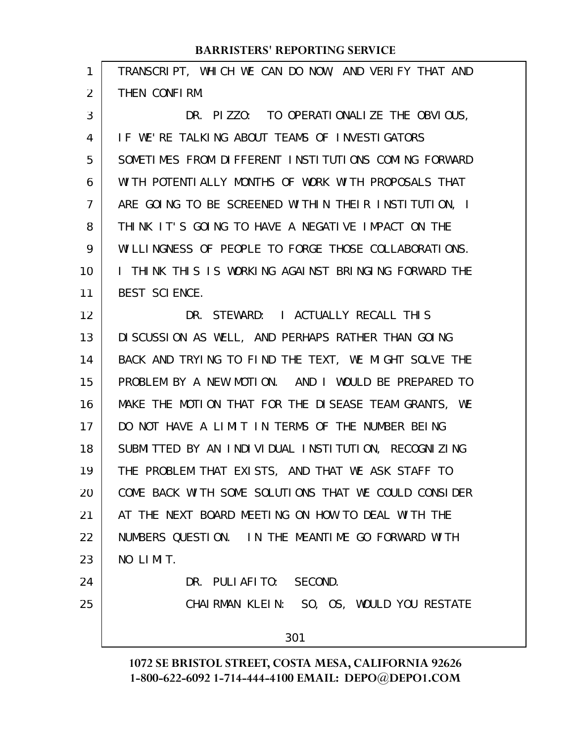| 1              | TRANSCRIPT, WHICH WE CAN DO NOW, AND VERIFY THAT AND |
|----------------|------------------------------------------------------|
| $\overline{2}$ | THEN CONFIRM.                                        |
| 3              | DR. PIZZO: TO OPERATIONALIZE THE OBVIOUS,            |
| 4              | IF WE'RE TALKING ABOUT TEAMS OF INVESTIGATORS        |
| 5              | SOMETIMES FROM DIFFERENT INSTITUTIONS COMING FORWARD |
| 6              | WITH POTENTIALLY MONTHS OF WORK WITH PROPOSALS THAT  |
| $\overline{7}$ | ARE GOING TO BE SCREENED WITHIN THEIR INSTITUTION, I |
| 8              | THINK IT'S GOING TO HAVE A NEGATIVE IMPACT ON THE    |
| 9              | WILLINGNESS OF PEOPLE TO FORGE THOSE COLLABORATIONS. |
| 10             | I THINK THIS IS WORKING AGAINST BRINGING FORWARD THE |
| 11             | BEST SCIENCE.                                        |
| 12             | DR. STEWARD: I ACTUALLY RECALL THIS                  |
| 13             | DI SCUSSION AS WELL, AND PERHAPS RATHER THAN GOING   |
| 14             | BACK AND TRYING TO FIND THE TEXT, WE MIGHT SOLVE THE |
| 15             | PROBLEM BY A NEW MOTION. AND I WOULD BE PREPARED TO  |
| 16             | MAKE THE MOTION THAT FOR THE DISEASE TEAM GRANTS, WE |
| 17             | DO NOT HAVE A LIMIT IN TERMS OF THE NUMBER BEING     |
| 18             | SUBMITTED BY AN INDIVIDUAL INSTITUTION, RECOGNIZING  |
| 19             | THE PROBLEM THAT EXISTS, AND THAT WE ASK STAFF TO    |
| 20             | COME BACK WITH SOME SOLUTIONS THAT WE COULD CONSIDER |
| 21             | AT THE NEXT BOARD MEETING ON HOW TO DEAL WITH THE    |
| 22             | NUMBERS QUESTION. IN THE MEANTIME GO FORWARD WITH    |
| 23             | NO LIMIT.                                            |
| 24             | DR. PULIAFITO: SECOND.                               |
| 25             | CHAIRMAN KLEIN: SO, OS, WOULD YOU RESTATE            |
|                | 301                                                  |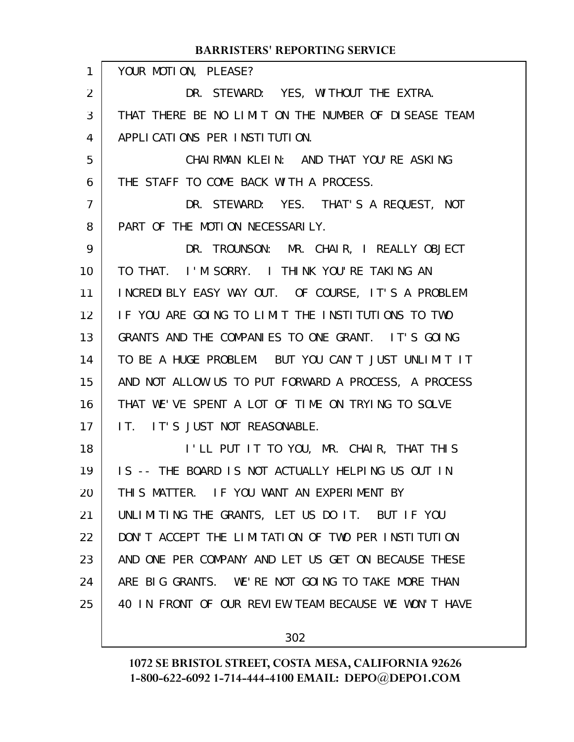|                | <b>BARRISTERS' REPORTING SERVICE</b>                 |
|----------------|------------------------------------------------------|
| $\mathbf{1}$   | YOUR MOTION, PLEASE?                                 |
| $\overline{2}$ | DR. STEWARD: YES, WITHOUT THE EXTRA.                 |
| 3              | THAT THERE BE NO LIMIT ON THE NUMBER OF DISEASE TEAM |
| 4              | APPLICATIONS PER INSTITUTION.                        |
| 5              | CHAIRMAN KLEIN: AND THAT YOU'RE ASKING               |
| 6              | THE STAFF TO COME BACK WITH A PROCESS.               |
| $\overline{7}$ | DR. STEWARD: YES. THAT'S A REQUEST, NOT              |
| 8              | PART OF THE MOTION NECESSARILY.                      |
| 9              | DR. TROUNSON: MR. CHAIR, I REALLY OBJECT             |
| 10             | TO THAT. I'M SORRY. I THINK YOU'RE TAKING AN         |
| 11             | INCREDIBLY EASY WAY OUT. OF COURSE, IT'S A PROBLEM   |
| 12             | IF YOU ARE GOING TO LIMIT THE INSTITUTIONS TO TWO    |
| 13             | GRANTS AND THE COMPANIES TO ONE GRANT. IT'S GOING    |
| 14             | TO BE A HUGE PROBLEM. BUT YOU CAN'T JUST UNLIMIT IT  |
| 15             | AND NOT ALLOW US TO PUT FORWARD A PROCESS, A PROCESS |
| 16             | THAT WE'VE SPENT A LOT OF TIME ON TRYING TO SOLVE    |
| 17             | IT. IT'S JUST NOT REASONABLE.                        |
| 18             | I'LL PUT IT TO YOU, MR. CHAIR, THAT THIS             |
| 19             | IS -- THE BOARD IS NOT ACTUALLY HELPING US OUT IN    |
| 20             | THIS MATTER. IF YOU WANT AN EXPERIMENT BY            |
| 21             | UNLIMITING THE GRANTS, LET US DO IT. BUT IF YOU      |
| 22             | DON'T ACCEPT THE LIMITATION OF TWO PER INSTITUTION   |
| 23             | AND ONE PER COMPANY AND LET US GET ON BECAUSE THESE  |
| 24             | ARE BIG GRANTS. WE'RE NOT GOING TO TAKE MORE THAN    |
| 25             | 40 IN FRONT OF OUR REVIEW TEAM BECAUSE WE WON'T HAVE |
|                |                                                      |

302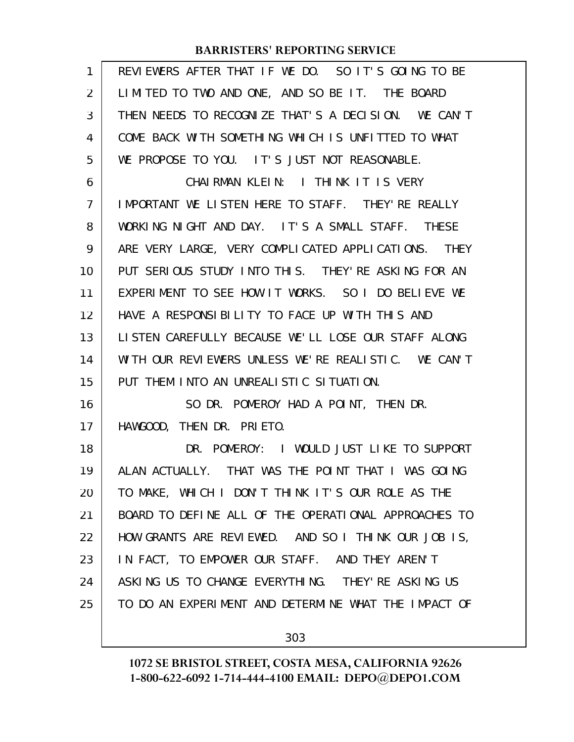| 1  | REVIEWERS AFTER THAT IF WE DO. SO IT'S GOING TO BE   |
|----|------------------------------------------------------|
| 2  | LIMITED TO TWO AND ONE, AND SO BE IT. THE BOARD      |
| 3  | THEN NEEDS TO RECOGNIZE THAT'S A DECISION. WE CAN'T  |
| 4  | COME BACK WITH SOMETHING WHICH IS UNFITTED TO WHAT   |
| 5  | WE PROPOSE TO YOU. IT'S JUST NOT REASONABLE.         |
| 6  | CHAIRMAN KLEIN: I THINK IT IS VERY                   |
| 7  | IMPORTANT WE LISTEN HERE TO STAFF. THEY'RE REALLY    |
| 8  | WORKING NIGHT AND DAY. IT'S A SMALL STAFF. THESE     |
| 9  | ARE VERY LARGE, VERY COMPLICATED APPLICATIONS. THEY  |
| 10 | PUT SERIOUS STUDY INTO THIS. THEY'RE ASKING FOR AN   |
| 11 | EXPERIMENT TO SEE HOW IT WORKS. SO I DO BELIEVE WE   |
| 12 | HAVE A RESPONSIBILITY TO FACE UP WITH THIS AND       |
| 13 | LISTEN CAREFULLY BECAUSE WE'LL LOSE OUR STAFF ALONG  |
| 14 | WITH OUR REVIEWERS UNLESS WE'RE REALISTIC. WE CAN'T  |
| 15 | PUT THEM INTO AN UNREALISTIC SITUATION.              |
| 16 | SO DR. POMEROY HAD A POINT, THEN DR.                 |
| 17 | HAWGOOD, THEN DR. PRIETO.                            |
| 18 | DR. POMEROY: I WOULD JUST LIKE TO SUPPORT            |
| 19 | ALAN ACTUALLY. THAT WAS THE POINT THAT I WAS GOING   |
| 20 | TO MAKE, WHICH I DON'T THINK IT'S OUR ROLE AS THE    |
| 21 | BOARD TO DEFINE ALL OF THE OPERATIONAL APPROACHES TO |
| 22 | HOW GRANTS ARE REVIEWED. AND SO I THINK OUR JOB IS,  |
| 23 | IN FACT, TO EMPOWER OUR STAFF. AND THEY AREN'T       |
| 24 | ASKING US TO CHANGE EVERYTHING. THEY'RE ASKING US    |
| 25 | TO DO AN EXPERIMENT AND DETERMINE WHAT THE IMPACT OF |
|    |                                                      |

303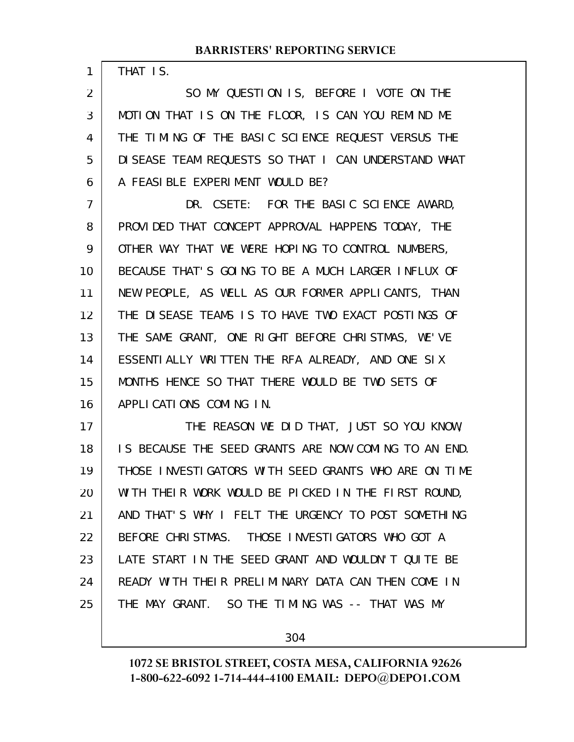THAT IS.

1

SO MY QUESTION IS, BEFORE I VOTE ON THE MOTION THAT IS ON THE FLOOR, IS CAN YOU REMIND ME THE TIMING OF THE BASIC SCIENCE REQUEST VERSUS THE DISEASE TEAM REQUESTS SO THAT I CAN UNDERSTAND WHAT A FEASIBLE EXPERIMENT WOULD BE? 2 3 4 5 6

DR. CSETE: FOR THE BASIC SCIENCE AWARD, PROVIDED THAT CONCEPT APPROVAL HAPPENS TODAY, THE OTHER WAY THAT WE WERE HOPING TO CONTROL NUMBERS, BECAUSE THAT'S GOING TO BE A MUCH LARGER INFLUX OF NEW PEOPLE, AS WELL AS OUR FORMER APPLICANTS, THAN THE DISEASE TEAMS IS TO HAVE TWO EXACT POSTINGS OF THE SAME GRANT, ONE RIGHT BEFORE CHRISTMAS, WE'VE ESSENTIALLY WRITTEN THE RFA ALREADY, AND ONE SIX MONTHS HENCE SO THAT THERE WOULD BE TWO SETS OF APPLICATIONS COMING IN. 7 8 9 10 11 12 13 14 15 16

THE REASON WE DID THAT, JUST SO YOU KNOW, IS BECAUSE THE SEED GRANTS ARE NOW COMING TO AN END. THOSE INVESTIGATORS WITH SEED GRANTS WHO ARE ON TIME WITH THEIR WORK WOULD BE PICKED IN THE FIRST ROUND, AND THAT'S WHY I FELT THE URGENCY TO POST SOMETHING BEFORE CHRISTMAS. THOSE INVESTIGATORS WHO GOT A LATE START IN THE SEED GRANT AND WOULDN'T QUITE BE READY WITH THEIR PRELIMINARY DATA CAN THEN COME IN THE MAY GRANT. SO THE TIMING WAS -- THAT WAS MY 17 18 19 20 21 22 23 24 25

304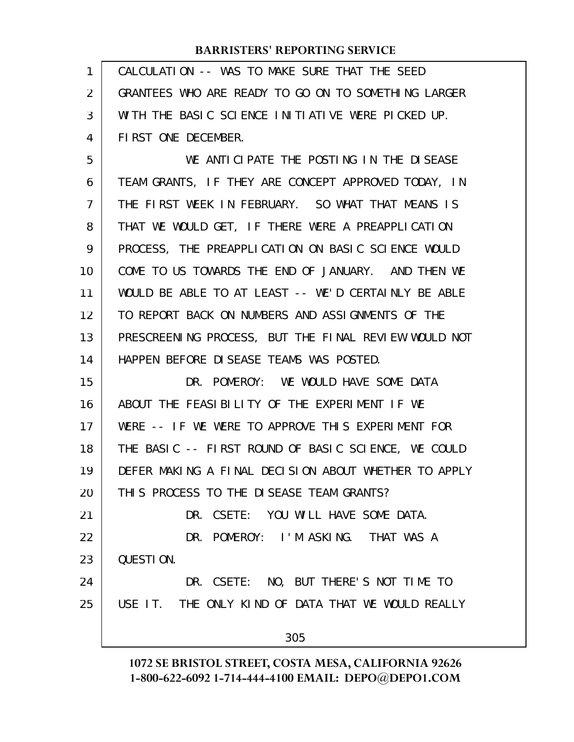| $\mathbf{1}$   | CALCULATION -- WAS TO MAKE SURE THAT THE SEED        |
|----------------|------------------------------------------------------|
| $\overline{2}$ | GRANTEES WHO ARE READY TO GO ON TO SOMETHING LARGER  |
| 3              | WITH THE BASIC SCIENCE INITIATIVE WERE PICKED UP.    |
| 4              | FIRST ONE DECEMBER.                                  |
| 5              | WE ANTICIPATE THE POSTING IN THE DISEASE             |
| 6              | TEAM GRANTS, IF THEY ARE CONCEPT APPROVED TODAY, IN  |
| 7              | THE FIRST WEEK IN FEBRUARY. SO WHAT THAT MEANS IS    |
| 8              | THAT WE WOULD GET, IF THERE WERE A PREAPPLICATION    |
| 9              | PROCESS, THE PREAPPLICATION ON BASIC SCIENCE WOULD   |
| 10             | COME TO US TOWARDS THE END OF JANUARY. AND THEN WE   |
| 11             | WOULD BE ABLE TO AT LEAST -- WE'D CERTAINLY BE ABLE  |
| 12             | TO REPORT BACK ON NUMBERS AND ASSIGNMENTS OF THE     |
| 13             | PRESCREENING PROCESS, BUT THE FINAL REVIEW WOULD NOT |
| 14             | HAPPEN BEFORE DISEASE TEAMS WAS POSTED.              |
| 15             | DR. POMEROY: WE WOULD HAVE SOME DATA                 |
| 16             | ABOUT THE FEASIBILITY OF THE EXPERIMENT IF WE        |
| 17             | WERE -- IF WE WERE TO APPROVE THIS EXPERIMENT FOR    |
| 18             | THE BASIC -- FIRST ROUND OF BASIC SCIENCE, WE COULD  |
| 19             | DEFER MAKING A FINAL DECISION ABOUT WHETHER TO APPLY |
| 20             | THIS PROCESS TO THE DISEASE TEAM GRANTS?             |
| 21             | DR. CSETE: YOU WILL HAVE SOME DATA.                  |
| 22             | DR. POMEROY: I'M ASKING. THAT WAS A                  |
| 23             | QUESTION.                                            |
| 24             | DR. CSETE: NO, BUT THERE'S NOT TIME TO               |
| 25             | USE IT. THE ONLY KIND OF DATA THAT WE WOULD REALLY   |
|                | 305                                                  |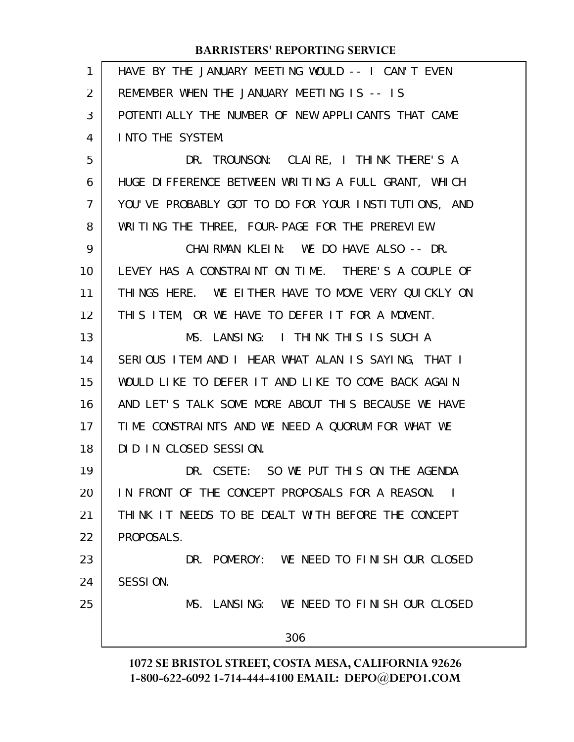| 1              | HAVE BY THE JANUARY MEETING WOULD -- I CAN'T EVEN    |
|----------------|------------------------------------------------------|
| 2              | REMEMBER WHEN THE JANUARY MEETING IS -- IS           |
| 3              | POTENTIALLY THE NUMBER OF NEW APPLICANTS THAT CAME   |
| 4              | INTO THE SYSTEM.                                     |
| 5              | DR. TROUNSON: CLAIRE, I THINK THERE'S A              |
| 6              | HUGE DIFFERENCE BETWEEN WRITING A FULL GRANT, WHICH  |
| $\overline{7}$ | YOU'VE PROBABLY GOT TO DO FOR YOUR INSTITUTIONS, AND |
| 8              | WRITING THE THREE, FOUR-PAGE FOR THE PREREVIEW.      |
| 9              | CHAIRMAN KLEIN: WE DO HAVE ALSO -- DR.               |
| 10             | LEVEY HAS A CONSTRAINT ON TIME. THERE'S A COUPLE OF  |
| 11             | THINGS HERE. WE EITHER HAVE TO MOVE VERY QUICKLY ON  |
| 12             | THIS ITEM, OR WE HAVE TO DEFER IT FOR A MOMENT.      |
| 13             | MS. LANSING: I THINK THIS IS SUCH A                  |
| 14             | SERIOUS ITEM AND I HEAR WHAT ALAN IS SAYING, THAT I  |
| 15             | WOULD LIKE TO DEFER IT AND LIKE TO COME BACK AGAIN   |
| 16             | AND LET'S TALK SOME MORE ABOUT THIS BECAUSE WE HAVE  |
| 17             | TIME CONSTRAINTS AND WE NEED A QUORUM FOR WHAT WE    |
| 18             | DID IN CLOSED SESSION.                               |
| 19             | DR. CSETE: SO WE PUT THIS ON THE AGENDA              |
| 20             | IN FRONT OF THE CONCEPT PROPOSALS FOR A REASON. I    |
| 21             | THINK IT NEEDS TO BE DEALT WITH BEFORE THE CONCEPT   |
| 22             | PROPOSALS.                                           |
| 23             | DR. POMEROY: WE NEED TO FINISH OUR CLOSED            |
| 24             | SESSION.                                             |
| 25             | MS. LANSING: WE NEED TO FINISH OUR CLOSED            |
|                | 306                                                  |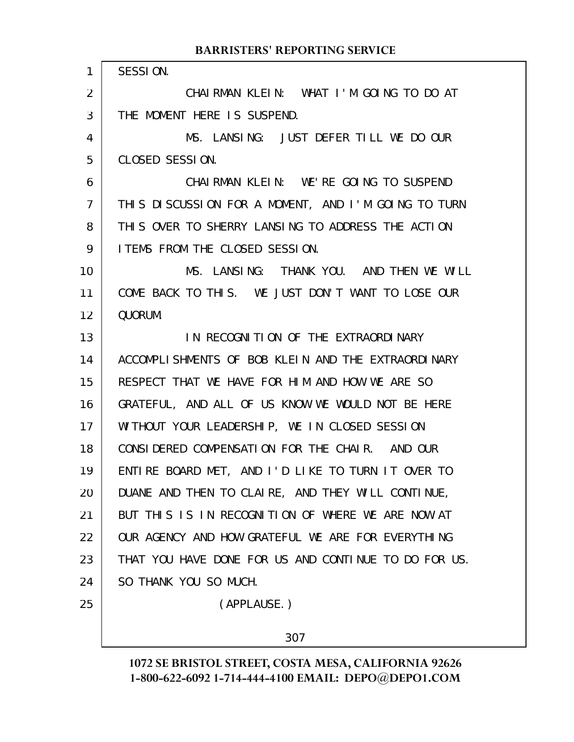SESSION. CHAIRMAN KLEIN: WHAT I'M GOING TO DO AT THE MOMENT HERE IS SUSPEND. MS. LANSING: JUST DEFER TILL WE DO OUR CLOSED SESSION. CHAIRMAN KLEIN: WE'RE GOING TO SUSPEND THIS DISCUSSION FOR A MOMENT, AND I'M GOING TO TURN THIS OVER TO SHERRY LANSING TO ADDRESS THE ACTION ITEMS FROM THE CLOSED SESSION. MS. LANSING: THANK YOU. AND THEN WE WILL COME BACK TO THIS. WE JUST DON'T WANT TO LOSE OUR QUORUM. IN RECOGNITION OF THE EXTRAORDINARY ACCOMPLISHMENTS OF BOB KLEIN AND THE EXTRAORDINARY RESPECT THAT WE HAVE FOR HIM AND HOW WE ARE SO GRATEFUL, AND ALL OF US KNOW WE WOULD NOT BE HERE WITHOUT YOUR LEADERSHIP, WE IN CLOSED SESSION CONSIDERED COMPENSATION FOR THE CHAIR. AND OUR ENTIRE BOARD MET, AND I'D LIKE TO TURN IT OVER TO DUANE AND THEN TO CLAIRE, AND THEY WILL CONTINUE, BUT THIS IS IN RECOGNITION OF WHERE WE ARE NOW AT OUR AGENCY AND HOW GRATEFUL WE ARE FOR EVERYTHING THAT YOU HAVE DONE FOR US AND CONTINUE TO DO FOR US. SO THANK YOU SO MUCH. (APPLAUSE.) 1 2 3 4 5 6 7 8 9 10 11 12 13 14 15 16 17 18 19 20 21 22 23 24 25

**BARRISTERS' REPORTING SERVICE**

#### 307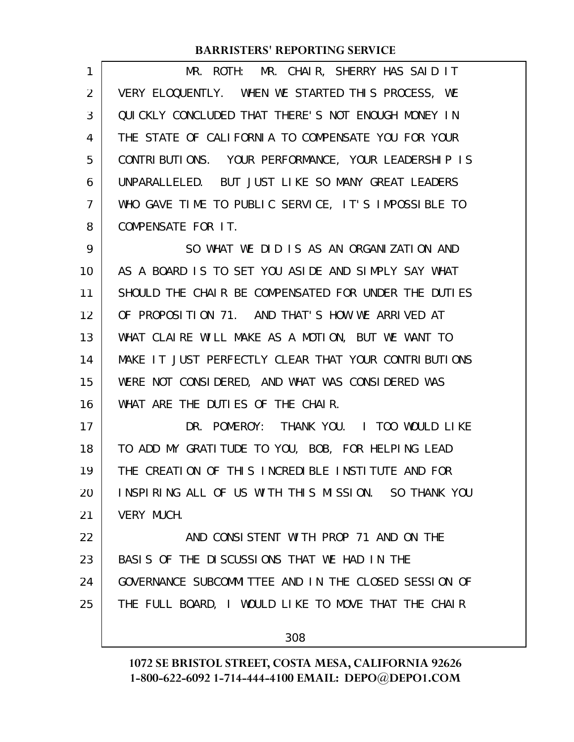| 1  | MR. ROTH: MR. CHAIR, SHERRY HAS SAID IT              |
|----|------------------------------------------------------|
| 2  | VERY ELOQUENTLY. WHEN WE STARTED THIS PROCESS, WE    |
| 3  | QUICKLY CONCLUDED THAT THERE'S NOT ENOUGH MONEY IN   |
| 4  | THE STATE OF CALIFORNIA TO COMPENSATE YOU FOR YOUR   |
| 5  | CONTRIBUTIONS. YOUR PERFORMANCE, YOUR LEADERSHIP IS  |
| 6  | UNPARALLELED. BUT JUST LIKE SO MANY GREAT LEADERS    |
| 7  | WHO GAVE TIME TO PUBLIC SERVICE, IT'S IMPOSSIBLE TO  |
| 8  | COMPENSATE FOR IT.                                   |
| 9  | SO WHAT WE DID IS AS AN ORGANIZATION AND             |
| 10 | AS A BOARD IS TO SET YOU ASIDE AND SIMPLY SAY WHAT   |
| 11 | SHOULD THE CHAIR BE COMPENSATED FOR UNDER THE DUTIES |
| 12 | OF PROPOSITION 71. AND THAT'S HOW WE ARRIVED AT      |
| 13 | WHAT CLAIRE WILL MAKE AS A MOTION, BUT WE WANT TO    |
| 14 | MAKE IT JUST PERFECTLY CLEAR THAT YOUR CONTRIBUTIONS |
| 15 | WERE NOT CONSIDERED, AND WHAT WAS CONSIDERED WAS     |
| 16 | WHAT ARE THE DUTIES OF THE CHAIR.                    |
| 17 | DR. POMEROY: THANK YOU. I TOO WOULD LIKE             |
| 18 | TO ADD MY GRATITUDE TO YOU, BOB, FOR HELPING LEAD    |
| 19 | THE CREATION OF THIS INCREDIBLE INSTITUTE AND FOR    |
| 20 | INSPIRING ALL OF US WITH THIS MISSION. SO THANK YOU  |
| 21 | VERY MUCH.                                           |
| 22 | AND CONSISTENT WITH PROP 71 AND ON THE               |
| 23 | BASIS OF THE DISCUSSIONS THAT WE HAD IN THE          |
| 24 | GOVERNANCE SUBCOMMITTEE AND IN THE CLOSED SESSION OF |
| 25 | THE FULL BOARD, I WOULD LIKE TO MOVE THAT THE CHAIR  |
|    |                                                      |
|    | 308                                                  |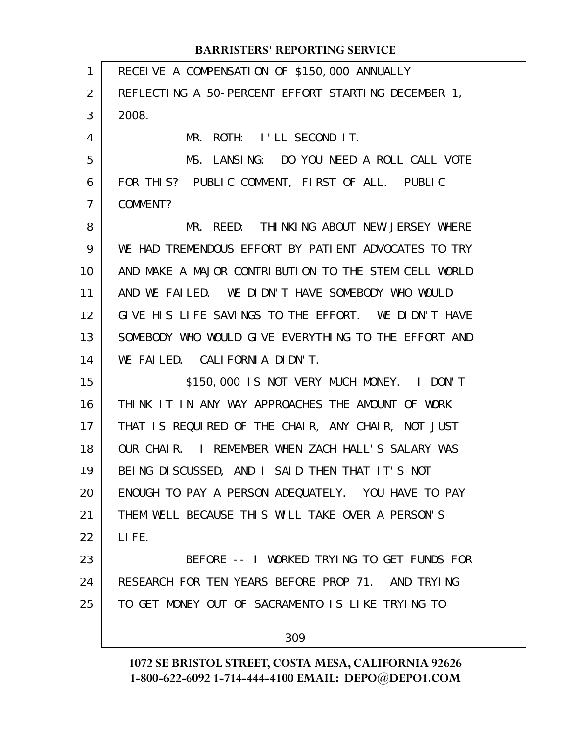| 1              | RECEIVE A COMPENSATION OF \$150,000 ANNUALLY         |
|----------------|------------------------------------------------------|
| $\overline{2}$ | REFLECTING A 50-PERCENT EFFORT STARTING DECEMBER 1,  |
| 3              | 2008.                                                |
| 4              | MR. ROTH: I'LL SECOND IT.                            |
| 5              | MS. LANSING: DO YOU NEED A ROLL CALL VOTE            |
| 6              | FOR THIS? PUBLIC COMMENT, FIRST OF ALL. PUBLIC       |
| $\overline{7}$ | COMMENT?                                             |
| 8              | MR. REED: THINKING ABOUT NEW JERSEY WHERE            |
| 9              | WE HAD TREMENDOUS EFFORT BY PATIENT ADVOCATES TO TRY |
| 10             | AND MAKE A MAJOR CONTRIBUTION TO THE STEM CELL WORLD |
| 11             | AND WE FAILED. WE DIDN'T HAVE SOMEBODY WHO WOULD     |
| 12             | GIVE HIS LIFE SAVINGS TO THE EFFORT. WE DIDN'T HAVE  |
| 13             | SOMEBODY WHO WOULD GIVE EVERYTHING TO THE EFFORT AND |
| 14             | WE FAILED. CALIFORNIA DIDN'T.                        |
| 15             | \$150,000 IS NOT VERY MUCH MONEY. I DON'T            |
| 16             | THINK IT IN ANY WAY APPROACHES THE AMOUNT OF WORK    |
| 17             | THAT IS REQUIRED OF THE CHAIR, ANY CHAIR, NOT JUST   |
| 18             | OUR CHAIR. I REMEMBER WHEN ZACH HALL'S SALARY WAS    |
| 19             | BEING DISCUSSED, AND I SAID THEN THAT IT'S NOT       |
| 20             | ENOUGH TO PAY A PERSON ADEQUATELY. YOU HAVE TO PAY   |
| 21             | THEM WELL BECAUSE THIS WILL TAKE OVER A PERSON'S     |
| 22             | LIFE.                                                |
| 23             | BEFORE -- I WORKED TRYING TO GET FUNDS FOR           |
| 24             | RESEARCH FOR TEN YEARS BEFORE PROP 71. AND TRYING    |
| 25             | TO GET MONEY OUT OF SACRAMENTO IS LIKE TRYING TO     |
|                | 309                                                  |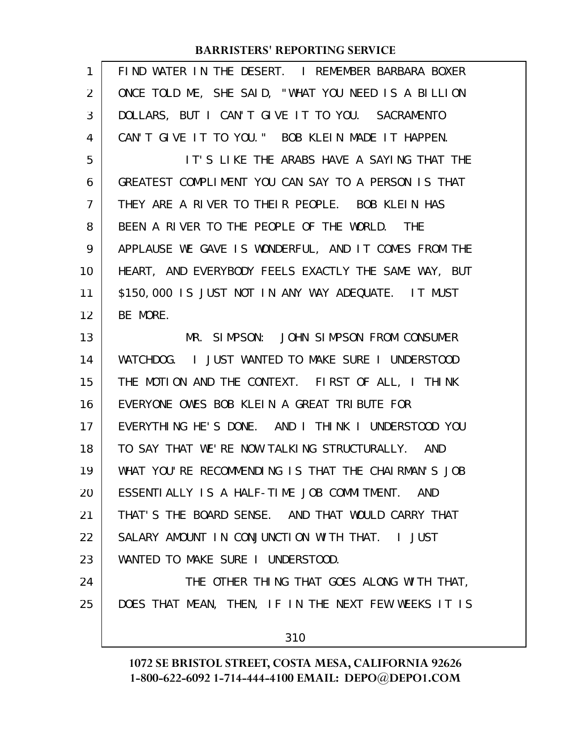| 1              | FIND WATER IN THE DESERT. I REMEMBER BARBARA BOXER   |
|----------------|------------------------------------------------------|
| $\overline{2}$ | ONCE TOLD ME, SHE SAID, "WHAT YOU NEED IS A BILLION  |
| 3              | DOLLARS, BUT I CAN'T GIVE IT TO YOU. SACRAMENTO      |
| 4              | CAN'T GIVE IT TO YOU." BOB KLEIN MADE IT HAPPEN.     |
| 5              | IT'S LIKE THE ARABS HAVE A SAYING THAT THE           |
| 6              | GREATEST COMPLIMENT YOU CAN SAY TO A PERSON IS THAT  |
| 7              | THEY ARE A RIVER TO THEIR PEOPLE. BOB KLEIN HAS      |
| 8              | BEEN A RIVER TO THE PEOPLE OF THE WORLD. THE         |
| 9              | APPLAUSE WE GAVE IS WONDERFUL, AND IT COMES FROM THE |
| 10             | HEART, AND EVERYBODY FEELS EXACTLY THE SAME WAY, BUT |
| 11             | \$150,000 IS JUST NOT IN ANY WAY ADEQUATE. IT MUST   |
| 12             | BE MORE.                                             |
| 13             | MR. SIMPSON: JOHN SIMPSON FROM CONSUMER              |
| 14             | WATCHDOG. I JUST WANTED TO MAKE SURE I UNDERSTOOD    |
| 15             | THE MOTION AND THE CONTEXT. FIRST OF ALL, I THINK    |
| 16             | EVERYONE OWES BOB KLEIN A GREAT TRIBUTE FOR          |
| 17             | EVERYTHING HE'S DONE. AND I THINK I UNDERSTOOD YOU   |
| 18             | TO SAY THAT WE'RE NOW TALKING STRUCTURALLY. AND      |
| 19             | WHAT YOU'RE RECOMMENDING IS THAT THE CHAIRMAN'S JOB  |
| 20             | ESSENTIALLY IS A HALF-TIME JOB COMMITMENT. AND       |
| 21             | THAT'S THE BOARD SENSE. AND THAT WOULD CARRY THAT    |
| 22             | SALARY AMOUNT IN CONJUNCTION WITH THAT. I JUST       |
| 23             | WANTED TO MAKE SURE I UNDERSTOOD.                    |
| 24             | THE OTHER THING THAT GOES ALONG WITH THAT,           |
| 25             | DOES THAT MEAN, THEN, IF IN THE NEXT FEW WEEKS IT IS |
|                | 310                                                  |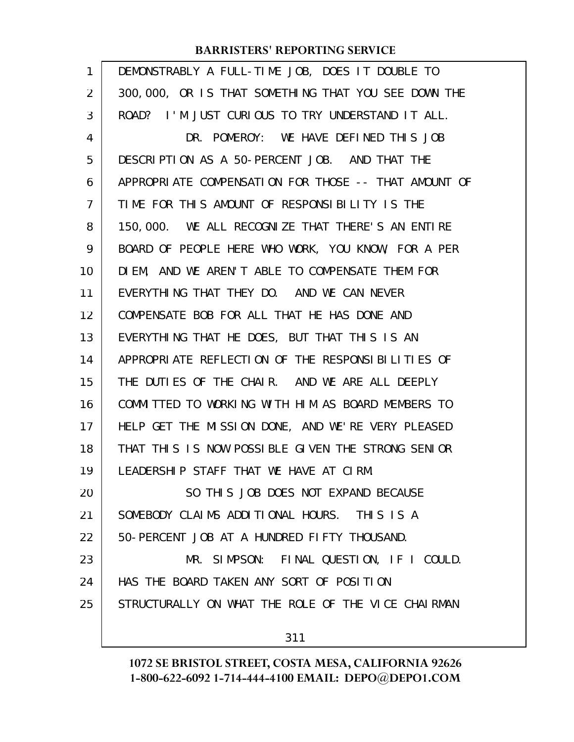| 1              | DEMONSTRABLY A FULL-TIME JOB, DOES IT DOUBLE TO      |
|----------------|------------------------------------------------------|
| $\overline{2}$ | 300,000, OR IS THAT SOMETHING THAT YOU SEE DOWN THE  |
| 3              | ROAD? I'M JUST CURIOUS TO TRY UNDERSTAND IT ALL.     |
| 4              | DR. POMEROY: WE HAVE DEFINED THIS JOB                |
| 5              | DESCRIPTION AS A 50-PERCENT JOB. AND THAT THE        |
| 6              | APPROPRIATE COMPENSATION FOR THOSE -- THAT AMOUNT OF |
| 7              | TIME FOR THIS AMOUNT OF RESPONSIBILITY IS THE        |
| 8              | 150,000. WE ALL RECOGNIZE THAT THERE'S AN ENTIRE     |
| 9              | BOARD OF PEOPLE HERE WHO WORK, YOU KNOW, FOR A PER   |
| 10             | DIEM, AND WE AREN'T ABLE TO COMPENSATE THEM FOR      |
| 11             | EVERYTHING THAT THEY DO. AND WE CAN NEVER            |
| 12             | COMPENSATE BOB FOR ALL THAT HE HAS DONE AND          |
| 13             | EVERYTHING THAT HE DOES, BUT THAT THIS IS AN         |
| 14             | APPROPRIATE REFLECTION OF THE RESPONSIBILITIES OF    |
| 15             | THE DUTIES OF THE CHAIR. AND WE ARE ALL DEEPLY       |
| 16             | COMMITTED TO WORKING WITH HIM AS BOARD MEMBERS TO    |
| 17             | HELP GET THE MISSION DONE, AND WE'RE VERY PLEASED    |
| 18             | THAT THIS IS NOW POSSIBLE GIVEN THE STRONG SENIOR    |
| 19             | LEADERSHIP STAFF THAT WE HAVE AT CIRM.               |
| 20             | SO THIS JOB DOES NOT EXPAND BECAUSE                  |
| 21             | SOMEBODY CLAIMS ADDITIONAL HOURS. THIS IS A          |
| 22             | 50-PERCENT JOB AT A HUNDRED FIFTY THOUSAND.          |
| 23             | MR. SIMPSON: FINAL QUESTION, IF I COULD.             |
| 24             | HAS THE BOARD TAKEN ANY SORT OF POSITION             |
| 25             | STRUCTURALLY ON WHAT THE ROLE OF THE VICE CHAIRMAN   |
|                | 311                                                  |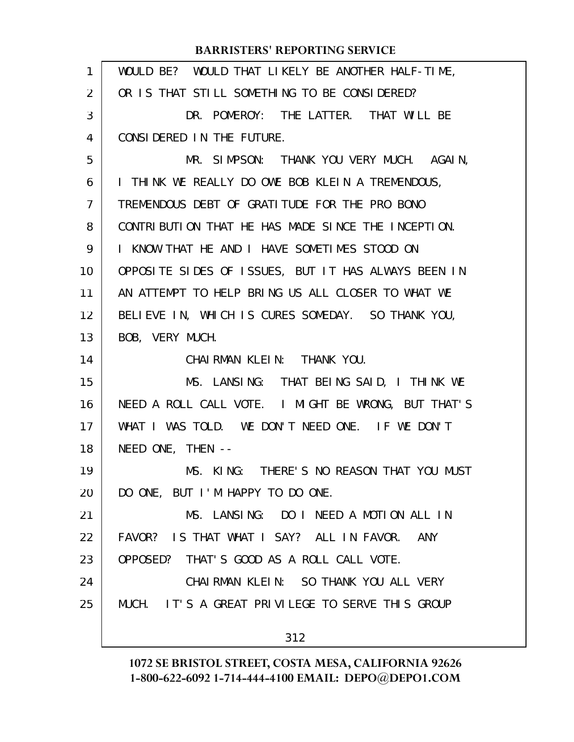| 1              | WOULD BE? WOULD THAT LIKELY BE ANOTHER HALF-TIME,   |
|----------------|-----------------------------------------------------|
| $\overline{2}$ | OR IS THAT STILL SOMETHING TO BE CONSIDERED?        |
| 3              | DR. POMEROY: THE LATTER. THAT WILL BE               |
| 4              | CONSIDERED IN THE FUTURE.                           |
| 5              | MR. SIMPSON: THANK YOU VERY MUCH. AGAIN,            |
| 6              | I THINK WE REALLY DO OWE BOB KLEIN A TREMENDOUS,    |
| $\overline{7}$ | TREMENDOUS DEBT OF GRATITUDE FOR THE PRO BONO       |
| 8              | CONTRIBUTION THAT HE HAS MADE SINCE THE INCEPTION.  |
| 9              | I KNOW THAT HE AND I HAVE SOMETIMES STOOD ON        |
| 10             | OPPOSITE SIDES OF ISSUES, BUT IT HAS ALWAYS BEEN IN |
| 11             | AN ATTEMPT TO HELP BRING US ALL CLOSER TO WHAT WE   |
| 12             | BELIEVE IN, WHICH IS CURES SOMEDAY. SO THANK YOU,   |
| 13             | BOB, VERY MUCH.                                     |
| 14             | CHAIRMAN KLEIN: THANK YOU.                          |
| 15             | MS. LANSING: THAT BEING SAID, I THINK WE            |
| 16             | NEED A ROLL CALL VOTE. I MIGHT BE WRONG, BUT THAT'S |
| 17             | WHAT I WAS TOLD. WE DON'T NEED ONE. IF WE DON'T     |
| 18             | NEED ONE, THEN --                                   |
| 19             | MS. KING: THERE'S NO REASON THAT YOU MUST           |
| 20             | DO ONE, BUT I'M HAPPY TO DO ONE.                    |
| 21             | MS. LANSING: DO I NEED A MOTION ALL IN              |
| 22             | FAVOR? IS THAT WHAT I SAY? ALL IN FAVOR. ANY        |
| 23             | OPPOSED? THAT'S GOOD AS A ROLL CALL VOTE.           |
| 24             | CHAIRMAN KLEIN: SO THANK YOU ALL VERY               |
| 25             | MUCH. IT'S A GREAT PRIVILEGE TO SERVE THIS GROUP    |
|                | 312                                                 |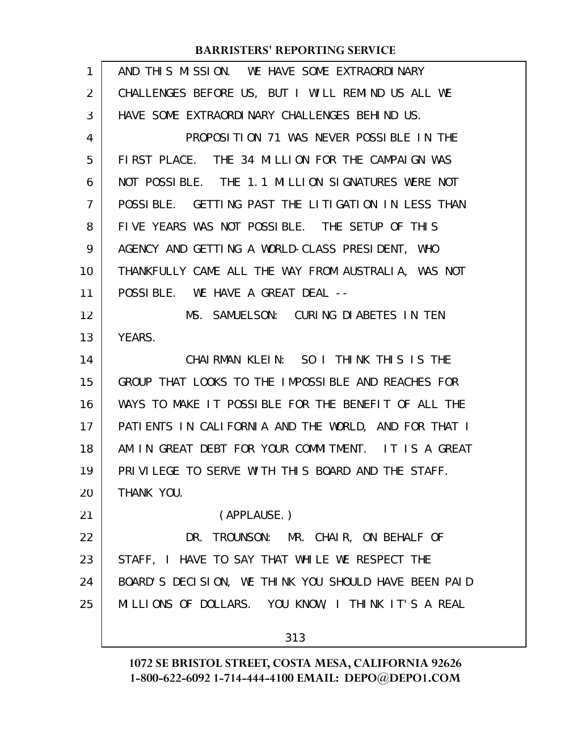| $\mathbf{1}$ | AND THIS MISSION. WE HAVE SOME EXTRAORDINARY         |
|--------------|------------------------------------------------------|
| 2            | CHALLENGES BEFORE US, BUT I WILL REMIND US ALL WE    |
| 3            | HAVE SOME EXTRAORDINARY CHALLENGES BEHIND US.        |
| 4            | PROPOSITION 71 WAS NEVER POSSIBLE IN THE             |
| 5            | FIRST PLACE. THE 34 MILLION FOR THE CAMPAIGN WAS     |
| 6            | NOT POSSIBLE. THE 1.1 MILLION SIGNATURES WERE NOT    |
| 7            | POSSIBLE. GETTING PAST THE LITIGATION IN LESS THAN   |
| 8            | FIVE YEARS WAS NOT POSSIBLE. THE SETUP OF THIS       |
| 9            | AGENCY AND GETTING A WORLD-CLASS PRESIDENT, WHO      |
| 10           | THANKFULLY CAME ALL THE WAY FROM AUSTRALIA, WAS NOT  |
| 11           | POSSIBLE. WE HAVE A GREAT DEAL --                    |
| 12           | MS. SAMUELSON: CURING DIABETES IN TEN                |
| 13           | YEARS.                                               |
| 14           | CHAIRMAN KLEIN: SO I THINK THIS IS THE               |
| 15           | GROUP THAT LOOKS TO THE IMPOSSIBLE AND REACHES FOR   |
| 16           | WAYS TO MAKE IT POSSIBLE FOR THE BENEFIT OF ALL THE  |
| 17           | PATIENTS IN CALIFORNIA AND THE WORLD, AND FOR THAT I |
| 18           | AM IN GREAT DEBT FOR YOUR COMMITMENT. IT IS A GREAT  |
| 19           | PRIVILEGE TO SERVE WITH THIS BOARD AND THE STAFF.    |
| 20           | THANK YOU.                                           |
| 21           | (APPLAUSE.)                                          |
| 22           | DR. TROUNSON: MR. CHAIR, ON BEHALF OF                |
| 23           | STAFF, I HAVE TO SAY THAT WHILE WE RESPECT THE       |
| 24           | BOARD'S DECISION, WE THINK YOU SHOULD HAVE BEEN PAID |
| 25           | MILLIONS OF DOLLARS. YOU KNOW, I THINK IT'S A REAL   |
|              | 313                                                  |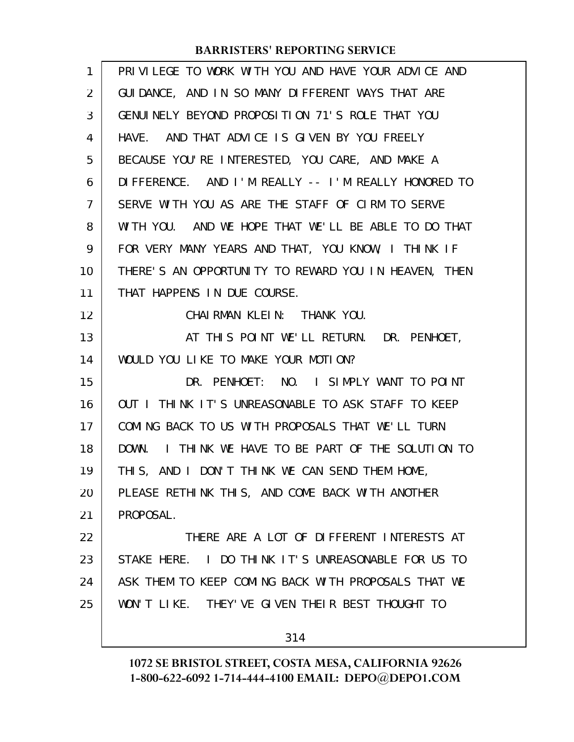| 1  | PRIVILEGE TO WORK WITH YOU AND HAVE YOUR ADVICE AND  |
|----|------------------------------------------------------|
| 2  | GUIDANCE, AND IN SO MANY DIFFERENT WAYS THAT ARE     |
| 3  | GENUINELY BEYOND PROPOSITION 71'S ROLE THAT YOU      |
| 4  | HAVE. AND THAT ADVICE IS GIVEN BY YOU FREELY         |
| 5  | BECAUSE YOU'RE INTERESTED, YOU CARE, AND MAKE A      |
| 6  | DIFFERENCE. AND I'M REALLY -- I'M REALLY HONORED TO  |
| 7  | SERVE WITH YOU AS ARE THE STAFF OF CIRM TO SERVE     |
| 8  | WITH YOU. AND WE HOPE THAT WE'LL BE ABLE TO DO THAT  |
| 9  | FOR VERY MANY YEARS AND THAT, YOU KNOW, I THINK IF   |
| 10 | THERE'S AN OPPORTUNITY TO REWARD YOU IN HEAVEN, THEN |
| 11 | THAT HAPPENS IN DUE COURSE.                          |
| 12 | CHAIRMAN KLEIN: THANK YOU.                           |
| 13 | AT THIS POINT WE'LL RETURN. DR. PENHOET,             |
| 14 | WOULD YOU LIKE TO MAKE YOUR MOTION?                  |
| 15 | DR. PENHOET: NO. I SIMPLY WANT TO POINT              |
| 16 | OUT I THINK IT'S UNREASONABLE TO ASK STAFF TO KEEP   |
| 17 | COMING BACK TO US WITH PROPOSALS THAT WE'LL TURN     |
| 18 | DOWN. I THINK WE HAVE TO BE PART OF THE SOLUTION TO  |
| 19 | THIS, AND I DON'T THINK WE CAN SEND THEM HOME,       |
| 20 | PLEASE RETHINK THIS, AND COME BACK WITH ANOTHER      |
| 21 | PROPOSAL.                                            |
| 22 | THERE ARE A LOT OF DIFFERENT INTERESTS AT            |
| 23 | STAKE HERE. I DO THINK IT'S UNREASONABLE FOR US TO   |
| 24 | ASK THEM TO KEEP COMING BACK WITH PROPOSALS THAT WE  |
| 25 | WON'T LIKE. THEY'VE GIVEN THEIR BEST THOUGHT TO      |
|    |                                                      |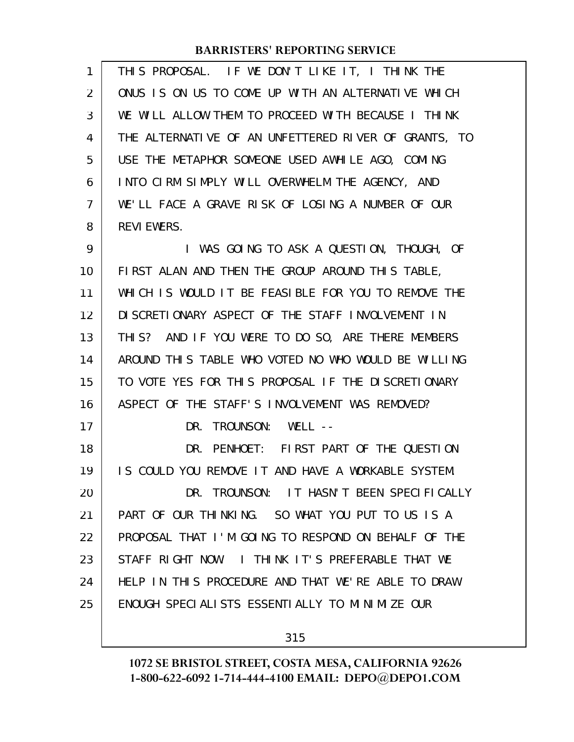| $\mathbf{1}$ | THIS PROPOSAL. IF WE DON'T LIKE IT, I THINK THE      |
|--------------|------------------------------------------------------|
| 2            | ONUS IS ON US TO COME UP WITH AN ALTERNATIVE WHICH   |
| 3            | WE WILL ALLOW THEM TO PROCEED WITH BECAUSE I THINK   |
| 4            | THE ALTERNATIVE OF AN UNFETTERED RIVER OF GRANTS, TO |
| 5            | USE THE METAPHOR SOMEONE USED AWHILE AGO, COMING     |
| 6            | INTO CIRM SIMPLY WILL OVERWHELM THE AGENCY, AND      |
| 7            | WE'LL FACE A GRAVE RISK OF LOSING A NUMBER OF OUR    |
| 8            | <b>REVI EWERS.</b>                                   |
| 9            | I WAS GOING TO ASK A QUESTION, THOUGH, OF            |
| 10           | FIRST ALAN AND THEN THE GROUP AROUND THIS TABLE,     |
| 11           | WHICH IS WOULD IT BE FEASIBLE FOR YOU TO REMOVE THE  |
| 12           | DI SCRETIONARY ASPECT OF THE STAFF INVOLVEMENT IN    |
| 13           | THIS? AND IF YOU WERE TO DO SO, ARE THERE MEMBERS    |
| 14           | AROUND THIS TABLE WHO VOTED NO WHO WOULD BE WILLING  |
| 15           | TO VOTE YES FOR THIS PROPOSAL IF THE DISCRETIONARY   |
| 16           | ASPECT OF THE STAFF'S INVOLVEMENT WAS REMOVED?       |
| 17           | DR. TROUNSON: WELL --                                |
| 18           | DR. PENHOET: FIRST PART OF THE QUESTION              |
| 19           | IS COULD YOU REMOVE IT AND HAVE A WORKABLE SYSTEM.   |
| 20           | DR. TROUNSON: IT HASN'T BEEN SPECIFICALLY            |
| 21           | PART OF OUR THINKING. SO WHAT YOU PUT TO US IS A     |
| 22           | PROPOSAL THAT I'M GOING TO RESPOND ON BEHALF OF THE  |
| 23           | STAFF RIGHT NOW. I THINK IT'S PREFERABLE THAT WE     |
| 24           | HELP IN THIS PROCEDURE AND THAT WE'RE ABLE TO DRAW   |
| 25           | ENOUGH SPECIALISTS ESSENTIALLY TO MINIMIZE OUR       |
|              |                                                      |

315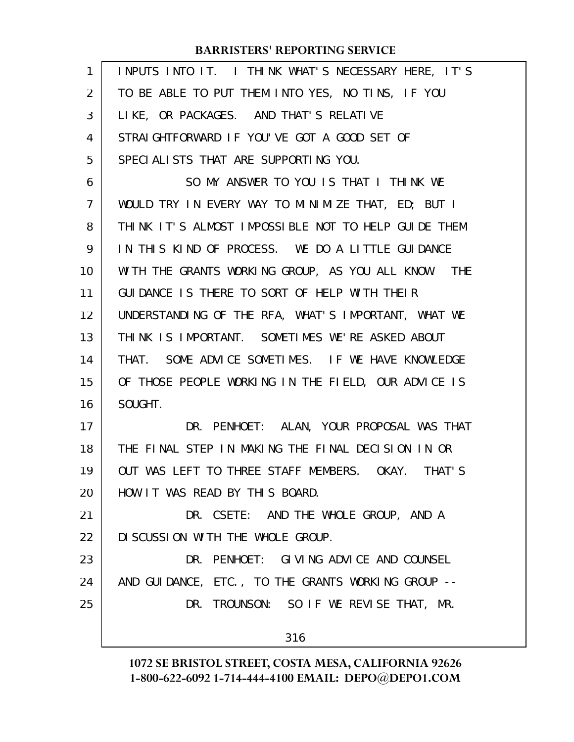| 1              | INPUTS INTO IT. I THINK WHAT'S NECESSARY HERE, IT'S |
|----------------|-----------------------------------------------------|
| 2              | TO BE ABLE TO PUT THEM INTO YES, NO TINS, IF YOU    |
| 3              | LIKE, OR PACKAGES. AND THAT'S RELATIVE              |
| 4              | STRAIGHTFORWARD IF YOU'VE GOT A GOOD SET OF         |
| 5              | SPECIALISTS THAT ARE SUPPORTING YOU.                |
| 6              | SO MY ANSWER TO YOU IS THAT I THINK WE              |
| $\overline{7}$ | WOULD TRY IN EVERY WAY TO MINIMIZE THAT, ED; BUT I  |
| 8              | THINK IT'S ALMOST IMPOSSIBLE NOT TO HELP GUIDE THEM |
| 9              | IN THIS KIND OF PROCESS. WE DO A LITTLE GUIDANCE    |
| 10             | WITH THE GRANTS WORKING GROUP, AS YOU ALL KNOW. THE |
| 11             | GUIDANCE IS THERE TO SORT OF HELP WITH THEIR        |
| 12             | UNDERSTANDING OF THE RFA, WHAT'S IMPORTANT, WHAT WE |
| 13             | THINK IS IMPORTANT. SOMETIMES WE'RE ASKED ABOUT     |
| 14             | THAT. SOME ADVICE SOMETIMES. IF WE HAVE KNOWLEDGE   |
| 15             | OF THOSE PEOPLE WORKING IN THE FIELD, OUR ADVICE IS |
| 16             | SOUGHT.                                             |
| 17             | DR. PENHOET: ALAN, YOUR PROPOSAL WAS THAT           |
| 18             | THE FINAL STEP IN MAKING THE FINAL DECISION IN OR   |
| 19             | OUT WAS LEFT TO THREE STAFF MEMBERS. OKAY. THAT'S   |
| 20             | HOW IT WAS READ BY THIS BOARD.                      |
| 21             | DR. CSETE: AND THE WHOLE GROUP, AND A               |
| 22             | DI SCUSSION WITH THE WHOLE GROUP.                   |
| 23             | DR. PENHOET: GIVING ADVICE AND COUNSEL              |
| 24             | AND GUIDANCE, ETC., TO THE GRANTS WORKING GROUP --  |
| 25             | DR. TROUNSON: SO IF WE REVISE THAT, MR.             |
|                | 316                                                 |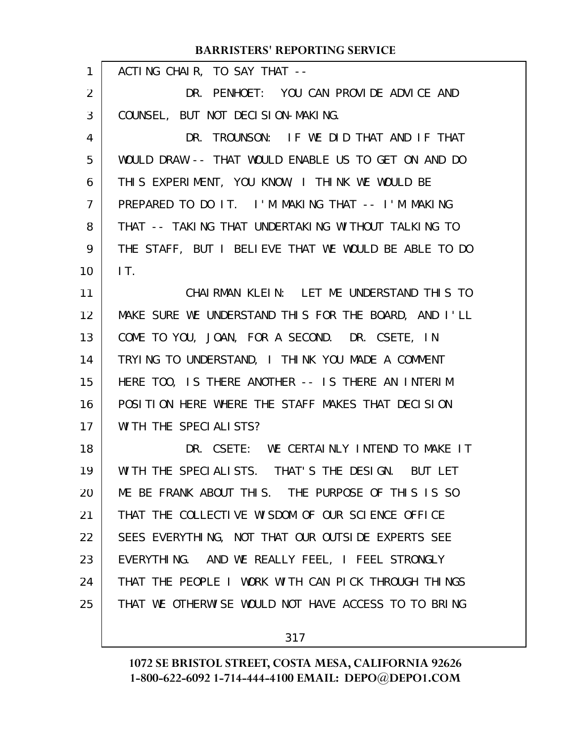| 1  | ACTING CHAIR, TO SAY THAT --                         |
|----|------------------------------------------------------|
| 2  | DR. PENHOET: YOU CAN PROVIDE ADVICE AND              |
| 3  | COUNSEL, BUT NOT DECISION-MAKING.                    |
| 4  | DR. TROUNSON: IF WE DID THAT AND IF THAT             |
| 5  | WOULD DRAW -- THAT WOULD ENABLE US TO GET ON AND DO  |
| 6  | THIS EXPERIMENT, YOU KNOW, I THINK WE WOULD BE       |
| 7  | PREPARED TO DO IT. I'M MAKING THAT -- I'M MAKING     |
| 8  | THAT -- TAKING THAT UNDERTAKING WITHOUT TALKING TO   |
| 9  | THE STAFF, BUT I BELIEVE THAT WE WOULD BE ABLE TO DO |
| 10 | IT.                                                  |
| 11 | CHAIRMAN KLEIN: LET ME UNDERSTAND THIS TO            |
| 12 | MAKE SURE WE UNDERSTAND THIS FOR THE BOARD, AND I'LL |
| 13 | COME TO YOU, JOAN, FOR A SECOND. DR. CSETE, IN       |
| 14 | TRYING TO UNDERSTAND, I THINK YOU MADE A COMMENT     |
| 15 | HERE TOO, IS THERE ANOTHER -- IS THERE AN INTERIM    |
| 16 | POSITION HERE WHERE THE STAFF MAKES THAT DECISION    |
| 17 | WI TH THE SPECIALISTS?                               |
| 18 | DR. CSETE: WE CERTAINLY INTEND TO MAKE IT            |
| 19 | WITH THE SPECIALISTS. THAT'S THE DESIGN. BUT LET     |
| 20 | ME BE FRANK ABOUT THIS. THE PURPOSE OF THIS IS SO    |
| 21 | THAT THE COLLECTIVE WISDOM OF OUR SCIENCE OFFICE     |
| 22 | SEES EVERYTHING, NOT THAT OUR OUTSIDE EXPERTS SEE    |
| 23 | EVERYTHING. AND WE REALLY FEEL, I FEEL STRONGLY      |
| 24 | THAT THE PEOPLE I WORK WITH CAN PICK THROUGH THINGS  |
| 25 | THAT WE OTHERWISE WOULD NOT HAVE ACCESS TO TO BRING  |
|    |                                                      |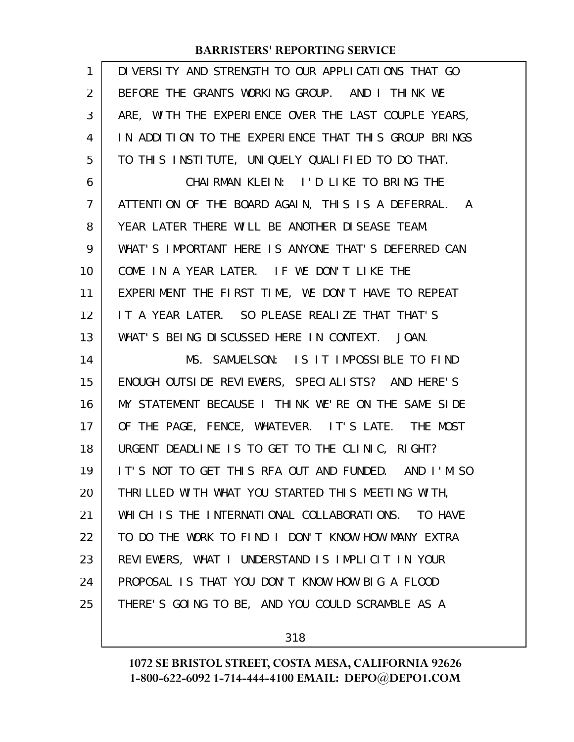| 1              | DIVERSITY AND STRENGTH TO OUR APPLICATIONS THAT GO   |
|----------------|------------------------------------------------------|
| $\overline{2}$ | BEFORE THE GRANTS WORKING GROUP. AND I THINK WE      |
| 3              | ARE, WITH THE EXPERIENCE OVER THE LAST COUPLE YEARS, |
| 4              | IN ADDITION TO THE EXPERIENCE THAT THIS GROUP BRINGS |
| 5              | TO THIS INSTITUTE, UNIQUELY QUALIFIED TO DO THAT.    |
| 6              | CHAIRMAN KLEIN: I'D LIKE TO BRING THE                |
| 7              | ATTENTION OF THE BOARD AGAIN, THIS IS A DEFERRAL. A  |
| 8              | YEAR LATER THERE WILL BE ANOTHER DISEASE TEAM.       |
| 9              | WHAT'S IMPORTANT HERE IS ANYONE THAT'S DEFERRED CAN  |
| 10             | COME IN A YEAR LATER. IF WE DON'T LIKE THE           |
| 11             | EXPERIMENT THE FIRST TIME, WE DON'T HAVE TO REPEAT   |
| 12             | IT A YEAR LATER. SO PLEASE REALIZE THAT THAT'S       |
| 13             | WHAT'S BEING DISCUSSED HERE IN CONTEXT. JOAN.        |
| 14             | MS. SAMUELSON: IS IT IMPOSSIBLE TO FIND              |
| 15             | ENOUGH OUTSIDE REVIEWERS, SPECIALISTS? AND HERE'S    |
| 16             | MY STATEMENT BECAUSE I THINK WE'RE ON THE SAME SIDE  |
| 17             | OF THE PAGE, FENCE, WHATEVER. IT'S LATE. THE MOST    |
| 18             |                                                      |
|                | URGENT DEADLINE IS TO GET TO THE CLINIC, RIGHT?      |
| 19             | IT'S NOT TO GET THIS RFA OUT AND FUNDED. AND I'M SO  |
| 20             | THRILLED WITH WHAT YOU STARTED THIS MEETING WITH,    |
| 21             | WHICH IS THE INTERNATIONAL COLLABORATIONS. TO HAVE   |
| 22             | TO DO THE WORK TO FIND I DON'T KNOW HOW MANY EXTRA   |
| 23             | REVIEWERS, WHAT I UNDERSTAND IS IMPLICIT IN YOUR     |
| 24             | PROPOSAL IS THAT YOU DON'T KNOW HOW BIG A FLOOD      |
| 25             | THERE'S GOING TO BE, AND YOU COULD SCRAMBLE AS A     |

318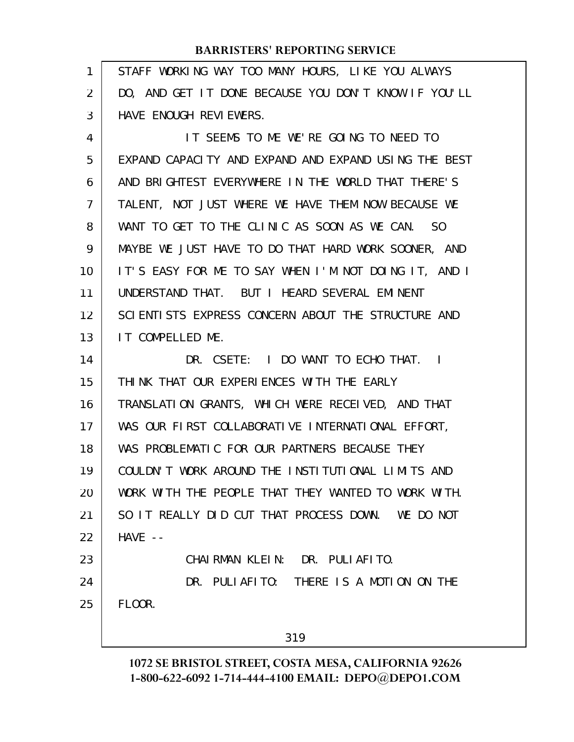| 1              | STAFF WORKING WAY TOO MANY HOURS, LIKE YOU ALWAYS    |
|----------------|------------------------------------------------------|
| 2              | DO, AND GET IT DONE BECAUSE YOU DON'T KNOW IF YOU'LL |
| 3              | HAVE ENOUGH REVIEWERS.                               |
| 4              | IT SEEMS TO ME WE'RE GOING TO NEED TO                |
| 5              | EXPAND CAPACITY AND EXPAND AND EXPAND USING THE BEST |
| 6              | AND BRIGHTEST EVERYWHERE IN THE WORLD THAT THERE'S   |
| $\overline{7}$ | TALENT, NOT JUST WHERE WE HAVE THEM NOW BECAUSE WE   |
| 8              | WANT TO GET TO THE CLINIC AS SOON AS WE CAN. SO      |
| 9              | MAYBE WE JUST HAVE TO DO THAT HARD WORK SOONER, AND  |
| 10             | IT'S EASY FOR ME TO SAY WHEN I'M NOT DOING IT, AND I |
| 11             | UNDERSTAND THAT. BUT I HEARD SEVERAL EMINENT         |
| 12             | SCIENTISTS EXPRESS CONCERN ABOUT THE STRUCTURE AND   |
| 13             | IT COMPELLED ME.                                     |
| 14             | DR. CSETE: I DO WANT TO ECHO THAT. I                 |
| 15             | THINK THAT OUR EXPERIENCES WITH THE EARLY            |
| 16             | TRANSLATION GRANTS, WHICH WERE RECEIVED, AND THAT    |
| 17             | WAS OUR FIRST COLLABORATIVE INTERNATIONAL EFFORT,    |
| 18             | WAS PROBLEMATIC FOR OUR PARTNERS BECAUSE THEY        |
| 19             | COULDN'T WORK AROUND THE INSTITUTIONAL LIMITS AND    |
| 20             | WORK WITH THE PEOPLE THAT THEY WANTED TO WORK WITH.  |
| 21             | SO IT REALLY DID CUT THAT PROCESS DOWN. WE DO NOT    |
| 22             | $HAVE - -$                                           |
| 23             | CHAIRMAN KLEIN: DR. PULIAFITO.                       |
| 24             | DR. PULIAFITO: THERE IS A MOTION ON THE              |
| 25             | FLOOR.                                               |
|                |                                                      |
|                | 319                                                  |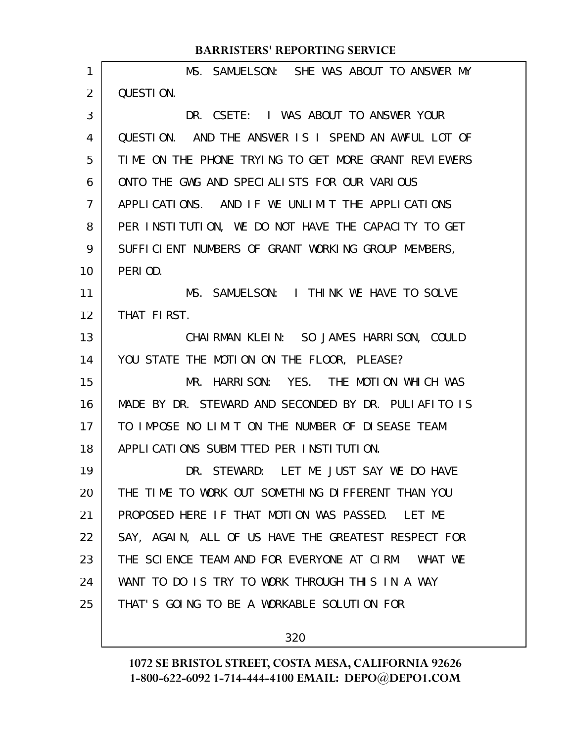| 1  | MS. SAMUELSON: SHE WAS ABOUT TO ANSWER MY             |
|----|-------------------------------------------------------|
| 2  | QUESTION.                                             |
| 3  | DR. CSETE: I WAS ABOUT TO ANSWER YOUR                 |
| 4  | QUESTION. AND THE ANSWER IS I SPEND AN AWFUL LOT OF   |
| 5  | TIME ON THE PHONE TRYING TO GET MORE GRANT REVIEWERS  |
| 6  | ONTO THE GWG AND SPECIALISTS FOR OUR VARIOUS          |
| 7  | APPLICATIONS. AND IF WE UNLIMIT THE APPLICATIONS      |
| 8  | PER INSTITUTION, WE DO NOT HAVE THE CAPACITY TO GET   |
| 9  | SUFFICIENT NUMBERS OF GRANT WORKING GROUP MEMBERS,    |
| 10 | PERIOD.                                               |
| 11 | MS. SAMUELSON: I THINK WE HAVE TO SOLVE               |
| 12 | THAT FIRST.                                           |
| 13 | CHAIRMAN KLEIN: SO JAMES HARRISON, COULD              |
| 14 | YOU STATE THE MOTION ON THE FLOOR, PLEASE?            |
| 15 | MR. HARRISON: YES. THE MOTION WHICH WAS               |
| 16 | MADE BY DR. STEWARD AND SECONDED BY DR. PULLAFITO IS  |
| 17 | TO IMPOSE NO LIMIT ON THE NUMBER OF DISEASE TEAM      |
| 18 | APPLICATIONS SUBMITTED PER INSTITUTION.               |
| 19 | DR. STEWARD: LET ME JUST SAY WE DO HAVE               |
| 20 | THE TIME TO WORK OUT SOMETHING DIFFERENT THAN YOU     |
| 21 | PROPOSED HERE IF THAT MOTION WAS PASSED. LET ME       |
| 22 | SAY, AGAIN, ALL OF US HAVE THE GREATEST RESPECT FOR   |
| 23 | THE SCIENCE TEAM AND FOR EVERYONE AT CIRM.<br>WHAT WE |
| 24 | WANT TO DO IS TRY TO WORK THROUGH THIS IN A WAY       |
| 25 | THAT'S GOING TO BE A WORKABLE SOLUTION FOR            |
|    |                                                       |

320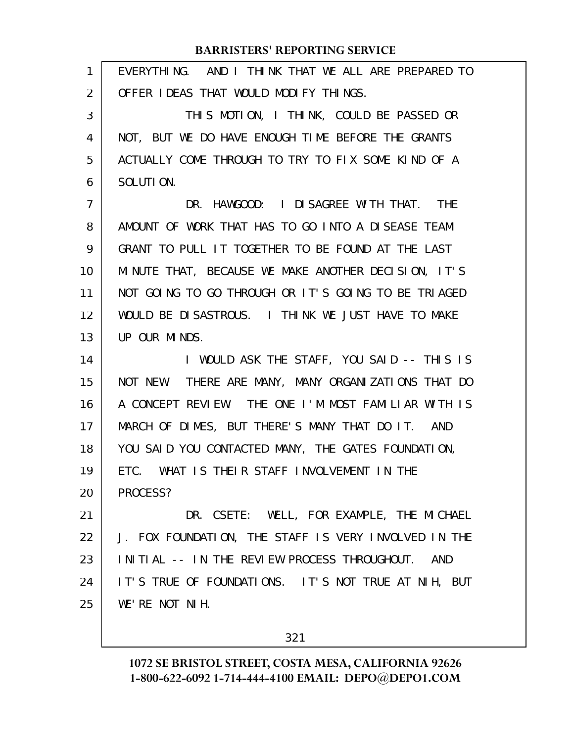| $\mathbf{1}$   | EVERYTHING. AND I THINK THAT WE ALL ARE PREPARED TO  |
|----------------|------------------------------------------------------|
| 2              | OFFER IDEAS THAT WOULD MODIFY THINGS.                |
| 3              | THIS MOTION, I THINK, COULD BE PASSED OR             |
| 4              | NOT, BUT WE DO HAVE ENOUGH TIME BEFORE THE GRANTS    |
| 5              | ACTUALLY COME THROUGH TO TRY TO FIX SOME KIND OF A   |
| 6              | SOLUTION.                                            |
| $\overline{7}$ | DR. HAWGOOD: I DISAGREE WITH THAT. THE               |
| 8              | AMOUNT OF WORK THAT HAS TO GO INTO A DISEASE TEAM    |
| 9              | GRANT TO PULL IT TOGETHER TO BE FOUND AT THE LAST    |
| 10             | MINUTE THAT, BECAUSE WE MAKE ANOTHER DECISION, IT'S  |
| 11             | NOT GOING TO GO THROUGH OR IT'S GOING TO BE TRIAGED  |
| 12             | WOULD BE DISASTROUS. I THINK WE JUST HAVE TO MAKE    |
| 13             | UP OUR MINDS.                                        |
| 14             | I WOULD ASK THE STAFF, YOU SAID -- THIS IS           |
| 15             | NOT NEW. THERE ARE MANY, MANY ORGANIZATIONS THAT DO  |
| 16             | A CONCEPT REVIEW. THE ONE I'M MOST FAMILIAR WITH IS  |
| 17             | MARCH OF DIMES, BUT THERE'S MANY THAT DO IT. AND     |
| 18             | YOU SAID YOU CONTACTED MANY, THE GATES FOUNDATION,   |
| 19             | ETC. WHAT IS THEIR STAFF INVOLVEMENT IN THE          |
| 20             | PROCESS?                                             |
| 21             | DR. CSETE: WELL, FOR EXAMPLE, THE MICHAEL            |
| 22             | J. FOX FOUNDATION, THE STAFF IS VERY INVOLVED IN THE |
| 23             | INITIAL -- IN THE REVIEW PROCESS THROUGHOUT.<br>AND  |
| 24             | IT'S TRUE OF FOUNDATIONS. IT'S NOT TRUE AT NIH, BUT  |
| 25             | WE'RE NOT NIH.                                       |
|                |                                                      |

321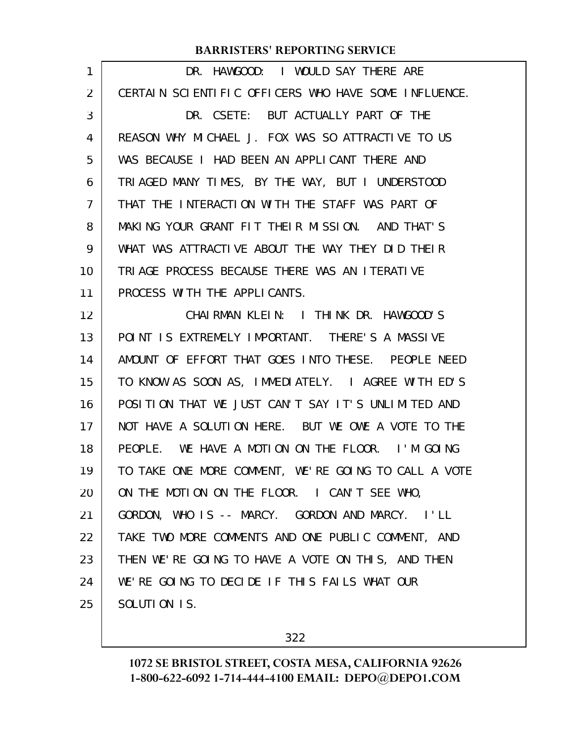| DR. HAWGOOD: I WOULD SAY THERE ARE                   |
|------------------------------------------------------|
| CERTAIN SCIENTIFIC OFFICERS WHO HAVE SOME INFLUENCE. |
| DR. CSETE: BUT ACTUALLY PART OF THE                  |
| REASON WHY MICHAEL J. FOX WAS SO ATTRACTIVE TO US    |
| WAS BECAUSE I HAD BEEN AN APPLICANT THERE AND        |
| TRIAGED MANY TIMES, BY THE WAY, BUT I UNDERSTOOD     |
| THAT THE INTERACTION WITH THE STAFF WAS PART OF      |
| MAKING YOUR GRANT FIT THEIR MISSION. AND THAT'S      |
| WHAT WAS ATTRACTIVE ABOUT THE WAY THEY DID THEIR     |
| TRIAGE PROCESS BECAUSE THERE WAS AN ITERATIVE        |
| PROCESS WITH THE APPLICANTS.                         |
| CHAIRMAN KLEIN: I THINK DR. HAWGOOD'S                |
| POINT IS EXTREMELY IMPORTANT. THERE'S A MASSIVE      |
| AMOUNT OF EFFORT THAT GOES INTO THESE. PEOPLE NEED   |
| TO KNOW AS SOON AS, IMMEDIATELY. I AGREE WITH ED'S   |
| POSITION THAT WE JUST CAN'T SAY IT'S UNLIMITED AND   |
| NOT HAVE A SOLUTION HERE. BUT WE OWE A VOTE TO THE   |
| PEOPLE. WE HAVE A MOTION ON THE FLOOR. I'M GOING     |
| TO TAKE ONE MORE COMMENT, WE'RE GOING TO CALL A VOTE |
| ON THE MOTION ON THE FLOOR. I CAN'T SEE WHO,         |
| GORDON, WHO IS -- MARCY. GORDON AND MARCY. I'LL      |
| TAKE TWO MORE COMMENTS AND ONE PUBLIC COMMENT, AND   |
| THEN WE'RE GOING TO HAVE A VOTE ON THIS, AND THEN    |
| WE'RE GOING TO DECIDE IF THIS FAILS WHAT OUR         |
| SOLUTION IS.                                         |
|                                                      |

322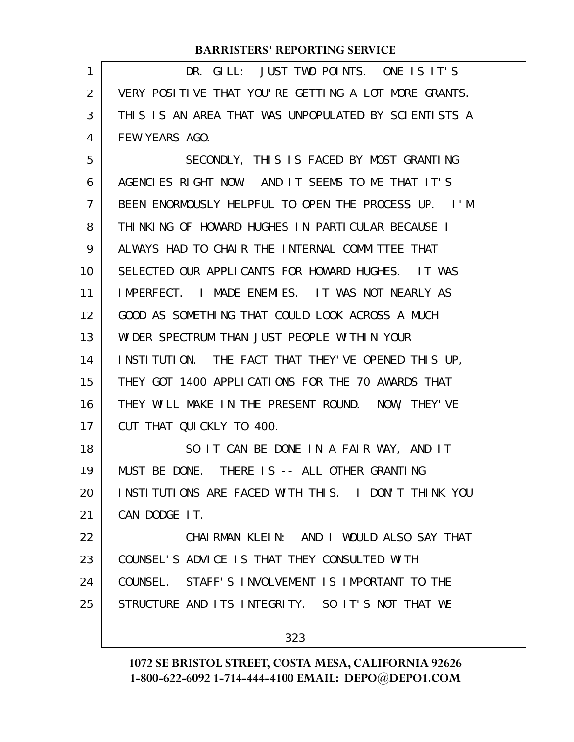| 1  | DR. GILL: JUST TWO POINTS. ONE IS IT'S                            |
|----|-------------------------------------------------------------------|
| 2  | VERY POSITIVE THAT YOU'RE GETTING A LOT MORE GRANTS.              |
| 3  | THIS IS AN AREA THAT WAS UNPOPULATED BY SCIENTISTS A              |
| 4  | FEW YEARS AGO.                                                    |
| 5  | SECONDLY, THIS IS FACED BY MOST GRANTING                          |
| 6  | AGENCIES RIGHT NOW. AND IT SEEMS TO ME THAT IT'S                  |
| 7  | BEEN ENORMOUSLY HELPFUL TO OPEN THE PROCESS UP.<br>$\blacksquare$ |
| 8  | THINKING OF HOWARD HUGHES IN PARTICULAR BECAUSE I                 |
| 9  | ALWAYS HAD TO CHAIR THE INTERNAL COMMITTEE THAT                   |
| 10 | SELECTED OUR APPLICANTS FOR HOWARD HUGHES. IT WAS                 |
| 11 | IMPERFECT. I MADE ENEMIES. IT WAS NOT NEARLY AS                   |
| 12 | GOOD AS SOMETHING THAT COULD LOOK ACROSS A MUCH                   |
| 13 | WIDER SPECTRUM THAN JUST PEOPLE WITHIN YOUR                       |
| 14 | INSTITUTION. THE FACT THAT THEY'VE OPENED THIS UP,                |
| 15 | THEY GOT 1400 APPLICATIONS FOR THE 70 AWARDS THAT                 |
| 16 | THEY WILL MAKE IN THE PRESENT ROUND. NOW, THEY'VE                 |
| 17 | CUT THAT QUICKLY TO 400.                                          |
| 18 | SO IT CAN BE DONE IN A FAIR WAY, AND IT                           |
| 19 | MUST BE DONE. THERE IS -- ALL OTHER GRANTING                      |
| 20 | INSTITUTIONS ARE FACED WITH THIS. I DON'T THINK YOU               |
| 21 | CAN DODGE IT.                                                     |
| 22 | CHAIRMAN KLEIN: AND I WOULD ALSO SAY THAT                         |
| 23 | COUNSEL'S ADVICE IS THAT THEY CONSULTED WITH                      |
| 24 | COUNSEL. STAFF'S INVOLVEMENT IS IMPORTANT TO THE                  |
| 25 | STRUCTURE AND ITS INTEGRITY. SO IT'S NOT THAT WE                  |
|    | 323                                                               |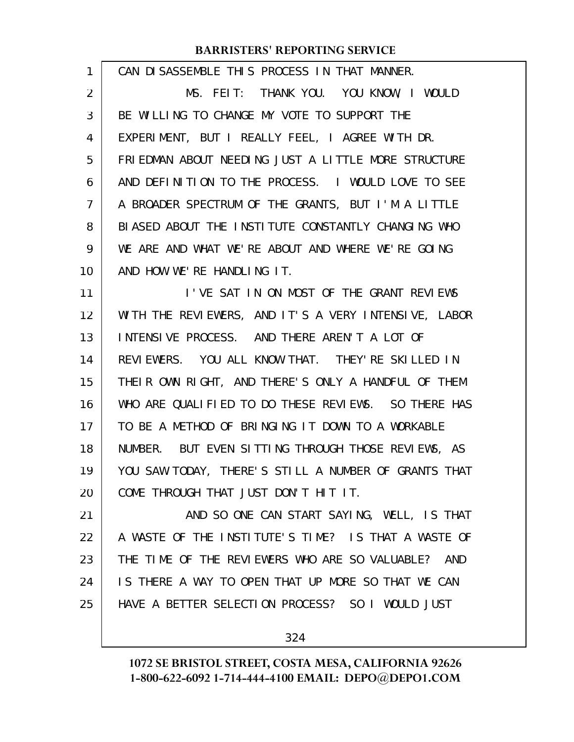| CAN DISASSEMBLE THIS PROCESS IN THAT MANNER.         |
|------------------------------------------------------|
| MS. FEIT: THANK YOU. YOU KNOW, I WOULD               |
| BE WILLING TO CHANGE MY VOTE TO SUPPORT THE          |
| EXPERIMENT, BUT I REALLY FEEL, I AGREE WITH DR.      |
| FRIEDMAN ABOUT NEEDING JUST A LITTLE MORE STRUCTURE  |
| AND DEFINITION TO THE PROCESS. I WOULD LOVE TO SEE   |
| A BROADER SPECTRUM OF THE GRANTS, BUT I'M A LITTLE   |
| BIASED ABOUT THE INSTITUTE CONSTANTLY CHANGING WHO   |
| WE ARE AND WHAT WE'RE ABOUT AND WHERE WE'RE GOING    |
| AND HOW WE'RE HANDLING IT.                           |
| I'VE SAT IN ON MOST OF THE GRANT REVIEWS             |
| WITH THE REVIEWERS, AND IT'S A VERY INTENSIVE, LABOR |
| INTENSIVE PROCESS. AND THERE AREN'T A LOT OF         |
| REVIEWERS. YOU ALL KNOW THAT. THEY'RE SKILLED IN     |
| THEIR OWN RIGHT, AND THERE'S ONLY A HANDFUL OF THEM  |
| WHO ARE QUALIFIED TO DO THESE REVIEWS. SO THERE HAS  |
| TO BE A METHOD OF BRINGING IT DOWN TO A WORKABLE     |
| NUMBER. BUT EVEN SITTING THROUGH THOSE REVIEWS, AS   |
| YOU SAW TODAY, THERE'S STILL A NUMBER OF GRANTS THAT |
| COME THROUGH THAT JUST DON'T HIT IT.                 |
| AND SO ONE CAN START SAYING, WELL, IS THAT           |
| A WASTE OF THE INSTITUTE'S TIME? IS THAT A WASTE OF  |
| THE TIME OF THE REVIEWERS WHO ARE SO VALUABLE? AND   |
| IS THERE A WAY TO OPEN THAT UP MORE SO THAT WE CAN   |
| HAVE A BETTER SELECTION PROCESS? SO I WOULD JUST     |
|                                                      |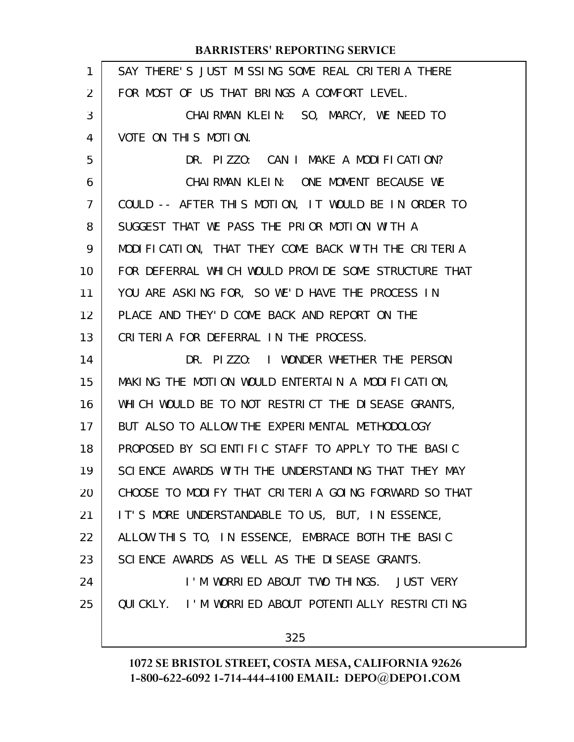|                | <b>BARRISTERS' REPORTING SERVICE</b>                 |
|----------------|------------------------------------------------------|
| $\mathbf{1}$   | SAY THERE'S JUST MISSING SOME REAL CRITERIA THERE    |
| 2              | FOR MOST OF US THAT BRINGS A COMFORT LEVEL.          |
| 3              | CHAIRMAN KLEIN: SO, MARCY, WE NEED TO                |
| 4              | VOTE ON THIS MOTION.                                 |
| 5              | DR. PIZZO: CAN I MAKE A MODIFICATION?                |
| 6              | CHAIRMAN KLEIN: ONE MOMENT BECAUSE WE                |
| $\overline{7}$ | COULD -- AFTER THIS MOTION, IT WOULD BE IN ORDER TO  |
| 8              | SUGGEST THAT WE PASS THE PRIOR MOTION WITH A         |
| 9              | MODIFICATION, THAT THEY COME BACK WITH THE CRITERIA  |
| 10             | FOR DEFERRAL WHICH WOULD PROVIDE SOME STRUCTURE THAT |
| 11             | YOU ARE ASKING FOR, SO WE'D HAVE THE PROCESS IN      |
| 12             | PLACE AND THEY'D COME BACK AND REPORT ON THE         |
| 13             | CRITERIA FOR DEFERRAL IN THE PROCESS.                |
| 14             | DR. PIZZO: I WONDER WHETHER THE PERSON               |
| 15             | MAKING THE MOTION WOULD ENTERTAIN A MODIFICATION,    |
| 16             | WHICH WOULD BE TO NOT RESTRICT THE DISEASE GRANTS,   |
| 17             | BUT ALSO TO ALLOW THE EXPERIMENTAL METHODOLOGY       |
| 18             | PROPOSED BY SCIENTIFIC STAFF TO APPLY TO THE BASIC   |
| 19             | SCIENCE AWARDS WITH THE UNDERSTANDING THAT THEY MAY  |
| 20             | CHOOSE TO MODIFY THAT CRITERIA GOING FORWARD SO THAT |
| 21             | IT'S MORE UNDERSTANDABLE TO US, BUT, IN ESSENCE,     |
| 22             | ALLOW THIS TO, IN ESSENCE, EMBRACE BOTH THE BASIC    |
| 23             | SCIENCE AWARDS AS WELL AS THE DISEASE GRANTS.        |
| 24             | I'M WORRIED ABOUT TWO THINGS. JUST VERY              |
| 25             | QUICKLY. I'M WORRIED ABOUT POTENTIALLY RESTRICTING   |
|                | 325                                                  |
|                |                                                      |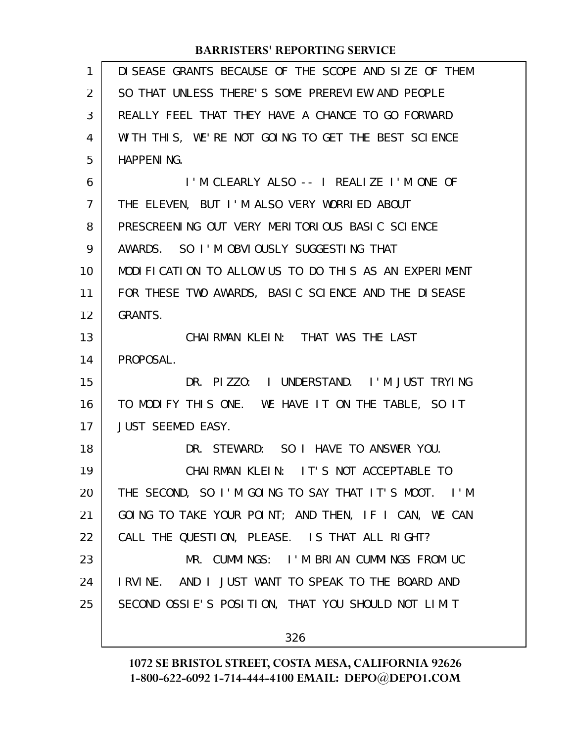| 1  | DI SEASE GRANTS BECAUSE OF THE SCOPE AND SIZE OF THEM |
|----|-------------------------------------------------------|
| 2  | SO THAT UNLESS THERE'S SOME PREREVIEW AND PEOPLE      |
| 3  | REALLY FEEL THAT THEY HAVE A CHANCE TO GO FORWARD     |
| 4  | WITH THIS, WE'RE NOT GOING TO GET THE BEST SCIENCE    |
| 5  | <b>HAPPENING.</b>                                     |
| 6  | I'M CLEARLY ALSO -- I REALIZE I'M ONE OF              |
| 7  | THE ELEVEN, BUT I'M ALSO VERY WORRIED ABOUT           |
| 8  | PRESCREENING OUT VERY MERITORIOUS BASIC SCIENCE       |
| 9  | AWARDS. SO I'M OBVIOUSLY SUGGESTING THAT              |
| 10 | MODIFICATION TO ALLOW US TO DO THIS AS AN EXPERIMENT  |
| 11 | FOR THESE TWO AWARDS, BASIC SCIENCE AND THE DISEASE   |
| 12 | <b>GRANTS.</b>                                        |
| 13 | CHAIRMAN KLEIN: THAT WAS THE LAST                     |
| 14 | PROPOSAL.                                             |
| 15 | DR. PIZZO: I UNDERSTAND. I'M JUST TRYING              |
| 16 | TO MODIFY THIS ONE. WE HAVE IT ON THE TABLE, SO IT    |
| 17 | <b>JUST SEEMED EASY.</b>                              |
| 18 | DR. STEWARD: SO I HAVE TO ANSWER YOU.                 |
| 19 | CHAIRMAN KLEIN: IT'S NOT ACCEPTABLE TO                |
| 20 | THE SECOND, SO I'M GOING TO SAY THAT IT'S MOOT. I'M   |
| 21 | GOING TO TAKE YOUR POINT; AND THEN, IF I CAN, WE CAN  |
| 22 | CALL THE QUESTION, PLEASE. IS THAT ALL RIGHT?         |
| 23 | MR. CUMMINGS: I'M BRIAN CUMMINGS FROM UC              |
| 24 | I RVINE. AND I JUST WANT TO SPEAK TO THE BOARD AND    |
| 25 | SECOND OSSIE'S POSITION, THAT YOU SHOULD NOT LIMIT    |
|    |                                                       |
|    | 326                                                   |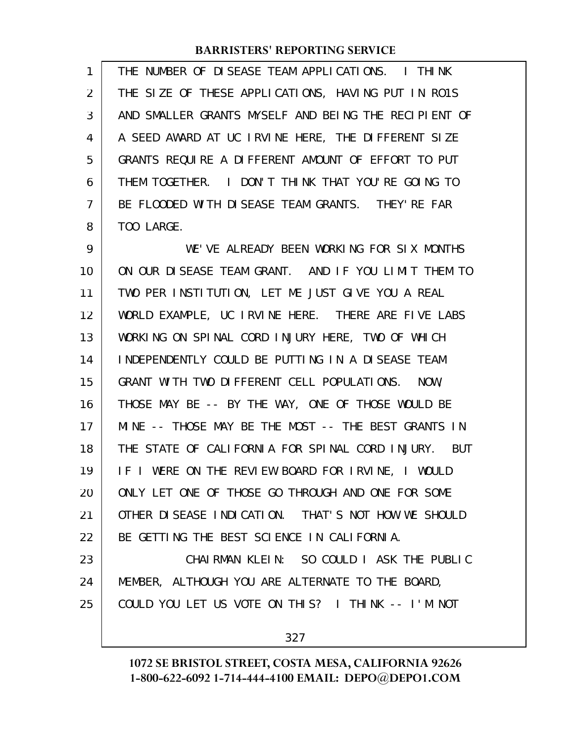THE NUMBER OF DISEASE TEAM APPLICATIONS. I THINK THE SIZE OF THESE APPLICATIONS, HAVING PUT IN RO1S AND SMALLER GRANTS MYSELF AND BEING THE RECIPIENT OF A SEED AWARD AT UC IRVINE HERE, THE DIFFERENT SIZE GRANTS REQUIRE A DIFFERENT AMOUNT OF EFFORT TO PUT THEM TOGETHER. I DON'T THINK THAT YOU'RE GOING TO BE FLOODED WITH DISEASE TEAM GRANTS. THEY'RE FAR TOO LARGE. 1 2 3 4 5 6 7 8

WE'VE ALREADY BEEN WORKING FOR SIX MONTHS ON OUR DISEASE TEAM GRANT. AND IF YOU LIMIT THEM TO TWO PER INSTITUTION, LET ME JUST GIVE YOU A REAL WORLD EXAMPLE, UC IRVINE HERE. THERE ARE FIVE LABS WORKING ON SPINAL CORD INJURY HERE, TWO OF WHICH INDEPENDENTLY COULD BE PUTTING IN A DISEASE TEAM GRANT WITH TWO DIFFERENT CELL POPULATIONS. NOW, THOSE MAY BE -- BY THE WAY, ONE OF THOSE WOULD BE MINE -- THOSE MAY BE THE MOST -- THE BEST GRANTS IN THE STATE OF CALIFORNIA FOR SPINAL CORD INJURY. BUT IF I WERE ON THE REVIEW BOARD FOR IRVINE, I WOULD ONLY LET ONE OF THOSE GO THROUGH AND ONE FOR SOME OTHER DISEASE INDICATION. THAT'S NOT HOW WE SHOULD BE GETTING THE BEST SCIENCE IN CALIFORNIA. CHAIRMAN KLEIN: SO COULD I ASK THE PUBLIC MEMBER, ALTHOUGH YOU ARE ALTERNATE TO THE BOARD, COULD YOU LET US VOTE ON THIS? I THINK -- I'M NOT 9 10 11 12 13 14 15 16 17 18 19 20 21 22 23 24 25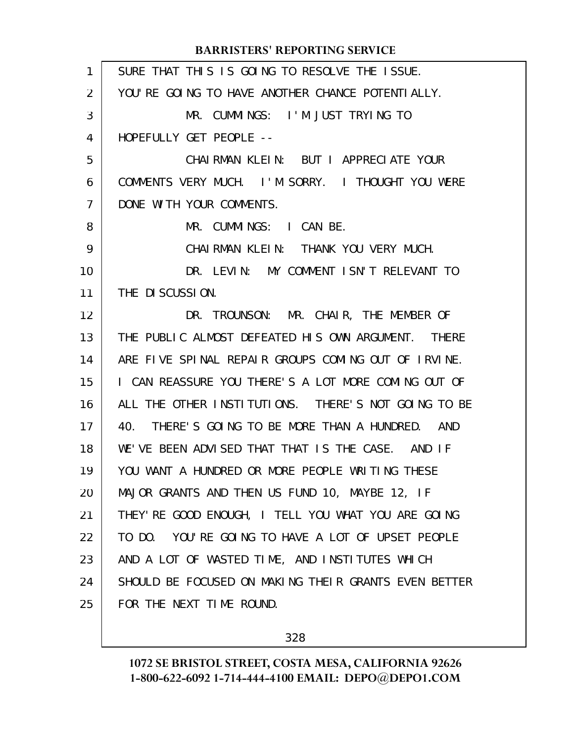| $\mathbf{1}$ | SURE THAT THIS IS GOING TO RESOLVE THE ISSUE.        |
|--------------|------------------------------------------------------|
| 2            | YOU'RE GOING TO HAVE ANOTHER CHANCE POTENTIALLY.     |
| 3            | MR. CUMMINGS: I'M JUST TRYING TO                     |
| 4            | HOPEFULLY GET PEOPLE --                              |
| 5            | CHAIRMAN KLEIN: BUT I APPRECIATE YOUR                |
| 6            | COMMENTS VERY MUCH. I'M SORRY. I THOUGHT YOU WERE    |
| 7            | DONE WITH YOUR COMMENTS.                             |
| 8            | MR. CUMMINGS: I CAN BE.                              |
| 9            | CHAIRMAN KLEIN: THANK YOU VERY MUCH.                 |
| 10           | DR. LEVIN: MY COMMENT ISN'T RELEVANT TO              |
| 11           | THE DISCUSSION.                                      |
| 12           | DR. TROUNSON: MR. CHAIR, THE MEMBER OF               |
| 13           | THE PUBLIC ALMOST DEFEATED HIS OWN ARGUMENT. THERE   |
| 14           | ARE FIVE SPINAL REPAIR GROUPS COMING OUT OF IRVINE.  |
| 15           | I CAN REASSURE YOU THERE'S A LOT MORE COMING OUT OF  |
| 16           | ALL THE OTHER INSTITUTIONS. THERE'S NOT GOING TO BE  |
| 17           | 40. THERE'S GOING TO BE MORE THAN A HUNDRED. AND     |
| 18           | WE'VE BEEN ADVISED THAT THAT IS THE CASE. AND IF     |
| 19           | YOU WANT A HUNDRED OR MORE PEOPLE WRITING THESE      |
| 20           | MAJOR GRANTS AND THEN US FUND 10, MAYBE 12, IF       |
| 21           | THEY' RE GOOD ENOUGH, I TELL YOU WHAT YOU ARE GOING  |
| 22           | TO DO. YOU'RE GOING TO HAVE A LOT OF UPSET PEOPLE    |
| 23           | AND A LOT OF WASTED TIME, AND INSTITUTES WHICH       |
| 24           | SHOULD BE FOCUSED ON MAKING THEIR GRANTS EVEN BETTER |
| 25           | FOR THE NEXT TIME ROUND.                             |

328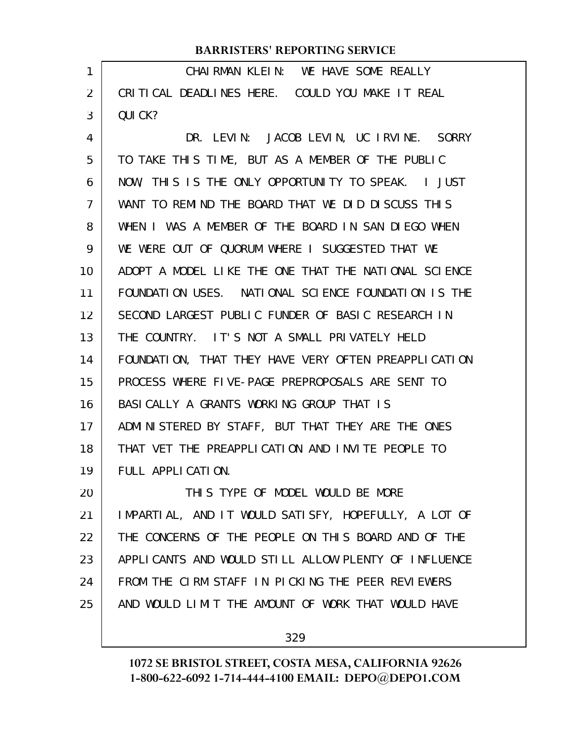| 1              | CHAIRMAN KLEIN: WE HAVE SOME REALLY                  |
|----------------|------------------------------------------------------|
| $\overline{2}$ | CRITICAL DEADLINES HERE. COULD YOU MAKE IT REAL      |
| 3              | QUI CK?                                              |
| 4              | DR. LEVIN: JACOB LEVIN, UC IRVINE. SORRY             |
| 5              | TO TAKE THIS TIME, BUT AS A MEMBER OF THE PUBLIC     |
| 6              | NOW, THIS IS THE ONLY OPPORTUNITY TO SPEAK. I JUST   |
| $\overline{7}$ | WANT TO REMIND THE BOARD THAT WE DID DISCUSS THIS    |
| 8              | WHEN I WAS A MEMBER OF THE BOARD IN SAN DIEGO WHEN   |
| 9              | WE WERE OUT OF QUORUM WHERE I SUGGESTED THAT WE      |
| 10             | ADOPT A MODEL LIKE THE ONE THAT THE NATIONAL SCIENCE |
| 11             | FOUNDATION USES. NATIONAL SCIENCE FOUNDATION IS THE  |
| 12             | SECOND LARGEST PUBLIC FUNDER OF BASIC RESEARCH IN    |
| 13             | THE COUNTRY. IT'S NOT A SMALL PRIVATELY HELD         |
| 14             | FOUNDATION, THAT THEY HAVE VERY OFTEN PREAPPLICATION |
| 15             | PROCESS WHERE FIVE-PAGE PREPROPOSALS ARE SENT TO     |
| 16             | BASI CALLY A GRANTS WORKING GROUP THAT IS            |
| 17             | ADMINISTERED BY STAFF, BUT THAT THEY ARE THE ONES    |
| 18             | THAT VET THE PREAPPLICATION AND INVITE PEOPLE TO     |
| 19             | FULL APPLICATION.                                    |
| 20             | THIS TYPE OF MODEL WOULD BE MORE                     |
| 21             | IMPARTIAL, AND IT WOULD SATISFY, HOPEFULLY, A LOT OF |
| 22             | THE CONCERNS OF THE PEOPLE ON THIS BOARD AND OF THE  |
| 23             | APPLICANTS AND WOULD STILL ALLOW PLENTY OF INFLUENCE |
| 24             | FROM THE CIRM STAFF IN PICKING THE PEER REVIEWERS    |
| 25             | AND WOULD LIMIT THE AMOUNT OF WORK THAT WOULD HAVE   |
|                |                                                      |

329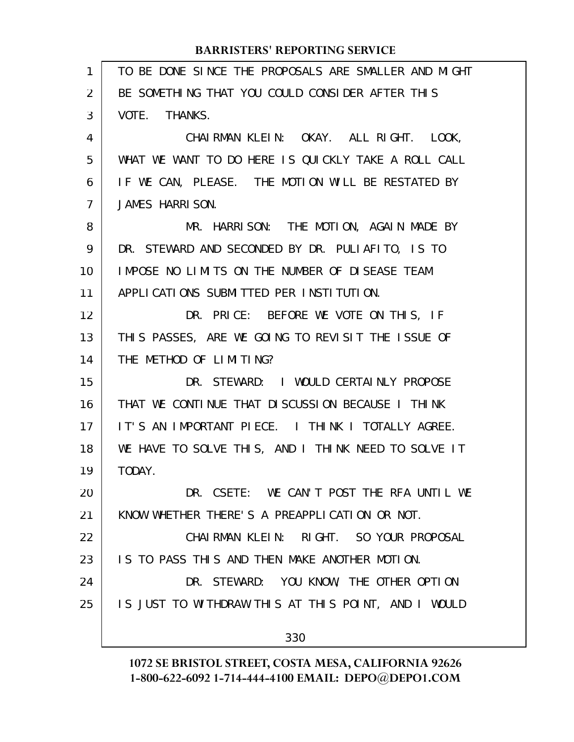| $\mathbf{1}$   | TO BE DONE SINCE THE PROPOSALS ARE SMALLER AND MIGHT |
|----------------|------------------------------------------------------|
| 2              | BE SOMETHING THAT YOU COULD CONSIDER AFTER THIS      |
| 3              | VOTE. THANKS.                                        |
| 4              | CHAIRMAN KLEIN: OKAY. ALL RIGHT. LOOK,               |
| 5              | WHAT WE WANT TO DO HERE IS QUICKLY TAKE A ROLL CALL  |
| 6              | IF WE CAN, PLEASE. THE MOTION WILL BE RESTATED BY    |
| $\overline{7}$ | JAMES HARRISON.                                      |
| 8              | MR. HARRISON: THE MOTION, AGAIN MADE BY              |
| 9              | DR. STEWARD AND SECONDED BY DR. PULIAFITO, IS TO     |
| 10             | IMPOSE NO LIMITS ON THE NUMBER OF DISEASE TEAM       |
| 11             | APPLICATIONS SUBMITTED PER INSTITUTION.              |
| 12             | DR. PRICE: BEFORE WE VOTE ON THIS, IF                |
| 13             | THIS PASSES, ARE WE GOING TO REVISIT THE ISSUE OF    |
| 14             | THE METHOD OF LIMITING?                              |
| 15             | DR. STEWARD: I WOULD CERTAINLY PROPOSE               |
| 16             | THAT WE CONTINUE THAT DISCUSSION BECAUSE I THINK     |
| 17             | IT'S AN IMPORTANT PIECE. I THINK I TOTALLY AGREE.    |
| 18             | WE HAVE TO SOLVE THIS, AND I THINK NEED TO SOLVE IT  |
| 19             | TODAY.                                               |
| 20             | DR. CSETE: WE CAN'T POST THE RFA UNTIL WE            |
| 21             | KNOW WHETHER THERE'S A PREAPPLICATION OR NOT.        |
| 22             | CHAIRMAN KLEIN: RIGHT. SO YOUR PROPOSAL              |
| 23             | IS TO PASS THIS AND THEN MAKE ANOTHER MOTION.        |
| 24             | DR. STEWARD: YOU KNOW, THE OTHER OPTION              |
| 25             | IS JUST TO WITHDRAW THIS AT THIS POINT, AND I WOULD  |
|                | 330                                                  |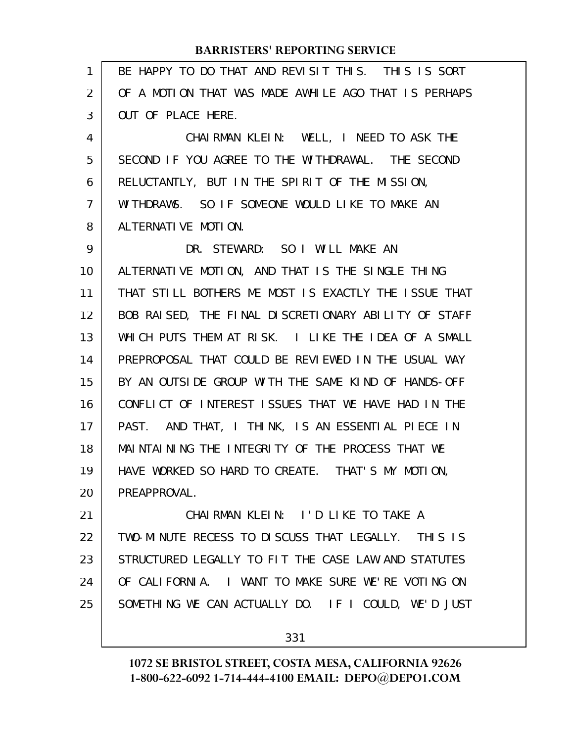| $\mathbf{1}$ | BE HAPPY TO DO THAT AND REVISIT THIS. THIS IS SORT   |
|--------------|------------------------------------------------------|
| 2            | OF A MOTION THAT WAS MADE AWHILE AGO THAT IS PERHAPS |
| 3            | OUT OF PLACE HERE.                                   |
| 4            | CHAIRMAN KLEIN: WELL, I NEED TO ASK THE              |
| 5            | SECOND IF YOU AGREE TO THE WITHDRAWAL. THE SECOND    |
| 6            | RELUCTANTLY, BUT IN THE SPIRIT OF THE MISSION,       |
| 7            | WITHDRAWS. SO IF SOMEONE WOULD LIKE TO MAKE AN       |
| 8            | ALTERNATIVE MOTION.                                  |
| 9            | DR. STEWARD: SO I WILL MAKE AN                       |
| 10           | ALTERNATIVE MOTION, AND THAT IS THE SINGLE THING     |
| 11           | THAT STILL BOTHERS ME MOST IS EXACTLY THE ISSUE THAT |
| 12           | BOB RAISED, THE FINAL DISCRETIONARY ABILITY OF STAFF |
| 13           | WHICH PUTS THEM AT RISK. I LIKE THE IDEA OF A SMALL  |
| 14           | PREPROPOSAL THAT COULD BE REVIEWED IN THE USUAL WAY  |
| 15           | BY AN OUTSIDE GROUP WITH THE SAME KIND OF HANDS-OFF  |
| 16           | CONFLICT OF INTEREST ISSUES THAT WE HAVE HAD IN THE  |
| 17           | PAST. AND THAT, I THINK, IS AN ESSENTIAL PIECE IN    |
| 18           | MAINTAINING THE INTEGRITY OF THE PROCESS THAT WE     |
| 19           | HAVE WORKED SO HARD TO CREATE. THAT'S MY MOTION,     |
| 20           | PREAPPROVAL.                                         |
| 21           | CHAIRMAN KLEIN: I'D LIKE TO TAKE A                   |
| 22           | TWO-MINUTE RECESS TO DISCUSS THAT LEGALLY. THIS IS   |
| 23           | STRUCTURED LEGALLY TO FIT THE CASE LAW AND STATUTES  |
| 24           | OF CALIFORNIA. I WANT TO MAKE SURE WE'RE VOTING ON   |
| 25           | SOMETHING WE CAN ACTUALLY DO. IF I COULD, WE'D JUST  |
|              |                                                      |

331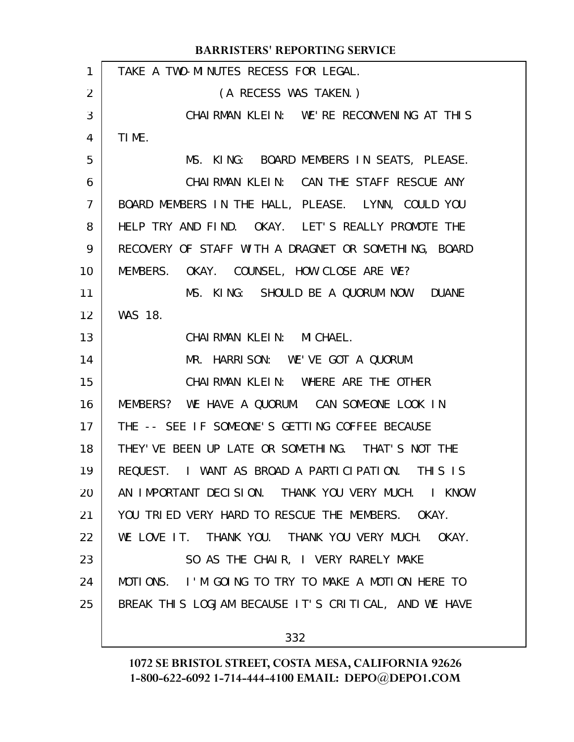|                | <b>BARRISTERS' REPORTING SERVICE</b>                 |
|----------------|------------------------------------------------------|
| 1              | TAKE A TWO-MINUTES RECESS FOR LEGAL.                 |
| 2              | (A RECESS WAS TAKEN.)                                |
| 3              | CHAIRMAN KLEIN: WE'RE RECONVENING AT THIS            |
| 4              | TIME.                                                |
| 5              | MS. KING: BOARD MEMBERS IN SEATS, PLEASE.            |
| 6              | CHAIRMAN KLEIN: CAN THE STAFF RESCUE ANY             |
| $\overline{7}$ | BOARD MEMBERS IN THE HALL, PLEASE. LYNN, COULD YOU   |
| 8              | HELP TRY AND FIND. OKAY. LET'S REALLY PROMOTE THE    |
| 9              | RECOVERY OF STAFF WITH A DRAGNET OR SOMETHING, BOARD |
| 10             | MEMBERS. OKAY. COUNSEL, HOW CLOSE ARE WE?            |
| 11             | MS. KING: SHOULD BE A QUORUM NOW. DUANE              |
| 12             | <b>WAS 18.</b>                                       |
| 13             | CHAIRMAN KLEIN: MICHAEL.                             |
| 14             | MR. HARRISON: WE'VE GOT A QUORUM.                    |
| 15             | CHAIRMAN KLEIN: WHERE ARE THE OTHER                  |
| 16             | MEMBERS? WE HAVE A QUORUM. CAN SOMEONE LOOK IN       |
| 17             | THE -- SEE IF SOMEONE'S GETTING COFFEE BECAUSE       |
| 18             | THEY'VE BEEN UP LATE OR SOMETHING. THAT'S NOT THE    |
| 19             | REQUEST. I WANT AS BROAD A PARTICIPATION. THIS IS    |
| 20             | AN IMPORTANT DECISION. THANK YOU VERY MUCH. I KNOW   |
| 21             | YOU TRIED VERY HARD TO RESCUE THE MEMBERS. OKAY.     |
| 22             | WE LOVE IT. THANK YOU. THANK YOU VERY MUCH. OKAY.    |
| 23             | SO AS THE CHAIR, I VERY RARELY MAKE                  |
| 24             | MOTIONS. I'M GOING TO TRY TO MAKE A MOTION HERE TO   |
| 25             | BREAK THIS LOGJAM BECAUSE IT'S CRITICAL, AND WE HAVE |
|                | 332                                                  |
|                |                                                      |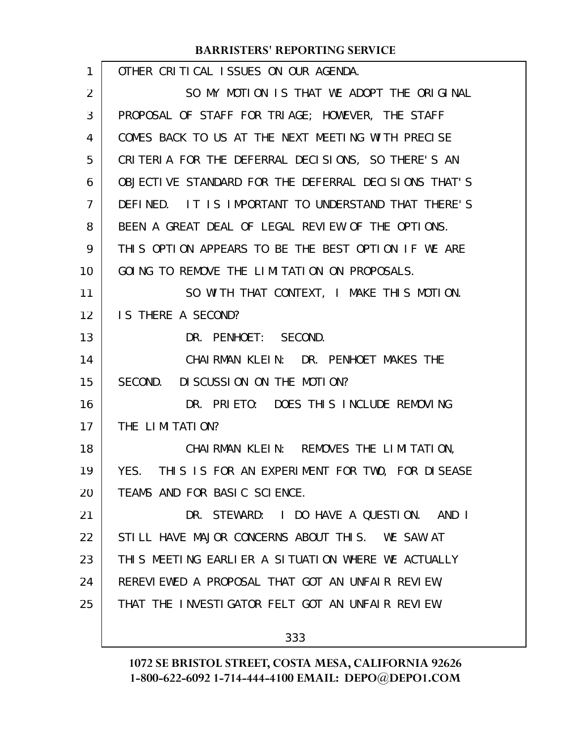| 1  | OTHER CRITICAL ISSUES ON OUR AGENDA.                 |
|----|------------------------------------------------------|
| 2  | SO MY MOTION IS THAT WE ADOPT THE ORIGINAL           |
| 3  | PROPOSAL OF STAFF FOR TRIAGE; HOWEVER, THE STAFF     |
| 4  | COMES BACK TO US AT THE NEXT MEETING WITH PRECISE    |
| 5  | CRITERIA FOR THE DEFERRAL DECISIONS, SO THERE'S AN   |
| 6  | OBJECTIVE STANDARD FOR THE DEFERRAL DECISIONS THAT'S |
| 7  | DEFINED. IT IS IMPORTANT TO UNDERSTAND THAT THERE'S  |
| 8  | BEEN A GREAT DEAL OF LEGAL REVIEW OF THE OPTIONS.    |
| 9  | THIS OPTION APPEARS TO BE THE BEST OPTION IF WE ARE  |
| 10 | GOING TO REMOVE THE LIMITATION ON PROPOSALS.         |
| 11 | SO WITH THAT CONTEXT, I MAKE THIS MOTION.            |
| 12 | IS THERE A SECOND?                                   |
| 13 | DR. PENHOET: SECOND.                                 |
| 14 | CHAIRMAN KLEIN: DR. PENHOET MAKES THE                |
| 15 | DISCUSSION ON THE MOTION?<br>SECOND.                 |
| 16 | DR. PRIETO: DOES THIS INCLUDE REMOVING               |
| 17 | THE LIMITATION?                                      |
| 18 | CHAI RMAN KLEIN: REMOVES THE LIMITATION,             |
| 19 | YES. THIS IS FOR AN EXPERIMENT FOR TWO, FOR DISEASE  |
| 20 | TEAMS AND FOR BASIC SCIENCE.                         |
| 21 | DR. STEWARD: I DO HAVE A QUESTION. AND I             |
| 22 | STILL HAVE MAJOR CONCERNS ABOUT THIS. WE SAW AT      |
| 23 | THIS MEETING EARLIER A SITUATION WHERE WE ACTUALLY   |
| 24 | REREVIEWED A PROPOSAL THAT GOT AN UNFAIR REVIEW,     |
| 25 | THAT THE INVESTIGATOR FELT GOT AN UNFAIR REVIEW.     |
|    | 333                                                  |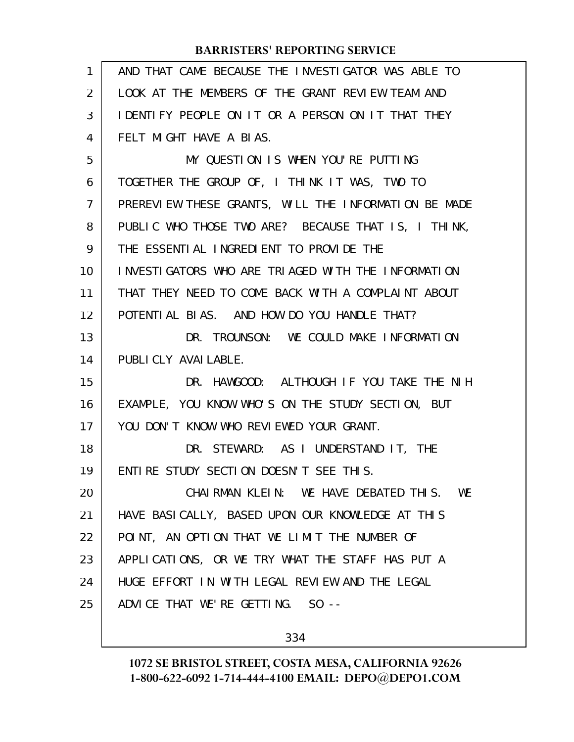| $\mathbf{1}$ | AND THAT CAME BECAUSE THE INVESTIGATOR WAS ABLE TO   |
|--------------|------------------------------------------------------|
| 2            | LOOK AT THE MEMBERS OF THE GRANT REVIEW TEAM AND     |
| 3            | IDENTIFY PEOPLE ON IT OR A PERSON ON IT THAT THEY    |
| 4            | FELT MIGHT HAVE A BIAS.                              |
| 5            | MY QUESTION IS WHEN YOU'RE PUTTING                   |
| 6            | TOGETHER THE GROUP OF, I THINK IT WAS, TWO TO        |
| 7            | PREREVIEW THESE GRANTS, WILL THE INFORMATION BE MADE |
| 8            | PUBLIC WHO THOSE TWO ARE? BECAUSE THAT IS, I THINK,  |
| 9            | THE ESSENTIAL INGREDIENT TO PROVIDE THE              |
| 10           | INVESTIGATORS WHO ARE TRIAGED WITH THE INFORMATION   |
| 11           | THAT THEY NEED TO COME BACK WITH A COMPLAINT ABOUT   |
| 12           | POTENTIAL BIAS. AND HOW DO YOU HANDLE THAT?          |
| 13           | DR. TROUNSON: WE COULD MAKE INFORMATION              |
| 14           | PUBLICLY AVAILABLE.                                  |
| 15           | DR. HAWGOOD: ALTHOUGH IF YOU TAKE THE NIH            |
| 16           | EXAMPLE, YOU KNOW WHO'S ON THE STUDY SECTION, BUT    |
| 17           | YOU DON'T KNOW WHO REVIEWED YOUR GRANT.              |
| 18           | DR. STEWARD: AS I UNDERSTAND IT, THE                 |
| 19           | ENTIRE STUDY SECTION DOESN'T SEE THIS.               |
| 20           | CHAIRMAN KLEIN: WE HAVE DEBATED THIS.<br>WE          |
| 21           | HAVE BASICALLY, BASED UPON OUR KNOWLEDGE AT THIS     |
| 22           | POINT, AN OPTION THAT WE LIMIT THE NUMBER OF         |
| 23           | APPLICATIONS, OR WE TRY WHAT THE STAFF HAS PUT A     |
| 24           | HUGE EFFORT IN WITH LEGAL REVIEW AND THE LEGAL       |
| 25           | ADVICE THAT WE'RE GETTING. SO --                     |
|              |                                                      |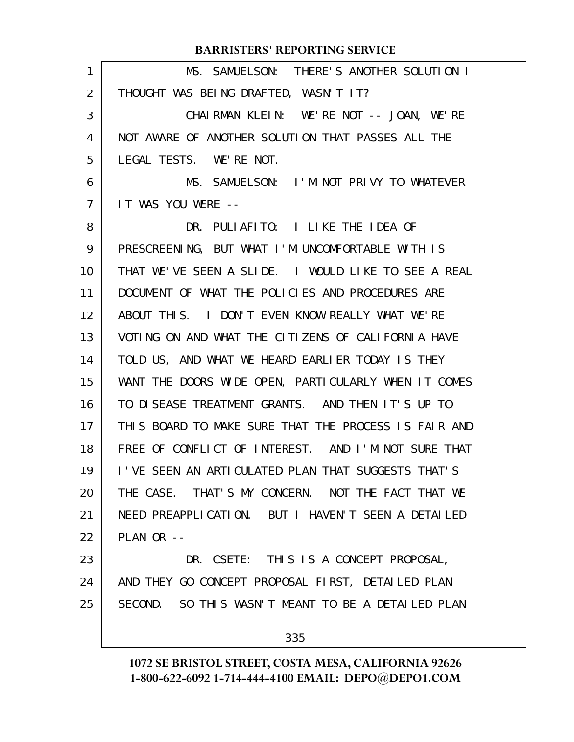|                   | <b>BARRISTERS' REPORTING SERVICE</b>                 |
|-------------------|------------------------------------------------------|
| 1                 | MS. SAMUELSON: THERE'S ANOTHER SOLUTION I            |
| 2                 | THOUGHT WAS BEING DRAFTED, WASN'T IT?                |
| 3                 | CHAIRMAN KLEIN: WE'RE NOT -- JOAN, WE'RE             |
| 4                 | NOT AWARE OF ANOTHER SOLUTION THAT PASSES ALL THE    |
| 5                 | LEGAL TESTS. WE'RE NOT.                              |
| 6                 | MS. SAMUELSON: I'M NOT PRIVY TO WHATEVER             |
| $\overline{7}$    | IT WAS YOU WERE --                                   |
| 8                 | PULIAFITO: I LIKE THE IDEA OF<br>DR.                 |
| 9                 | PRESCREENING, BUT WHAT I'M UNCOMFORTABLE WITH IS     |
| 10                | THAT WE'VE SEEN A SLIDE. I WOULD LIKE TO SEE A REAL  |
| 11                | DOCUMENT OF WHAT THE POLICIES AND PROCEDURES ARE     |
| $12 \overline{ }$ | ABOUT THIS. I DON'T EVEN KNOW REALLY WHAT WE'RE      |
| 13                | VOTING ON AND WHAT THE CITIZENS OF CALIFORNIA HAVE   |
| 14                | TOLD US, AND WHAT WE HEARD EARLIER TODAY IS THEY     |
| 15                | WANT THE DOORS WIDE OPEN, PARTICULARLY WHEN IT COMES |
| 16                | TO DISEASE TREATMENT GRANTS. AND THEN IT'S UP TO     |
| 17                | THIS BOARD TO MAKE SURE THAT THE PROCESS IS FAIR AND |
| 18                | FREE OF CONFLICT OF INTEREST. AND I'M NOT SURE THAT  |
| 19                | I'VE SEEN AN ARTICULATED PLAN THAT SUGGESTS THAT'S   |
| 20                | THE CASE. THAT'S MY CONCERN. NOT THE FACT THAT WE    |
| 21                | NEED PREAPPLICATION. BUT I HAVEN'T SEEN A DETAILED   |
| 22                | PLAN OR --                                           |
| 23                | DR. CSETE: THIS IS A CONCEPT PROPOSAL,               |
| 24                | AND THEY GO CONCEPT PROPOSAL FIRST, DETAILED PLAN    |
| 25                | SECOND. SO THIS WASN'T MEANT TO BE A DETAILED PLAN   |
|                   | 335                                                  |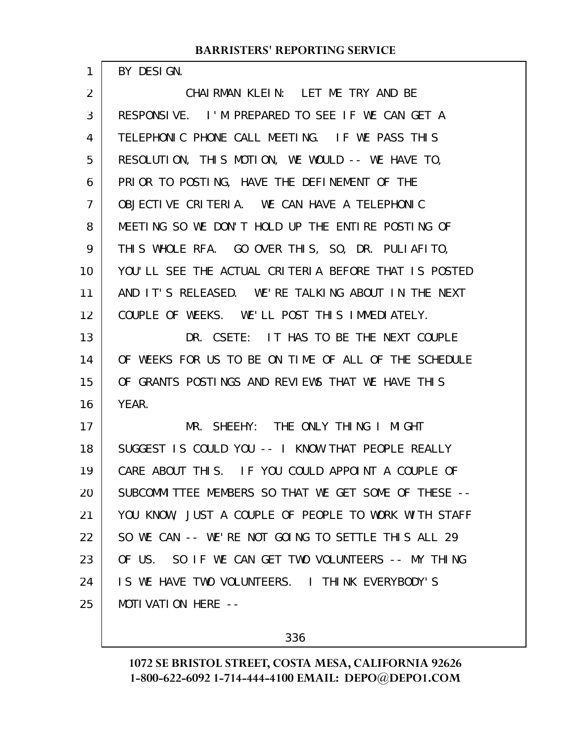BY DESIGN.

1

CHAIRMAN KLEIN: LET ME TRY AND BE RESPONSIVE. I'M PREPARED TO SEE IF WE CAN GET A TELEPHONIC PHONE CALL MEETING. IF WE PASS THIS RESOLUTION, THIS MOTION, WE WOULD -- WE HAVE TO, PRIOR TO POSTING, HAVE THE DEFINEMENT OF THE OBJECTIVE CRITERIA. WE CAN HAVE A TELEPHONIC MEETING SO WE DON'T HOLD UP THE ENTIRE POSTING OF THIS WHOLE RFA. GO OVER THIS, SO, DR. PULIAFITO, YOU'LL SEE THE ACTUAL CRITERIA BEFORE THAT IS POSTED AND IT'S RELEASED. WE'RE TALKING ABOUT IN THE NEXT COUPLE OF WEEKS. WE'LL POST THIS IMMEDIATELY. DR. CSETE: IT HAS TO BE THE NEXT COUPLE OF WEEKS FOR US TO BE ON TIME OF ALL OF THE SCHEDULE OF GRANTS POSTINGS AND REVIEWS THAT WE HAVE THIS YEAR. MR. SHEEHY: THE ONLY THING I MIGHT SUGGEST IS COULD YOU -- I KNOW THAT PEOPLE REALLY CARE ABOUT THIS. IF YOU COULD APPOINT A COUPLE OF SUBCOMMITTEE MEMBERS SO THAT WE GET SOME OF THESE -- YOU KNOW, JUST A COUPLE OF PEOPLE TO WORK WITH STAFF SO WE CAN -- WE'RE NOT GOING TO SETTLE THIS ALL 29 OF US. SO IF WE CAN GET TWO VOLUNTEERS -- MY THING IS WE HAVE TWO VOLUNTEERS. I THINK EVERYBODY'S MOTIVATION HERE -- 2 3 4 5 6 7 8 9 10 11 12 13 14 15 16 17 18 19 20 21 22 23 24 25

336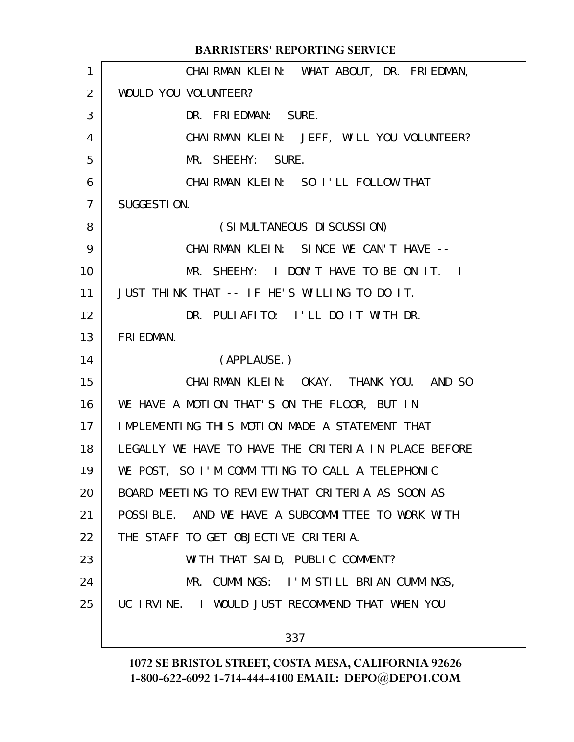|                | <b>BARRISTERS' REPORTING SERVICE</b>                 |
|----------------|------------------------------------------------------|
| 1              | CHAIRMAN KLEIN: WHAT ABOUT, DR. FRIEDMAN,            |
| 2              | WOULD YOU VOLUNTEER?                                 |
| 3              | DR. FRIEDMAN: SURE.                                  |
| 4              | CHAIRMAN KLEIN: JEFF, WILL YOU VOLUNTEER?            |
| 5              | MR. SHEEHY: SURE.                                    |
| 6              | CHAIRMAN KLEIN: SO I'LL FOLLOW THAT                  |
| $\overline{7}$ | SUGGESTION.                                          |
| 8              | (SIMULTANEOUS DISCUSSION)                            |
| 9              | CHAIRMAN KLEIN: SINCE WE CAN'T HAVE --               |
| 10             | MR. SHEEHY: I DON'T HAVE TO BE ON IT. I              |
| 11             | JUST THINK THAT -- IF HE'S WILLING TO DO IT.         |
| 12             | DR. PULIAFITO: I'LL DO IT WITH DR.                   |
| 13             | FRI EDMAN.                                           |
| 14             | (APPLAUSE.)                                          |
| 15             | CHAIRMAN KLEIN: OKAY. THANK YOU. AND SO              |
| 16             | WE HAVE A MOTION THAT'S ON THE FLOOR, BUT IN         |
| 17             | IMPLEMENTING THIS MOTION MADE A STATEMENT THAT       |
| 18             | LEGALLY WE HAVE TO HAVE THE CRITERIA IN PLACE BEFORE |
| 19             | WE POST, SO I'M COMMITTING TO CALL A TELEPHONIC      |
| 20             | BOARD MEETING TO REVIEW THAT CRITERIA AS SOON AS     |
| 21             | POSSIBLE. AND WE HAVE A SUBCOMMITTEE TO WORK WITH    |
| 22             | THE STAFF TO GET OBJECTIVE CRITERIA.                 |
| 23             | WITH THAT SAID, PUBLIC COMMENT?                      |
| 24             | MR. CUMMINGS: I'M STILL BRIAN CUMMINGS,              |
| 25             | UC IRVINE. I WOULD JUST RECOMMEND THAT WHEN YOU      |
|                | 337                                                  |
|                |                                                      |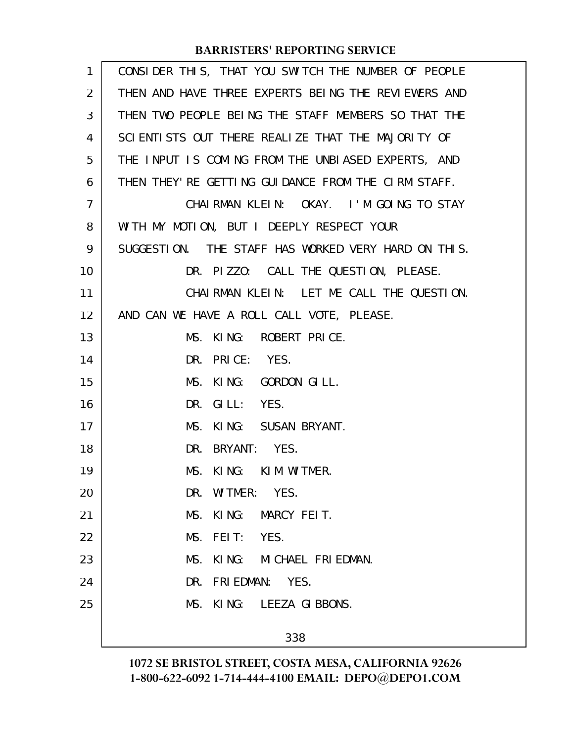| $\mathbf{1}$   | CONSIDER THIS, THAT YOU SWITCH THE NUMBER OF PEOPLE |
|----------------|-----------------------------------------------------|
| $\overline{2}$ | THEN AND HAVE THREE EXPERTS BEING THE REVIEWERS AND |
| 3              | THEN TWO PEOPLE BEING THE STAFF MEMBERS SO THAT THE |
| 4              | SCIENTISTS OUT THERE REALIZE THAT THE MAJORITY OF   |
| 5              | THE INPUT IS COMING FROM THE UNBIASED EXPERTS, AND  |
| 6              | THEN THEY' RE GETTING GUIDANCE FROM THE CIRM STAFF. |
| $\overline{7}$ | CHAIRMAN KLEIN: OKAY. I'M GOING TO STAY             |
| 8              | WITH MY MOTION, BUT I DEEPLY RESPECT YOUR           |
| 9              | SUGGESTION. THE STAFF HAS WORKED VERY HARD ON THIS. |
| 10             | DR. PIZZO: CALL THE QUESTION, PLEASE.               |
| 11             | CHAIRMAN KLEIN: LET ME CALL THE QUESTION.           |
| 12             | AND CAN WE HAVE A ROLL CALL VOTE, PLEASE.           |
| 13             | MS. KING: ROBERT PRICE.                             |
| 14             | DR. PRICE: YES.                                     |
| 15             | MS. KING: GORDON GILL.                              |
| 16             | DR. GILL: YES.                                      |
| 17             | MS. KING: SUSAN BRYANT.                             |
| 18             | DR. BRYANT: YES.                                    |
| 19             | MS. KING: KIM WITMER.                               |
| 20             | DR. WITMER: YES.                                    |
| 21             | MS. KING: MARCY FEIT.                               |
| 22             | MS. FEIT: YES.                                      |
| 23             | MS. KING: MICHAEL FRIEDMAN.                         |
| 24             | DR. FRIEDMAN: YES.                                  |
| 25             | MS. KING: LEEZA GIBBONS.                            |
|                |                                                     |
|                | 338                                                 |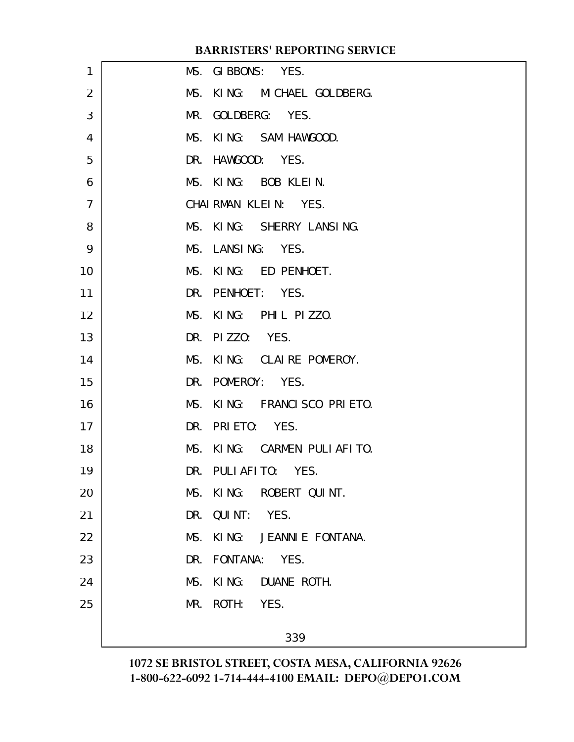| 1  | MS. GIBBONS: YES.           |
|----|-----------------------------|
| 2  | MS. KING: MICHAEL GOLDBERG. |
| 3  | MR. GOLDBERG: YES.          |
| 4  | MS. KING: SAM HAWGOOD.      |
| 5  | DR. HAWGOOD: YES.           |
| 6  | MS. KING: BOB KLEIN.        |
| 7  | CHAIRMAN KLEIN: YES.        |
| 8  | MS. KING: SHERRY LANSING.   |
| 9  | MS. LANSING: YES.           |
| 10 | MS. KING: ED PENHOET.       |
| 11 | DR. PENHOET: YES.           |
| 12 | MS. KING: PHIL PIZZO.       |
| 13 | DR. PIZZO: YES.             |
| 14 | MS. KING: CLAIRE POMEROY.   |
| 15 | DR. POMEROY: YES.           |
| 16 | MS. KING: FRANCISCO PRIETO. |
| 17 | DR. PRIETO: YES.            |
| 18 | MS. KING: CARMEN PULIAFITO. |
| 19 | DR. PULIAFITO: YES.         |
| 20 | MS. KING: ROBERT QUINT.     |
| 21 | DR. QUINT: YES.             |
| 22 | MS. KING: JEANNIE FONTANA.  |
| 23 | DR. FONTANA: YES.           |
| 24 | MS. KING: DUANE ROTH.       |
| 25 | MR. ROTH: YES.              |
|    | 339                         |
|    |                             |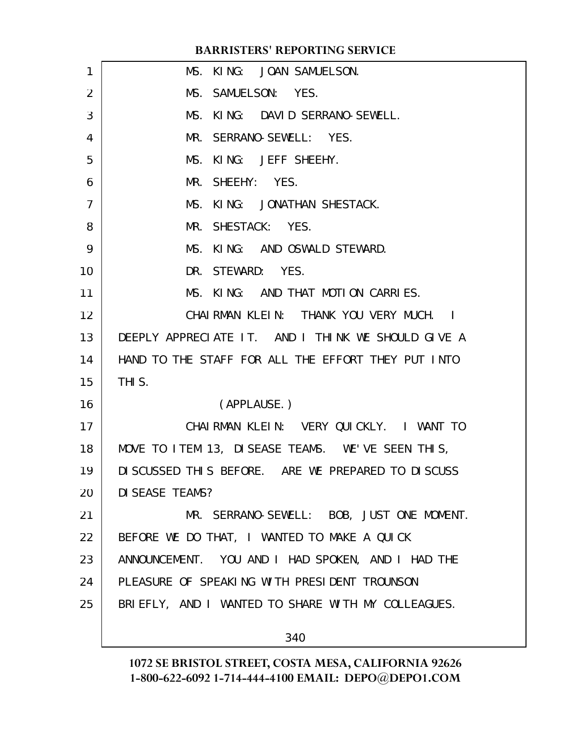| 1              | MS. KING: JOAN SAMUELSON.                           |
|----------------|-----------------------------------------------------|
| 2              | MS. SAMUELSON: YES.                                 |
| 3              | MS. KING: DAVID SERRANO-SEWELL.                     |
| 4              | MR. SERRANO-SEWELL: YES.                            |
| 5              | MS. KING: JEFF SHEEHY.                              |
| 6              | MR. SHEEHY: YES.                                    |
| $\overline{7}$ | MS. KING: JONATHAN SHESTACK.                        |
| 8              | MR. SHESTACK: YES.                                  |
| 9              | MS. KING: AND OSWALD STEWARD.                       |
| 10             | DR. STEWARD: YES.                                   |
| 11             | MS. KING: AND THAT MOTION CARRIES.                  |
| 12             | CHAIRMAN KLEIN: THANK YOU VERY MUCH. I              |
| 13             | DEEPLY APPRECIATE IT. AND I THINK WE SHOULD GIVE A  |
| 14             | HAND TO THE STAFF FOR ALL THE EFFORT THEY PUT INTO  |
| 15             | THI S.                                              |
| 16             | (APPLAUSE.)                                         |
| 17             | CHAIRMAN KLEIN: VERY QUICKLY. I WANT TO             |
| 18             | MOVE TO ITEM 13, DISEASE TEAMS. WE'VE SEEN THIS,    |
| 19             | DI SCUSSED THIS BEFORE. ARE WE PREPARED TO DI SCUSS |
| 20             | DI SEASE TEAMS?                                     |
| 21             | MR. SERRANO-SEWELL: BOB, JUST ONE MOMENT.           |
| 22             | BEFORE WE DO THAT, I WANTED TO MAKE A QUICK         |
| 23             | ANNOUNCEMENT. YOU AND I HAD SPOKEN, AND I HAD THE   |
| 24             | PLEASURE OF SPEAKING WITH PRESIDENT TROUNSON        |
| 25             | BRIEFLY, AND I WANTED TO SHARE WITH MY COLLEAGUES.  |
|                | 340                                                 |
|                |                                                     |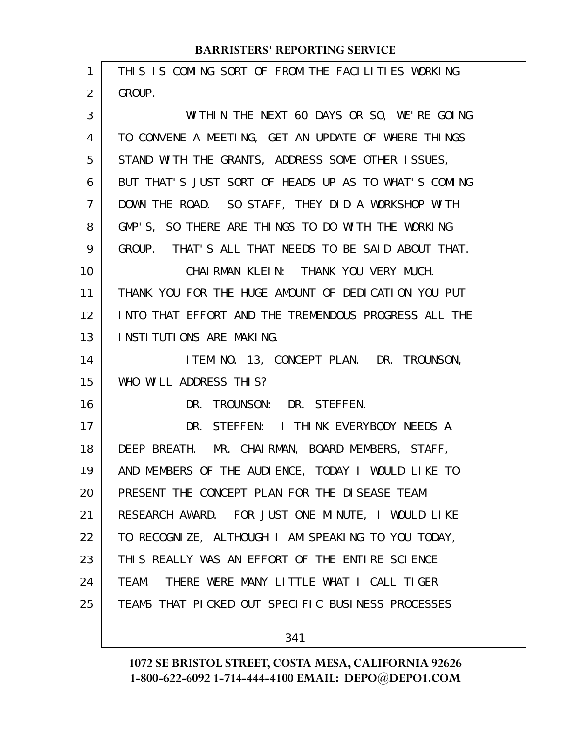| 1              | THIS IS COMING SORT OF FROM THE FACILITIES WORKING   |
|----------------|------------------------------------------------------|
| $\overline{2}$ | GROUP.                                               |
| 3              | WITHIN THE NEXT 60 DAYS OR SO, WE'RE GOING           |
| 4              | TO CONVENE A MEETING, GET AN UPDATE OF WHERE THINGS  |
| 5              | STAND WITH THE GRANTS, ADDRESS SOME OTHER ISSUES,    |
| 6              | BUT THAT'S JUST SORT OF HEADS UP AS TO WHAT'S COMING |
| $\overline{7}$ | DOWN THE ROAD. SO STAFF, THEY DID A WORKSHOP WITH    |
| 8              | GMP'S, SO THERE ARE THINGS TO DO WITH THE WORKING    |
| 9              | GROUP. THAT'S ALL THAT NEEDS TO BE SAID ABOUT THAT.  |
| 10             | CHAIRMAN KLEIN: THANK YOU VERY MUCH.                 |
| 11             | THANK YOU FOR THE HUGE AMOUNT OF DEDICATION YOU PUT  |
| 12             | INTO THAT EFFORT AND THE TREMENDOUS PROGRESS ALL THE |
| 13             | INSTITUTIONS ARE MAKING.                             |
| 14             | ITEM NO. 13, CONCEPT PLAN. DR. TROUNSON,             |
| 15             | WHO WILL ADDRESS THIS?                               |
|                |                                                      |
| 16             | DR. TROUNSON: DR. STEFFEN.                           |
| 17             | DR. STEFFEN: I THINK EVERYBODY NEEDS A               |
| 18             | DEEP BREATH. MR. CHAIRMAN, BOARD MEMBERS, STAFF,     |
| 19             | AND MEMBERS OF THE AUDIENCE, TODAY I WOULD LIKE TO   |
| 20             | PRESENT THE CONCEPT PLAN FOR THE DISEASE TEAM        |
| 21             | RESEARCH AWARD. FOR JUST ONE MINUTE, I WOULD LIKE    |
| 22             | TO RECOGNIZE, ALTHOUGH I AM SPEAKING TO YOU TODAY,   |
| 23             | THIS REALLY WAS AN EFFORT OF THE ENTIRE SCIENCE      |
| 24             | TEAM. THERE WERE MANY LITTLE WHAT I CALL TIGER       |
| 25             | TEAMS THAT PICKED OUT SPECIFIC BUSINESS PROCESSES    |

341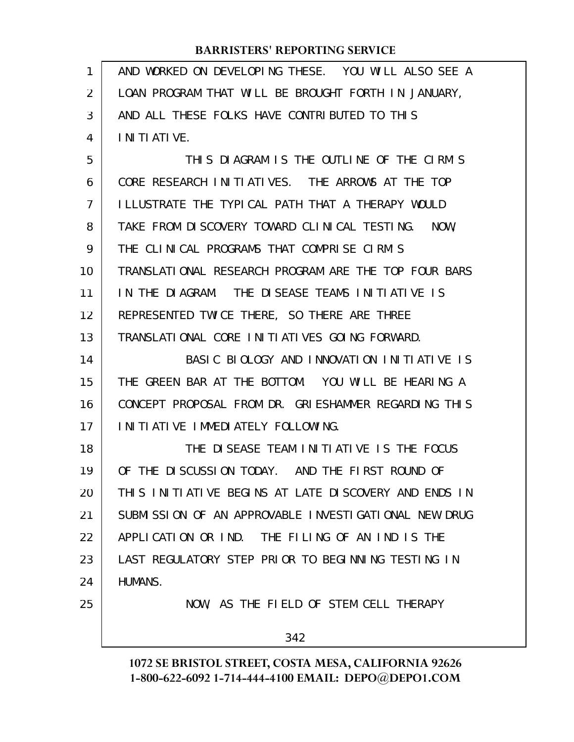AND WORKED ON DEVELOPING THESE. YOU WILL ALSO SEE A LOAN PROGRAM THAT WILL BE BROUGHT FORTH IN JANUARY, AND ALL THESE FOLKS HAVE CONTRIBUTED TO THIS INITIATIVE. THIS DIAGRAM IS THE OUTLINE OF THE CIRM'S CORE RESEARCH INITIATIVES. THE ARROWS AT THE TOP ILLUSTRATE THE TYPICAL PATH THAT A THERAPY WOULD TAKE FROM DISCOVERY TOWARD CLINICAL TESTING. NOW, THE CLINICAL PROGRAMS THAT COMPRISE CIRM'S TRANSLATIONAL RESEARCH PROGRAM ARE THE TOP FOUR BARS IN THE DIAGRAM. THE DISEASE TEAMS INITIATIVE IS REPRESENTED TWICE THERE, SO THERE ARE THREE TRANSLATIONAL CORE INITIATIVES GOING FORWARD. BASIC BIOLOGY AND INNOVATION INITIATIVE IS THE GREEN BAR AT THE BOTTOM. YOU WILL BE HEARING A CONCEPT PROPOSAL FROM DR. GRIESHAMMER REGARDING THIS INITIATIVE IMMEDIATELY FOLLOWING. THE DISEASE TEAM INITIATIVE IS THE FOCUS OF THE DISCUSSION TODAY. AND THE FIRST ROUND OF THIS INITIATIVE BEGINS AT LATE DISCOVERY AND ENDS IN SUBMISSION OF AN APPROVABLE INVESTIGATIONAL NEW DRUG APPLICATION OR IND. THE FILING OF AN IND IS THE LAST REGULATORY STEP PRIOR TO BEGINNING TESTING IN HUMANS. NOW, AS THE FIELD OF STEM CELL THERAPY 342 1 2 3 4 5 6 7 8 9 10 11 12 13 14 15 16 17 18 19 20 21 22 23 24 25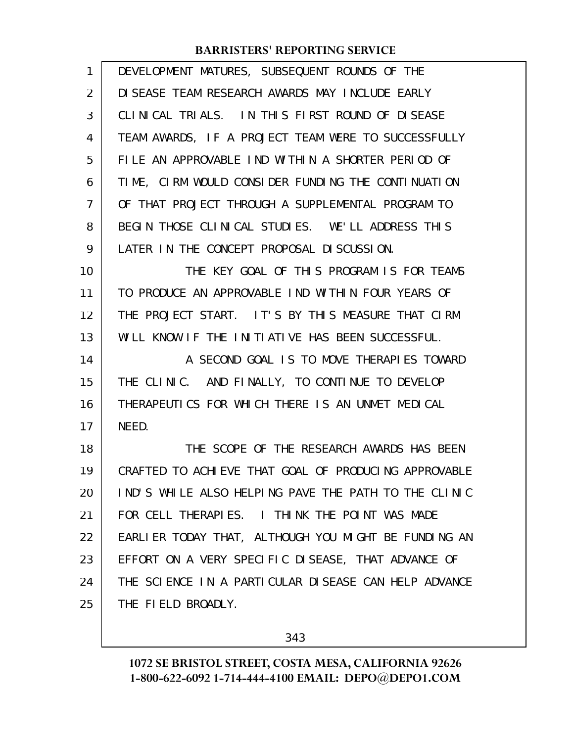| DEVELOPMENT MATURES, SUBSEQUENT ROUNDS OF THE        |
|------------------------------------------------------|
| DI SEASE TEAM RESEARCH AWARDS MAY INCLUDE EARLY      |
| CLINICAL TRIALS. IN THIS FIRST ROUND OF DISEASE      |
| TEAM AWARDS, IF A PROJECT TEAM WERE TO SUCCESSFULLY  |
| FILE AN APPROVABLE IND WITHIN A SHORTER PERIOD OF    |
| TIME, CIRM WOULD CONSIDER FUNDING THE CONTINUATION   |
| OF THAT PROJECT THROUGH A SUPPLEMENTAL PROGRAM TO    |
| BEGIN THOSE CLINICAL STUDIES. WE'LL ADDRESS THIS     |
| LATER IN THE CONCEPT PROPOSAL DISCUSSION.            |
| THE KEY GOAL OF THIS PROGRAM IS FOR TEAMS            |
| TO PRODUCE AN APPROVABLE IND WITHIN FOUR YEARS OF    |
| THE PROJECT START. IT'S BY THIS MEASURE THAT CIRM    |
| WILL KNOW IF THE INITIATIVE HAS BEEN SUCCESSFUL.     |
| A SECOND GOAL IS TO MOVE THERAPIES TOWARD            |
| THE CLINIC. AND FINALLY, TO CONTINUE TO DEVELOP      |
| THERAPEUTICS FOR WHICH THERE IS AN UNMET MEDICAL     |
| NEED.                                                |
| THE SCOPE OF THE RESEARCH AWARDS HAS BEEN            |
| CRAFTED TO ACHIEVE THAT GOAL OF PRODUCING APPROVABLE |
| IND'S WHILE ALSO HELPING PAVE THE PATH TO THE CLINIC |
| FOR CELL THERAPIES. I THINK THE POINT WAS MADE       |
| EARLIER TODAY THAT, ALTHOUGH YOU MIGHT BE FUNDING AN |
| EFFORT ON A VERY SPECIFIC DISEASE, THAT ADVANCE OF   |
| THE SCIENCE IN A PARTICULAR DISEASE CAN HELP ADVANCE |
| THE FIELD BROADLY.                                   |
|                                                      |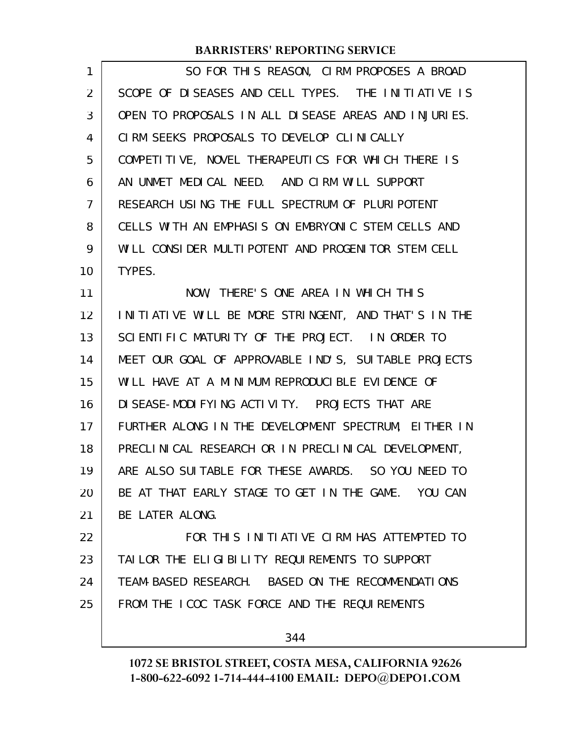| 1  | SO FOR THIS REASON, CIRM PROPOSES A BROAD            |
|----|------------------------------------------------------|
| 2  | SCOPE OF DISEASES AND CELL TYPES. THE INITIATIVE IS  |
| 3  | OPEN TO PROPOSALS IN ALL DISEASE AREAS AND INJURIES. |
| 4  | CIRM SEEKS PROPOSALS TO DEVELOP CLINICALLY           |
| 5  | COMPETITIVE, NOVEL THERAPEUTICS FOR WHICH THERE IS   |
| 6  | AN UNMET MEDICAL NEED. AND CIRM WILL SUPPORT         |
| 7  | RESEARCH USING THE FULL SPECTRUM OF PLURIPOTENT      |
| 8  | CELLS WITH AN EMPHASIS ON EMBRYONIC STEM CELLS AND   |
| 9  | WILL CONSIDER MULTIPOTENT AND PROGENITOR STEM CELL   |
| 10 | TYPES.                                               |
| 11 | NOW, THERE'S ONE AREA IN WHICH THIS                  |
| 12 | INITIATIVE WILL BE MORE STRINGENT, AND THAT'S IN THE |
| 13 | SCIENTIFIC MATURITY OF THE PROJECT. IN ORDER TO      |
| 14 | MEET OUR GOAL OF APPROVABLE IND'S, SUITABLE PROJECTS |
| 15 | WILL HAVE AT A MINIMUM REPRODUCIBLE EVIDENCE OF      |
| 16 | DI SEASE-MODI FYING ACTIVITY. PROJECTS THAT ARE      |
| 17 | FURTHER ALONG IN THE DEVELOPMENT SPECTRUM, EITHER IN |
| 18 | PRECLINICAL RESEARCH OR IN PRECLINICAL DEVELOPMENT,  |
| 19 | ARE ALSO SUITABLE FOR THESE AWARDS. SO YOU NEED TO   |
| 20 | BE AT THAT EARLY STAGE TO GET IN THE GAME. YOU CAN   |
| 21 | BE LATER ALONG.                                      |
| 22 | FOR THIS INITIATIVE CIRM HAS ATTEMPTED TO            |
| 23 | TAILOR THE ELIGIBILITY REQUIREMENTS TO SUPPORT       |
| 24 | TEAM-BASED RESEARCH. BASED ON THE RECOMMENDATIONS    |
| 25 | FROM THE ICOC TASK FORCE AND THE REQUIREMENTS        |
|    |                                                      |

344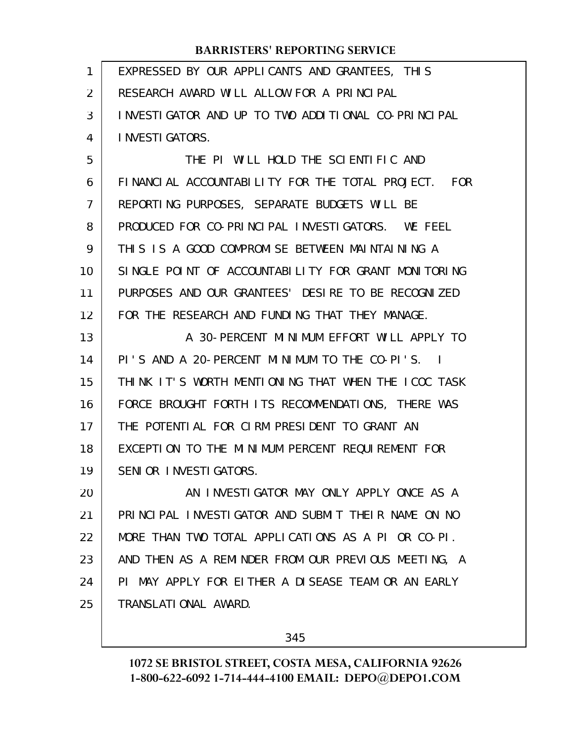| 1  | EXPRESSED BY OUR APPLICANTS AND GRANTEES, THIS      |
|----|-----------------------------------------------------|
| 2  | RESEARCH AWARD WILL ALLOW FOR A PRINCIPAL           |
| 3  | INVESTIGATOR AND UP TO TWO ADDITIONAL CO-PRINCIPAL  |
| 4  | <b>INVESTIGATORS.</b>                               |
| 5  | THE PI WILL HOLD THE SCIENTIFIC AND                 |
| 6  | FINANCIAL ACCOUNTABILITY FOR THE TOTAL PROJECT. FOR |
| 7  | REPORTING PURPOSES, SEPARATE BUDGETS WILL BE        |
| 8  | PRODUCED FOR CO-PRINCIPAL INVESTIGATORS. WE FEEL    |
| 9  | THIS IS A GOOD COMPROMISE BETWEEN MAINTAINING A     |
| 10 | SINGLE POINT OF ACCOUNTABILITY FOR GRANT MONITORING |
| 11 | PURPOSES AND OUR GRANTEES' DESIRE TO BE RECOGNIZED  |
| 12 | FOR THE RESEARCH AND FUNDING THAT THEY MANAGE.      |
| 13 | A 30-PERCENT MINIMUM EFFORT WILL APPLY TO           |
| 14 | PI'S AND A 20-PERCENT MINIMUM TO THE CO-PI'S.       |
| 15 | THINK IT'S WORTH MENTIONING THAT WHEN THE ICOC TASK |
| 16 | FORCE BROUGHT FORTH ITS RECOMMENDATIONS, THERE WAS  |
| 17 | THE POTENTIAL FOR CIRM PRESIDENT TO GRANT AN        |
| 18 | EXCEPTION TO THE MINIMUM PERCENT REQUIREMENT FOR    |
| 19 | SENIOR INVESTIGATORS.                               |
| 20 | AN INVESTIGATOR MAY ONLY APPLY ONCE AS A            |
| 21 | PRINCIPAL INVESTIGATOR AND SUBMIT THEIR NAME ON NO  |
| 22 | MORE THAN TWO TOTAL APPLICATIONS AS A PI OR CO-PI.  |
| 23 | AND THEN AS A REMINDER FROM OUR PREVIOUS MEETING, A |
| 24 | PI MAY APPLY FOR EITHER A DISEASE TEAM OR AN EARLY  |
| 25 | TRANSLATIONAL AWARD.                                |
|    |                                                     |

345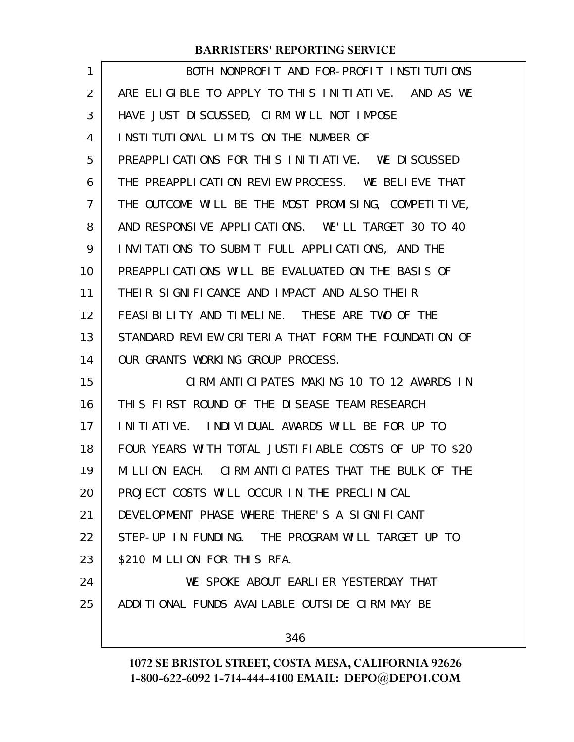| 1  | BOTH NONPROFIT AND FOR-PROFIT INSTITUTIONS            |
|----|-------------------------------------------------------|
| 2  | ARE ELIGIBLE TO APPLY TO THIS INITIATIVE. AND AS WE   |
| 3  | HAVE JUST DISCUSSED, CIRM WILL NOT IMPOSE             |
| 4  | INSTITUTIONAL LIMITS ON THE NUMBER OF                 |
| 5  | PREAPPLICATIONS FOR THIS INITIATIVE. WE DISCUSSED     |
| 6  | THE PREAPPLICATION REVIEW PROCESS. WE BELIEVE THAT    |
| 7  | THE OUTCOME WILL BE THE MOST PROMISING, COMPETITIVE,  |
| 8  | AND RESPONSIVE APPLICATIONS. WE'LL TARGET 30 TO 40    |
| 9  | INVITATIONS TO SUBMIT FULL APPLICATIONS, AND THE      |
| 10 | PREAPPLICATIONS WILL BE EVALUATED ON THE BASIS OF     |
| 11 | THEIR SIGNIFICANCE AND IMPACT AND ALSO THEIR          |
| 12 | FEASIBILITY AND TIMELINE. THESE ARE TWO OF THE        |
| 13 | STANDARD REVIEW CRITERIA THAT FORM THE FOUNDATION OF  |
| 14 | OUR GRANTS WORKING GROUP PROCESS.                     |
| 15 | CIRM ANTICIPATES MAKING 10 TO 12 AWARDS IN            |
| 16 | THIS FIRST ROUND OF THE DISEASE TEAM RESEARCH         |
| 17 | INITIATIVE. INDIVIDUAL AWARDS WILL BE FOR UP TO       |
| 18 | FOUR YEARS WITH TOTAL JUSTIFIABLE COSTS OF UP TO \$20 |
| 19 | MILLION EACH. CIRM ANTICIPATES THAT THE BULK OF THE   |
| 20 | PROJECT COSTS WILL OCCUR IN THE PRECLINICAL           |
| 21 | DEVELOPMENT PHASE WHERE THERE'S A SIGNIFICANT         |
| 22 | STEP-UP IN FUNDING. THE PROGRAM WILL TARGET UP TO     |
| 23 | \$210 MILLION FOR THIS RFA.                           |
| 24 | WE SPOKE ABOUT EARLIER YESTERDAY THAT                 |
| 25 | ADDITIONAL FUNDS AVAILABLE OUTSIDE CIRM MAY BE        |
|    | 346                                                   |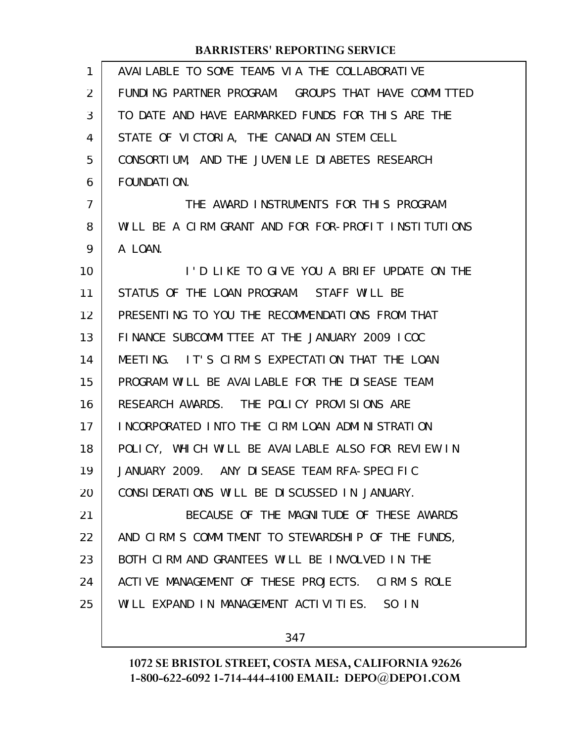| $\mathbf{1}$   | AVAILABLE TO SOME TEAMS VIA THE COLLABORATIVE        |
|----------------|------------------------------------------------------|
| 2              | FUNDING PARTNER PROGRAM. GROUPS THAT HAVE COMMITTED  |
| 3              | TO DATE AND HAVE EARMARKED FUNDS FOR THIS ARE THE    |
| 4              | STATE OF VICTORIA, THE CANADIAN STEM CELL            |
| 5              | CONSORTIUM, AND THE JUVENILE DIABETES RESEARCH       |
| 6              | FOUNDATI ON.                                         |
| $\overline{7}$ | THE AWARD INSTRUMENTS FOR THIS PROGRAM               |
| 8              | WILL BE A CIRM GRANT AND FOR FOR-PROFIT INSTITUTIONS |
| 9              | A LOAN.                                              |
| 10             | I'D LIKE TO GIVE YOU A BRIEF UPDATE ON THE           |
| 11             | STATUS OF THE LOAN PROGRAM. STAFF WILL BE            |
| 12             | PRESENTING TO YOU THE RECOMMENDATIONS FROM THAT      |
| 13             | FINANCE SUBCOMMITTEE AT THE JANUARY 2009 ICOC        |
| 14             | MEETING. IT'S CIRM'S EXPECTATION THAT THE LOAN       |
| 15             | PROGRAM WILL BE AVAILABLE FOR THE DISEASE TEAM       |
| 16             | RESEARCH AWARDS. THE POLICY PROVISIONS ARE           |
| 17             | INCORPORATED INTO THE CIRM LOAN ADMINISTRATION       |
| 18             | POLICY, WHICH WILL BE AVAILABLE ALSO FOR REVIEW IN   |
| 19             | JANUARY 2009. ANY DISEASE TEAM RFA-SPECIFIC          |
| 20             | CONSIDERATIONS WILL BE DISCUSSED IN JANUARY.         |
| 21             | BECAUSE OF THE MAGNITUDE OF THESE AWARDS             |
| 22             | AND CIRM'S COMMITMENT TO STEWARDSHIP OF THE FUNDS,   |
| 23             | BOTH CIRM AND GRANTEES WILL BE INVOLVED IN THE       |
| 24             | ACTIVE MANAGEMENT OF THESE PROJECTS. CIRM'S ROLE     |
| 25             | WILL EXPAND IN MANAGEMENT ACTIVITIES. SO IN          |
|                |                                                      |

347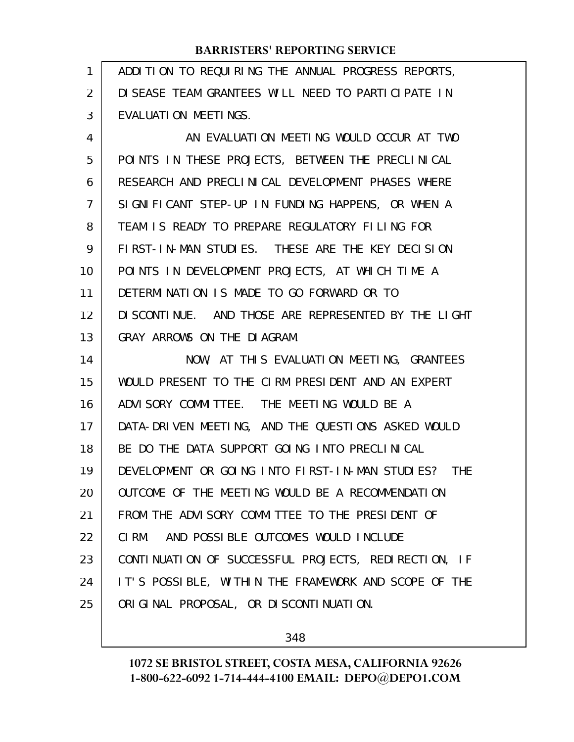| 1  | ADDITION TO REQUIRING THE ANNUAL PROGRESS REPORTS,    |
|----|-------------------------------------------------------|
| 2  | DI SEASE TEAM GRANTEES WILL NEED TO PARTICIPATE IN    |
| 3  | EVALUATION MEETINGS.                                  |
| 4  | AN EVALUATION MEETING WOULD OCCUR AT TWO              |
| 5  | POINTS IN THESE PROJECTS, BETWEEN THE PRECLINICAL     |
| 6  | RESEARCH AND PRECLINICAL DEVELOPMENT PHASES WHERE     |
| 7  | SIGNIFICANT STEP-UP IN FUNDING HAPPENS, OR WHEN A     |
| 8  | TEAM IS READY TO PREPARE REGULATORY FILING FOR        |
| 9  | FIRST-IN-MAN STUDIES. THESE ARE THE KEY DECISION      |
| 10 | POINTS IN DEVELOPMENT PROJECTS, AT WHICH TIME A       |
| 11 | DETERMINATION IS MADE TO GO FORWARD OR TO             |
| 12 | DI SCONTI NUE. AND THOSE ARE REPRESENTED BY THE LIGHT |
| 13 | GRAY ARROWS ON THE DIAGRAM.                           |
| 14 | NOW, AT THIS EVALUATION MEETING, GRANTEES             |
| 15 | WOULD PRESENT TO THE CIRM PRESIDENT AND AN EXPERT     |
| 16 | ADVI SORY COMMITTEE. THE MEETING WOULD BE A           |
| 17 | DATA-DRIVEN MEETING, AND THE QUESTIONS ASKED WOULD    |
| 18 | BE DO THE DATA SUPPORT GOING INTO PRECLINICAL         |
| 19 | DEVELOPMENT OR GOING INTO FIRST-IN-MAN STUDIES? THE   |
| 20 | OUTCOME OF THE MEETING WOULD BE A RECOMMENDATION      |
| 21 | FROM THE ADVISORY COMMITTEE TO THE PRESIDENT OF       |
| 22 | AND POSSIBLE OUTCOMES WOULD INCLUDE<br>CI RM.         |
| 23 | CONTINUATION OF SUCCESSFUL PROJECTS, REDIRECTION, IF  |
| 24 | IT'S POSSIBLE, WITHIN THE FRAMEWORK AND SCOPE OF THE  |
| 25 | ORIGINAL PROPOSAL, OR DISCONTINUATION.                |

348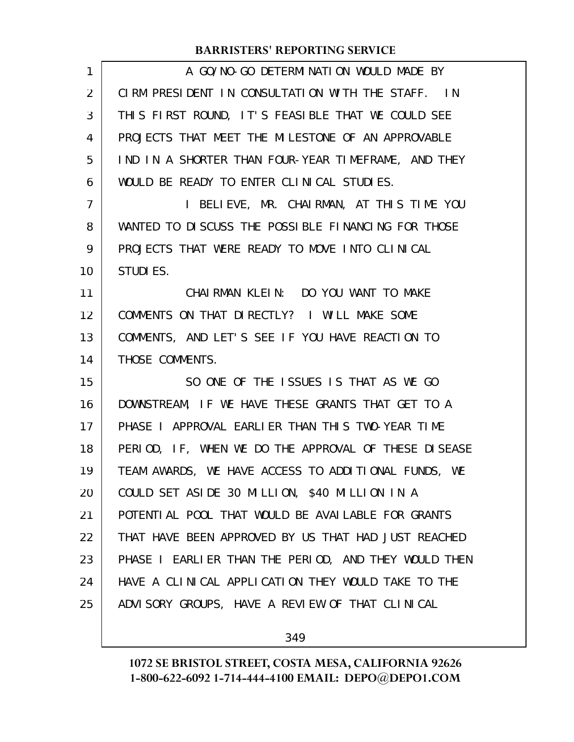| $\mathbf{1}$   | A GO/NO-GO DETERMINATION WOULD MADE BY               |
|----------------|------------------------------------------------------|
| 2              | CIRM PRESIDENT IN CONSULTATION WITH THE STAFF. IN    |
| 3              | THIS FIRST ROUND, IT'S FEASIBLE THAT WE COULD SEE    |
| 4              | PROJECTS THAT MEET THE MILESTONE OF AN APPROVABLE    |
| 5              | IND IN A SHORTER THAN FOUR-YEAR TIMEFRAME, AND THEY  |
| 6              | WOULD BE READY TO ENTER CLINICAL STUDIES.            |
| $\overline{7}$ | I BELIEVE, MR. CHAIRMAN, AT THIS TIME YOU            |
| 8              | WANTED TO DISCUSS THE POSSIBLE FINANCING FOR THOSE   |
| 9              | PROJECTS THAT WERE READY TO MOVE INTO CLINICAL       |
| 10             | STUDI ES.                                            |
| 11             | CHAIRMAN KLEIN: DO YOU WANT TO MAKE                  |
| 12             | COMMENTS ON THAT DIRECTLY? I WILL MAKE SOME          |
| 13             | COMMENTS, AND LET'S SEE IF YOU HAVE REACTION TO      |
| 14             | THOSE COMMENTS.                                      |
| 15             | SO ONE OF THE ISSUES IS THAT AS WE GO                |
| 16             | DOWNSTREAM, IF WE HAVE THESE GRANTS THAT GET TO A    |
| 17             | PHASE I APPROVAL EARLIER THAN THIS TWO-YEAR TIME     |
| 18             | PERIOD, IF, WHEN WE DO THE APPROVAL OF THESE DISEASE |
| 19             | TEAM AWARDS, WE HAVE ACCESS TO ADDITIONAL FUNDS, WE  |
| 20             | COULD SET ASIDE 30 MILLION, \$40 MILLION IN A        |
| 21             | POTENTI AL POOL THAT WOULD BE AVAILABLE FOR GRANTS   |
| 22             | THAT HAVE BEEN APPROVED BY US THAT HAD JUST REACHED  |
| 23             | PHASE I EARLIER THAN THE PERIOD, AND THEY WOULD THEN |
| 24             | HAVE A CLINICAL APPLICATION THEY WOULD TAKE TO THE   |
| 25             | ADVISORY GROUPS, HAVE A REVIEW OF THAT CLINICAL      |
|                |                                                      |

349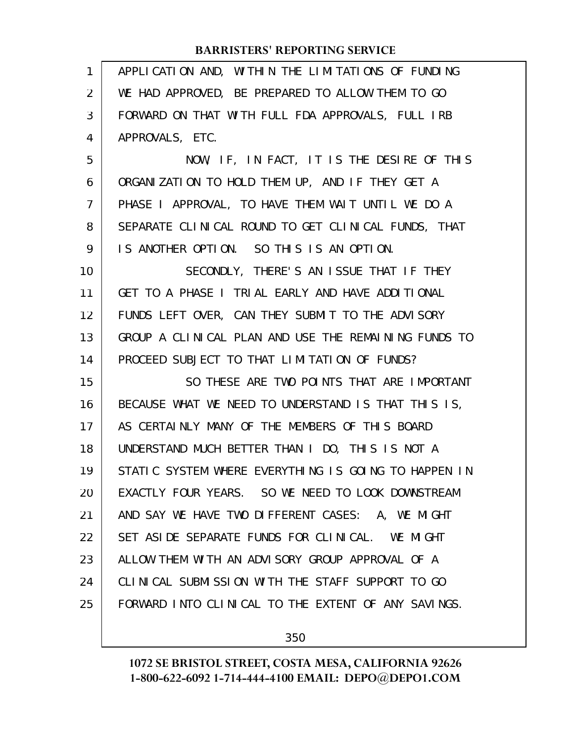| $\mathbf{1}$   | APPLICATION AND, WITHIN THE LIMITATIONS OF FUNDING   |
|----------------|------------------------------------------------------|
| 2              | WE HAD APPROVED, BE PREPARED TO ALLOW THEM TO GO     |
| 3              | FORWARD ON THAT WITH FULL FDA APPROVALS, FULL IRB    |
| 4              | APPROVALS, ETC.                                      |
| 5              | NOW, IF, IN FACT, IT IS THE DESIRE OF THIS           |
| 6              | ORGANIZATION TO HOLD THEM UP, AND IF THEY GET A      |
| $\overline{7}$ | PHASE I APPROVAL, TO HAVE THEM WAIT UNTIL WE DO A    |
| 8              | SEPARATE CLINICAL ROUND TO GET CLINICAL FUNDS, THAT  |
| 9              | IS ANOTHER OPTION. SO THIS IS AN OPTION.             |
| 10             | SECONDLY, THERE'S AN ISSUE THAT IF THEY              |
| 11             | GET TO A PHASE I TRIAL EARLY AND HAVE ADDITIONAL     |
| 12             | FUNDS LEFT OVER, CAN THEY SUBMIT TO THE ADVISORY     |
| 13             | GROUP A CLINICAL PLAN AND USE THE REMAINING FUNDS TO |
| 14             | PROCEED SUBJECT TO THAT LIMITATION OF FUNDS?         |
| 15             | SO THESE ARE TWO POINTS THAT ARE IMPORTANT           |
| 16             | BECAUSE WHAT WE NEED TO UNDERSTAND IS THAT THIS IS,  |
| 17             | AS CERTAINLY MANY OF THE MEMBERS OF THIS BOARD       |
| 18             | UNDERSTAND MUCH BETTER THAN I DO, THIS IS NOT A      |
| 19             | STATIC SYSTEM WHERE EVERYTHING IS GOING TO HAPPEN IN |
| 20             | EXACTLY FOUR YEARS. SO WE NEED TO LOOK DOWNSTREAM    |
| 21             | AND SAY WE HAVE TWO DIFFERENT CASES: A, WE MIGHT     |
| 22             | SET ASIDE SEPARATE FUNDS FOR CLINICAL. WE MIGHT      |
| 23             | ALLOW THEM WITH AN ADVISORY GROUP APPROVAL OF A      |
| 24             | CLINICAL SUBMISSION WITH THE STAFF SUPPORT TO GO     |
| 25             | FORWARD INTO CLINICAL TO THE EXTENT OF ANY SAVINGS.  |
|                |                                                      |

350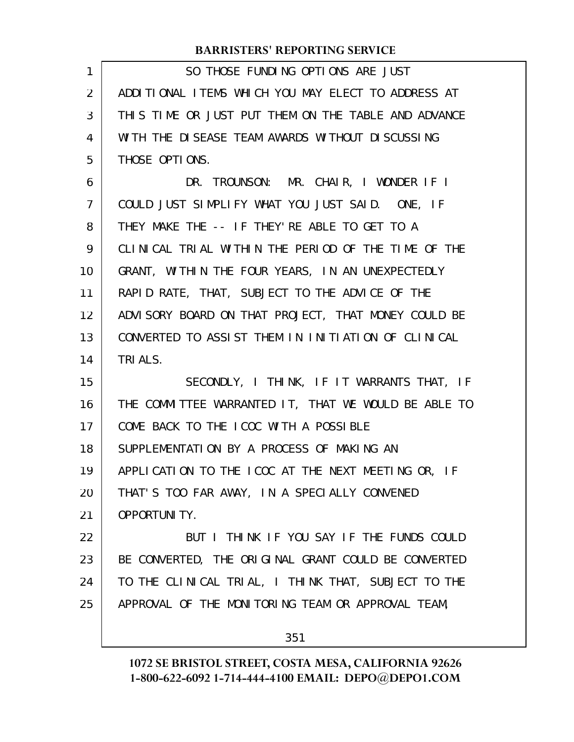| $\mathbf{1}$   | SO THOSE FUNDING OPTIONS ARE JUST                    |
|----------------|------------------------------------------------------|
| 2              | ADDITIONAL ITEMS WHICH YOU MAY ELECT TO ADDRESS AT   |
| 3              | THIS TIME OR JUST PUT THEM ON THE TABLE AND ADVANCE  |
| $\overline{4}$ | WITH THE DISEASE TEAM AWARDS WITHOUT DISCUSSING      |
| 5              | THOSE OPTIONS.                                       |
| 6              | DR. TROUNSON: MR. CHAIR, I WONDER IF I               |
| $\overline{7}$ | COULD JUST SIMPLIFY WHAT YOU JUST SAID. ONE, IF      |
| 8              | THEY MAKE THE -- IF THEY'RE ABLE TO GET TO A         |
| 9              | CLINICAL TRIAL WITHIN THE PERIOD OF THE TIME OF THE  |
| 10             | GRANT, WITHIN THE FOUR YEARS, IN AN UNEXPECTEDLY     |
| 11             | RAPID RATE, THAT, SUBJECT TO THE ADVICE OF THE       |
| 12             | ADVISORY BOARD ON THAT PROJECT, THAT MONEY COULD BE  |
| 13             | CONVERTED TO ASSIST THEM IN INITIATION OF CLINICAL   |
| 14             | TRI ALS.                                             |
| 15             | SECONDLY, I THINK, IF IT WARRANTS THAT, IF           |
|                |                                                      |
| 16             | THE COMMITTEE WARRANTED IT, THAT WE WOULD BE ABLE TO |
| 17             | COME BACK TO THE ICOC WITH A POSSIBLE                |
| 18             | SUPPLEMENTATION BY A PROCESS OF MAKING AN            |
| 19             | APPLICATION TO THE ICOC AT THE NEXT MEETING OR, IF   |
| 20             | THAT'S TOO FAR AWAY, IN A SPECIALLY CONVENED         |
| 21             | <b>OPPORTUNITY.</b>                                  |
| 22             | BUT I THINK IF YOU SAY IF THE FUNDS COULD            |
| 23             | BE CONVERTED, THE ORIGINAL GRANT COULD BE CONVERTED  |
| 24             | TO THE CLINICAL TRIAL, I THINK THAT, SUBJECT TO THE  |
| 25             | APPROVAL OF THE MONITORING TEAM OR APPROVAL TEAM,    |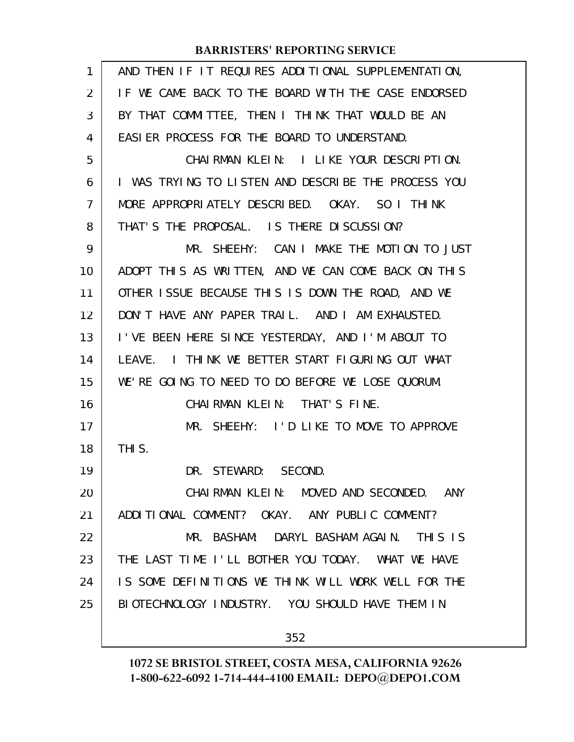| 1  | AND THEN IF IT REQUIRES ADDITIONAL SUPPLEMENTATION, |
|----|-----------------------------------------------------|
| 2  | IF WE CAME BACK TO THE BOARD WITH THE CASE ENDORSED |
| 3  | BY THAT COMMITTEE, THEN I THINK THAT WOULD BE AN    |
| 4  | EASIER PROCESS FOR THE BOARD TO UNDERSTAND.         |
| 5  | CHAIRMAN KLEIN: I LIKE YOUR DESCRIPTION.            |
| 6  | I WAS TRYING TO LISTEN AND DESCRIBE THE PROCESS YOU |
| 7  | MORE APPROPRIATELY DESCRIBED. OKAY. SO I THINK      |
| 8  | THAT'S THE PROPOSAL. IS THERE DISCUSSION?           |
| 9  | MR. SHEEHY: CAN I MAKE THE MOTION TO JUST           |
| 10 | ADOPT THIS AS WRITTEN, AND WE CAN COME BACK ON THIS |
| 11 | OTHER ISSUE BECAUSE THIS IS DOWN THE ROAD, AND WE   |
| 12 | DON'T HAVE ANY PAPER TRAIL. AND I AM EXHAUSTED.     |
| 13 | I'VE BEEN HERE SINCE YESTERDAY, AND I'M ABOUT TO    |
| 14 | LEAVE. I THINK WE BETTER START FIGURING OUT WHAT    |
| 15 | WE'RE GOING TO NEED TO DO BEFORE WE LOSE QUORUM.    |
| 16 | CHAIRMAN KLEIN: THAT'S FINE.                        |
| 17 | MR. SHEEHY: I'D LIKE TO MOVE TO APPROVE             |
| 18 | THI <sub>S</sub> .                                  |
| 19 | DR. STEWARD: SECOND.                                |
| 20 | CHAIRMAN KLEIN: MOVED AND SECONDED. ANY             |
| 21 | ADDITIONAL COMMENT? OKAY. ANY PUBLIC COMMENT?       |
| 22 | MR. BASHAM: DARYL BASHAM AGAIN. THIS IS             |
| 23 | THE LAST TIME I'LL BOTHER YOU TODAY. WHAT WE HAVE   |
| 24 | IS SOME DEFINITIONS WE THINK WILL WORK WELL FOR THE |
| 25 | BIOTECHNOLOGY INDUSTRY. YOU SHOULD HAVE THEM IN     |
|    | 352                                                 |
|    |                                                     |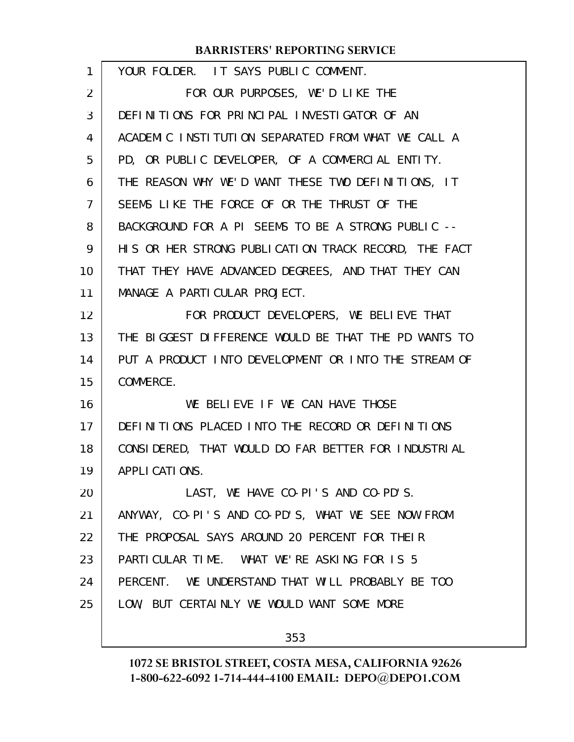| $\mathbf{1}$ | YOUR FOLDER. IT SAYS PUBLIC COMMENT.                 |
|--------------|------------------------------------------------------|
| 2            | FOR OUR PURPOSES, WE'D LIKE THE                      |
| 3            | DEFINITIONS FOR PRINCIPAL INVESTIGATOR OF AN         |
| 4            | ACADEMIC INSTITUTION SEPARATED FROM WHAT WE CALL A   |
| 5            | PD, OR PUBLIC DEVELOPER, OF A COMMERCIAL ENTITY.     |
| 6            | THE REASON WHY WE'D WANT THESE TWO DEFINITIONS, IT   |
| 7            | SEEMS LIKE THE FORCE OF OR THE THRUST OF THE         |
| 8            | BACKGROUND FOR A PI SEEMS TO BE A STRONG PUBLIC --   |
| 9            | HIS OR HER STRONG PUBLICATION TRACK RECORD, THE FACT |
| 10           | THAT THEY HAVE ADVANCED DEGREES, AND THAT THEY CAN   |
| 11           | MANAGE A PARTICULAR PROJECT.                         |
| 12           | FOR PRODUCT DEVELOPERS, WE BELIEVE THAT              |
| 13           | THE BIGGEST DIFFERENCE WOULD BE THAT THE PD WANTS TO |
| 14           | PUT A PRODUCT INTO DEVELOPMENT OR INTO THE STREAM OF |
| 15           | COMMERCE.                                            |
| 16           | WE BELIEVE IF WE CAN HAVE THOSE                      |
| 17           | DEFINITIONS PLACED INTO THE RECORD OR DEFINITIONS    |
| 18           | CONSIDERED, THAT WOULD DO FAR BETTER FOR INDUSTRIAL  |
| 19           | APPLICATIONS.                                        |
| 20           | LAST, WE HAVE CO-PI'S AND CO-PD'S.                   |
| 21           | ANYWAY, CO-PI'S AND CO-PD'S, WHAT WE SEE NOW FROM    |
| 22           | THE PROPOSAL SAYS AROUND 20 PERCENT FOR THEIR        |
| 23           | PARTICULAR TIME. WHAT WE'RE ASKING FOR IS 5          |
| 24           | PERCENT. WE UNDERSTAND THAT WILL PROBABLY BE TOO     |
| 25           | LOW, BUT CERTAINLY WE WOULD WANT SOME MORE           |
|              |                                                      |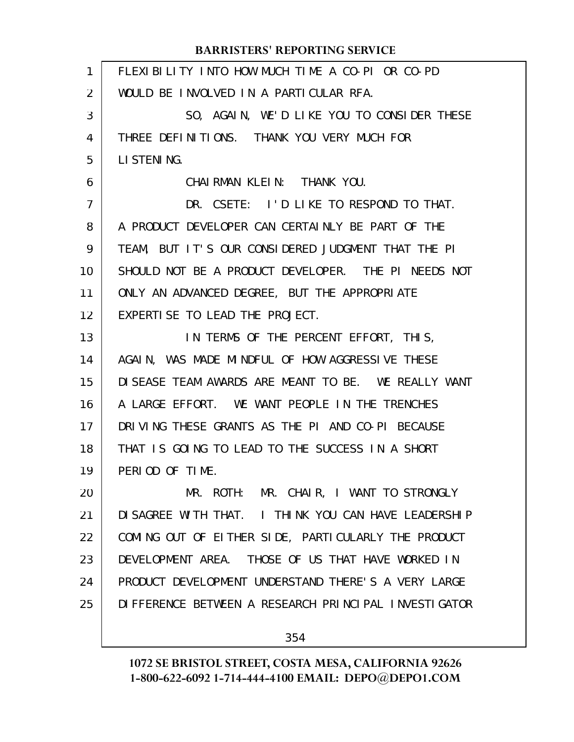| $\mathbf{1}$ | FLEXIBILITY INTO HOW MUCH TIME A CO-PI OR CO-PD       |
|--------------|-------------------------------------------------------|
| 2            | WOULD BE INVOLVED IN A PARTICULAR RFA.                |
| 3            | SO, AGAIN, WE'D LIKE YOU TO CONSIDER THESE            |
| 4            | THREE DEFINITIONS. THANK YOU VERY MUCH FOR            |
| 5            | LI STENING.                                           |
| 6            | CHAIRMAN KLEIN: THANK YOU.                            |
| 7            | DR. CSETE: I'D LIKE TO RESPOND TO THAT.               |
| 8            | A PRODUCT DEVELOPER CAN CERTAINLY BE PART OF THE      |
| 9            | TEAM, BUT IT'S OUR CONSIDERED JUDGMENT THAT THE PI    |
| 10           | SHOULD NOT BE A PRODUCT DEVELOPER. THE PI NEEDS NOT   |
| 11           | ONLY AN ADVANCED DEGREE, BUT THE APPROPRIATE          |
| 12           | EXPERTISE TO LEAD THE PROJECT.                        |
| 13           | IN TERMS OF THE PERCENT EFFORT, THIS,                 |
| 14           | AGAIN, WAS MADE MINDFUL OF HOW AGGRESSIVE THESE       |
| 15           | DISEASE TEAM AWARDS ARE MEANT TO BE. WE REALLY WANT   |
| 16           | A LARGE EFFORT. WE WANT PEOPLE IN THE TRENCHES        |
| 17           | DRIVING THESE GRANTS AS THE PI AND CO-PI BECAUSE      |
| 18           | THAT IS GOING TO LEAD TO THE SUCCESS IN A SHORT       |
| 19           | PERIOD OF TIME.                                       |
| 20           | MR. ROTH: MR. CHAIR, I WANT TO STRONGLY               |
| 21           | DI SAGREE WITH THAT. I THINK YOU CAN HAVE LEADERSHIP  |
| 22           | COMING OUT OF EITHER SIDE, PARTICULARLY THE PRODUCT   |
| 23           | DEVELOPMENT AREA. THOSE OF US THAT HAVE WORKED IN     |
| 24           | PRODUCT DEVELOPMENT UNDERSTAND THERE'S A VERY LARGE   |
| 25           | DI FFERENCE BETWEEN A RESEARCH PRINCIPAL INVESTIGATOR |
|              | 354                                                   |
|              |                                                       |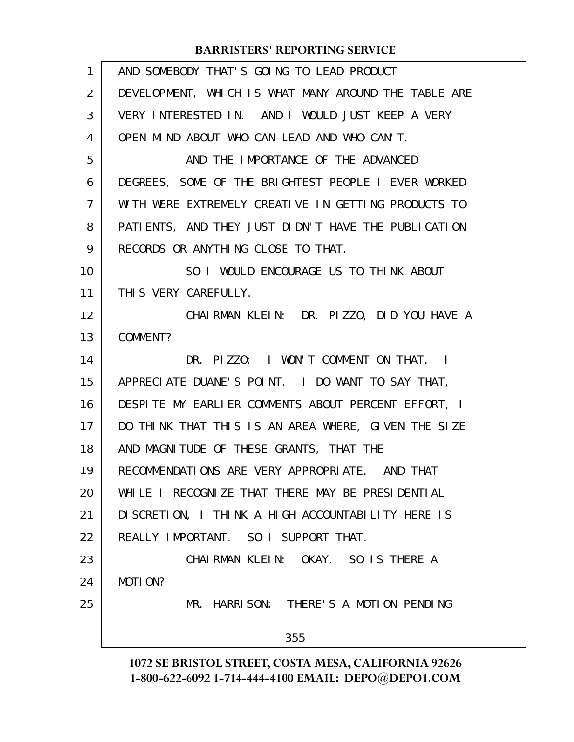| $\mathbf{1}$   | AND SOMEBODY THAT'S GOING TO LEAD PRODUCT            |
|----------------|------------------------------------------------------|
| 2              | DEVELOPMENT, WHICH IS WHAT MANY AROUND THE TABLE ARE |
| 3              | VERY INTERESTED IN. AND I WOULD JUST KEEP A VERY     |
| 4              | OPEN MIND ABOUT WHO CAN LEAD AND WHO CAN'T.          |
| 5              | AND THE IMPORTANCE OF THE ADVANCED                   |
| 6              | DEGREES, SOME OF THE BRIGHTEST PEOPLE I EVER WORKED  |
| $\overline{7}$ | WITH WERE EXTREMELY CREATIVE IN GETTING PRODUCTS TO  |
| 8              | PATIENTS, AND THEY JUST DIDN'T HAVE THE PUBLICATION  |
| 9              | RECORDS OR ANYTHING CLOSE TO THAT.                   |
| 10             | SO I WOULD ENCOURAGE US TO THINK ABOUT               |
| 11             | THIS VERY CAREFULLY.                                 |
| 12             | CHAIRMAN KLEIN: DR. PIZZO, DID YOU HAVE A            |
| 13             | COMMENT?                                             |
| 14             | DR. PIZZO: I WON'T COMMENT ON THAT. I                |
| 15             | APPRECIATE DUANE'S POINT. I DO WANT TO SAY THAT,     |
| 16             | DESPITE MY EARLIER COMMENTS ABOUT PERCENT EFFORT, I  |
| 17             | DO THINK THAT THIS IS AN AREA WHERE, GIVEN THE SIZE  |
| 18             | AND MAGNITUDE OF THESE GRANTS, THAT THE              |
| 19             | RECOMMENDATIONS ARE VERY APPROPRIATE. AND THAT       |
| 20             | WHILE I RECOGNIZE THAT THERE MAY BE PRESIDENTIAL     |
| 21             | DI SCRETION, I THINK A HIGH ACCOUNTABILITY HERE IS   |
| 22             | REALLY IMPORTANT. SO I SUPPORT THAT.                 |
| 23             | CHAIRMAN KLEIN: OKAY. SO IS THERE A                  |
| 24             | MOTI ON?                                             |
| 25             | MR. HARRISON: THERE'S A MOTION PENDING               |
|                | 355                                                  |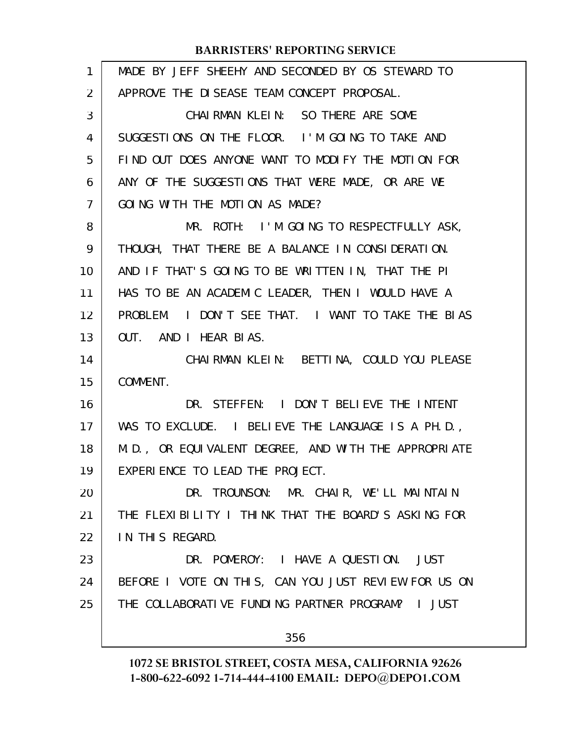| 1  | MADE BY JEFF SHEEHY AND SECONDED BY OS STEWARD TO    |
|----|------------------------------------------------------|
| 2  | APPROVE THE DISEASE TEAM CONCEPT PROPOSAL.           |
| 3  | CHAIRMAN KLEIN: SO THERE ARE SOME                    |
| 4  | SUGGESTIONS ON THE FLOOR. I'M GOING TO TAKE AND      |
| 5  | FIND OUT DOES ANYONE WANT TO MODIFY THE MOTION FOR   |
| 6  | ANY OF THE SUGGESTIONS THAT WERE MADE, OR ARE WE     |
| 7  | GOING WITH THE MOTION AS MADE?                       |
| 8  | MR. ROTH: I'M GOING TO RESPECTFULLY ASK,             |
| 9  | THOUGH, THAT THERE BE A BALANCE IN CONSIDERATION.    |
| 10 | AND IF THAT'S GOING TO BE WRITTEN IN, THAT THE PI    |
| 11 | HAS TO BE AN ACADEMIC LEADER, THEN I WOULD HAVE A    |
| 12 | PROBLEM. I DON'T SEE THAT. I WANT TO TAKE THE BIAS   |
| 13 | OUT. AND I HEAR BIAS.                                |
| 14 | CHAIRMAN KLEIN: BETTINA, COULD YOU PLEASE            |
| 15 | COMMENT.                                             |
| 16 | DR. STEFFEN: I DON'T BELIEVE THE INTENT              |
| 17 | WAS TO EXCLUDE. I BELIEVE THE LANGUAGE IS A PH.D.,   |
| 18 | M.D., OR EQUIVALENT DEGREE, AND WITH THE APPROPRIATE |
| 19 | EXPERIENCE TO LEAD THE PROJECT.                      |
| 20 | DR. TROUNSON: MR. CHAIR, WE'LL MAINTAIN              |
| 21 | THE FLEXIBILITY I THINK THAT THE BOARD'S ASKING FOR  |
| 22 | IN THIS REGARD.                                      |
| 23 | DR. POMEROY: I HAVE A QUESTION. JUST                 |
| 24 | BEFORE I VOTE ON THIS, CAN YOU JUST REVIEW FOR US ON |
| 25 | THE COLLABORATIVE FUNDING PARTNER PROGRAM? I JUST    |
|    | 356                                                  |
|    |                                                      |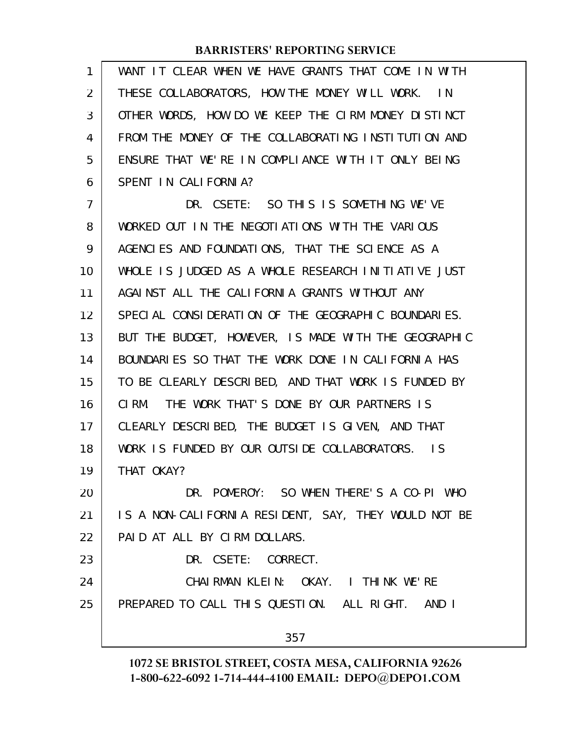| 1              | WANT IT CLEAR WHEN WE HAVE GRANTS THAT COME IN WITH  |
|----------------|------------------------------------------------------|
| 2              | THESE COLLABORATORS, HOW THE MONEY WILL WORK. IN     |
| 3              | OTHER WORDS, HOW DO WE KEEP THE CIRM MONEY DISTINCT  |
| 4              | FROM THE MONEY OF THE COLLABORATING INSTITUTION AND  |
| 5              | ENSURE THAT WE'RE IN COMPLIANCE WITH IT ONLY BEING   |
| 6              | SPENT IN CALIFORNIA?                                 |
| $\overline{7}$ | DR. CSETE: SO THIS IS SOMETHING WE'VE                |
| 8              | WORKED OUT IN THE NEGOTIATIONS WITH THE VARIOUS      |
| 9              | AGENCIES AND FOUNDATIONS, THAT THE SCIENCE AS A      |
| 10             | WHOLE IS JUDGED AS A WHOLE RESEARCH INITIATIVE JUST  |
| 11             | AGAINST ALL THE CALIFORNIA GRANTS WITHOUT ANY        |
| 12             | SPECIAL CONSIDERATION OF THE GEOGRAPHIC BOUNDARIES.  |
| 13             | BUT THE BUDGET, HOWEVER, IS MADE WITH THE GEOGRAPHIC |
| 14             | BOUNDARIES SO THAT THE WORK DONE IN CALIFORNIA HAS   |
| 15             | TO BE CLEARLY DESCRIBED, AND THAT WORK IS FUNDED BY  |
| 16             | CIRM. THE WORK THAT'S DONE BY OUR PARTNERS IS        |
| 17             | CLEARLY DESCRIBED, THE BUDGET IS GIVEN, AND THAT     |
| 18             | WORK IS FUNDED BY OUR OUTSIDE COLLABORATORS. IS      |
| 19             | THAT OKAY?                                           |
| 20             | DR. POMEROY: SO WHEN THERE'S A CO-PI WHO             |
| 21             | IS A NON-CALIFORNIA RESIDENT, SAY, THEY WOULD NOT BE |
| 22             | PAID AT ALL BY CIRM DOLLARS.                         |
| 23             | DR. CSETE: CORRECT.                                  |
| 24             | CHAIRMAN KLEIN: OKAY. I THINK WE'RE                  |
| 25             | PREPARED TO CALL THIS QUESTION. ALL RIGHT.<br>AND I  |
|                | 357                                                  |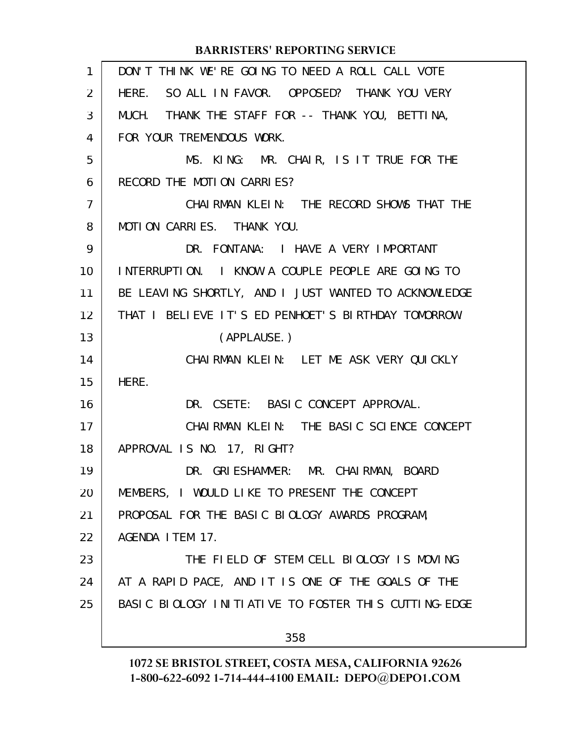| 1  | DON'T THINK WE'RE GOING TO NEED A ROLL CALL VOTE     |
|----|------------------------------------------------------|
| 2  | HERE. SO ALL IN FAVOR. OPPOSED? THANK YOU VERY       |
| 3  | THANK THE STAFF FOR -- THANK YOU, BETTINA,<br>MUCH.  |
| 4  | FOR YOUR TREMENDOUS WORK.                            |
| 5  | MS. KING: MR. CHAIR, IS IT TRUE FOR THE              |
| 6  | RECORD THE MOTION CARRIES?                           |
| 7  | CHAIRMAN KLEIN: THE RECORD SHOWS THAT THE            |
| 8  | MOTION CARRIES. THANK YOU.                           |
| 9  | DR. FONTANA: I HAVE A VERY IMPORTANT                 |
| 10 | INTERRUPTION. I KNOW A COUPLE PEOPLE ARE GOING TO    |
| 11 | BE LEAVING SHORTLY, AND I JUST WANTED TO ACKNOWLEDGE |
| 12 | THAT I BELIEVE IT'S ED PENHOET'S BIRTHDAY TOMORROW.  |
| 13 | (APPLAUSE.)                                          |
| 14 | CHAIRMAN KLEIN: LET ME ASK VERY QUICKLY              |
| 15 | HERE.                                                |
| 16 | DR. CSETE: BASIC CONCEPT APPROVAL.                   |
| 17 | CHAIRMAN KLEIN: THE BASIC SCIENCE CONCEPT            |
| 18 | APPROVAL IS NO. 17, RIGHT?                           |
| 19 | DR. GRIESHAMMER: MR. CHAIRMAN, BOARD                 |
| 20 | MEMBERS, I WOULD LIKE TO PRESENT THE CONCEPT         |
| 21 | PROPOSAL FOR THE BASIC BIOLOGY AWARDS PROGRAM,       |
| 22 | AGENDA I TEM 17.                                     |
| 23 | THE FIELD OF STEM CELL BIOLOGY IS MOVING             |
| 24 | AT A RAPID PACE, AND IT IS ONE OF THE GOALS OF THE   |
| 25 | BASIC BIOLOGY INITIATIVE TO FOSTER THIS CUTTING-EDGE |
|    | 358                                                  |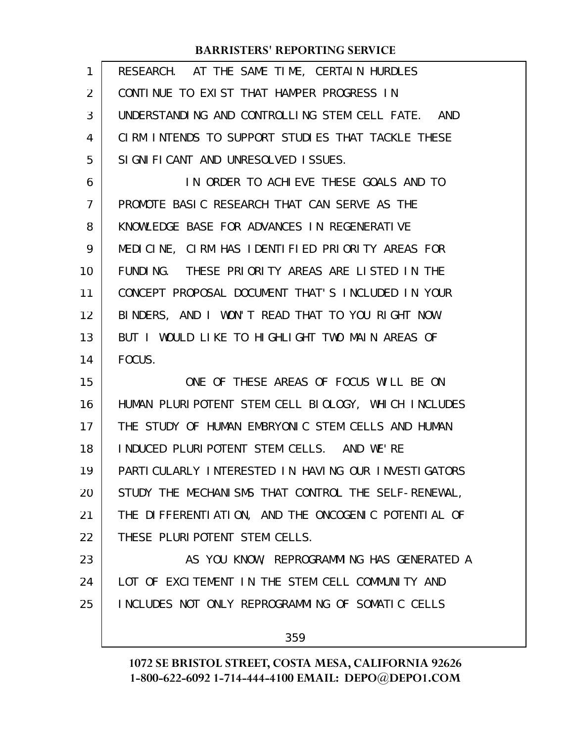| 1              | RESEARCH. AT THE SAME TIME, CERTAIN HURDLES          |
|----------------|------------------------------------------------------|
| 2              | CONTINUE TO EXIST THAT HAMPER PROGRESS IN            |
| 3              | UNDERSTANDING AND CONTROLLING STEM CELL FATE. AND    |
| 4              | CIRM INTENDS TO SUPPORT STUDIES THAT TACKLE THESE    |
| 5              | SIGNIFICANT AND UNRESOLVED ISSUES.                   |
| 6              | IN ORDER TO ACHIEVE THESE GOALS AND TO               |
| $\overline{7}$ | PROMOTE BASIC RESEARCH THAT CAN SERVE AS THE         |
| 8              | KNOWLEDGE BASE FOR ADVANCES IN REGENERATIVE          |
| 9              | MEDICINE, CIRM HAS IDENTIFIED PRIORITY AREAS FOR     |
| 10             | FUNDING. THESE PRIORITY AREAS ARE LISTED IN THE      |
| 11             | CONCEPT PROPOSAL DOCUMENT THAT'S INCLUDED IN YOUR    |
| 12             | BINDERS, AND I WON'T READ THAT TO YOU RIGHT NOW.     |
| 13             | BUT I WOULD LIKE TO HIGHLIGHT TWO MAIN AREAS OF      |
| 14             | FOCUS.                                               |
| 15             | ONE OF THESE AREAS OF FOCUS WILL BE ON               |
| 16             | HUMAN PLURIPOTENT STEM CELL BIOLOGY, WHICH INCLUDES  |
| 17             | THE STUDY OF HUMAN EMBRYONIC STEM CELLS AND HUMAN    |
| 18             | INDUCED PLURIPOTENT STEM CELLS. AND WE'RE            |
| 19             | PARTI CULARLY INTERESTED IN HAVING OUR INVESTIGATORS |
| 20             | STUDY THE MECHANISMS THAT CONTROL THE SELF-RENEWAL,  |
| 21             | THE DIFFERENTIATION, AND THE ONCOGENIC POTENTIAL OF  |
| 22             | THESE PLURI POTENT STEM CELLS.                       |
| 23             | AS YOU KNOW, REPROGRAMMING HAS GENERATED A           |
| 24             | LOT OF EXCITEMENT IN THE STEM CELL COMMUNITY AND     |
| 25             | INCLUDES NOT ONLY REPROGRAMMING OF SOMATIC CELLS     |
|                |                                                      |
|                | 359                                                  |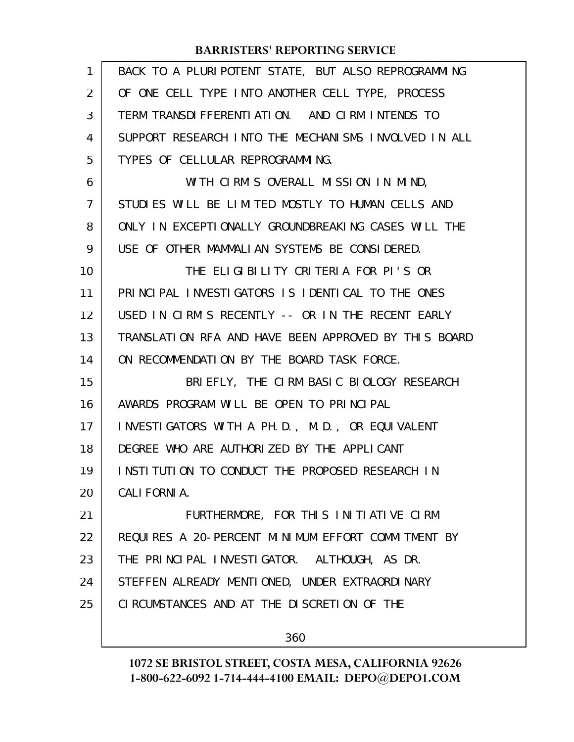| 1  | BACK TO A PLURIPOTENT STATE, BUT ALSO REPROGRAMMING  |
|----|------------------------------------------------------|
| 2  | OF ONE CELL TYPE INTO ANOTHER CELL TYPE, PROCESS     |
| 3  | TERM TRANSDIFFERENTIATION. AND CIRM INTENDS TO       |
| 4  | SUPPORT RESEARCH INTO THE MECHANISMS INVOLVED IN ALL |
| 5  | TYPES OF CELLULAR REPROGRAMMING.                     |
| 6  | WITH CIRM'S OVERALL MISSION IN MIND,                 |
| 7  | STUDIES WILL BE LIMITED MOSTLY TO HUMAN CELLS AND    |
| 8  | ONLY IN EXCEPTIONALLY GROUNDBREAKING CASES WILL THE  |
| 9  | USE OF OTHER MAMMALIAN SYSTEMS BE CONSIDERED.        |
| 10 | THE ELIGIBILITY CRITERIA FOR PI'S OR                 |
| 11 | PRINCIPAL INVESTIGATORS IS IDENTICAL TO THE ONES     |
| 12 | USED IN CIRM'S RECENTLY -- OR IN THE RECENT EARLY    |
| 13 | TRANSLATION RFA AND HAVE BEEN APPROVED BY THIS BOARD |
| 14 | ON RECOMMENDATION BY THE BOARD TASK FORCE.           |
| 15 | BRIEFLY, THE CIRM BASIC BIOLOGY RESEARCH             |
| 16 | AWARDS PROGRAM WILL BE OPEN TO PRINCIPAL             |
| 17 | INVESTIGATORS WITH A PH.D., M.D., OR EQUIVALENT      |
| 18 | DEGREE WHO ARE AUTHORIZED BY THE APPLICANT           |
| 19 | INSTITUTION TO CONDUCT THE PROPOSED RESEARCH IN      |
| 20 | CALI FORNI A.                                        |
| 21 | FURTHERMORE, FOR THIS INITIATIVE CIRM                |
| 22 | REQUIRES A 20-PERCENT MINIMUM EFFORT COMMITMENT BY   |
| 23 | THE PRINCIPAL INVESTIGATOR. ALTHOUGH, AS DR.         |
| 24 | STEFFEN ALREADY MENTIONED, UNDER EXTRAORDINARY       |
| 25 | CIRCUMSTANCES AND AT THE DISCRETION OF THE           |
|    | 360                                                  |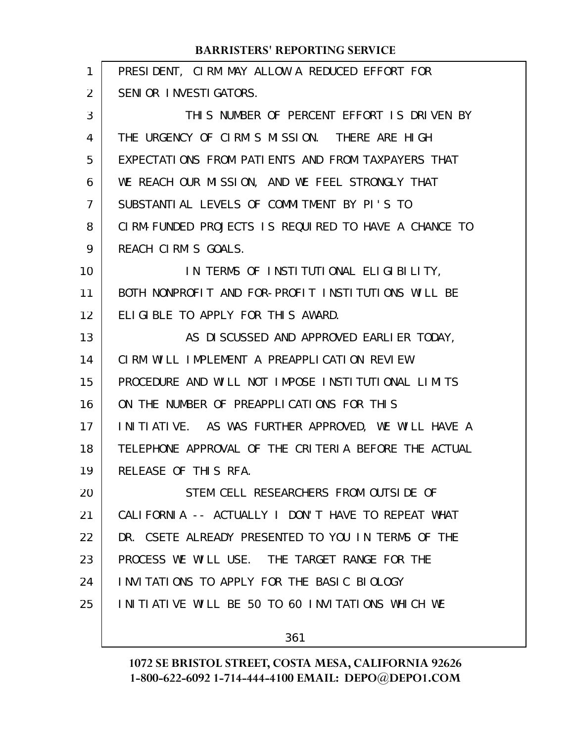| 1  | PRESIDENT, CIRM MAY ALLOW A REDUCED EFFORT FOR       |
|----|------------------------------------------------------|
| 2  | SENIOR INVESTIGATORS.                                |
| 3  | THIS NUMBER OF PERCENT EFFORT IS DRIVEN BY           |
| 4  | THE URGENCY OF CIRM'S MISSION. THERE ARE HIGH        |
| 5  | EXPECTATIONS FROM PATIENTS AND FROM TAXPAYERS THAT   |
| 6  | WE REACH OUR MISSION, AND WE FEEL STRONGLY THAT      |
| 7  | SUBSTANTIAL LEVELS OF COMMITMENT BY PI'S TO          |
| 8  | CIRM-FUNDED PROJECTS IS REQUIRED TO HAVE A CHANCE TO |
| 9  | REACH CIRM'S GOALS.                                  |
| 10 | IN TERMS OF INSTITUTIONAL ELIGIBILITY,               |
| 11 | BOTH NONPROFIT AND FOR-PROFIT INSTITUTIONS WILL BE   |
| 12 | ELIGIBLE TO APPLY FOR THIS AWARD.                    |
| 13 | AS DISCUSSED AND APPROVED EARLIER TODAY,             |
| 14 | CIRM WILL IMPLEMENT A PREAPPLICATION REVIEW          |
| 15 | PROCEDURE AND WILL NOT IMPOSE INSTITUTIONAL LIMITS   |
| 16 | ON THE NUMBER OF PREAPPLICATIONS FOR THIS            |
| 17 | INITIATIVE. AS WAS FURTHER APPROVED, WE WILL HAVE A  |
| 18 | TELEPHONE APPROVAL OF THE CRITERIA BEFORE THE ACTUAL |
| 19 | RELEASE OF THIS RFA.                                 |
| 20 | STEM CELL RESEARCHERS FROM OUTSIDE OF                |
| 21 | CALIFORNIA -- ACTUALLY I DON'T HAVE TO REPEAT WHAT   |
| 22 | DR. CSETE ALREADY PRESENTED TO YOU IN TERMS OF THE   |
| 23 | PROCESS WE WILL USE. THE TARGET RANGE FOR THE        |
| 24 | INVITATIONS TO APPLY FOR THE BASIC BIOLOGY           |
| 25 | INITIATIVE WILL BE 50 TO 60 INVITATIONS WHICH WE     |
|    |                                                      |

361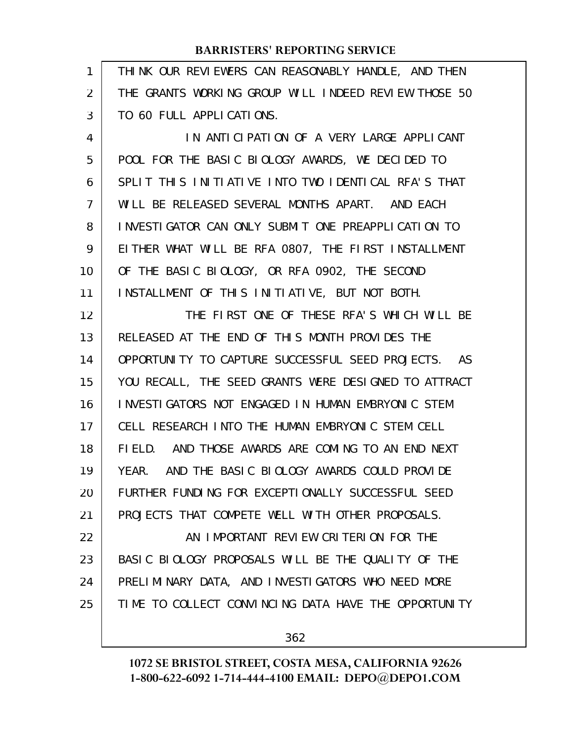| 1              | THINK OUR REVIEWERS CAN REASONABLY HANDLE, AND THEN  |
|----------------|------------------------------------------------------|
| 2              | THE GRANTS WORKING GROUP WILL INDEED REVIEW THOSE 50 |
| 3              | TO 60 FULL APPLICATIONS.                             |
| 4              | IN ANTICIPATION OF A VERY LARGE APPLICANT            |
| 5              | POOL FOR THE BASIC BIOLOGY AWARDS, WE DECIDED TO     |
| 6              | SPLIT THIS INITIATIVE INTO TWO IDENTICAL RFA'S THAT  |
| $\overline{7}$ | WILL BE RELEASED SEVERAL MONTHS APART. AND EACH      |
| 8              | INVESTIGATOR CAN ONLY SUBMIT ONE PREAPPLICATION TO   |
| 9              | EITHER WHAT WILL BE RFA 0807, THE FIRST INSTALLMENT  |
| 10             | OF THE BASIC BIOLOGY, OR RFA 0902, THE SECOND        |
| 11             | INSTALLMENT OF THIS INITIATIVE, BUT NOT BOTH.        |
| 12             | THE FIRST ONE OF THESE RFA'S WHICH WILL BE           |
| 13             | RELEASED AT THE END OF THIS MONTH PROVIDES THE       |
| 14             | OPPORTUNITY TO CAPTURE SUCCESSFUL SEED PROJECTS. AS  |
| 15             | YOU RECALL, THE SEED GRANTS WERE DESIGNED TO ATTRACT |
| 16             | INVESTIGATORS NOT ENGAGED IN HUMAN EMBRYONIC STEM    |
| 17             | CELL RESEARCH INTO THE HUMAN EMBRYONIC STEM CELL     |
| 18             | FIELD. AND THOSE AWARDS ARE COMING TO AN END NEXT    |
| 19             | YEAR. AND THE BASIC BIOLOGY AWARDS COULD PROVIDE     |
| 20             | FURTHER FUNDING FOR EXCEPTIONALLY SUCCESSFUL SEED    |
| 21             | PROJECTS THAT COMPETE WELL WITH OTHER PROPOSALS.     |
| 22             | AN IMPORTANT REVIEW CRITERION FOR THE                |
| 23             | BASIC BIOLOGY PROPOSALS WILL BE THE QUALITY OF THE   |
| 24             | PRELIMINARY DATA, AND INVESTIGATORS WHO NEED MORE    |
| 25             | TIME TO COLLECT CONVINCING DATA HAVE THE OPPORTUNITY |
|                |                                                      |

362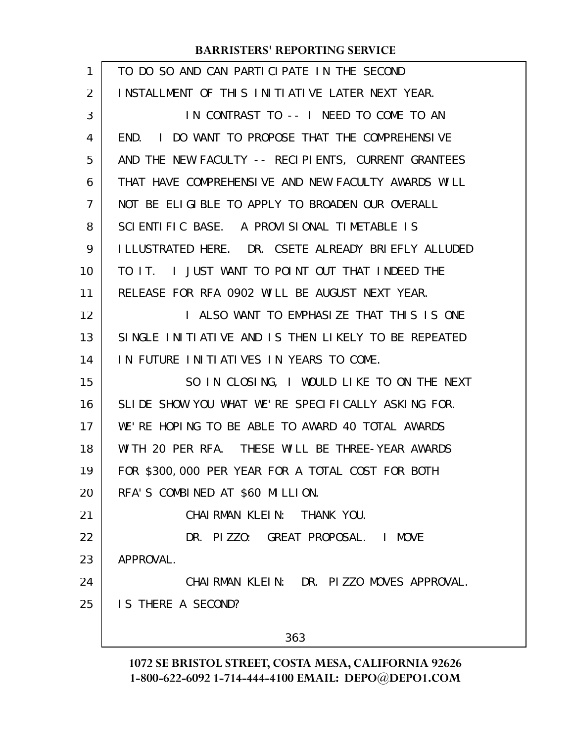| INSTALLMENT OF THIS INITIATIVE LATER NEXT YEAR.<br>IN CONTRAST TO -- I NEED TO COME TO AN<br>END. I DO WANT TO PROPOSE THAT THE COMPREHENSIVE |
|-----------------------------------------------------------------------------------------------------------------------------------------------|
|                                                                                                                                               |
|                                                                                                                                               |
|                                                                                                                                               |
| AND THE NEW FACULTY -- RECIPIENTS, CURRENT GRANTEES                                                                                           |
| THAT HAVE COMPREHENSIVE AND NEW FACULTY AWARDS WILL                                                                                           |
| NOT BE ELIGIBLE TO APPLY TO BROADEN OUR OVERALL                                                                                               |
|                                                                                                                                               |
| I LLUSTRATED HERE. DR. CSETE ALREADY BRI EFLY ALLUDED                                                                                         |
| TO IT. I JUST WANT TO POINT OUT THAT INDEED THE                                                                                               |
|                                                                                                                                               |
| I ALSO WANT TO EMPHASIZE THAT THIS IS ONE                                                                                                     |
| SINGLE INITIATIVE AND IS THEN LIKELY TO BE REPEATED                                                                                           |
|                                                                                                                                               |
| SO IN CLOSING, I WOULD LIKE TO ON THE NEXT                                                                                                    |
| SLIDE SHOW YOU WHAT WE'RE SPECIFICALLY ASKING FOR.                                                                                            |
| WE'RE HOPING TO BE ABLE TO AWARD 40 TOTAL AWARDS                                                                                              |
| WITH 20 PER RFA. THESE WILL BE THREE-YEAR AWARDS                                                                                              |
| FOR \$300,000 PER YEAR FOR A TOTAL COST FOR BOTH                                                                                              |
|                                                                                                                                               |
|                                                                                                                                               |
|                                                                                                                                               |
|                                                                                                                                               |
| CHAIRMAN KLEIN: DR. PIZZO MOVES APPROVAL.                                                                                                     |
|                                                                                                                                               |
|                                                                                                                                               |
|                                                                                                                                               |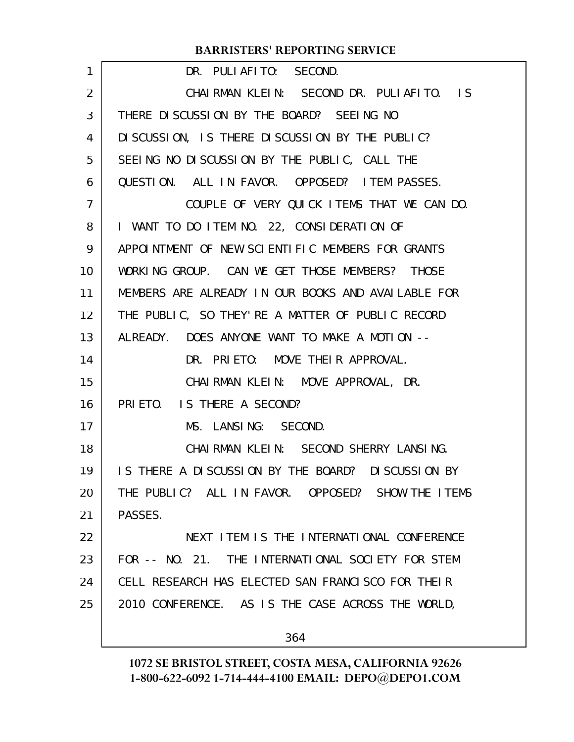| 1                 | DR. PULIAFITO: SECOND.                             |
|-------------------|----------------------------------------------------|
| $\overline{2}$    | CHAIRMAN KLEIN: SECOND DR. PULIAFITO. IS           |
| 3                 | THERE DISCUSSION BY THE BOARD? SEEING NO           |
| 4                 | DI SCUSSION, IS THERE DI SCUSSION BY THE PUBLIC?   |
| 5                 | SEEING NO DISCUSSION BY THE PUBLIC, CALL THE       |
| 6                 | QUESTION. ALL IN FAVOR. OPPOSED? ITEM PASSES.      |
| 7                 | COUPLE OF VERY QUICK ITEMS THAT WE CAN DO.         |
| 8                 | I WANT TO DO ITEM NO. 22, CONSIDERATION OF         |
| 9                 | APPOINTMENT OF NEW SCIENTIFIC MEMBERS FOR GRANTS   |
| 10                | WORKING GROUP. CAN WE GET THOSE MEMBERS? THOSE     |
| 11                | MEMBERS ARE ALREADY IN OUR BOOKS AND AVAILABLE FOR |
| $12 \overline{ }$ | THE PUBLIC, SO THEY'RE A MATTER OF PUBLIC RECORD   |
| 13                | ALREADY. DOES ANYONE WANT TO MAKE A MOTION --      |
| 14                | DR. PRIETO: MOVE THEIR APPROVAL.                   |
| 15                | CHAIRMAN KLEIN: MOVE APPROVAL, DR.                 |
| 16                | PRIETO. IS THERE A SECOND?                         |
| 17                | MS. LANSING: SECOND.                               |
| 18                | CHAIRMAN KLEIN: SECOND SHERRY LANSING.             |
| 19                | IS THERE A DISCUSSION BY THE BOARD? DISCUSSION BY  |
| 20                | THE PUBLIC? ALL IN FAVOR. OPPOSED? SHOW THE ITEMS  |
| 21                | PASSES.                                            |
| 22                | NEXT I TEM IS THE INTERNATIONAL CONFERENCE         |
| 23                | FOR -- NO. 21. THE INTERNATIONAL SOCIETY FOR STEM  |
| 24                | CELL RESEARCH HAS ELECTED SAN FRANCISCO FOR THEIR  |
| 25                | 2010 CONFERENCE. AS IS THE CASE ACROSS THE WORLD,  |
|                   | 364                                                |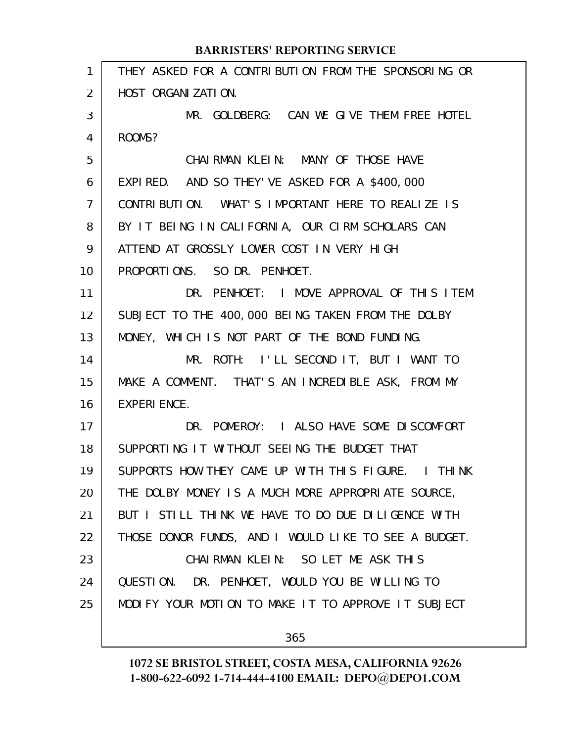| 1  | THEY ASKED FOR A CONTRIBUTION FROM THE SPONSORING OR |
|----|------------------------------------------------------|
| 2  | HOST ORGANIZATION.                                   |
| 3  | MR. GOLDBERG: CAN WE GIVE THEM FREE HOTEL            |
| 4  | ROOMS?                                               |
| 5  | CHAIRMAN KLEIN: MANY OF THOSE HAVE                   |
| 6  | EXPIRED. AND SO THEY' VE ASKED FOR A \$400,000       |
| 7  | CONTRIBUTION. WHAT'S IMPORTANT HERE TO REALIZE IS    |
| 8  | BY IT BEING IN CALIFORNIA, OUR CIRM SCHOLARS CAN     |
| 9  | ATTEND AT GROSSLY LOWER COST IN VERY HIGH            |
| 10 | PROPORTIONS. SO DR. PENHOET.                         |
| 11 | DR. PENHOET: I MOVE APPROVAL OF THIS ITEM            |
| 12 | SUBJECT TO THE 400,000 BEING TAKEN FROM THE DOLBY    |
| 13 | MONEY, WHICH IS NOT PART OF THE BOND FUNDING.        |
| 14 | MR. ROTH: I'LL SECOND IT, BUT I WANT TO              |
| 15 | MAKE A COMMENT. THAT'S AN INCREDIBLE ASK, FROM MY    |
| 16 | <b>EXPERI ENCE.</b>                                  |
| 17 | DR. POMEROY: I ALSO HAVE SOME DISCOMFORT             |
| 18 | SUPPORTING IT WITHOUT SEEING THE BUDGET THAT         |
| 19 | SUPPORTS HOW THEY CAME UP WITH THIS FIGURE. I THINK  |
| 20 | THE DOLBY MONEY IS A MUCH MORE APPROPRIATE SOURCE,   |
| 21 | BUT I STILL THINK WE HAVE TO DO DUE DILIGENCE WITH   |
| 22 | THOSE DONOR FUNDS, AND I WOULD LIKE TO SEE A BUDGET. |
| 23 | CHAIRMAN KLEIN: SO LET ME ASK THIS                   |
| 24 | QUESTION. DR. PENHOET, WOULD YOU BE WILLING TO       |
| 25 | MODIFY YOUR MOTION TO MAKE IT TO APPROVE IT SUBJECT  |
|    |                                                      |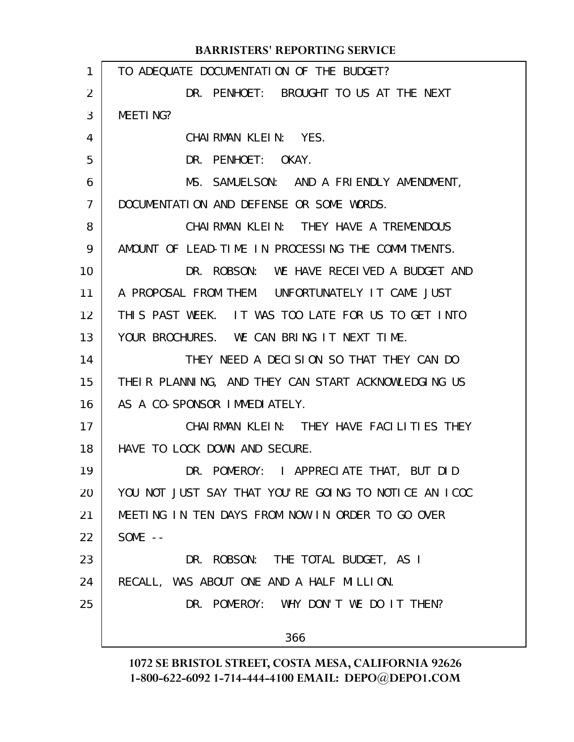|                | <b>BARRISTERS' REPORTING SERVICE</b>                 |
|----------------|------------------------------------------------------|
| 1              | TO ADEQUATE DOCUMENTATION OF THE BUDGET?             |
| $\overline{2}$ | DR. PENHOET: BROUGHT TO US AT THE NEXT               |
| 3              | MEETING?                                             |
| 4              | CHAIRMAN KLEIN: YES.                                 |
| 5              | DR. PENHOET: OKAY.                                   |
| 6              | MS. SAMUELSON: AND A FRIENDLY AMENDMENT,             |
| $\overline{7}$ | DOCUMENTATION AND DEFENSE OR SOME WORDS.             |
| 8              | CHAIRMAN KLEIN: THEY HAVE A TREMENDOUS               |
| 9              | AMOUNT OF LEAD-TIME IN PROCESSING THE COMMITMENTS.   |
| 10             | DR. ROBSON: WE HAVE RECEIVED A BUDGET AND            |
| 11             | A PROPOSAL FROM THEM. UNFORTUNATELY IT CAME JUST     |
| 12             | THIS PAST WEEK. IT WAS TOO LATE FOR US TO GET INTO   |
| 13             | YOUR BROCHURES. WE CAN BRING IT NEXT TIME.           |
| 14             | THEY NEED A DECISION SO THAT THEY CAN DO             |
| 15             | THEIR PLANNING, AND THEY CAN START ACKNOWLEDGING US  |
| 16             | AS A CO-SPONSOR IMMEDIATELY.                         |
| 17             | CHAIRMAN KLEIN: THEY HAVE FACILITIES THEY            |
| 18             | HAVE TO LOCK DOWN AND SECURE.                        |
| 19             | DR. POMEROY: I APPRECIATE THAT, BUT DID              |
| 20             | YOU NOT JUST SAY THAT YOU'RE GOING TO NOTICE AN ICOC |
| 21             | MEETING IN TEN DAYS FROM NOW IN ORDER TO GO OVER     |
| 22             | SOME $--$                                            |
| 23             | DR. ROBSON: THE TOTAL BUDGET, AS I                   |
| 24             | RECALL, WAS ABOUT ONE AND A HALF MILLION.            |
| 25             | DR. POMEROY: WHY DON'T WE DO IT THEN?                |
|                | 366                                                  |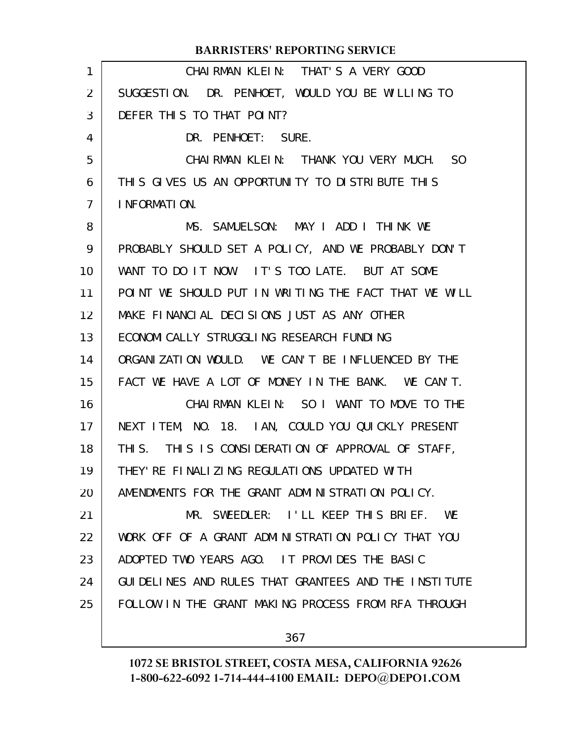|                | <b>BARRISTERS' REPORTING SERVICE</b>                 |
|----------------|------------------------------------------------------|
| 1              | CHAIRMAN KLEIN: THAT'S A VERY GOOD                   |
| 2              | SUGGESTION. DR. PENHOET, WOULD YOU BE WILLING TO     |
| 3              | DEFER THIS TO THAT POINT?                            |
| 4              | DR. PENHOET: SURE.                                   |
| 5              | CHAIRMAN KLEIN: THANK YOU VERY MUCH. SO              |
| 6              | THIS GIVES US AN OPPORTUNITY TO DISTRIBUTE THIS      |
| $\overline{7}$ | I NFORMATION.                                        |
| 8              | MS. SAMUELSON: MAY I ADD I THINK WE                  |
| 9              | PROBABLY SHOULD SET A POLICY, AND WE PROBABLY DON'T  |
| 10             | WANT TO DO IT NOW. IT'S TOO LATE. BUT AT SOME        |
| 11             | POINT WE SHOULD PUT IN WRITING THE FACT THAT WE WILL |
| 12             | MAKE FINANCIAL DECISIONS JUST AS ANY OTHER           |
| 13             | ECONOMI CALLY STRUGGLING RESEARCH FUNDING            |
| 14             | ORGANIZATION WOULD. WE CAN'T BE INFLUENCED BY THE    |
| 15             | FACT WE HAVE A LOT OF MONEY IN THE BANK. WE CAN'T.   |
| 16             | CHAIRMAN KLEIN: SO I WANT TO MOVE TO THE             |
| 17             | NEXT ITEM, NO. 18. IAN, COULD YOU QUICKLY PRESENT    |
| 18             | THIS. THIS IS CONSIDERATION OF APPROVAL OF STAFF,    |
| 19             | THEY' RE FINALIZING REGULATIONS UPDATED WITH         |
| 20             | AMENDMENTS FOR THE GRANT ADMINISTRATION POLICY.      |
| 21             | MR. SWEEDLER: I'LL KEEP THIS BRIEF.<br><b>WE</b>     |
| 22             | WORK OFF OF A GRANT ADMINISTRATION POLICY THAT YOU   |
| 23             | ADOPTED TWO YEARS AGO. IT PROVIDES THE BASIC         |
| 24             | GUIDELINES AND RULES THAT GRANTEES AND THE INSTITUTE |
| 25             | FOLLOW IN THE GRANT MAKING PROCESS FROM RFA THROUGH  |
|                |                                                      |

367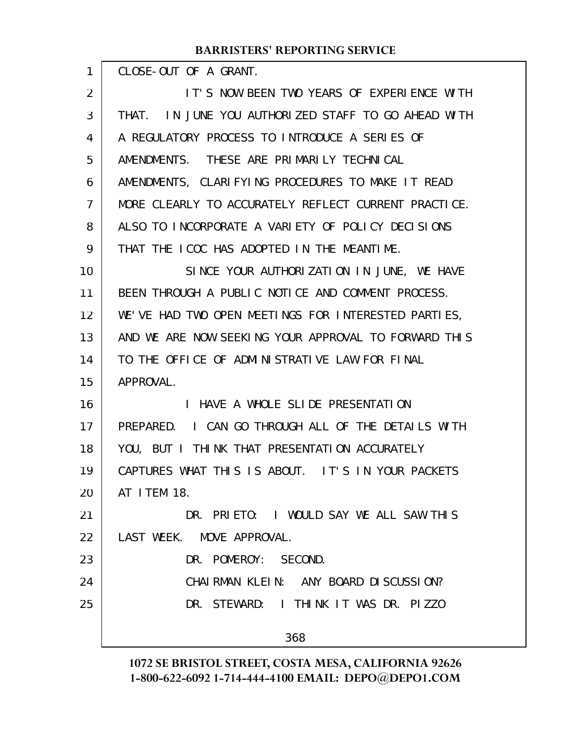| 1              | CLOSE-OUT OF A GRANT.                                |
|----------------|------------------------------------------------------|
| 2              | IT'S NOW BEEN TWO YEARS OF EXPERIENCE WITH           |
| 3              | THAT. IN JUNE YOU AUTHORIZED STAFF TO GO AHEAD WITH  |
| 4              | A REGULATORY PROCESS TO INTRODUCE A SERIES OF        |
| 5              | AMENDMENTS. THESE ARE PRIMARILY TECHNICAL            |
| 6              | AMENDMENTS, CLARIFYING PROCEDURES TO MAKE IT READ    |
| $\overline{7}$ | MORE CLEARLY TO ACCURATELY REFLECT CURRENT PRACTICE. |
| 8              | ALSO TO INCORPORATE A VARIETY OF POLICY DECISIONS    |
| 9              | THAT THE ICOC HAS ADOPTED IN THE MEANTIME.           |
| 10             | SINCE YOUR AUTHORIZATION IN JUNE, WE HAVE            |
| 11             | BEEN THROUGH A PUBLIC NOTICE AND COMMENT PROCESS.    |
| 12             | WE'VE HAD TWO OPEN MEETINGS FOR INTERESTED PARTIES,  |
| 13             | AND WE ARE NOW SEEKING YOUR APPROVAL TO FORWARD THIS |
| 14             | TO THE OFFICE OF ADMINISTRATIVE LAW FOR FINAL        |
| 15             | APPROVAL.                                            |
| 16             | I HAVE A WHOLE SLIDE PRESENTATION                    |
| 17             | PREPARED. I CAN GO THROUGH ALL OF THE DETAILS WITH   |
| 18             | YOU, BUT I THINK THAT PRESENTATION ACCURATELY        |
| 19             | CAPTURES WHAT THIS IS ABOUT. IT'S IN YOUR PACKETS    |
| 20             | AT I TEM 18.                                         |
| 21             | DR. PRIETO: I WOULD SAY WE ALL SAW THIS              |
| 22             | LAST WEEK. MOVE APPROVAL.                            |
| 23             | DR. POMEROY: SECOND.                                 |
| 24             | CHAIRMAN KLEIN: ANY BOARD DISCUSSION?                |
| 25             | DR. STEWARD: I THINK IT WAS DR. PIZZO                |
|                | 368                                                  |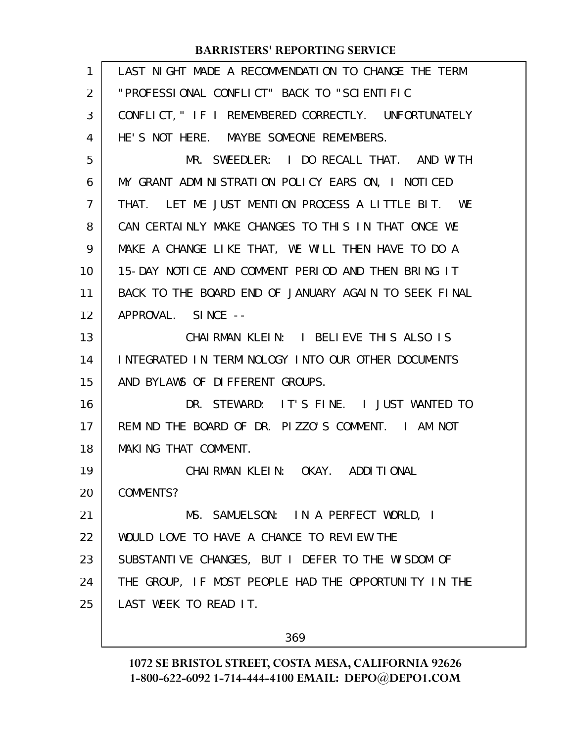| $\mathbf{1}$ | LAST NIGHT MADE A RECOMMENDATION TO CHANGE THE TERM  |
|--------------|------------------------------------------------------|
| 2            | "PROFESSIONAL CONFLICT" BACK TO "SCIENTIFIC          |
| 3            | CONFLICT, " IF I REMEMBERED CORRECTLY. UNFORTUNATELY |
| 4            | HE'S NOT HERE. MAYBE SOMEONE REMEMBERS.              |
| 5            | MR. SWEEDLER: I DO RECALL THAT. AND WITH             |
| 6            | MY GRANT ADMINISTRATION POLICY EARS ON, I NOTICED    |
| 7            | THAT. LET ME JUST MENTION PROCESS A LITTLE BIT. WE   |
| 8            | CAN CERTAINLY MAKE CHANGES TO THIS IN THAT ONCE WE   |
| 9            | MAKE A CHANGE LIKE THAT, WE WILL THEN HAVE TO DO A   |
| 10           | 15-DAY NOTICE AND COMMENT PERIOD AND THEN BRING IT   |
| 11           | BACK TO THE BOARD END OF JANUARY AGAIN TO SEEK FINAL |
| 12           | APPROVAL. SINCE --                                   |
| 13           | CHAIRMAN KLEIN: I BELIEVE THIS ALSO IS               |
| 14           | INTEGRATED IN TERMINOLOGY INTO OUR OTHER DOCUMENTS   |
| 15           | AND BYLAWS OF DIFFERENT GROUPS.                      |
| 16           | DR. STEWARD: IT'S FINE. I JUST WANTED TO             |
| 17           | REMIND THE BOARD OF DR. PIZZO'S COMMENT. I AM NOT    |
| 18           | MAKING THAT COMMENT.                                 |
| 19           | CHAI RMAN KLEIN: OKAY. ADDITIONAL                    |
| 20           | COMMENTS?                                            |
| 21           | MS. SAMUELSON: IN A PERFECT WORLD, I                 |
| 22           | WOULD LOVE TO HAVE A CHANCE TO REVIEW THE            |
| 23           | SUBSTANTIVE CHANGES, BUT I DEFER TO THE WISDOM OF    |
| 24           | THE GROUP, IF MOST PEOPLE HAD THE OPPORTUNITY IN THE |
| 25           | LAST WEEK TO READ IT.                                |
|              |                                                      |

369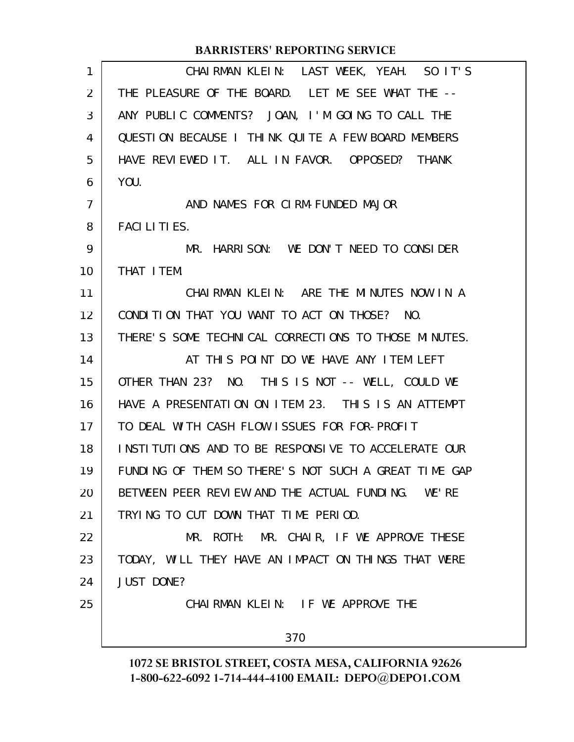| 1  | CHAIRMAN KLEIN: LAST WEEK, YEAH. SO IT'S             |
|----|------------------------------------------------------|
| 2  | THE PLEASURE OF THE BOARD. LET ME SEE WHAT THE --    |
| 3  | ANY PUBLIC COMMENTS? JOAN, I'M GOING TO CALL THE     |
| 4  | QUESTION BECAUSE I THINK QUITE A FEW BOARD MEMBERS   |
| 5  | HAVE REVIEWED IT. ALL IN FAVOR. OPPOSED? THANK       |
| 6  | YOU.                                                 |
| 7  | AND NAMES FOR CIRM-FUNDED MAJOR                      |
| 8  | <b>FACILITIES.</b>                                   |
| 9  | MR. HARRISON: WE DON'T NEED TO CONSIDER              |
| 10 | THAT I TEM.                                          |
| 11 | CHAIRMAN KLEIN: ARE THE MINUTES NOW IN A             |
| 12 | CONDITION THAT YOU WANT TO ACT ON THOSE?<br>NO.      |
| 13 | THERE'S SOME TECHNICAL CORRECTIONS TO THOSE MINUTES. |
| 14 | AT THIS POINT DO WE HAVE ANY ITEM LEFT               |
| 15 | OTHER THAN 23? NO. THIS IS NOT -- WELL, COULD WE     |
| 16 | HAVE A PRESENTATION ON ITEM 23. THIS IS AN ATTEMPT   |
| 17 | TO DEAL WITH CASH FLOW ISSUES FOR FOR-PROFIT         |
| 18 | INSTITUTIONS AND TO BE RESPONSIVE TO ACCELERATE OUR  |
| 19 | FUNDING OF THEM SO THERE'S NOT SUCH A GREAT TIME GAP |
| 20 | BETWEEN PEER REVIEW AND THE ACTUAL FUNDING. WE'RE    |
| 21 | TRYING TO CUT DOWN THAT TIME PERIOD.                 |
| 22 | MR. ROTH: MR. CHAIR, IF WE APPROVE THESE             |
| 23 | TODAY, WILL THEY HAVE AN IMPACT ON THINGS THAT WERE  |
| 24 | <b>JUST DONE?</b>                                    |
| 25 | CHAIRMAN KLEIN: IF WE APPROVE THE                    |
|    | 370                                                  |
|    |                                                      |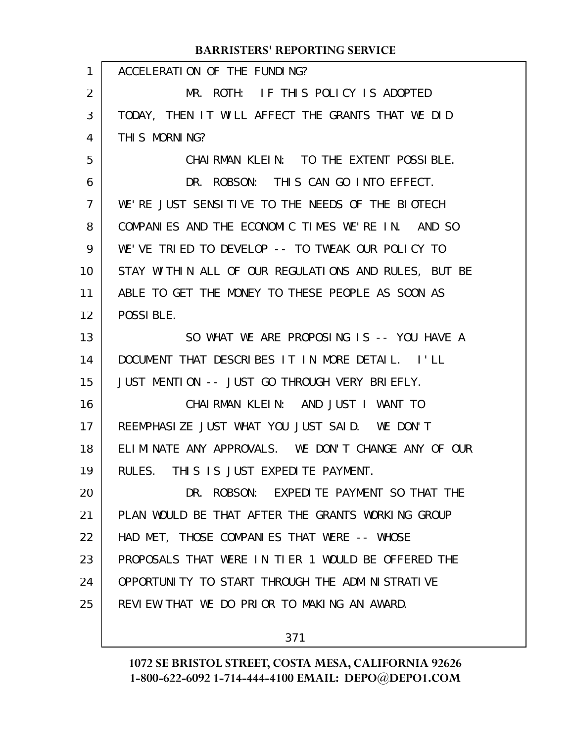|                | <b>BARRISTERS' REPORTING SERVICE</b>                 |
|----------------|------------------------------------------------------|
| 1              | ACCELERATION OF THE FUNDING?                         |
| $\overline{2}$ | MR. ROTH: IF THIS POLICY IS ADOPTED                  |
| 3              | TODAY, THEN IT WILL AFFECT THE GRANTS THAT WE DID    |
| 4              | THIS MORNING?                                        |
| 5              | CHAIRMAN KLEIN: TO THE EXTENT POSSIBLE.              |
| 6              | DR. ROBSON: THIS CAN GO INTO EFFECT.                 |
| $\overline{7}$ | WE'RE JUST SENSITIVE TO THE NEEDS OF THE BIOTECH     |
| 8              | COMPANIES AND THE ECONOMIC TIMES WE'RE IN. AND SO    |
| 9              | WE'VE TRIED TO DEVELOP -- TO TWEAK OUR POLICY TO     |
| 10             | STAY WITHIN ALL OF OUR REGULATIONS AND RULES, BUT BE |
| 11             | ABLE TO GET THE MONEY TO THESE PEOPLE AS SOON AS     |
| 12             | POSSIBLE.                                            |
| 13             | SO WHAT WE ARE PROPOSING IS -- YOU HAVE A            |
| 14             | DOCUMENT THAT DESCRIBES IT IN MORE DETAIL. I'LL      |
| 15             | JUST MENTION -- JUST GO THROUGH VERY BRIEFLY.        |
| 16             | CHAIRMAN KLEIN: AND JUST I WANT TO                   |
| 17             | REEMPHASIZE JUST WHAT YOU JUST SAID. WE DON'T        |
| 18             | ELIMINATE ANY APPROVALS. WE DON'T CHANGE ANY OF OUR  |
| 19             | RULES. THIS IS JUST EXPEDITE PAYMENT.                |
| 20             | DR. ROBSON: EXPEDITE PAYMENT SO THAT THE             |
| 21             | PLAN WOULD BE THAT AFTER THE GRANTS WORKING GROUP    |
| 22             | HAD MET, THOSE COMPANIES THAT WERE -- WHOSE          |
| 23             | PROPOSALS THAT WERE IN TIER 1 WOULD BE OFFERED THE   |
| 24             | OPPORTUNITY TO START THROUGH THE ADMINISTRATIVE      |
| 25             | REVIEW THAT WE DO PRIOR TO MAKING AN AWARD.          |
|                |                                                      |

371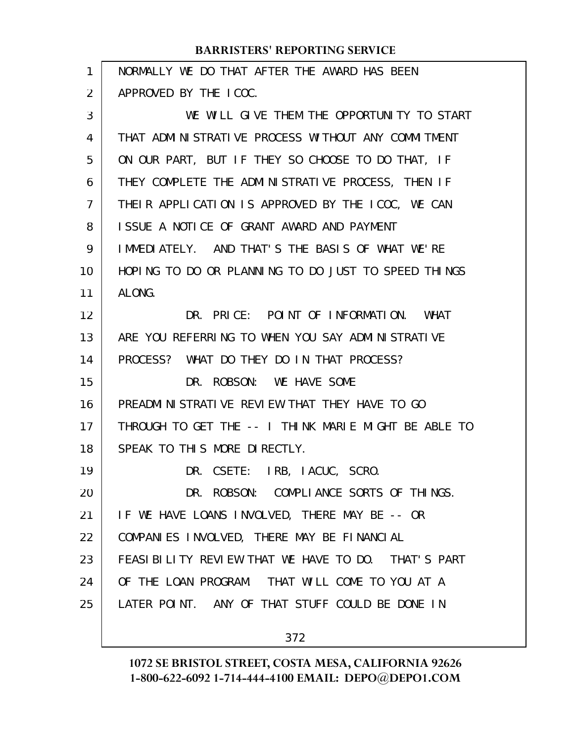| 1  | NORMALLY WE DO THAT AFTER THE AWARD HAS BEEN         |
|----|------------------------------------------------------|
| 2  | APPROVED BY THE ICOC.                                |
| 3  | WE WILL GIVE THEM THE OPPORTUNITY TO START           |
| 4  | THAT ADMINISTRATIVE PROCESS WITHOUT ANY COMMITMENT   |
| 5  | ON OUR PART, BUT IF THEY SO CHOOSE TO DO THAT, IF    |
| 6  | THEY COMPLETE THE ADMINISTRATIVE PROCESS, THEN IF    |
| 7  | THEIR APPLICATION IS APPROVED BY THE ICOC, WE CAN    |
| 8  | ISSUE A NOTICE OF GRANT AWARD AND PAYMENT            |
| 9  | IMMEDIATELY. AND THAT'S THE BASIS OF WHAT WE'RE      |
| 10 | HOPING TO DO OR PLANNING TO DO JUST TO SPEED THINGS  |
| 11 | ALONG.                                               |
| 12 | DR. PRICE: POINT OF INFORMATION. WHAT                |
| 13 | ARE YOU REFERRING TO WHEN YOU SAY ADMINISTRATIVE     |
| 14 | PROCESS? WHAT DO THEY DO IN THAT PROCESS?            |
| 15 | DR. ROBSON: WE HAVE SOME                             |
| 16 | PREADMINISTRATIVE REVIEW THAT THEY HAVE TO GO        |
| 17 | THROUGH TO GET THE -- I THINK MARIE MIGHT BE ABLE TO |
| 18 | SPEAK TO THIS MORE DIRECTLY.                         |
| 19 | DR. CSETE: IRB, IACUC, SCRO.                         |
| 20 | DR. ROBSON: COMPLIANCE SORTS OF THINGS.              |
| 21 | IF WE HAVE LOANS INVOLVED, THERE MAY BE -- OR        |
| 22 | COMPANIES INVOLVED, THERE MAY BE FINANCIAL           |
| 23 | FEASIBILITY REVIEW THAT WE HAVE TO DO. THAT'S PART   |
| 24 | OF THE LOAN PROGRAM. THAT WILL COME TO YOU AT A      |
| 25 | LATER POINT. ANY OF THAT STUFF COULD BE DONE IN      |
|    |                                                      |

372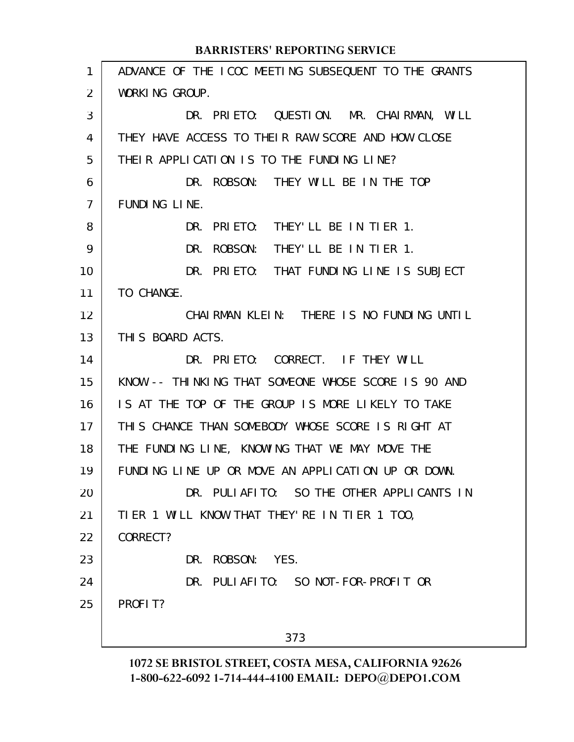ADVANCE OF THE ICOC MEETING SUBSEQUENT TO THE GRANTS WORKING GROUP. DR. PRIETO: QUESTION. MR. CHAIRMAN, WILL THEY HAVE ACCESS TO THEIR RAW SCORE AND HOW CLOSE THEIR APPLICATION IS TO THE FUNDING LINE? DR. ROBSON: THEY WILL BE IN THE TOP FUNDING LINE. DR. PRIETO: THEY'LL BE IN TIER 1. DR. ROBSON: THEY'LL BE IN TIER 1. DR. PRIETO: THAT FUNDING LINE IS SUBJECT TO CHANGE. CHAIRMAN KLEIN: THERE IS NO FUNDING UNTIL THIS BOARD ACTS. DR. PRIETO: CORRECT. IF THEY WILL KNOW -- THINKING THAT SOMEONE WHOSE SCORE IS 90 AND IS AT THE TOP OF THE GROUP IS MORE LIKELY TO TAKE THIS CHANCE THAN SOMEBODY WHOSE SCORE IS RIGHT AT THE FUNDING LINE, KNOWING THAT WE MAY MOVE THE FUNDING LINE UP OR MOVE AN APPLICATION UP OR DOWN. DR. PULIAFITO: SO THE OTHER APPLICANTS IN TIER 1 WILL KNOW THAT THEY'RE IN TIER 1 TOO, CORRECT? DR. ROBSON: YES. DR. PULIAFITO: SO NOT-FOR-PROFIT OR PROFIT? 373 1 2 3 4 5 6 7 8 9 10 11 12 13 14 15 16 17 18 19 20 21 22 23 24 25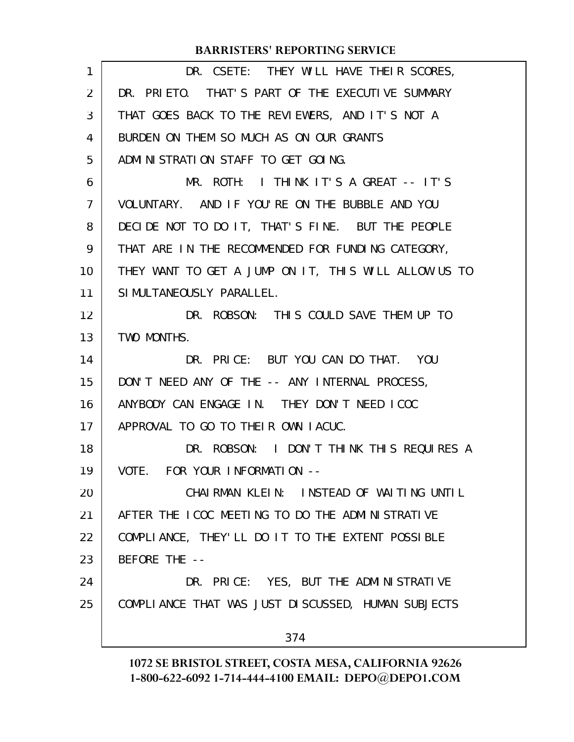| 1              | DR. CSETE: THEY WILL HAVE THEIR SCORES,              |
|----------------|------------------------------------------------------|
| 2              | DR. PRIETO. THAT'S PART OF THE EXECUTIVE SUMMARY     |
| 3              | THAT GOES BACK TO THE REVIEWERS, AND IT'S NOT A      |
| 4              | BURDEN ON THEM SO MUCH AS ON OUR GRANTS              |
| 5              | ADMINISTRATION STAFF TO GET GOING.                   |
| 6              | MR. ROTH: I THINK IT'S A GREAT -- IT'S               |
| $\overline{7}$ | VOLUNTARY. AND IF YOU'RE ON THE BUBBLE AND YOU       |
| 8              | DECIDE NOT TO DO IT, THAT'S FINE. BUT THE PEOPLE     |
| 9              | THAT ARE IN THE RECOMMENDED FOR FUNDING CATEGORY,    |
| 10             | THEY WANT TO GET A JUMP ON IT, THIS WILL ALLOW US TO |
| 11             | SIMULTANEOUSLY PARALLEL.                             |
| 12             | DR. ROBSON: THIS COULD SAVE THEM UP TO               |
| 13             | TWO MONTHS.                                          |
| 14             | DR. PRICE: BUT YOU CAN DO THAT. YOU                  |
| 15             | DON'T NEED ANY OF THE -- ANY INTERNAL PROCESS,       |
| 16             | ANYBODY CAN ENGAGE IN. THEY DON'T NEED ICOC          |
| 17             | APPROVAL TO GO TO THEIR OWN LACUC.                   |
| 18             | DR. ROBSON: I DON'T THINK THIS REQUIRES A            |
| 19             | VOTE. FOR YOUR INFORMATION --                        |
| 20             | CHAIRMAN KLEIN: INSTEAD OF WAITING UNTIL             |
| 21             | AFTER THE ICOC MEETING TO DO THE ADMINISTRATIVE      |
| 22             | COMPLIANCE, THEY'LL DO IT TO THE EXTENT POSSIBLE     |
| 23             | BEFORE THE --                                        |
| 24             | DR. PRICE: YES, BUT THE ADMINISTRATIVE               |
| 25             | COMPLIANCE THAT WAS JUST DISCUSSED, HUMAN SUBJECTS   |
|                | 374                                                  |
|                |                                                      |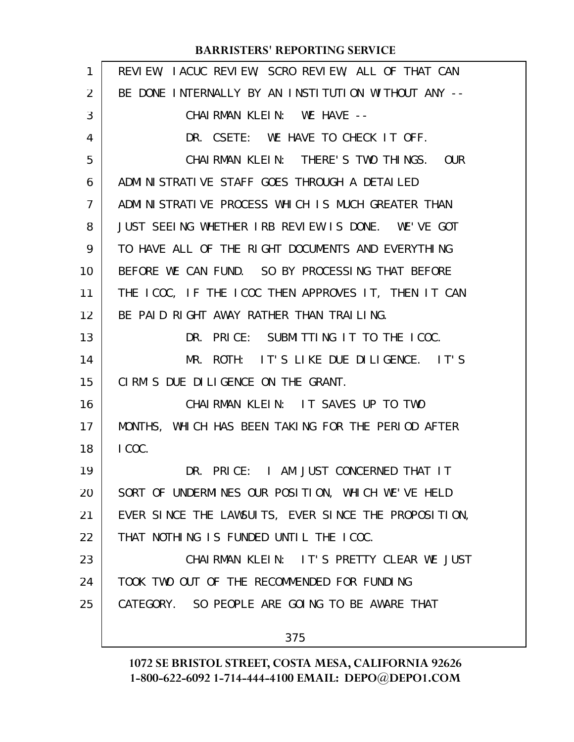| $\mathbf{1}$ | REVIEW, IACUC REVIEW, SCRO REVIEW, ALL OF THAT CAN   |
|--------------|------------------------------------------------------|
| 2            | BE DONE INTERNALLY BY AN INSTITUTION WITHOUT ANY --  |
| 3            | CHAIRMAN KLEIN: WE HAVE --                           |
| 4            | DR. CSETE: WE HAVE TO CHECK IT OFF.                  |
| 5            | CHAIRMAN KLEIN: THERE'S TWO THINGS. OUR              |
| 6            | ADMINISTRATIVE STAFF GOES THROUGH A DETAILED         |
| 7            | ADMINISTRATIVE PROCESS WHICH IS MUCH GREATER THAN    |
| 8            | JUST SEEING WHETHER IRB REVIEW IS DONE. WE'VE GOT    |
| 9            | TO HAVE ALL OF THE RIGHT DOCUMENTS AND EVERYTHING    |
| 10           | BEFORE WE CAN FUND. SO BY PROCESSING THAT BEFORE     |
| 11           | THE ICOC, IF THE ICOC THEN APPROVES IT, THEN IT CAN  |
| 12           | BE PAID RIGHT AWAY RATHER THAN TRAILING.             |
| 13           | DR. PRICE: SUBMITTING IT TO THE ICOC.                |
| 14           | MR. ROTH: IT'S LIKE DUE DILIGENCE. IT'S              |
| 15           | CIRM'S DUE DILIGENCE ON THE GRANT.                   |
| 16           | CHAIRMAN KLEIN: IT SAVES UP TO TWO                   |
| 17           | MONTHS, WHICH HAS BEEN TAKING FOR THE PERIOD AFTER   |
| 18           | I COC.                                               |
| 19           | DR. PRICE: I AM JUST CONCERNED THAT IT               |
| 20           | SORT OF UNDERMINES OUR POSITION, WHICH WE'VE HELD    |
| 21           | EVER SINCE THE LAWSUITS, EVER SINCE THE PROPOSITION, |
| 22           | THAT NOTHING IS FUNDED UNTIL THE ICOC.               |
| 23           | CHAIRMAN KLEIN: IT'S PRETTY CLEAR WE JUST            |
| 24           | TOOK TWO OUT OF THE RECOMMENDED FOR FUNDING          |
| 25           | CATEGORY. SO PEOPLE ARE GOING TO BE AWARE THAT       |
|              | 375                                                  |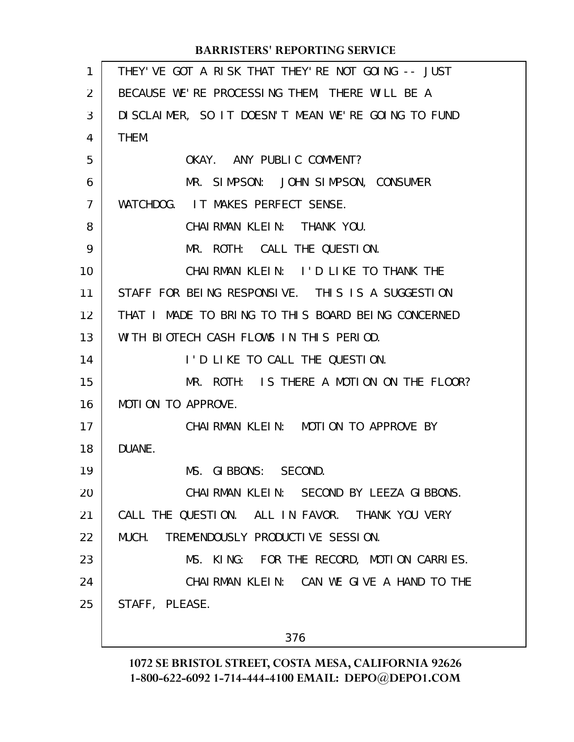| $\mathbf{1}$   | THEY' VE GOT A RISK THAT THEY' RE NOT GOING -- JUST |
|----------------|-----------------------------------------------------|
| 2              | BECAUSE WE'RE PROCESSING THEM, THERE WILL BE A      |
| 3              | DISCLAIMER, SO IT DOESN'T MEAN WE'RE GOING TO FUND  |
| 4              | THEM.                                               |
| 5              | OKAY. ANY PUBLIC COMMENT?                           |
| 6              | MR. SIMPSON: JOHN SIMPSON, CONSUMER                 |
| $\overline{7}$ | WATCHDOG. IT MAKES PERFECT SENSE.                   |
| 8              | CHAIRMAN KLEIN: THANK YOU.                          |
| 9              | MR. ROTH: CALL THE QUESTION.                        |
| 10             | CHAIRMAN KLEIN: I'D LIKE TO THANK THE               |
| 11             | STAFF FOR BEING RESPONSIVE. THIS IS A SUGGESTION    |
| 12             | THAT I MADE TO BRING TO THIS BOARD BEING CONCERNED  |
| 13             | WITH BIOTECH CASH FLOWS IN THIS PERIOD.             |
| 14             | I'D LIKE TO CALL THE QUESTION.                      |
| 15             | MR. ROTH: IS THERE A MOTION ON THE FLOOR?           |
| 16             | MOTION TO APPROVE.                                  |
| 17             | CHAIRMAN KLEIN: MOTION TO APPROVE BY                |
| 18             | DUANE.                                              |
| 19             | MS. GIBBONS: SECOND.                                |
| 20             | CHAIRMAN KLEIN: SECOND BY LEEZA GIBBONS.            |
| 21             | CALL THE QUESTION. ALL IN FAVOR. THANK YOU VERY     |
| 22             | MUCH. TREMENDOUSLY PRODUCTIVE SESSION.              |
| 23             | MS. KING: FOR THE RECORD, MOTION CARRIES.           |
| 24             | CHAIRMAN KLEIN: CAN WE GIVE A HAND TO THE           |
| 25             | STAFF, PLEASE.                                      |
|                |                                                     |
|                | 376                                                 |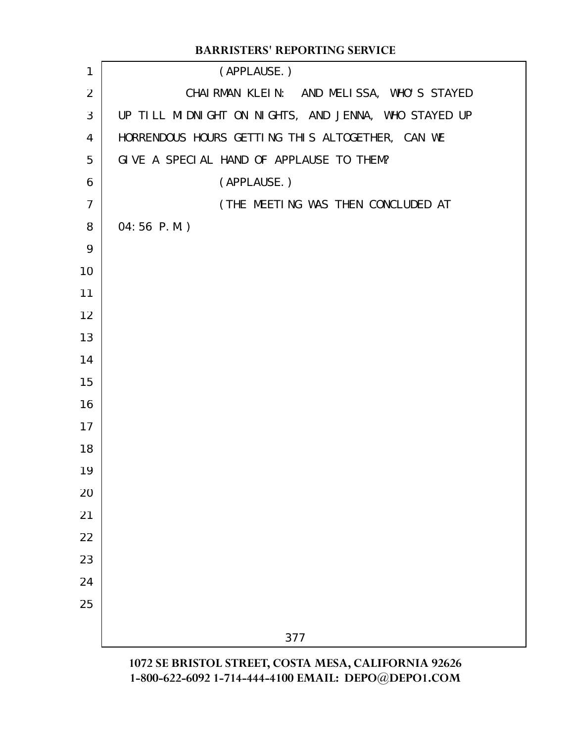|                | <b>BARRISTERS' REPORTING SERVICE</b>                 |
|----------------|------------------------------------------------------|
| 1              | (APPLAUSE.)                                          |
| $\overline{2}$ | CHAIRMAN KLEIN: AND MELISSA, WHO'S STAYED            |
| 3              | UP TILL MIDNIGHT ON NIGHTS, AND JENNA, WHO STAYED UP |
| 4              | HORRENDOUS HOURS GETTING THIS ALTOGETHER, CAN WE     |
| 5              | GIVE A SPECIAL HAND OF APPLAUSE TO THEM?             |
| 6              | (APPLAUSE.)                                          |
| $\overline{7}$ | (THE MEETING WAS THEN CONCLUDED AT                   |
| 8              | 04:56 P.M.)                                          |
| 9              |                                                      |
| 10             |                                                      |
| 11             |                                                      |
| 12             |                                                      |
| 13             |                                                      |
| 14             |                                                      |
| 15             |                                                      |
| 16             |                                                      |
| 17             |                                                      |
| 18             |                                                      |
| 19             |                                                      |
| 20             |                                                      |
| 21             |                                                      |
| 22             |                                                      |
| 23             |                                                      |
| 24             |                                                      |
| 25             |                                                      |
|                | 377                                                  |
|                | 1072 SE BRISTOI STREET COSTA MESA CALIEORNIA 92626   |

**1072 SE BRISTOL STREET, COSTA MESA, CALIFORNIA 92626 1-800-622-6092 1-714-444-4100 EMAIL: DEPO@DEPO1.COM**